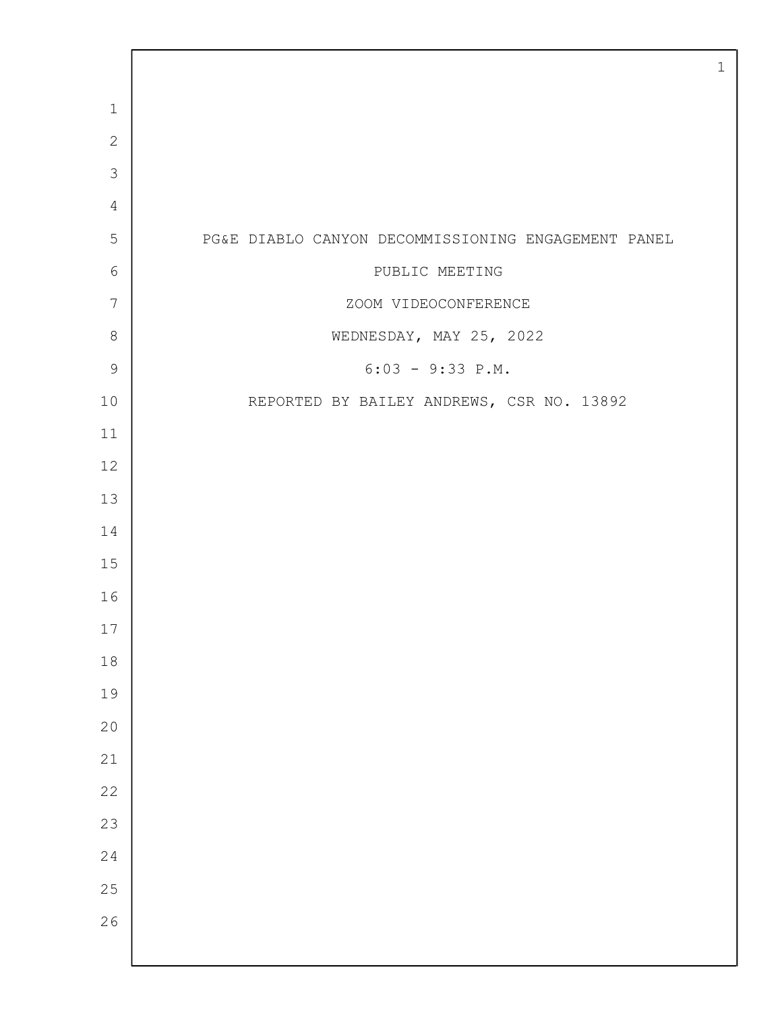| $\mathbf 1$     |                                                     |
|-----------------|-----------------------------------------------------|
| $\mathbf{2}$    |                                                     |
| 3               |                                                     |
| $\overline{4}$  |                                                     |
| 5               | PG&E DIABLO CANYON DECOMMISSIONING ENGAGEMENT PANEL |
| 6               | PUBLIC MEETING                                      |
| $7\phantom{.0}$ | ZOOM VIDEOCONFERENCE                                |
| $\,8\,$         | WEDNESDAY, MAY 25, 2022                             |
| $\mathsf 9$     | $6:03 - 9:33 P.M.$                                  |
| 10              | REPORTED BY BAILEY ANDREWS, CSR NO. 13892           |
| 11              |                                                     |
| 12              |                                                     |
| 13              |                                                     |
| 14              |                                                     |
| 15              |                                                     |
| 16              |                                                     |
| 17              |                                                     |
| $18\,$          |                                                     |
| 19              |                                                     |
| 20              |                                                     |
| 21              |                                                     |
| 22              |                                                     |
| 23              |                                                     |
| 24              |                                                     |
| 25              |                                                     |
| 26              |                                                     |
|                 |                                                     |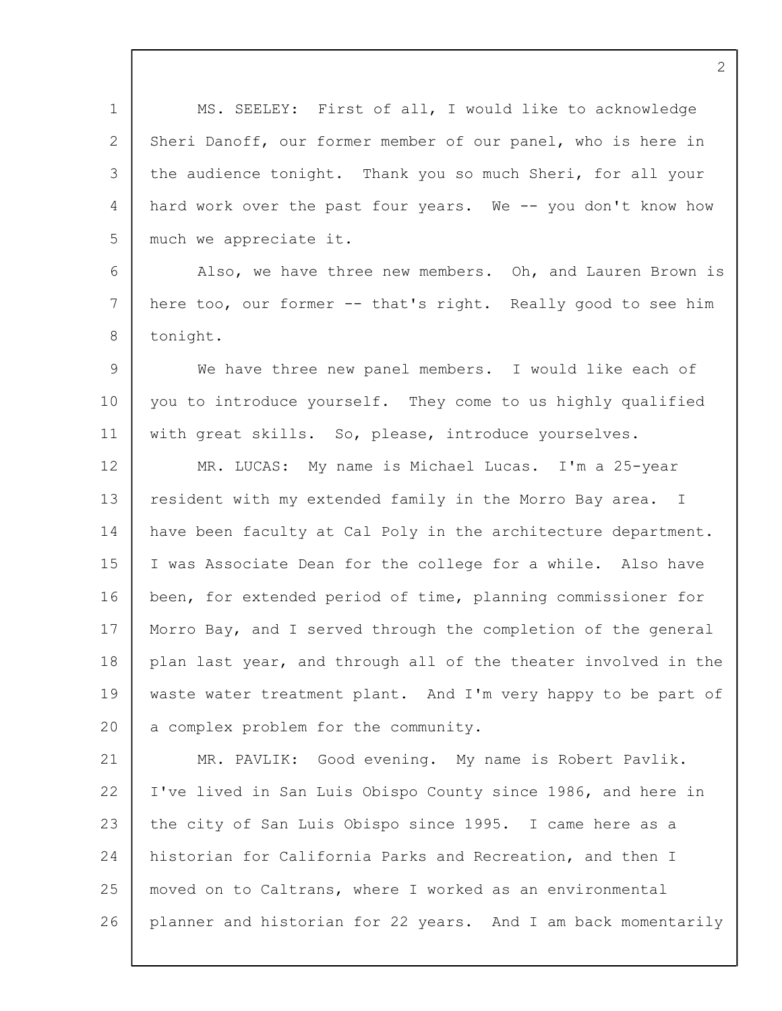1 2 3  $\Delta$ 5 6 7 8  $\mathsf{Q}$ 10 11 12 13 14 15 16 17 18 19 20 21 22 23 24 25 26 MS. SEELEY: First of all, I would like to acknowledge Sheri Danoff, our former member of our panel, who is here in the audience tonight. Thank you so much Sheri, for all your hard work over the past four years. We -- you don't know how much we appreciate it. Also, we have three new members. Oh, and Lauren Brown is here too, our former -- that's right. Really good to see him tonight. We have three new panel members. I would like each of you to introduce yourself. They come to us highly qualified with great skills. So, please, introduce yourselves. MR. LUCAS: My name is Michael Lucas. I'm a 25-year resident with my extended family in the Morro Bay area. I have been faculty at Cal Poly in the architecture department. I was Associate Dean for the college for a while. Also have been, for extended period of time, planning commissioner for Morro Bay, and I served through the completion of the general plan last year, and through all of the theater involved in the waste water treatment plant. And I'm very happy to be part of a complex problem for the community. MR. PAVLIK: Good evening. My name is Robert Pavlik. I've lived in San Luis Obispo County since 1986, and here in the city of San Luis Obispo since 1995. I came here as a historian for California Parks and Recreation, and then I moved on to Caltrans, where I worked as an environmental planner and historian for 22 years. And I am back momentarily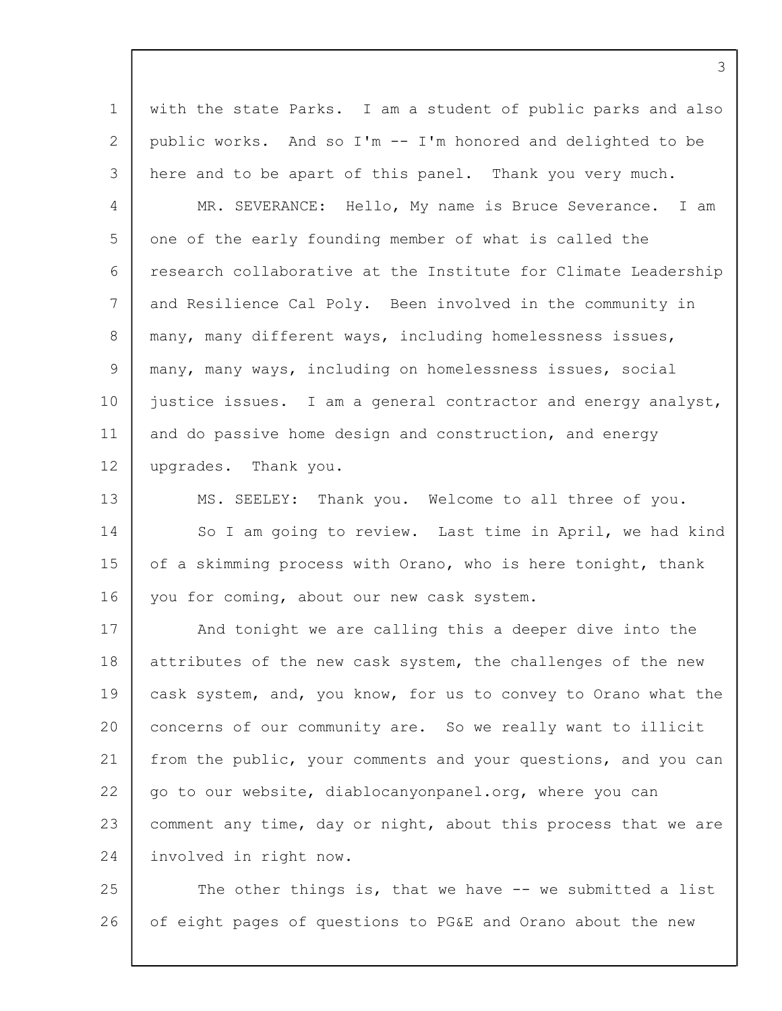1 2 3 4 5 6 7 8 9 10 11 12 with the state Parks. I am a student of public parks and also public works. And so I'm -- I'm honored and delighted to be here and to be apart of this panel. Thank you very much. MR. SEVERANCE: Hello, My name is Bruce Severance. I am one of the early founding member of what is called the research collaborative at the Institute for Climate Leadership and Resilience Cal Poly. Been involved in the community in many, many different ways, including homelessness issues, many, many ways, including on homelessness issues, social justice issues. I am a general contractor and energy analyst, and do passive home design and construction, and energy upgrades. Thank you.

13 14 15 16 MS. SEELEY: Thank you. Welcome to all three of you. So I am going to review. Last time in April, we had kind of a skimming process with Orano, who is here tonight, thank you for coming, about our new cask system.

17 18 19 20 21 22 23 24 And tonight we are calling this a deeper dive into the attributes of the new cask system, the challenges of the new cask system, and, you know, for us to convey to Orano what the concerns of our community are. So we really want to illicit from the public, your comments and your questions, and you can go to our website, diablocanyonpanel.org, where you can comment any time, day or night, about this process that we are involved in right now.

25 26 The other things is, that we have -- we submitted a list of eight pages of questions to PG&E and Orano about the new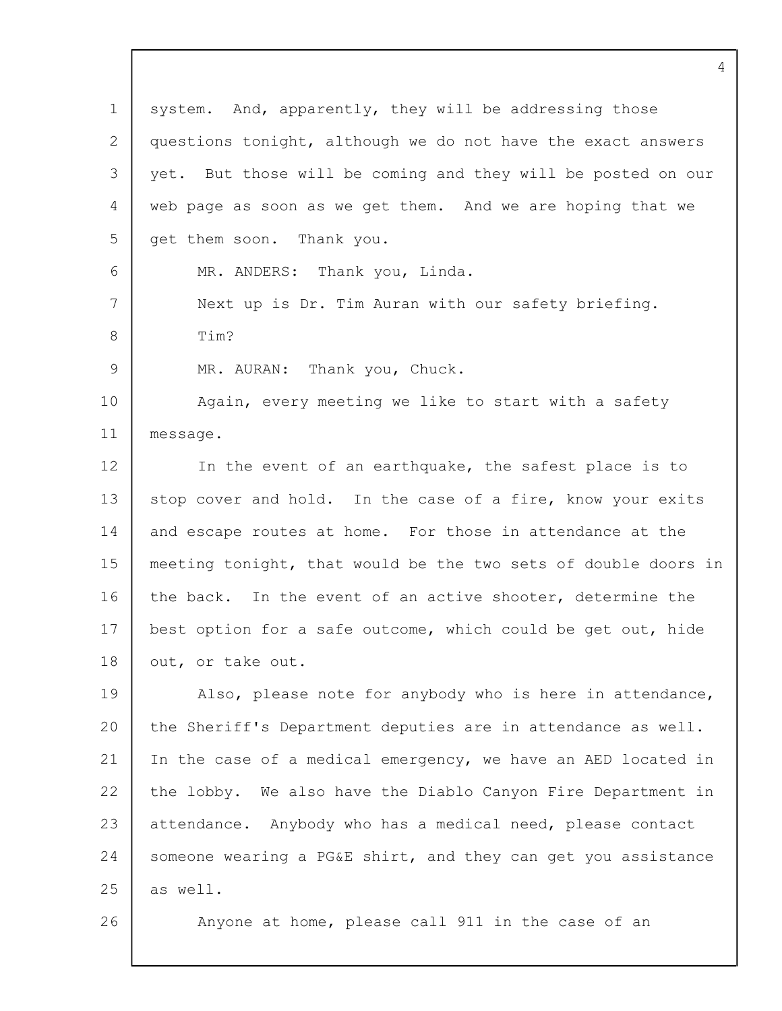| $\mathbf 1$ | system. And, apparently, they will be addressing those         |
|-------------|----------------------------------------------------------------|
| 2           | questions tonight, although we do not have the exact answers   |
| 3           | yet. But those will be coming and they will be posted on our   |
| 4           | web page as soon as we get them. And we are hoping that we     |
| 5           | get them soon. Thank you.                                      |
| 6           | MR. ANDERS: Thank you, Linda.                                  |
| 7           | Next up is Dr. Tim Auran with our safety briefing.             |
| 8           | Tim?                                                           |
| 9           | MR. AURAN: Thank you, Chuck.                                   |
| 10          | Again, every meeting we like to start with a safety            |
| 11          | message.                                                       |
| 12          | In the event of an earthquake, the safest place is to          |
| 13          | stop cover and hold. In the case of a fire, know your exits    |
| 14          | and escape routes at home. For those in attendance at the      |
| 15          | meeting tonight, that would be the two sets of double doors in |
| 16          | the back. In the event of an active shooter, determine the     |
| 17          | best option for a safe outcome, which could be get out, hide   |
| 18          | out, or take out.                                              |
| 19          | Also, please note for anybody who is here in attendance,       |
| 20          | the Sheriff's Department deputies are in attendance as well.   |
| 21          | In the case of a medical emergency, we have an AED located in  |
| 22          | the lobby. We also have the Diablo Canyon Fire Department in   |
| 23          | attendance. Anybody who has a medical need, please contact     |
| 24          | someone wearing a PG&E shirt, and they can get you assistance  |
| 25          | as well.                                                       |
| 26          | Anyone at home, please call 911 in the case of an              |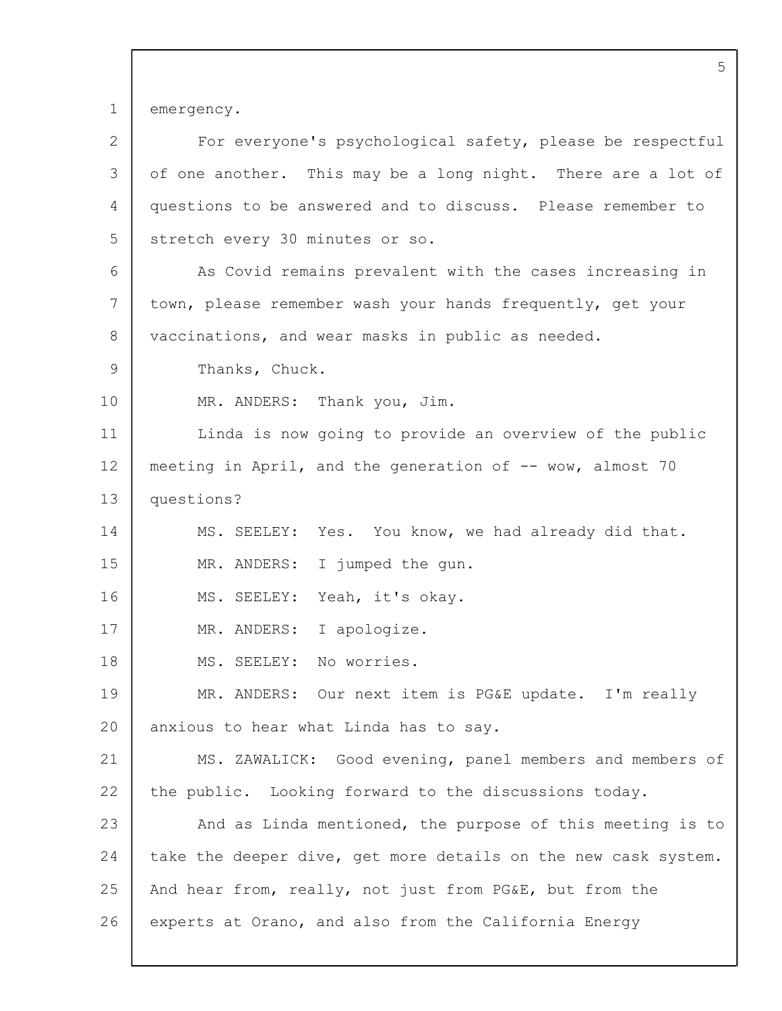1 emergency.

| $\mathbf{2}$  | For everyone's psychological safety, please be respectful      |
|---------------|----------------------------------------------------------------|
| 3             | of one another. This may be a long night. There are a lot of   |
| 4             | questions to be answered and to discuss. Please remember to    |
| 5             | stretch every 30 minutes or so.                                |
| 6             | As Covid remains prevalent with the cases increasing in        |
| 7             | town, please remember wash your hands frequently, get your     |
| 8             | vaccinations, and wear masks in public as needed.              |
| $\mathcal{G}$ | Thanks, Chuck.                                                 |
| 10            | MR. ANDERS: Thank you, Jim.                                    |
| 11            | Linda is now going to provide an overview of the public        |
| 12            | meeting in April, and the generation of -- wow, almost 70      |
| 13            | questions?                                                     |
| 14            | MS. SEELEY: Yes. You know, we had already did that.            |
| 15            | I jumped the gun.<br>MR. ANDERS:                               |
| 16            | MS. SEELEY: Yeah, it's okay.                                   |
| 17            | MR. ANDERS: I apologize.                                       |
| 18            | MS. SEELEY: No worries.                                        |
| 19            | MR. ANDERS: Our next item is PG&E update. I'm really           |
| 20            | anxious to hear what Linda has to say.                         |
| 21            | MS. ZAWALICK: Good evening, panel members and members of       |
| 22            | the public. Looking forward to the discussions today.          |
| 23            | And as Linda mentioned, the purpose of this meeting is to      |
| 24            | take the deeper dive, get more details on the new cask system. |
| 25            | And hear from, really, not just from PG&E, but from the        |
| 26            | experts at Orano, and also from the California Energy          |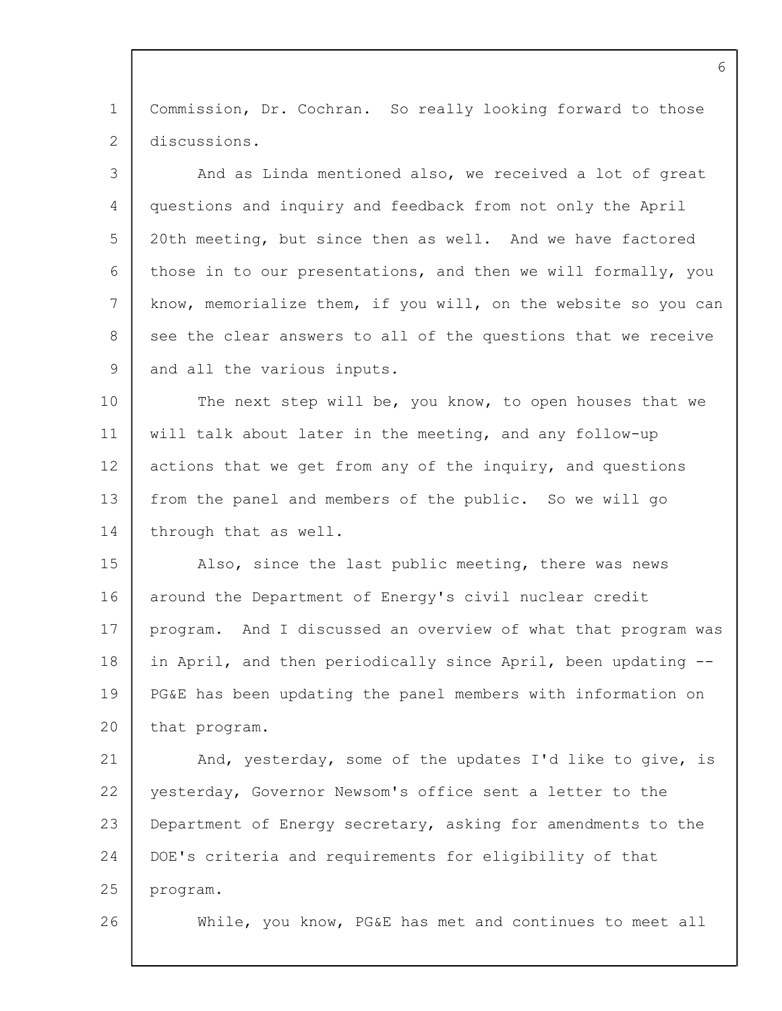1  $\mathfrak{D}$ Commission, Dr. Cochran. So really looking forward to those discussions.

3  $\Delta$ 5 6 7 8 9 And as Linda mentioned also, we received a lot of great questions and inquiry and feedback from not only the April 20th meeting, but since then as well. And we have factored those in to our presentations, and then we will formally, you know, memorialize them, if you will, on the website so you can see the clear answers to all of the questions that we receive and all the various inputs.

10 11 12 13 14 The next step will be, you know, to open houses that we will talk about later in the meeting, and any follow-up actions that we get from any of the inquiry, and questions from the panel and members of the public. So we will go through that as well.

15 16 17 18 19  $20$ Also, since the last public meeting, there was news around the Department of Energy's civil nuclear credit program. And I discussed an overview of what that program was in April, and then periodically since April, been updating -- PG&E has been updating the panel members with information on that program.

21 22 23 24 25 And, yesterday, some of the updates I'd like to give, is yesterday, Governor Newsom's office sent a letter to the Department of Energy secretary, asking for amendments to the DOE's criteria and requirements for eligibility of that program.

26

While, you know, PG&E has met and continues to meet all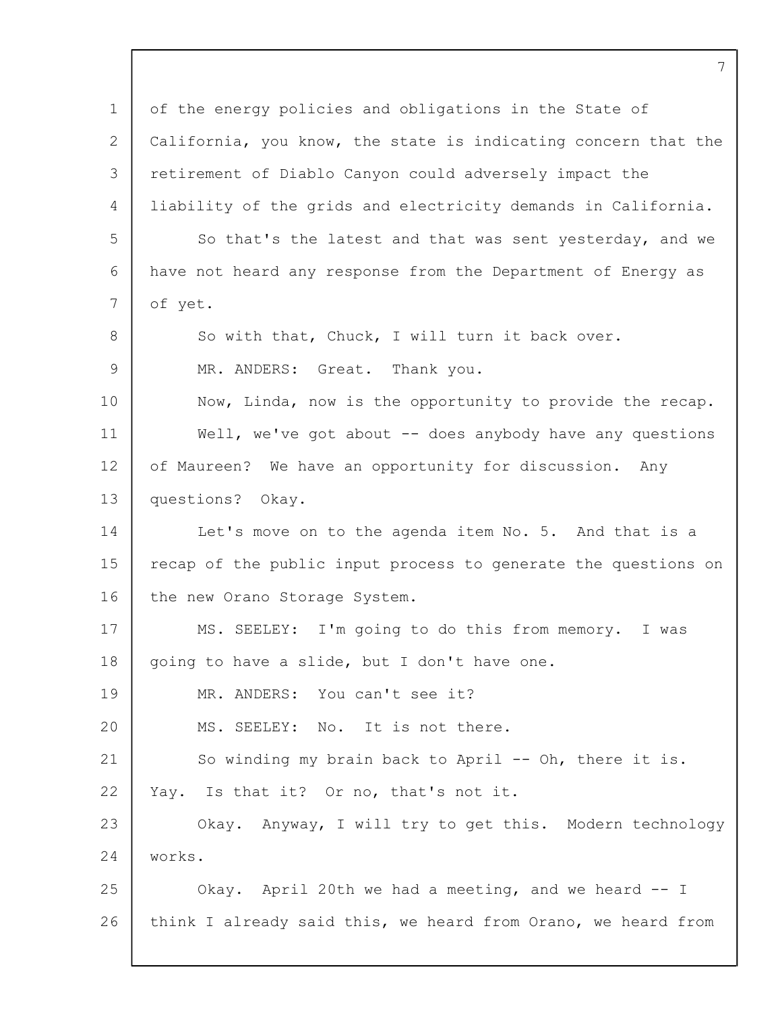| $\mathbf 1$ | of the energy policies and obligations in the State of         |
|-------------|----------------------------------------------------------------|
| 2           | California, you know, the state is indicating concern that the |
| 3           | retirement of Diablo Canyon could adversely impact the         |
| 4           | liability of the grids and electricity demands in California.  |
| 5           | So that's the latest and that was sent yesterday, and we       |
| 6           | have not heard any response from the Department of Energy as   |
| 7           | of yet.                                                        |
| 8           | So with that, Chuck, I will turn it back over.                 |
| 9           | MR. ANDERS: Great. Thank you.                                  |
| 10          | Now, Linda, now is the opportunity to provide the recap.       |
| 11          | Well, we've got about $-$ does anybody have any questions      |
| 12          | of Maureen? We have an opportunity for discussion. Any         |
| 13          | questions?<br>Okay.                                            |
| 14          | Let's move on to the agenda item No. 5. And that is a          |
| 15          | recap of the public input process to generate the questions on |
| 16          | the new Orano Storage System.                                  |
| 17          | MS. SEELEY: I'm going to do this from memory. I was            |
| 18          | going to have a slide, but I don't have one.                   |
| 19          | MR. ANDERS: You can't see it?                                  |
| 20          | MS. SEELEY: No. It is not there.                               |
| 21          | So winding my brain back to April -- Oh, there it is.          |
| 22          | Yay. Is that it? Or no, that's not it.                         |
| 23          | Okay. Anyway, I will try to get this. Modern technology        |
| 24          | works.                                                         |
| 25          | Okay. April 20th we had a meeting, and we heard -- I           |
| 26          | think I already said this, we heard from Orano, we heard from  |
|             |                                                                |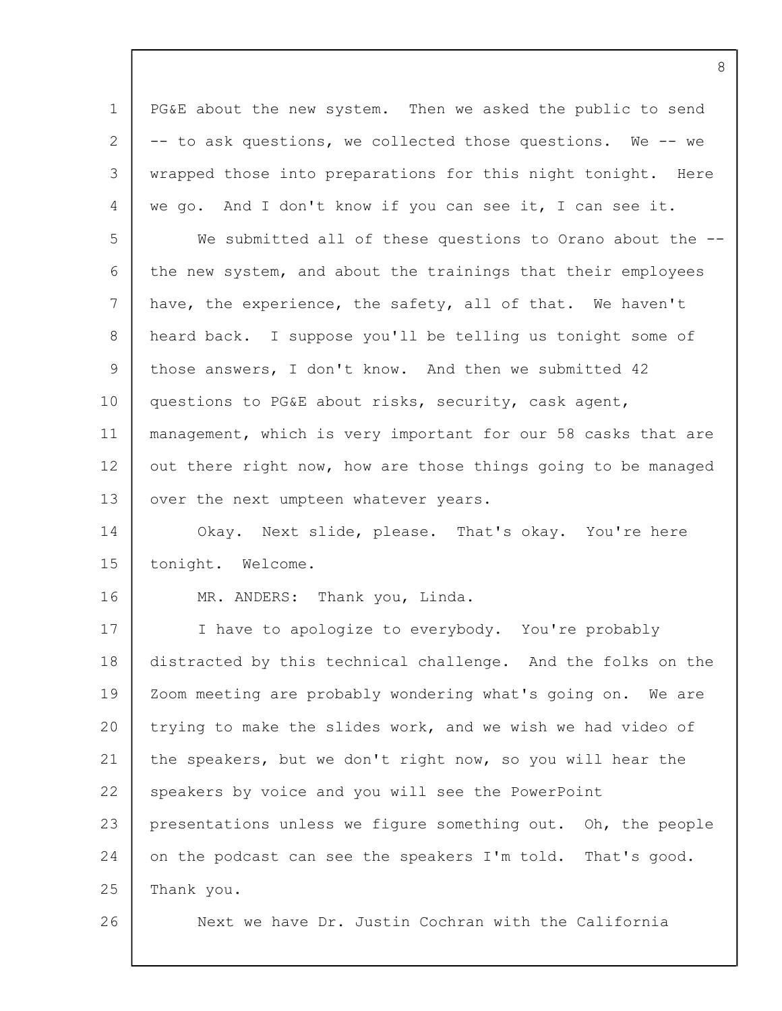1 2 3 4 5 6 7 8  $\mathsf{Q}$ 10 11 12 13 14 15 16 17 18 19 20 21 22 23 24 25 26 PG&E about the new system. Then we asked the public to send -- to ask questions, we collected those questions. We -- we wrapped those into preparations for this night tonight. Here we go. And I don't know if you can see it, I can see it. We submitted all of these questions to Orano about the -the new system, and about the trainings that their employees have, the experience, the safety, all of that. We haven't heard back. I suppose you'll be telling us tonight some of those answers, I don't know. And then we submitted 42 questions to PG&E about risks, security, cask agent, management, which is very important for our 58 casks that are out there right now, how are those things going to be managed over the next umpteen whatever years. Okay. Next slide, please. That's okay. You're here tonight. Welcome. MR. ANDERS: Thank you, Linda. I have to apologize to everybody. You're probably distracted by this technical challenge. And the folks on the Zoom meeting are probably wondering what's going on. We are trying to make the slides work, and we wish we had video of the speakers, but we don't right now, so you will hear the speakers by voice and you will see the PowerPoint presentations unless we figure something out. Oh, the people on the podcast can see the speakers I'm told. That's good. Thank you. Next we have Dr. Justin Cochran with the California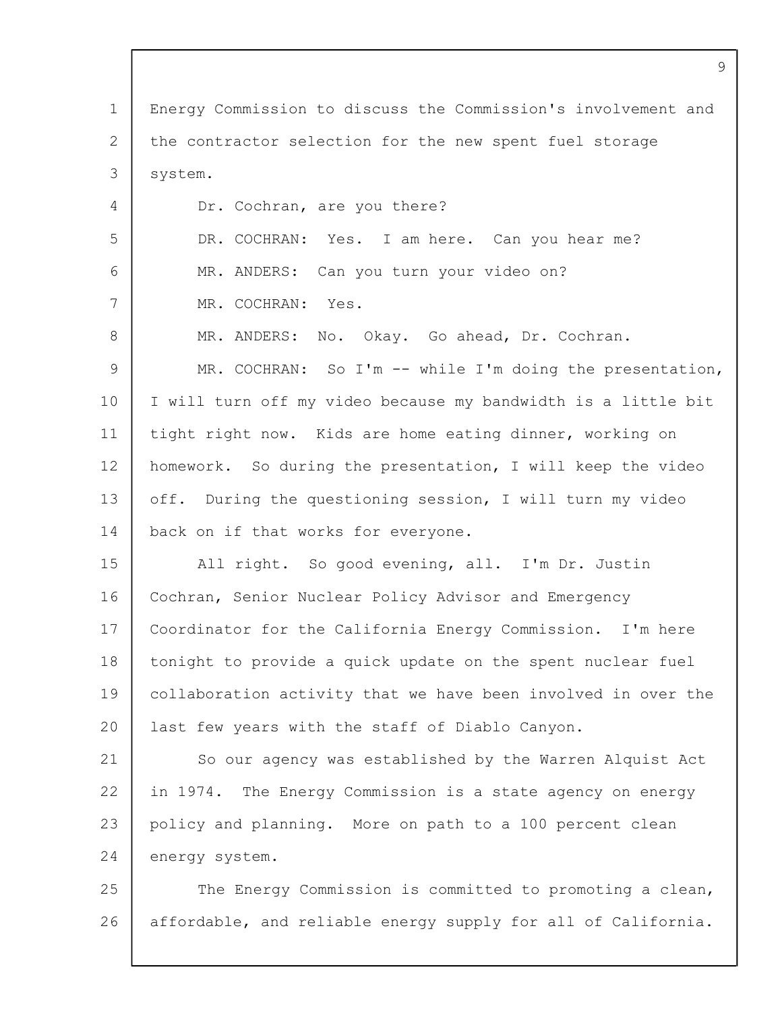1 2 3 4 5 6 7 8  $\mathsf{Q}$ 10 11 12 13 14 15 16 17 18 19  $20$ 21 22 23 24 25 26 Energy Commission to discuss the Commission's involvement and the contractor selection for the new spent fuel storage system. Dr. Cochran, are you there? DR. COCHRAN: Yes. I am here. Can you hear me? MR. ANDERS: Can you turn your video on? MR. COCHRAN: Yes. MR. ANDERS: No. Okay. Go ahead, Dr. Cochran. MR. COCHRAN: So I'm -- while I'm doing the presentation, I will turn off my video because my bandwidth is a little bit tight right now. Kids are home eating dinner, working on homework. So during the presentation, I will keep the video off. During the questioning session, I will turn my video back on if that works for everyone. All right. So good evening, all. I'm Dr. Justin Cochran, Senior Nuclear Policy Advisor and Emergency Coordinator for the California Energy Commission. I'm here tonight to provide a quick update on the spent nuclear fuel collaboration activity that we have been involved in over the last few years with the staff of Diablo Canyon. So our agency was established by the Warren Alquist Act in 1974. The Energy Commission is a state agency on energy policy and planning. More on path to a 100 percent clean energy system. The Energy Commission is committed to promoting a clean, affordable, and reliable energy supply for all of California.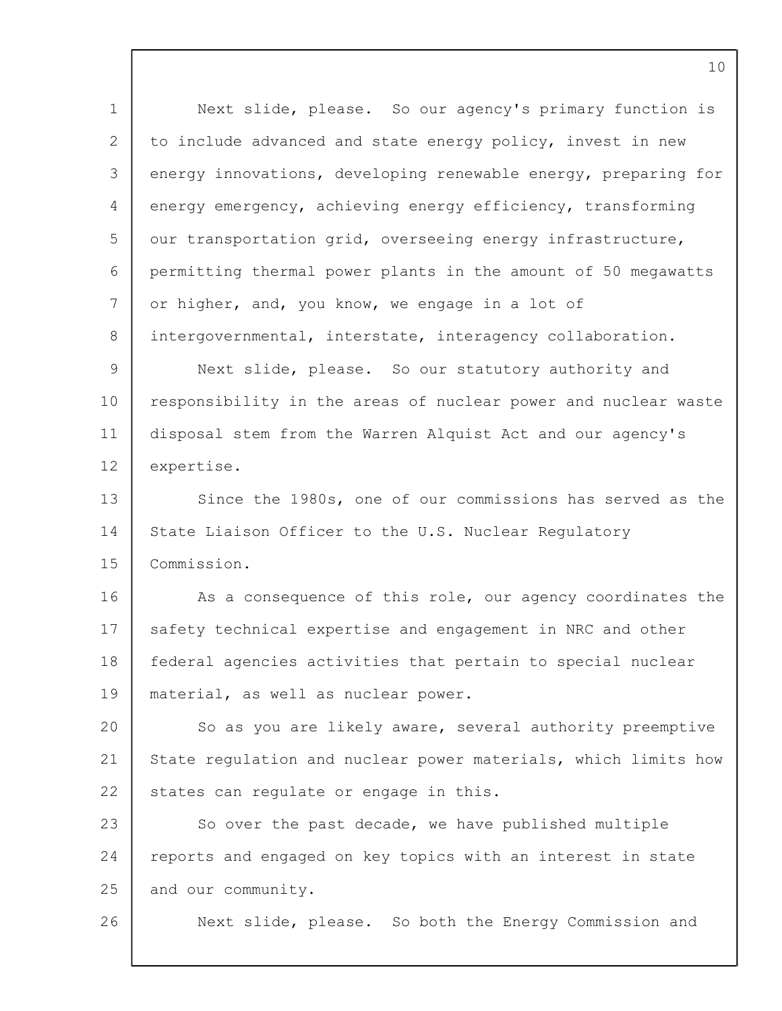1 2 3 4 5 6 7 8  $\mathsf{Q}$ 10 11 12 13 14 15 16 17 18 19 20 21 22 23 24 25 26 Next slide, please. So our agency's primary function is to include advanced and state energy policy, invest in new energy innovations, developing renewable energy, preparing for energy emergency, achieving energy efficiency, transforming our transportation grid, overseeing energy infrastructure, permitting thermal power plants in the amount of 50 megawatts or higher, and, you know, we engage in a lot of intergovernmental, interstate, interagency collaboration. Next slide, please. So our statutory authority and responsibility in the areas of nuclear power and nuclear waste disposal stem from the Warren Alquist Act and our agency's expertise. Since the 1980s, one of our commissions has served as the State Liaison Officer to the U.S. Nuclear Regulatory Commission. As a consequence of this role, our agency coordinates the safety technical expertise and engagement in NRC and other federal agencies activities that pertain to special nuclear material, as well as nuclear power. So as you are likely aware, several authority preemptive State regulation and nuclear power materials, which limits how states can regulate or engage in this. So over the past decade, we have published multiple reports and engaged on key topics with an interest in state and our community. Next slide, please. So both the Energy Commission and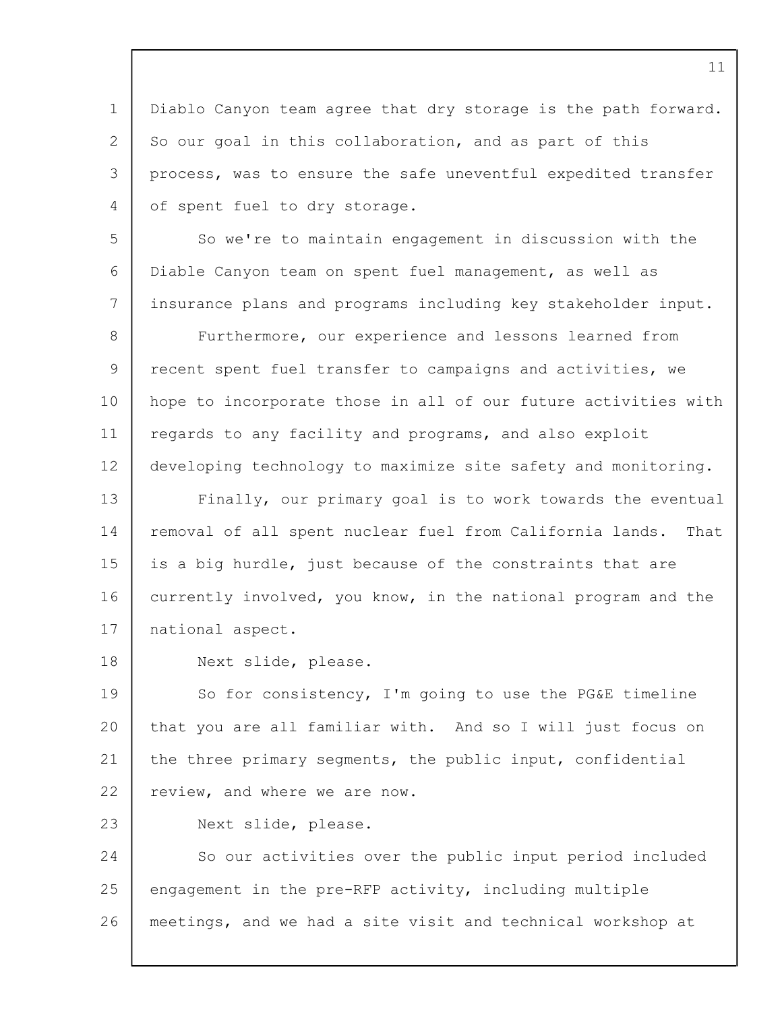1 2 3 4 Diablo Canyon team agree that dry storage is the path forward. So our goal in this collaboration, and as part of this process, was to ensure the safe uneventful expedited transfer of spent fuel to dry storage.

5 6 7 So we're to maintain engagement in discussion with the Diable Canyon team on spent fuel management, as well as insurance plans and programs including key stakeholder input.

8 9 10 11 12 Furthermore, our experience and lessons learned from recent spent fuel transfer to campaigns and activities, we hope to incorporate those in all of our future activities with regards to any facility and programs, and also exploit developing technology to maximize site safety and monitoring.

13 14 15 16 17 Finally, our primary goal is to work towards the eventual removal of all spent nuclear fuel from California lands. That is a big hurdle, just because of the constraints that are currently involved, you know, in the national program and the national aspect.

18 Next slide, please.

19 20 21 22 So for consistency, I'm going to use the PG&E timeline that you are all familiar with. And so I will just focus on the three primary segments, the public input, confidential review, and where we are now.

23 Next slide, please.

24 25 26 So our activities over the public input period included engagement in the pre-RFP activity, including multiple meetings, and we had a site visit and technical workshop at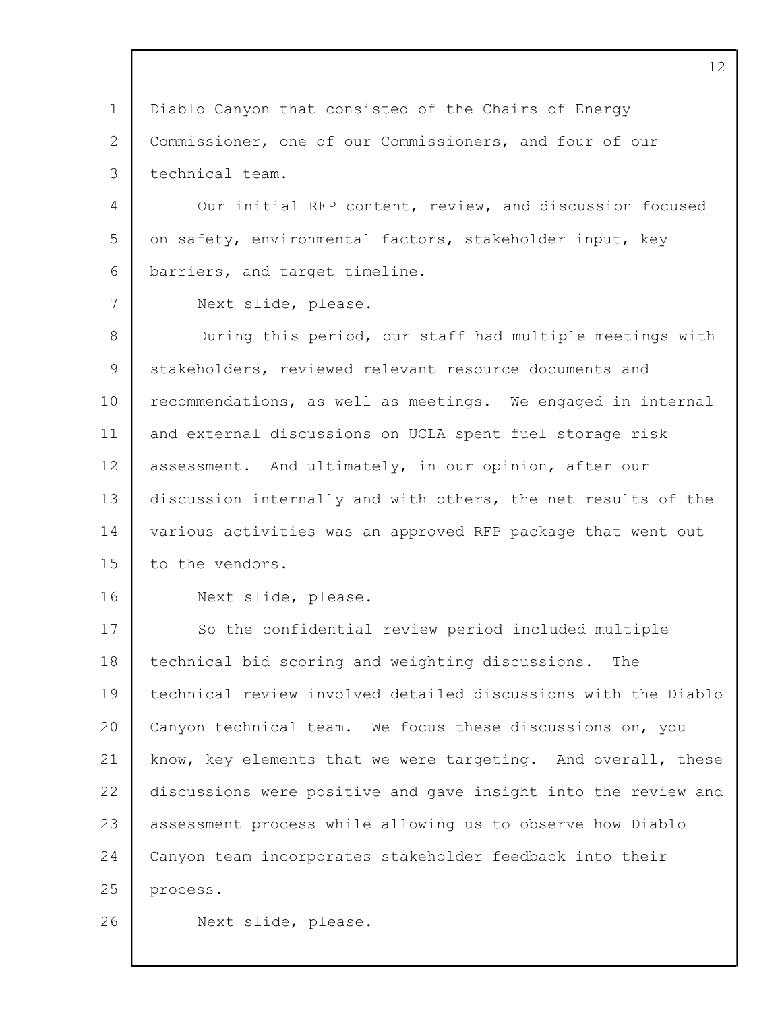1 2 3 4 5 6 7 8 9 10 11 12 13 14 15 16 17 18 19 20 21 22 23 24 25 26 Diablo Canyon that consisted of the Chairs of Energy Commissioner, one of our Commissioners, and four of our technical team. Our initial RFP content, review, and discussion focused on safety, environmental factors, stakeholder input, key barriers, and target timeline. Next slide, please. During this period, our staff had multiple meetings with stakeholders, reviewed relevant resource documents and recommendations, as well as meetings. We engaged in internal and external discussions on UCLA spent fuel storage risk assessment. And ultimately, in our opinion, after our discussion internally and with others, the net results of the various activities was an approved RFP package that went out to the vendors. Next slide, please. So the confidential review period included multiple technical bid scoring and weighting discussions. The technical review involved detailed discussions with the Diablo Canyon technical team. We focus these discussions on, you know, key elements that we were targeting. And overall, these discussions were positive and gave insight into the review and assessment process while allowing us to observe how Diablo Canyon team incorporates stakeholder feedback into their process. Next slide, please.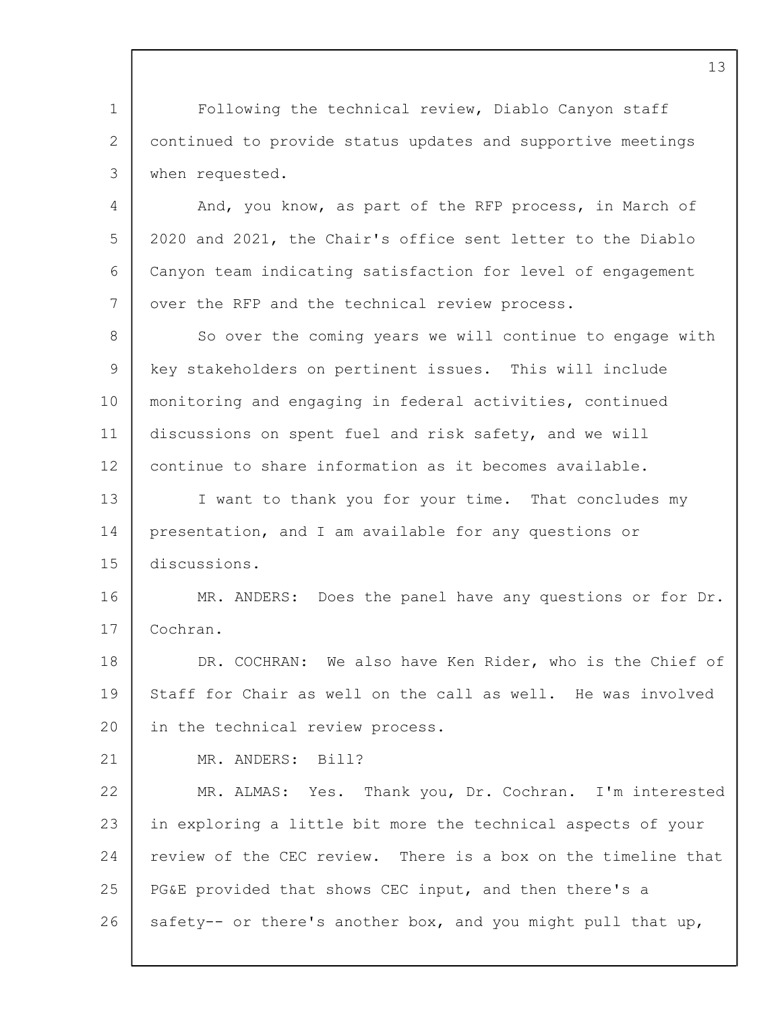1 2 3 Following the technical review, Diablo Canyon staff continued to provide status updates and supportive meetings when requested.

4 5 6 7 And, you know, as part of the RFP process, in March of 2020 and 2021, the Chair's office sent letter to the Diablo Canyon team indicating satisfaction for level of engagement over the RFP and the technical review process.

8 9 10 11 12 So over the coming years we will continue to engage with key stakeholders on pertinent issues. This will include monitoring and engaging in federal activities, continued discussions on spent fuel and risk safety, and we will continue to share information as it becomes available.

13 14 15 I want to thank you for your time. That concludes my presentation, and I am available for any questions or discussions.

16 17 MR. ANDERS: Does the panel have any questions or for Dr. Cochran.

18 19  $20$ DR. COCHRAN: We also have Ken Rider, who is the Chief of Staff for Chair as well on the call as well. He was involved in the technical review process.

21

MR. ANDERS: Bill?

22 23 24 25 26 MR. ALMAS: Yes. Thank you, Dr. Cochran. I'm interested in exploring a little bit more the technical aspects of your review of the CEC review. There is a box on the timeline that PG&E provided that shows CEC input, and then there's a safety-- or there's another box, and you might pull that up,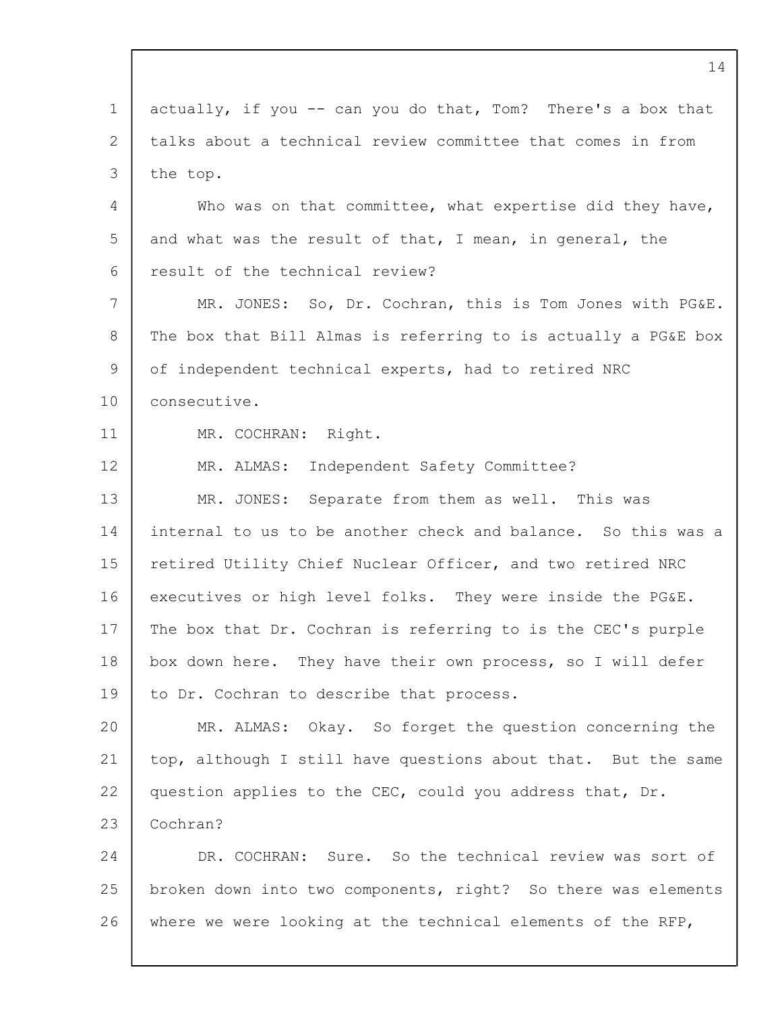1 2 3 4 5 6 7 8 9 10 11 12 13 14 15 16 17 18 19 20 21 22 23 24 25 26 14 actually, if you -- can you do that, Tom? There's a box that talks about a technical review committee that comes in from the top. Who was on that committee, what expertise did they have, and what was the result of that, I mean, in general, the result of the technical review? MR. JONES: So, Dr. Cochran, this is Tom Jones with PG&E. The box that Bill Almas is referring to is actually a PG&E box of independent technical experts, had to retired NRC consecutive. MR. COCHRAN: Right. MR. ALMAS: Independent Safety Committee? MR. JONES: Separate from them as well. This was internal to us to be another check and balance. So this was a retired Utility Chief Nuclear Officer, and two retired NRC executives or high level folks. They were inside the PG&E. The box that Dr. Cochran is referring to is the CEC's purple box down here. They have their own process, so I will defer to Dr. Cochran to describe that process. MR. ALMAS: Okay. So forget the question concerning the top, although I still have questions about that. But the same question applies to the CEC, could you address that, Dr. Cochran? DR. COCHRAN: Sure. So the technical review was sort of broken down into two components, right? So there was elements where we were looking at the technical elements of the RFP,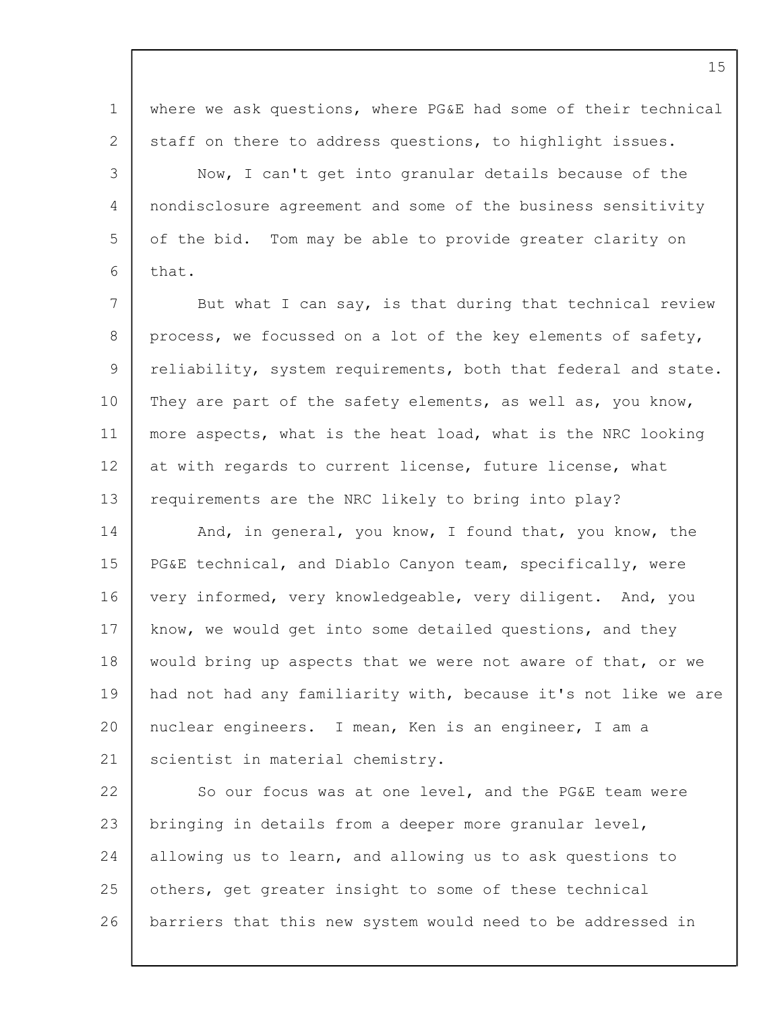1 2 3  $\Delta$ 5 6 7 8 9 10 11 12 13 14 15 16 17 18 19 20 21 22 23 24 25 26 where we ask questions, where PG&E had some of their technical staff on there to address questions, to highlight issues. Now, I can't get into granular details because of the nondisclosure agreement and some of the business sensitivity of the bid. Tom may be able to provide greater clarity on that. But what I can say, is that during that technical review process, we focussed on a lot of the key elements of safety, reliability, system requirements, both that federal and state. They are part of the safety elements, as well as, you know, more aspects, what is the heat load, what is the NRC looking at with regards to current license, future license, what requirements are the NRC likely to bring into play? And, in general, you know, I found that, you know, the PG&E technical, and Diablo Canyon team, specifically, were very informed, very knowledgeable, very diligent. And, you know, we would get into some detailed questions, and they would bring up aspects that we were not aware of that, or we had not had any familiarity with, because it's not like we are nuclear engineers. I mean, Ken is an engineer, I am a scientist in material chemistry. So our focus was at one level, and the PG&E team were bringing in details from a deeper more granular level, allowing us to learn, and allowing us to ask questions to others, get greater insight to some of these technical barriers that this new system would need to be addressed in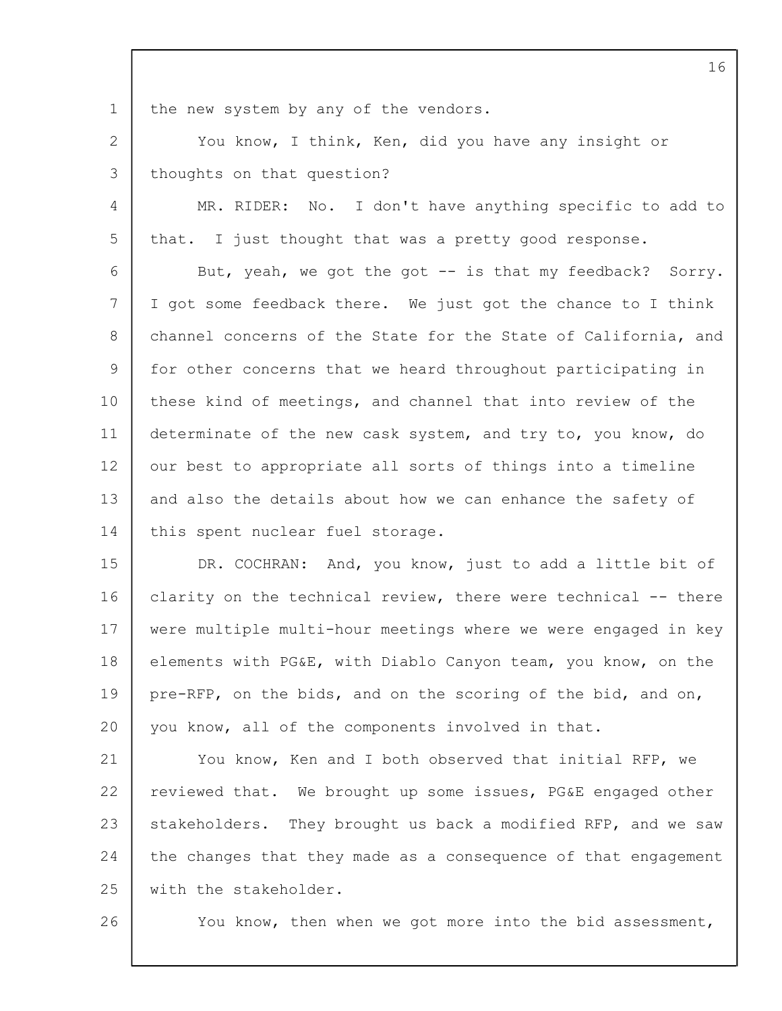1

the new system by any of the vendors.

2 3 You know, I think, Ken, did you have any insight or thoughts on that question?

4 5 MR. RIDER: No. I don't have anything specific to add to that. I just thought that was a pretty good response.

6 7 8 9 10 11 12 13 14 But, yeah, we got the got -- is that my feedback? Sorry. I got some feedback there. We just got the chance to I think channel concerns of the State for the State of California, and for other concerns that we heard throughout participating in these kind of meetings, and channel that into review of the determinate of the new cask system, and try to, you know, do our best to appropriate all sorts of things into a timeline and also the details about how we can enhance the safety of this spent nuclear fuel storage.

15 16 17 18 19  $20$ DR. COCHRAN: And, you know, just to add a little bit of clarity on the technical review, there were technical -- there were multiple multi-hour meetings where we were engaged in key elements with PG&E, with Diablo Canyon team, you know, on the pre-RFP, on the bids, and on the scoring of the bid, and on, you know, all of the components involved in that.

21 22 23 24 25 You know, Ken and I both observed that initial RFP, we reviewed that. We brought up some issues, PG&E engaged other stakeholders. They brought us back a modified RFP, and we saw the changes that they made as a consequence of that engagement with the stakeholder.

26

You know, then when we got more into the bid assessment,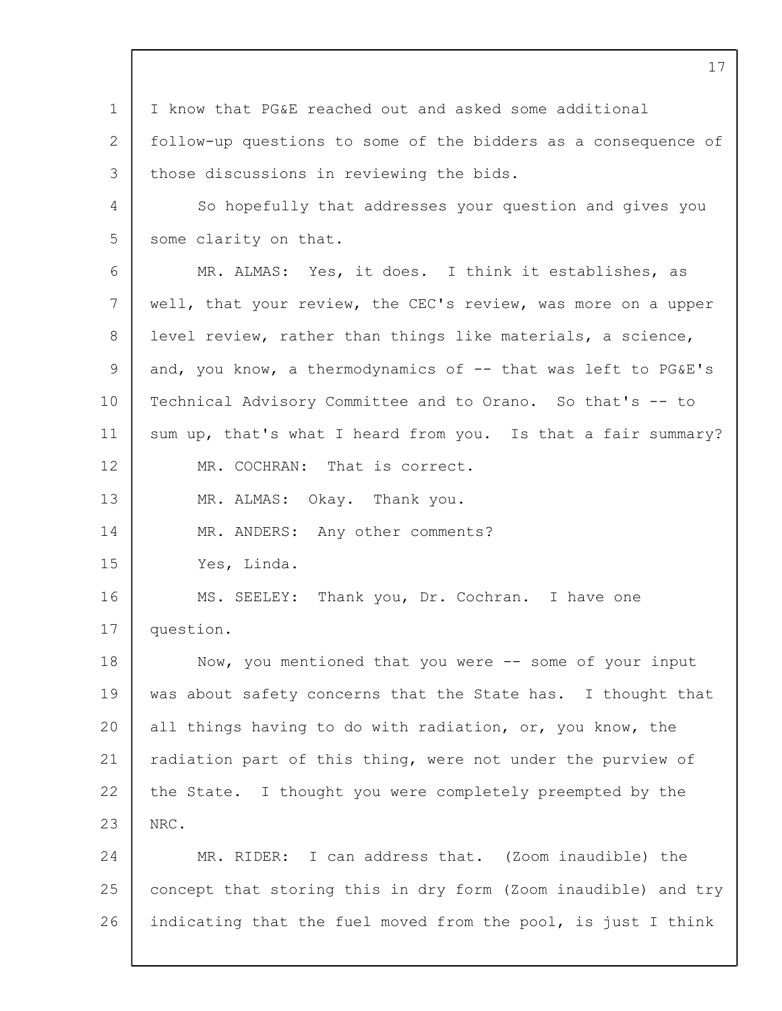1 2 3 4 5 6 7 8  $\mathsf{Q}$ 10 11 12 13 14 15 16 17 18 19  $20$ 21 22 23 24 25 26 I know that PG&E reached out and asked some additional follow-up questions to some of the bidders as a consequence of those discussions in reviewing the bids. So hopefully that addresses your question and gives you some clarity on that. MR. ALMAS: Yes, it does. I think it establishes, as well, that your review, the CEC's review, was more on a upper level review, rather than things like materials, a science, and, you know, a thermodynamics of  $-$  that was left to PG&E's Technical Advisory Committee and to Orano. So that's -- to sum up, that's what I heard from you. Is that a fair summary? MR. COCHRAN: That is correct. MR. ALMAS: Okay. Thank you. MR. ANDERS: Any other comments? Yes, Linda. MS. SEELEY: Thank you, Dr. Cochran. I have one question. Now, you mentioned that you were -- some of your input was about safety concerns that the State has. I thought that all things having to do with radiation, or, you know, the radiation part of this thing, were not under the purview of the State. I thought you were completely preempted by the NRC. MR. RIDER: I can address that. (Zoom inaudible) the concept that storing this in dry form (Zoom inaudible) and try indicating that the fuel moved from the pool, is just I think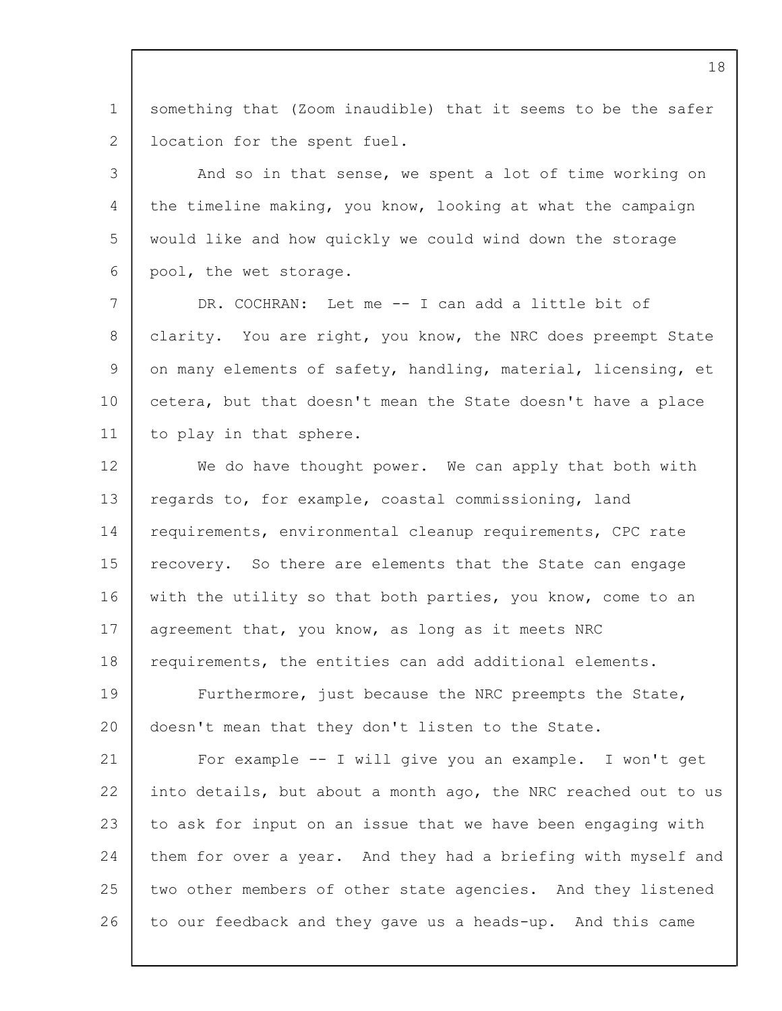1 2 something that (Zoom inaudible) that it seems to be the safer location for the spent fuel.

3  $\Delta$ 5 6 And so in that sense, we spent a lot of time working on the timeline making, you know, looking at what the campaign would like and how quickly we could wind down the storage pool, the wet storage.

7 8 9 10 11 DR. COCHRAN: Let me -- I can add a little bit of clarity. You are right, you know, the NRC does preempt State on many elements of safety, handling, material, licensing, et cetera, but that doesn't mean the State doesn't have a place to play in that sphere.

12 13 14 15 16 17 18 19 20 21 22 23 We do have thought power. We can apply that both with regards to, for example, coastal commissioning, land requirements, environmental cleanup requirements, CPC rate recovery. So there are elements that the State can engage with the utility so that both parties, you know, come to an agreement that, you know, as long as it meets NRC requirements, the entities can add additional elements. Furthermore, just because the NRC preempts the State, doesn't mean that they don't listen to the State. For example -- I will give you an example. I won't get into details, but about a month ago, the NRC reached out to us to ask for input on an issue that we have been engaging with

24 25 26 them for over a year. And they had a briefing with myself and two other members of other state agencies. And they listened to our feedback and they gave us a heads-up. And this came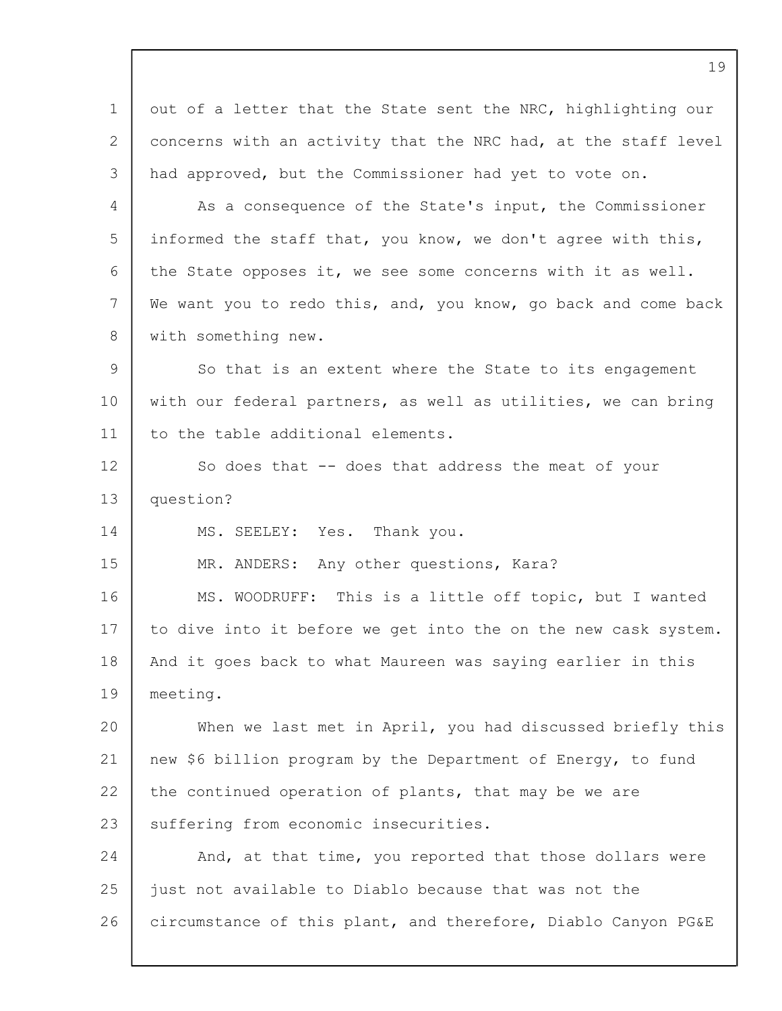1 2 3 4 5 6 7 8  $\mathsf{Q}$ 10 11 12 13 14 15 16 17 18 19  $20$ 21 22 23 24 25 26 out of a letter that the State sent the NRC, highlighting our concerns with an activity that the NRC had, at the staff level had approved, but the Commissioner had yet to vote on. As a consequence of the State's input, the Commissioner informed the staff that, you know, we don't agree with this, the State opposes it, we see some concerns with it as well. We want you to redo this, and, you know, go back and come back with something new. So that is an extent where the State to its engagement with our federal partners, as well as utilities, we can bring to the table additional elements. So does that -- does that address the meat of your question? MS. SEELEY: Yes. Thank you. MR. ANDERS: Any other questions, Kara? MS. WOODRUFF: This is a little off topic, but I wanted to dive into it before we get into the on the new cask system. And it goes back to what Maureen was saying earlier in this meeting. When we last met in April, you had discussed briefly this new \$6 billion program by the Department of Energy, to fund the continued operation of plants, that may be we are suffering from economic insecurities. And, at that time, you reported that those dollars were just not available to Diablo because that was not the circumstance of this plant, and therefore, Diablo Canyon PG&E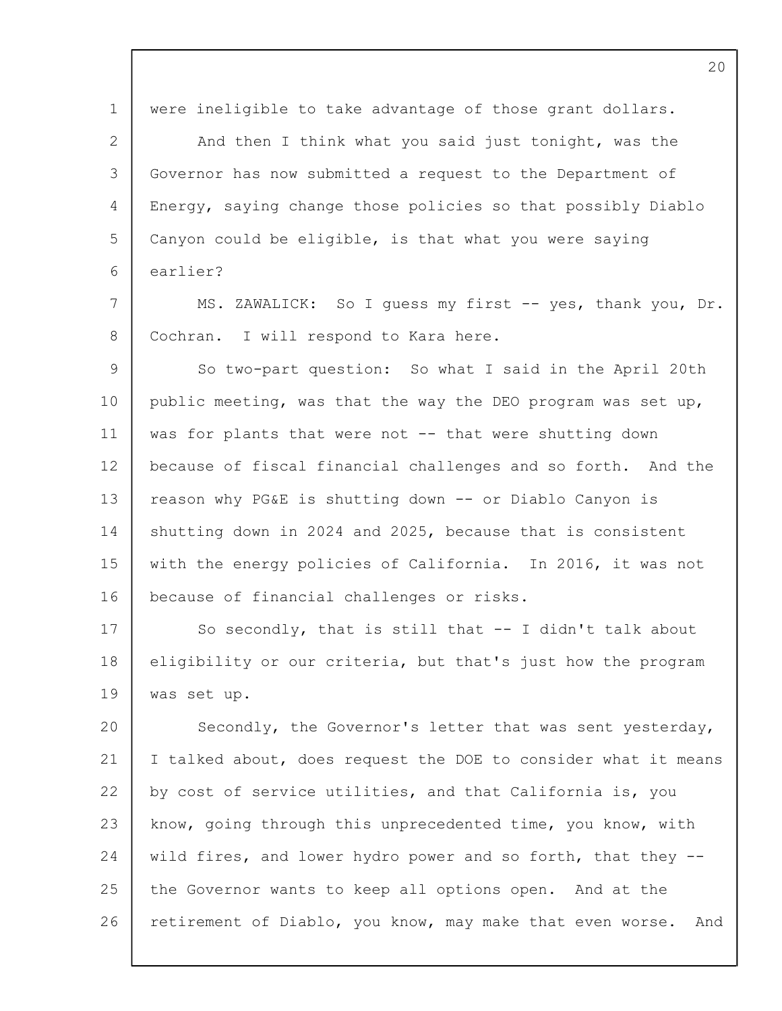1 2 3  $\Delta$ 5 6 7 8 9 10 11 12 13 14 15 16 17 18 19 20 21 22 23 24 25 26 were ineligible to take advantage of those grant dollars. And then I think what you said just tonight, was the Governor has now submitted a request to the Department of Energy, saying change those policies so that possibly Diablo Canyon could be eligible, is that what you were saying earlier? MS. ZAWALICK: So I quess my first -- yes, thank you, Dr. Cochran. I will respond to Kara here. So two-part question: So what I said in the April 20th public meeting, was that the way the DEO program was set up, was for plants that were not -- that were shutting down because of fiscal financial challenges and so forth. And the reason why PG&E is shutting down -- or Diablo Canyon is shutting down in 2024 and 2025, because that is consistent with the energy policies of California. In 2016, it was not because of financial challenges or risks. So secondly, that is still that -- I didn't talk about eligibility or our criteria, but that's just how the program was set up. Secondly, the Governor's letter that was sent yesterday, I talked about, does request the DOE to consider what it means by cost of service utilities, and that California is, you know, going through this unprecedented time, you know, with wild fires, and lower hydro power and so forth, that they - the Governor wants to keep all options open. And at the retirement of Diablo, you know, may make that even worse. And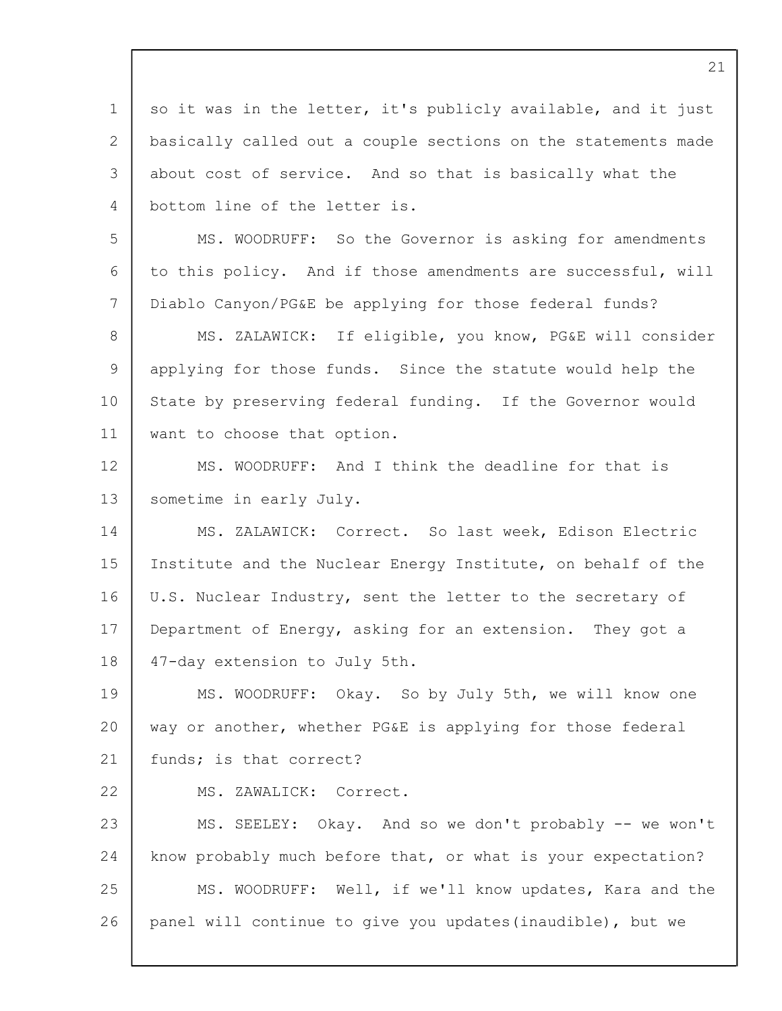1 2 3 4 5 6 7 8 9 10 11 12 13 14 15 16 17 18 19 20 21 22 23 24 25 26 so it was in the letter, it's publicly available, and it just basically called out a couple sections on the statements made about cost of service. And so that is basically what the bottom line of the letter is. MS. WOODRUFF: So the Governor is asking for amendments to this policy. And if those amendments are successful, will Diablo Canyon/PG&E be applying for those federal funds? MS. ZALAWICK: If eligible, you know, PG&E will consider applying for those funds. Since the statute would help the State by preserving federal funding. If the Governor would want to choose that option. MS. WOODRUFF: And I think the deadline for that is sometime in early July. MS. ZALAWICK: Correct. So last week, Edison Electric Institute and the Nuclear Energy Institute, on behalf of the U.S. Nuclear Industry, sent the letter to the secretary of Department of Energy, asking for an extension. They got a 47-day extension to July 5th. MS. WOODRUFF: Okay. So by July 5th, we will know one way or another, whether PG&E is applying for those federal funds; is that correct? MS. ZAWALICK: Correct. MS. SEELEY: Okay. And so we don't probably -- we won't know probably much before that, or what is your expectation? MS. WOODRUFF: Well, if we'll know updates, Kara and the panel will continue to give you updates(inaudible), but we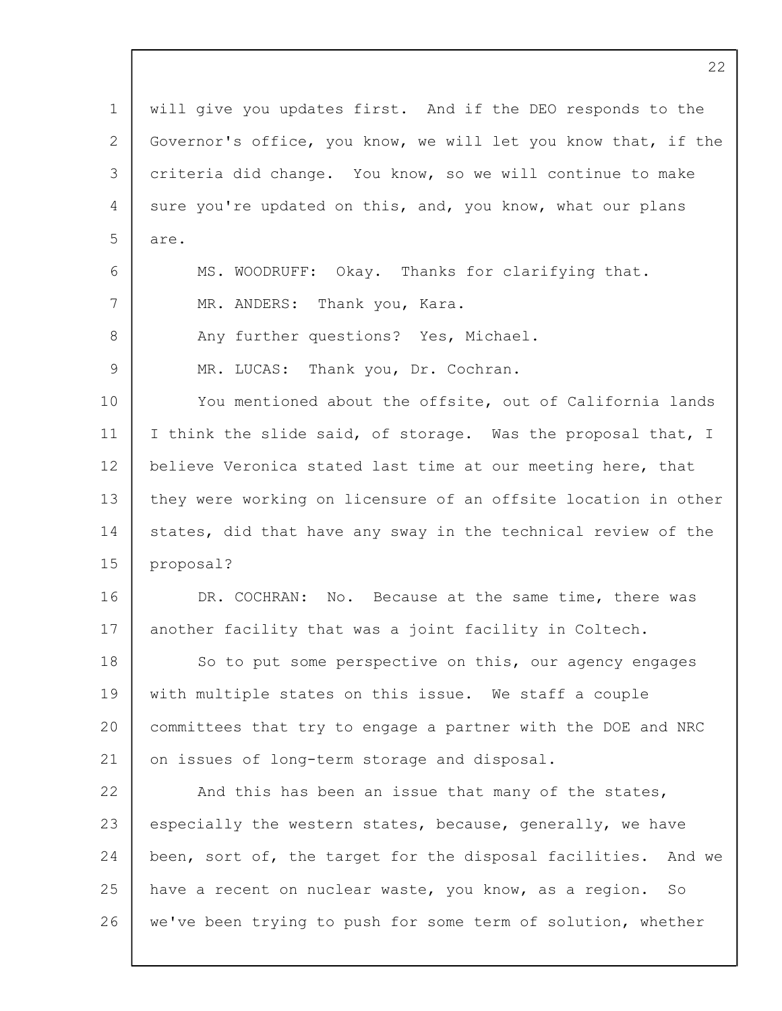1 2 3  $\Delta$ 5 6 7 8  $\mathsf{Q}$ 10 11 12 13 14 15 16 17 18 19  $20$ 21 22 23 24 25 26 will give you updates first. And if the DEO responds to the Governor's office, you know, we will let you know that, if the criteria did change. You know, so we will continue to make sure you're updated on this, and, you know, what our plans are. MS. WOODRUFF: Okay. Thanks for clarifying that. MR. ANDERS: Thank you, Kara. Any further questions? Yes, Michael. MR. LUCAS: Thank you, Dr. Cochran. You mentioned about the offsite, out of California lands I think the slide said, of storage. Was the proposal that, I believe Veronica stated last time at our meeting here, that they were working on licensure of an offsite location in other states, did that have any sway in the technical review of the proposal? DR. COCHRAN: No. Because at the same time, there was another facility that was a joint facility in Coltech. So to put some perspective on this, our agency engages with multiple states on this issue. We staff a couple committees that try to engage a partner with the DOE and NRC on issues of long-term storage and disposal. And this has been an issue that many of the states, especially the western states, because, generally, we have been, sort of, the target for the disposal facilities. And we have a recent on nuclear waste, you know, as a region. So we've been trying to push for some term of solution, whether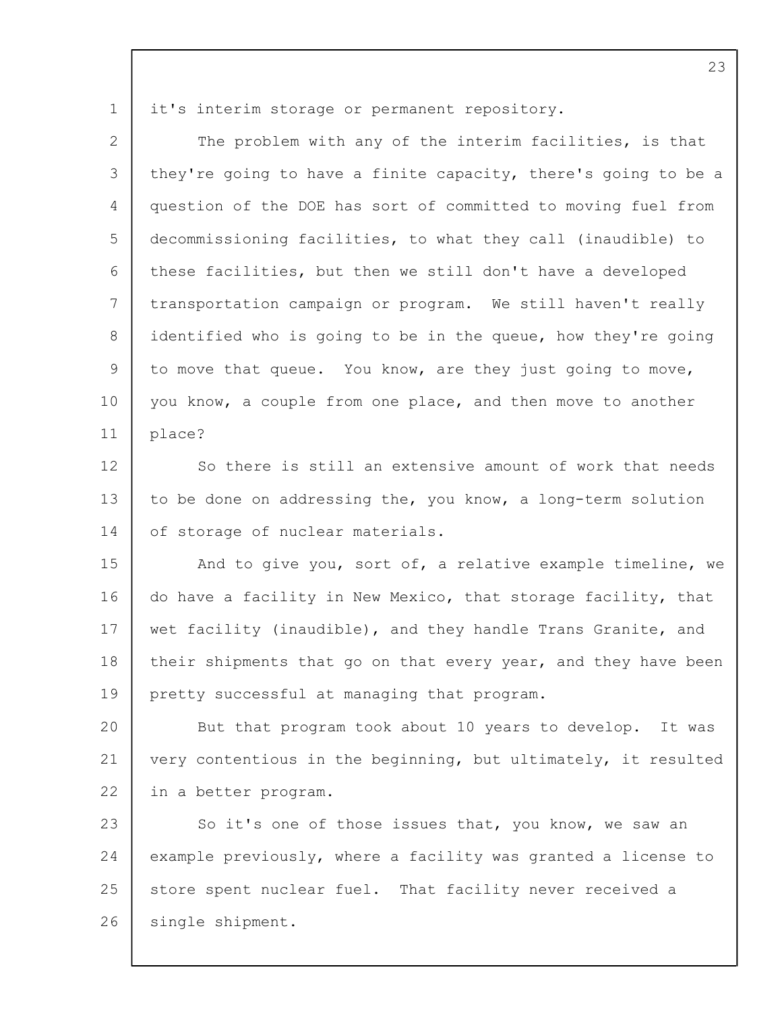1

| $\mathbf{2}$ | The problem with any of the interim facilities, is that        |
|--------------|----------------------------------------------------------------|
| 3            | they're going to have a finite capacity, there's going to be a |
| 4            | question of the DOE has sort of committed to moving fuel from  |
| 5            | decommissioning facilities, to what they call (inaudible) to   |
| 6            | these facilities, but then we still don't have a developed     |
| 7            | transportation campaign or program. We still haven't really    |
| 8            | identified who is going to be in the queue, how they're going  |
| 9            | to move that queue. You know, are they just going to move,     |
| 10           | you know, a couple from one place, and then move to another    |
| 11           | place?                                                         |
| 12           | So there is still an extensive amount of work that needs       |
| 13           | to be done on addressing the, you know, a long-term solution   |
| 14           | of storage of nuclear materials.                               |
| 15           | And to give you, sort of, a relative example timeline, we      |
| 16           | do have a facility in New Mexico, that storage facility, that  |
| 17           | wet facility (inaudible), and they handle Trans Granite, and   |
| 18           | their shipments that go on that every year, and they have been |
| 19           | pretty successful at managing that program.                    |
| 20           | But that program took about 10 years to develop. It was        |
| 21           | very contentious in the beginning, but ultimately, it resulted |
| 22           | in a better program.                                           |
| 23           | So it's one of those issues that, you know, we saw an          |
| 24           | example previously, where a facility was granted a license to  |
| 25           | store spent nuclear fuel. That facility never received a       |
| 26           | single shipment.                                               |
|              |                                                                |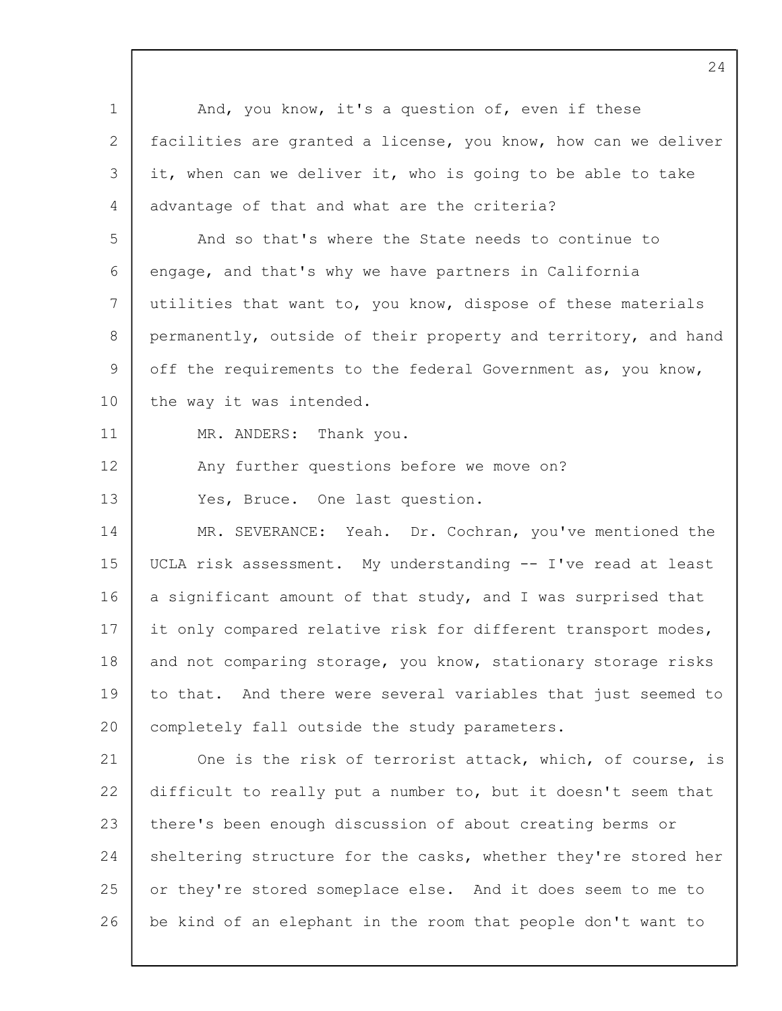| $\mathbf 1$ | And, you know, it's a question of, even if these               |
|-------------|----------------------------------------------------------------|
| 2           | facilities are granted a license, you know, how can we deliver |
| 3           | it, when can we deliver it, who is going to be able to take    |
| 4           | advantage of that and what are the criteria?                   |
| 5           | And so that's where the State needs to continue to             |
| 6           | engage, and that's why we have partners in California          |
| 7           | utilities that want to, you know, dispose of these materials   |
| 8           | permanently, outside of their property and territory, and hand |
| 9           | off the requirements to the federal Government as, you know,   |
| 10          | the way it was intended.                                       |
| 11          | MR. ANDERS: Thank you.                                         |
| 12          | Any further questions before we move on?                       |
| 13          | Yes, Bruce. One last question.                                 |
| 14          | MR. SEVERANCE: Yeah. Dr. Cochran, you've mentioned the         |
| 15          | UCLA risk assessment. My understanding -- I've read at least   |
| 16          | a significant amount of that study, and I was surprised that   |
| 17          | it only compared relative risk for different transport modes,  |
| 18          | and not comparing storage, you know, stationary storage risks  |
| 19          | to that. And there were several variables that just seemed to  |
| 20          | completely fall outside the study parameters.                  |
| 21          | One is the risk of terrorist attack, which, of course, is      |
| 22          | difficult to really put a number to, but it doesn't seem that  |
| 23          | there's been enough discussion of about creating berms or      |
| 24          | sheltering structure for the casks, whether they're stored her |
| 25          | or they're stored someplace else. And it does seem to me to    |
| 26          | be kind of an elephant in the room that people don't want to   |
|             |                                                                |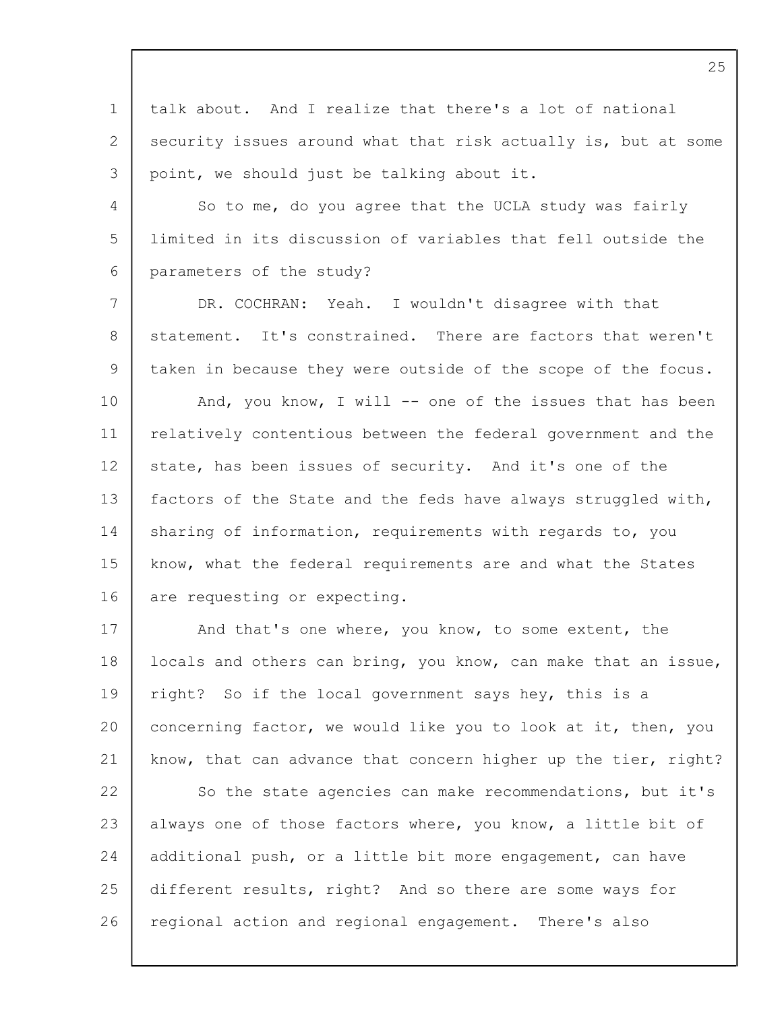1 2 3 talk about. And I realize that there's a lot of national security issues around what that risk actually is, but at some point, we should just be talking about it.

4 5 6 So to me, do you agree that the UCLA study was fairly limited in its discussion of variables that fell outside the parameters of the study?

7 8 9 10 11 12 13 14 15 16 DR. COCHRAN: Yeah. I wouldn't disagree with that statement. It's constrained. There are factors that weren't taken in because they were outside of the scope of the focus. And, you know, I will  $--$  one of the issues that has been relatively contentious between the federal government and the state, has been issues of security. And it's one of the factors of the State and the feds have always struggled with, sharing of information, requirements with regards to, you know, what the federal requirements are and what the States are requesting or expecting.

17 18 19 20 21 22 23 24 25 26 And that's one where, you know, to some extent, the locals and others can bring, you know, can make that an issue, right? So if the local government says hey, this is a concerning factor, we would like you to look at it, then, you know, that can advance that concern higher up the tier, right? So the state agencies can make recommendations, but it's always one of those factors where, you know, a little bit of additional push, or a little bit more engagement, can have different results, right? And so there are some ways for regional action and regional engagement. There's also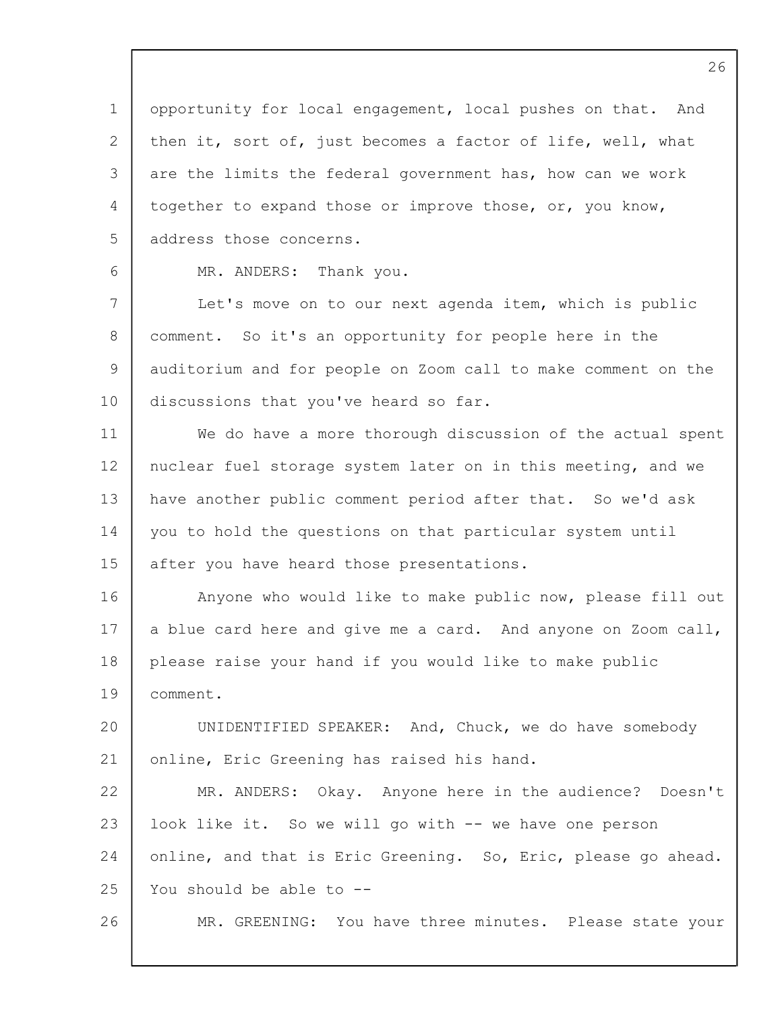1 2 3 4 5 6 7 8 9 10 11 12 13 14 15 16 17 18 19 20 21 22 23 24 25 26 26 opportunity for local engagement, local pushes on that. And then it, sort of, just becomes a factor of life, well, what are the limits the federal government has, how can we work together to expand those or improve those, or, you know, address those concerns. MR. ANDERS: Thank you. Let's move on to our next agenda item, which is public comment. So it's an opportunity for people here in the auditorium and for people on Zoom call to make comment on the discussions that you've heard so far. We do have a more thorough discussion of the actual spent nuclear fuel storage system later on in this meeting, and we have another public comment period after that. So we'd ask you to hold the questions on that particular system until after you have heard those presentations. Anyone who would like to make public now, please fill out a blue card here and give me a card. And anyone on Zoom call, please raise your hand if you would like to make public comment. UNIDENTIFIED SPEAKER: And, Chuck, we do have somebody online, Eric Greening has raised his hand. MR. ANDERS: Okay. Anyone here in the audience? Doesn't look like it. So we will go with -- we have one person online, and that is Eric Greening. So, Eric, please go ahead. You should be able to -- MR. GREENING: You have three minutes. Please state your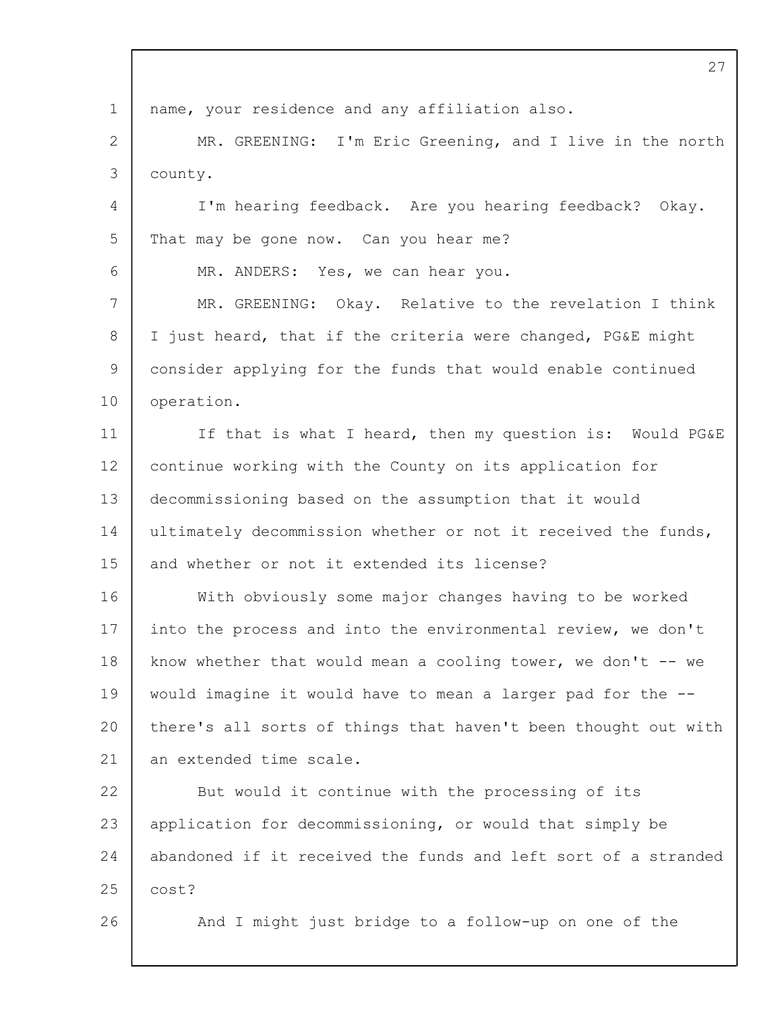1 2 3 4 5 6 7 8 9 10 11 12 13 14 15 16 17 18 19  $20$ 21 22 23 24 25 26 27 name, your residence and any affiliation also. MR. GREENING: I'm Eric Greening, and I live in the north county. I'm hearing feedback. Are you hearing feedback? Okay. That may be gone now. Can you hear me? MR. ANDERS: Yes, we can hear you. MR. GREENING: Okay. Relative to the revelation I think I just heard, that if the criteria were changed, PG&E might consider applying for the funds that would enable continued operation. If that is what I heard, then my question is: Would PG&E continue working with the County on its application for decommissioning based on the assumption that it would ultimately decommission whether or not it received the funds, and whether or not it extended its license? With obviously some major changes having to be worked into the process and into the environmental review, we don't know whether that would mean a cooling tower, we don't  $-$  we would imagine it would have to mean a larger pad for the - there's all sorts of things that haven't been thought out with an extended time scale. But would it continue with the processing of its application for decommissioning, or would that simply be abandoned if it received the funds and left sort of a stranded cost? And I might just bridge to a follow-up on one of the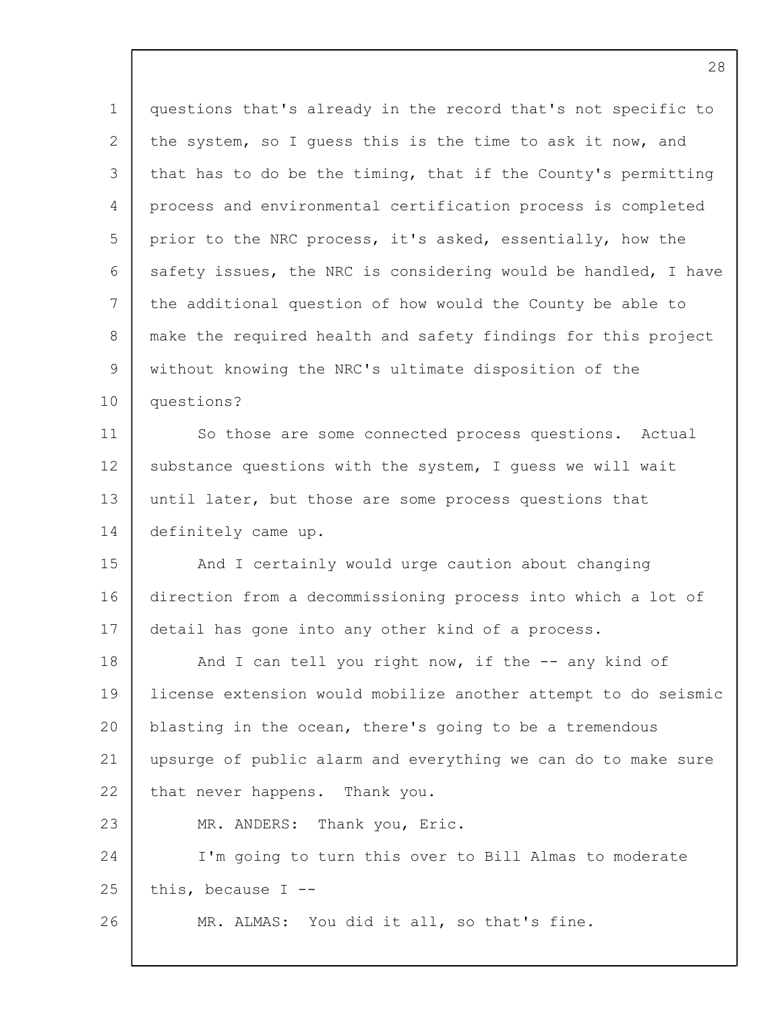1 2 3 4 5 6 7 8  $\mathsf{Q}$ 10 11 12 13 14 15 16 17 18 19 20 21 22 23 24 25 26 questions that's already in the record that's not specific to the system, so I guess this is the time to ask it now, and that has to do be the timing, that if the County's permitting process and environmental certification process is completed prior to the NRC process, it's asked, essentially, how the safety issues, the NRC is considering would be handled, I have the additional question of how would the County be able to make the required health and safety findings for this project without knowing the NRC's ultimate disposition of the questions? So those are some connected process questions. Actual substance questions with the system, I guess we will wait until later, but those are some process questions that definitely came up. And I certainly would urge caution about changing direction from a decommissioning process into which a lot of detail has gone into any other kind of a process. And I can tell you right now, if the -- any kind of license extension would mobilize another attempt to do seismic blasting in the ocean, there's going to be a tremendous upsurge of public alarm and everything we can do to make sure that never happens. Thank you. MR. ANDERS: Thank you, Eric. I'm going to turn this over to Bill Almas to moderate this, because I -- MR. ALMAS: You did it all, so that's fine.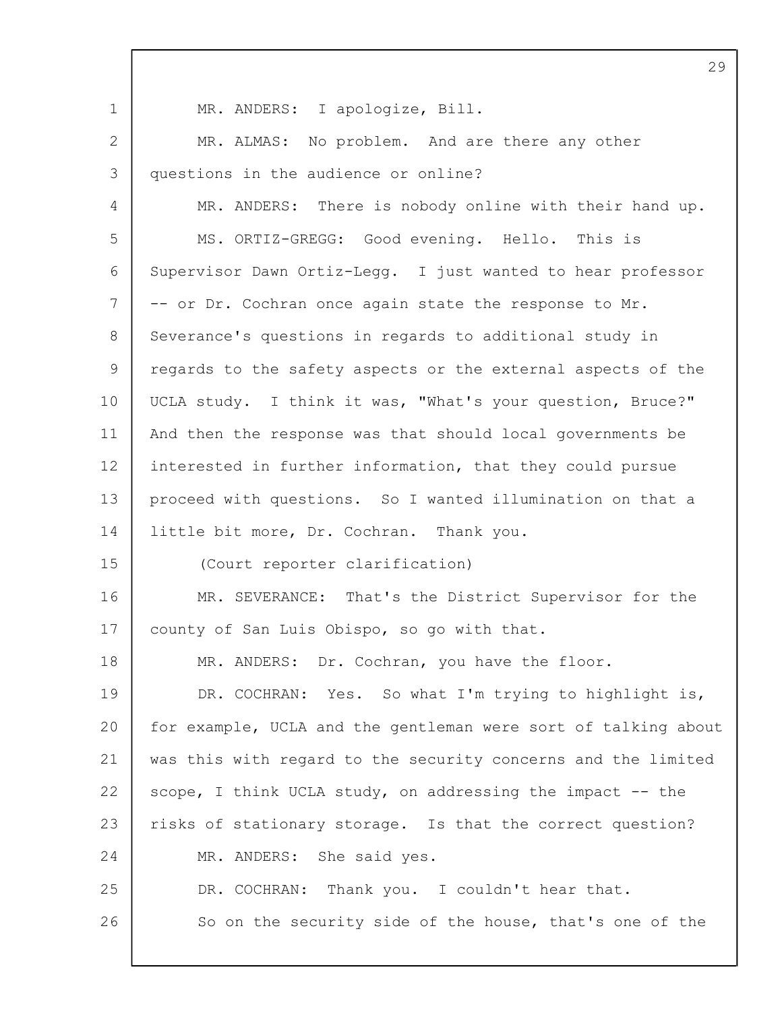1 2 3 4 5 6 7 8 9 10 11 12 13 14 15 16 17 18 19 20 21 22 23 24 25 26 MR. ANDERS: I apologize, Bill. MR. ALMAS: No problem. And are there any other questions in the audience or online? MR. ANDERS: There is nobody online with their hand up. MS. ORTIZ-GREGG: Good evening. Hello. This is Supervisor Dawn Ortiz-Legg. I just wanted to hear professor -- or Dr. Cochran once again state the response to Mr. Severance's questions in regards to additional study in regards to the safety aspects or the external aspects of the UCLA study. I think it was, "What's your question, Bruce?" And then the response was that should local governments be interested in further information, that they could pursue proceed with questions. So I wanted illumination on that a little bit more, Dr. Cochran. Thank you. (Court reporter clarification) MR. SEVERANCE: That's the District Supervisor for the county of San Luis Obispo, so go with that. MR. ANDERS: Dr. Cochran, you have the floor. DR. COCHRAN: Yes. So what I'm trying to highlight is, for example, UCLA and the gentleman were sort of talking about was this with regard to the security concerns and the limited scope, I think UCLA study, on addressing the impact -- the risks of stationary storage. Is that the correct question? MR. ANDERS: She said yes. DR. COCHRAN: Thank you. I couldn't hear that. So on the security side of the house, that's one of the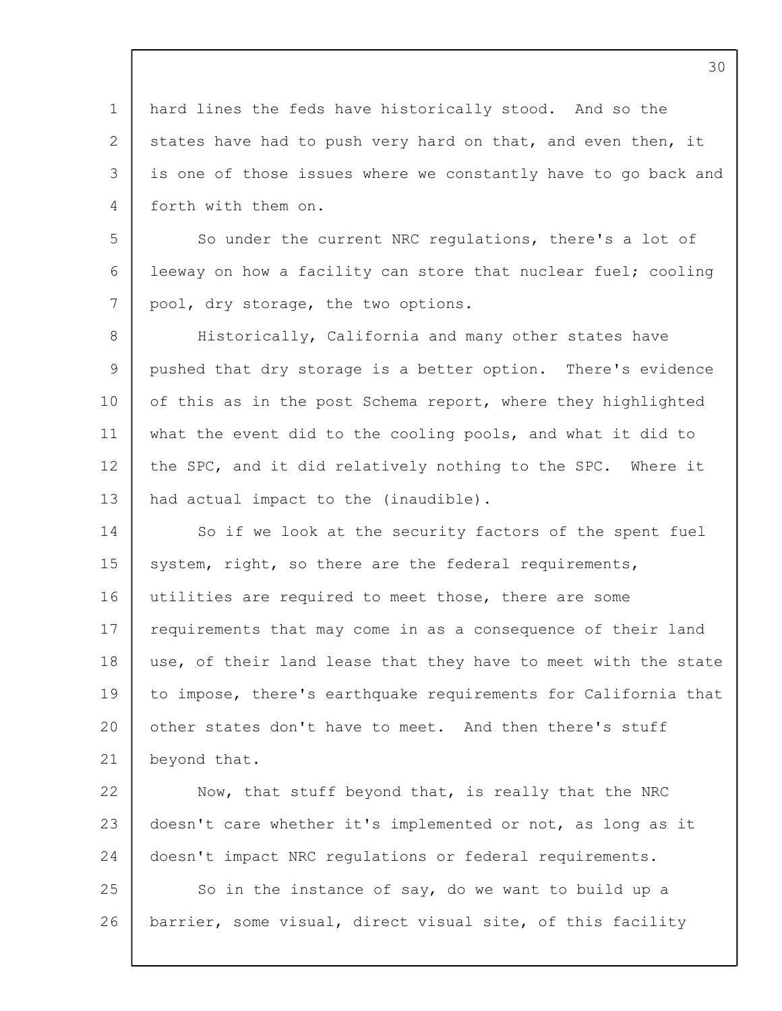1 2 3 4 hard lines the feds have historically stood. And so the states have had to push very hard on that, and even then, it is one of those issues where we constantly have to go back and forth with them on.

5 6 7 So under the current NRC regulations, there's a lot of leeway on how a facility can store that nuclear fuel; cooling pool, dry storage, the two options.

8 9 10 11 12 13 Historically, California and many other states have pushed that dry storage is a better option. There's evidence of this as in the post Schema report, where they highlighted what the event did to the cooling pools, and what it did to the SPC, and it did relatively nothing to the SPC. Where it had actual impact to the (inaudible).

14 15 16 17 18 19  $20$ 21 So if we look at the security factors of the spent fuel system, right, so there are the federal requirements, utilities are required to meet those, there are some requirements that may come in as a consequence of their land use, of their land lease that they have to meet with the state to impose, there's earthquake requirements for California that other states don't have to meet. And then there's stuff beyond that.

22 23 24 25 26 Now, that stuff beyond that, is really that the NRC doesn't care whether it's implemented or not, as long as it doesn't impact NRC regulations or federal requirements. So in the instance of say, do we want to build up a barrier, some visual, direct visual site, of this facility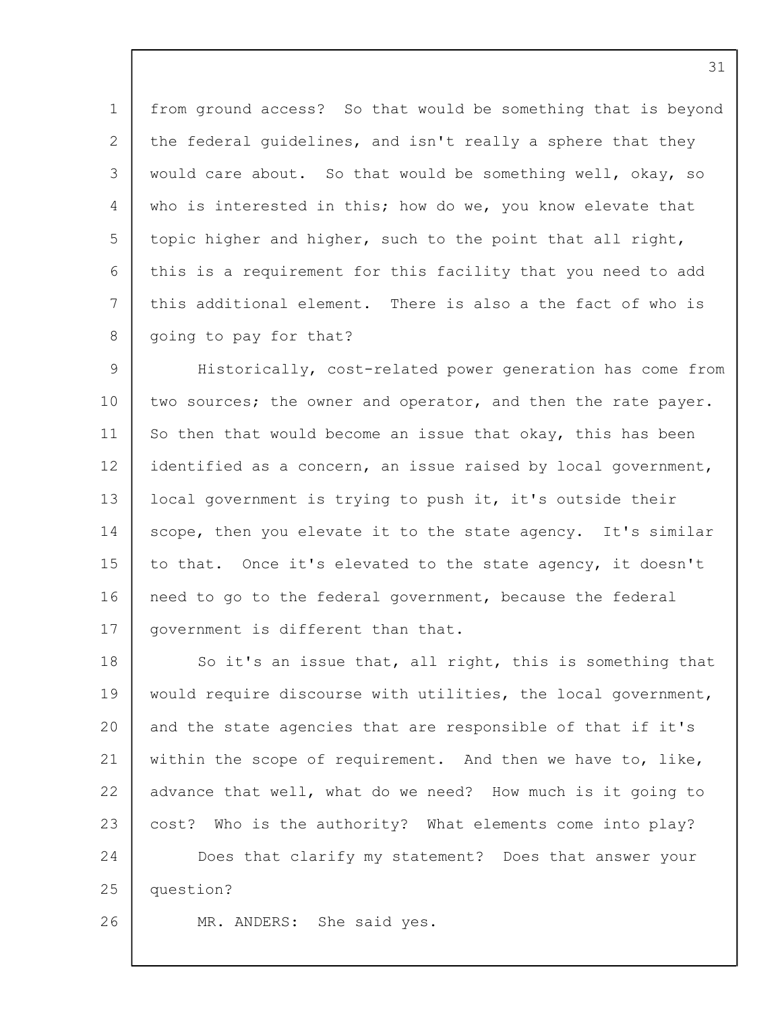1 2 3  $\Delta$ 5 6 7 8 from ground access? So that would be something that is beyond the federal guidelines, and isn't really a sphere that they would care about. So that would be something well, okay, so who is interested in this; how do we, you know elevate that topic higher and higher, such to the point that all right, this is a requirement for this facility that you need to add this additional element. There is also a the fact of who is going to pay for that?

 $\mathsf{Q}$ 10 11 12 13 14 15 16 17 Historically, cost-related power generation has come from two sources; the owner and operator, and then the rate payer. So then that would become an issue that okay, this has been identified as a concern, an issue raised by local government, local government is trying to push it, it's outside their scope, then you elevate it to the state agency. It's similar to that. Once it's elevated to the state agency, it doesn't need to go to the federal government, because the federal government is different than that.

18 19 20 21 22 23 24 25 So it's an issue that, all right, this is something that would require discourse with utilities, the local government, and the state agencies that are responsible of that if it's within the scope of requirement. And then we have to, like, advance that well, what do we need? How much is it going to cost? Who is the authority? What elements come into play? Does that clarify my statement? Does that answer your question?

26

MR. ANDERS: She said yes.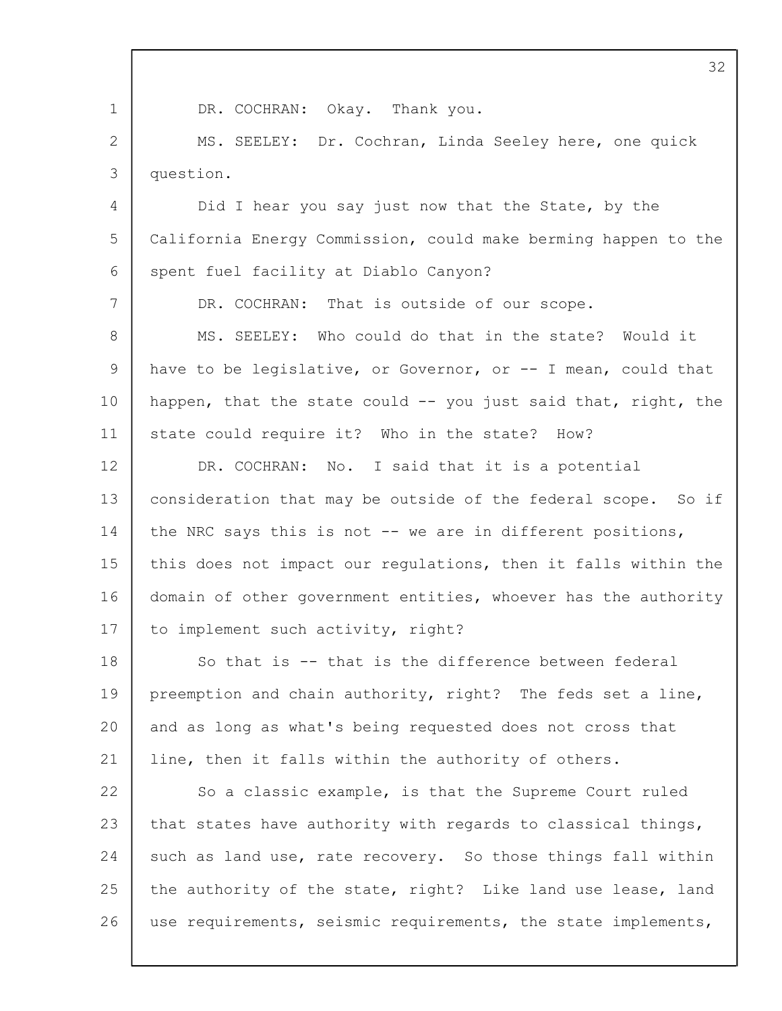|                | 32                                                             |
|----------------|----------------------------------------------------------------|
| $\mathbf 1$    | DR. COCHRAN: Okay. Thank you.                                  |
| $\overline{2}$ | MS. SEELEY: Dr. Cochran, Linda Seeley here, one quick          |
| 3              | question.                                                      |
| 4              | Did I hear you say just now that the State, by the             |
| 5              | California Energy Commission, could make berming happen to the |
| 6              | spent fuel facility at Diablo Canyon?                          |
| $7\phantom{.}$ | DR. COCHRAN: That is outside of our scope.                     |
| 8              | MS. SEELEY: Who could do that in the state? Would it           |
| 9              | have to be legislative, or Governor, or -- I mean, could that  |
| 10             | happen, that the state could -- you just said that, right, the |
| 11             | state could require it? Who in the state? How?                 |
| 12             | DR. COCHRAN: No. I said that it is a potential                 |
| 13             | consideration that may be outside of the federal scope. So if  |
| 14             | the NRC says this is not -- we are in different positions,     |
| 15             | this does not impact our regulations, then it falls within the |
| 16             | domain of other government entities, whoever has the authority |
| $17$           | to implement such activity, right?                             |
| 18             | So that is -- that is the difference between federal           |
| 19             | preemption and chain authority, right? The feds set a line,    |
| 20             | and as long as what's being requested does not cross that      |
| 21             | line, then it falls within the authority of others.            |
| 22             | So a classic example, is that the Supreme Court ruled          |
| 23             | that states have authority with regards to classical things,   |
| 24             | such as land use, rate recovery. So those things fall within   |
| 25             | the authority of the state, right? Like land use lease, land   |
| 26             | use requirements, seismic requirements, the state implements,  |
|                |                                                                |

Г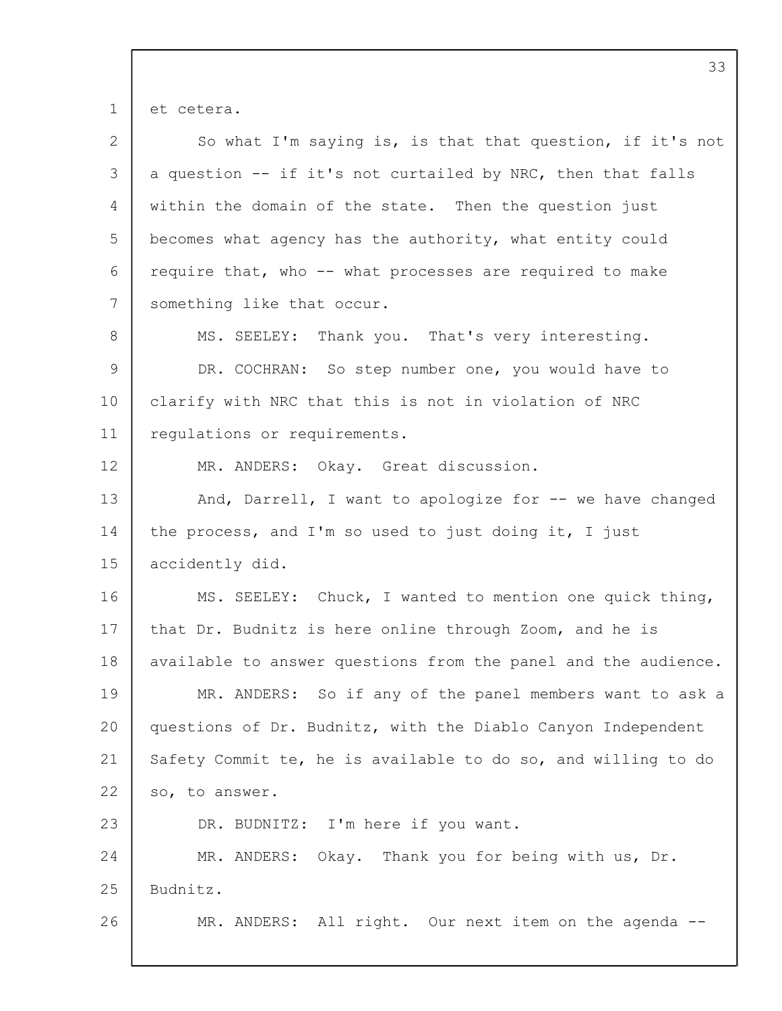et cetera.

| $\mathbf{2}$ | So what I'm saying is, is that that question, if it's not      |
|--------------|----------------------------------------------------------------|
| 3            | a question -- if it's not curtailed by NRC, then that falls    |
| 4            | within the domain of the state. Then the question just         |
| 5            | becomes what agency has the authority, what entity could       |
| 6            | require that, who -- what processes are required to make       |
| 7            | something like that occur.                                     |
| 8            | MS. SEELEY: Thank you. That's very interesting.                |
| 9            | DR. COCHRAN: So step number one, you would have to             |
| 10           | clarify with NRC that this is not in violation of NRC          |
| 11           | requlations or requirements.                                   |
| 12           | MR. ANDERS: Okay. Great discussion.                            |
| 13           | And, Darrell, I want to apologize for -- we have changed       |
| 14           | the process, and I'm so used to just doing it, I just          |
| 15           | accidently did.                                                |
| 16           | MS. SEELEY: Chuck, I wanted to mention one quick thing,        |
| 17           | that Dr. Budnitz is here online through Zoom, and he is        |
| 18           | available to answer questions from the panel and the audience. |
| 19           | MR. ANDERS: So if any of the panel members want to ask a       |
| 20           | questions of Dr. Budnitz, with the Diablo Canyon Independent   |
| 21           | Safety Commit te, he is available to do so, and willing to do  |
| 22           | so, to answer.                                                 |
| 23           | DR. BUDNITZ: I'm here if you want.                             |
| 24           | MR. ANDERS: Okay. Thank you for being with us, Dr.             |
| 25           | Budnitz.                                                       |
| 26           | MR. ANDERS: All right. Our next item on the agenda --          |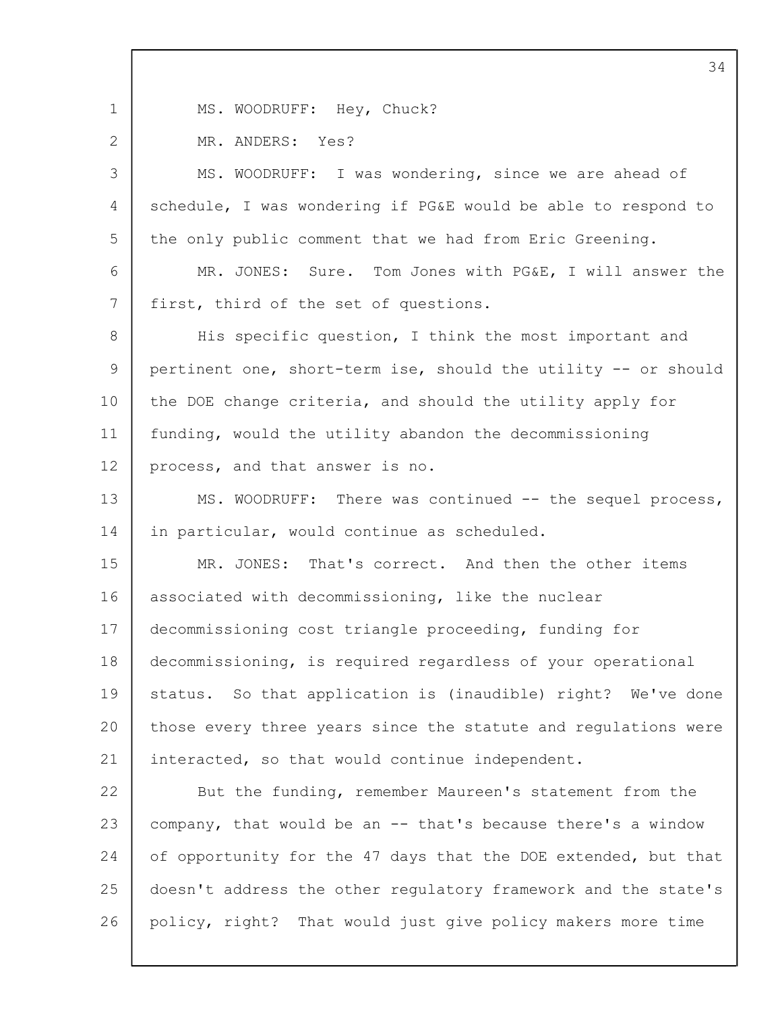1

2

MS. WOODRUFF: Hey, Chuck?

MR. ANDERS: Yes?

3  $\Delta$ 5 MS. WOODRUFF: I was wondering, since we are ahead of schedule, I was wondering if PG&E would be able to respond to the only public comment that we had from Eric Greening.

6 7 MR. JONES: Sure. Tom Jones with PG&E, I will answer the first, third of the set of questions.

8 9 10 11 12 His specific question, I think the most important and pertinent one, short-term ise, should the utility -- or should the DOE change criteria, and should the utility apply for funding, would the utility abandon the decommissioning process, and that answer is no.

13 14 MS. WOODRUFF: There was continued -- the sequel process, in particular, would continue as scheduled.

15 16 17 18 19 20 21 MR. JONES: That's correct. And then the other items associated with decommissioning, like the nuclear decommissioning cost triangle proceeding, funding for decommissioning, is required regardless of your operational status. So that application is (inaudible) right? We've done those every three years since the statute and regulations were interacted, so that would continue independent.

22 23 24 25 26 But the funding, remember Maureen's statement from the company, that would be an -- that's because there's a window of opportunity for the 47 days that the DOE extended, but that doesn't address the other regulatory framework and the state's policy, right? That would just give policy makers more time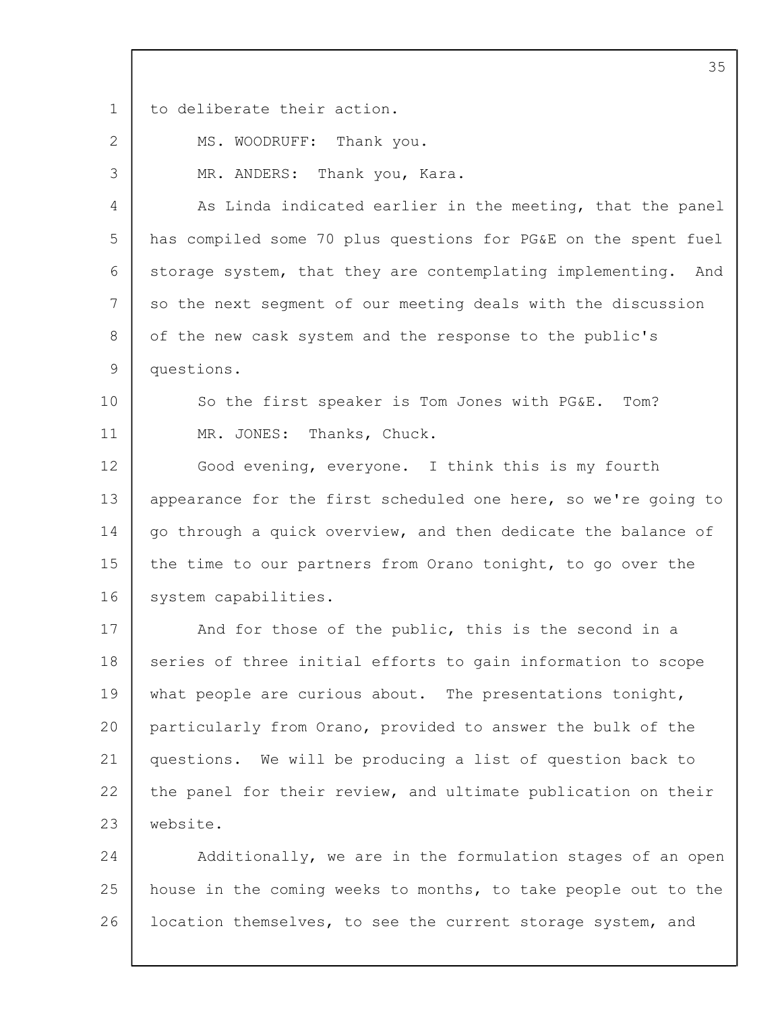1 to deliberate their action.

2

3

10

11

MS. WOODRUFF: Thank you.

MR. ANDERS: Thank you, Kara.

4 5 6 7 8  $\mathsf{Q}$ As Linda indicated earlier in the meeting, that the panel has compiled some 70 plus questions for PG&E on the spent fuel storage system, that they are contemplating implementing. And so the next segment of our meeting deals with the discussion of the new cask system and the response to the public's questions.

So the first speaker is Tom Jones with PG&E. Tom? MR. JONES: Thanks, Chuck.

12 13 14 15 16 Good evening, everyone. I think this is my fourth appearance for the first scheduled one here, so we're going to go through a quick overview, and then dedicate the balance of the time to our partners from Orano tonight, to go over the system capabilities.

17 18 19  $20$ 21 22 23 And for those of the public, this is the second in a series of three initial efforts to gain information to scope what people are curious about. The presentations tonight, particularly from Orano, provided to answer the bulk of the questions. We will be producing a list of question back to the panel for their review, and ultimate publication on their website.

24 25 26 Additionally, we are in the formulation stages of an open house in the coming weeks to months, to take people out to the location themselves, to see the current storage system, and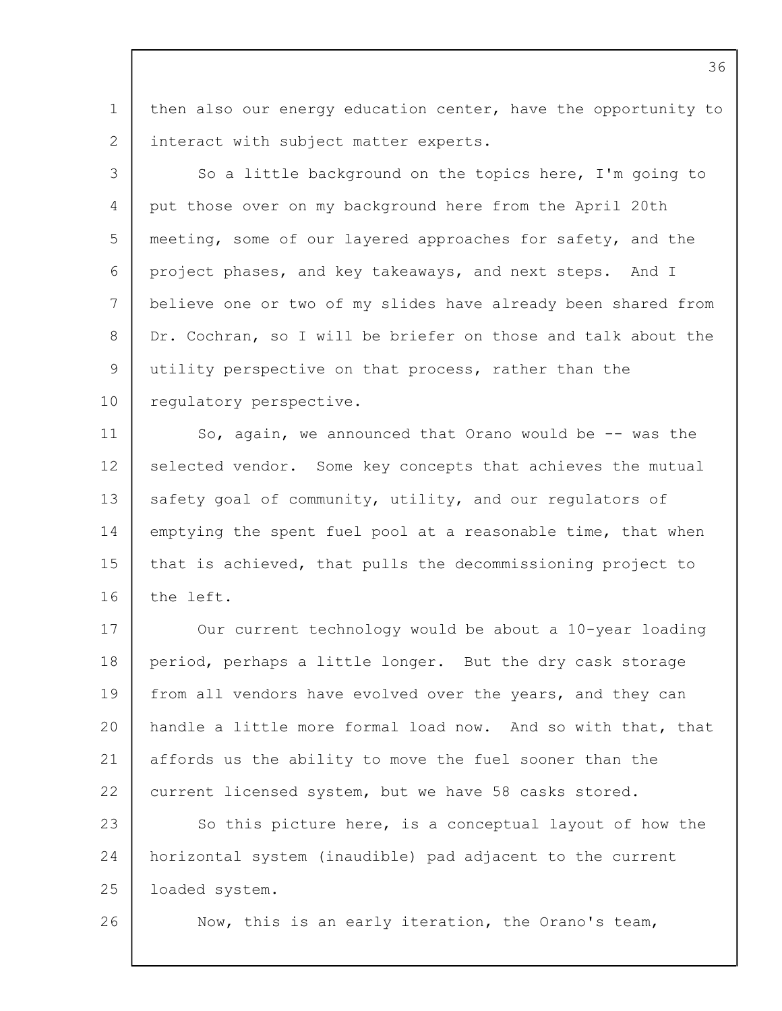1 2 then also our energy education center, have the opportunity to interact with subject matter experts.

3  $\Delta$ 5 6 7 8 9 10 So a little background on the topics here, I'm going to put those over on my background here from the April 20th meeting, some of our layered approaches for safety, and the project phases, and key takeaways, and next steps. And I believe one or two of my slides have already been shared from Dr. Cochran, so I will be briefer on those and talk about the utility perspective on that process, rather than the regulatory perspective.

11 12 13 14 15 16 So, again, we announced that Orano would be -- was the selected vendor. Some key concepts that achieves the mutual safety goal of community, utility, and our regulators of emptying the spent fuel pool at a reasonable time, that when that is achieved, that pulls the decommissioning project to the left.

17 18 19  $20$ 21 22 23 24 25 Our current technology would be about a 10-year loading period, perhaps a little longer. But the dry cask storage from all vendors have evolved over the years, and they can handle a little more formal load now. And so with that, that affords us the ability to move the fuel sooner than the current licensed system, but we have 58 casks stored. So this picture here, is a conceptual layout of how the horizontal system (inaudible) pad adjacent to the current loaded system.

26

Now, this is an early iteration, the Orano's team,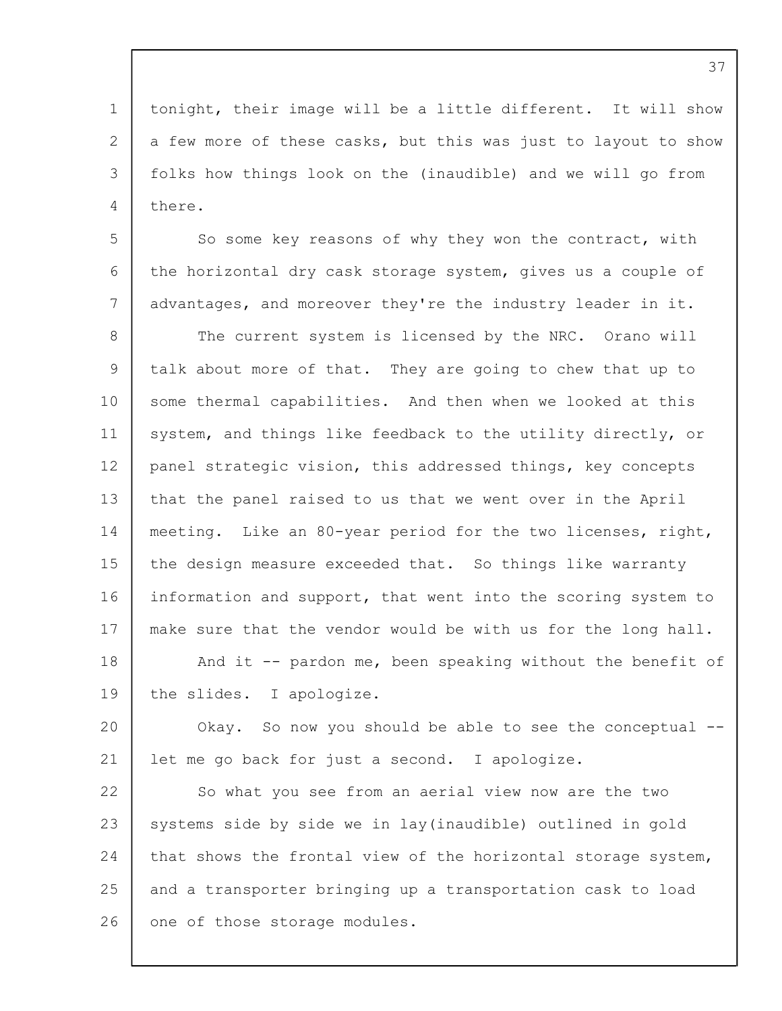1 2 3 tonight, their image will be a little different. It will show a few more of these casks, but this was just to layout to show folks how things look on the (inaudible) and we will go from there.

4

5 6 7 8 9 10 11 12 13 14 15 16 17 18 19 So some key reasons of why they won the contract, with the horizontal dry cask storage system, gives us a couple of advantages, and moreover they're the industry leader in it. The current system is licensed by the NRC. Orano will talk about more of that. They are going to chew that up to some thermal capabilities. And then when we looked at this system, and things like feedback to the utility directly, or panel strategic vision, this addressed things, key concepts that the panel raised to us that we went over in the April meeting. Like an 80-year period for the two licenses, right, the design measure exceeded that. So things like warranty information and support, that went into the scoring system to make sure that the vendor would be with us for the long hall. And it -- pardon me, been speaking without the benefit of the slides. I apologize.

 $20$ 21 Okay. So now you should be able to see the conceptual - let me go back for just a second. I apologize.

22 23 24 25 26 So what you see from an aerial view now are the two systems side by side we in lay(inaudible) outlined in gold that shows the frontal view of the horizontal storage system, and a transporter bringing up a transportation cask to load one of those storage modules.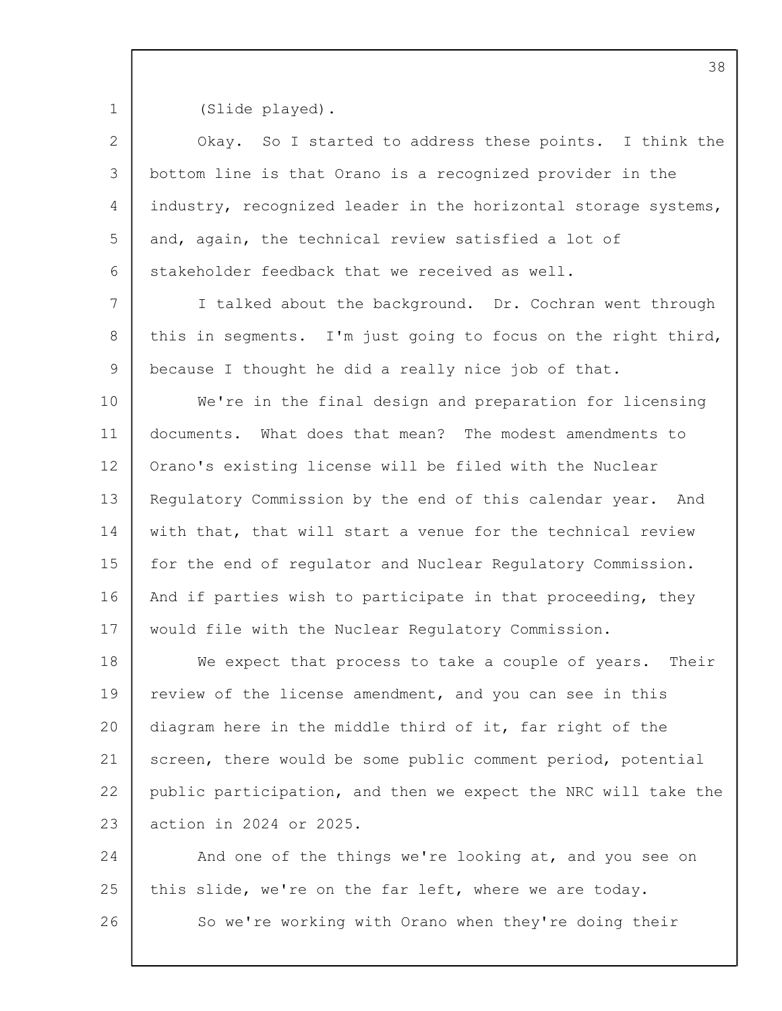1

(Slide played).

| $\overline{2}$ | Okay. So I started to address these points. I think the        |
|----------------|----------------------------------------------------------------|
| 3              | bottom line is that Orano is a recognized provider in the      |
| 4              | industry, recognized leader in the horizontal storage systems, |
| 5              | and, again, the technical review satisfied a lot of            |
| 6              | stakeholder feedback that we received as well.                 |
| 7              | I talked about the background. Dr. Cochran went through        |
| 8              | this in segments. I'm just going to focus on the right third,  |
| 9              | because I thought he did a really nice job of that.            |
| 10             | We're in the final design and preparation for licensing        |
| 11             | documents. What does that mean? The modest amendments to       |
| 12             | Orano's existing license will be filed with the Nuclear        |
| 13             | Regulatory Commission by the end of this calendar year. And    |
| 14             | with that, that will start a venue for the technical review    |
| 15             | for the end of regulator and Nuclear Regulatory Commission.    |
| 16             | And if parties wish to participate in that proceeding, they    |
| 17             | would file with the Nuclear Regulatory Commission.             |
| 18             | We expect that process to take a couple of years.<br>Their     |
| 19             | review of the license amendment, and you can see in this       |
| 20             | diagram here in the middle third of it, far right of the       |
| 21             | screen, there would be some public comment period, potential   |
| 22             | public participation, and then we expect the NRC will take the |
| 23             | action in 2024 or 2025.                                        |
| 24             | And one of the things we're looking at, and you see on         |
| 25             | this slide, we're on the far left, where we are today.         |
| 26             | So we're working with Orano when they're doing their           |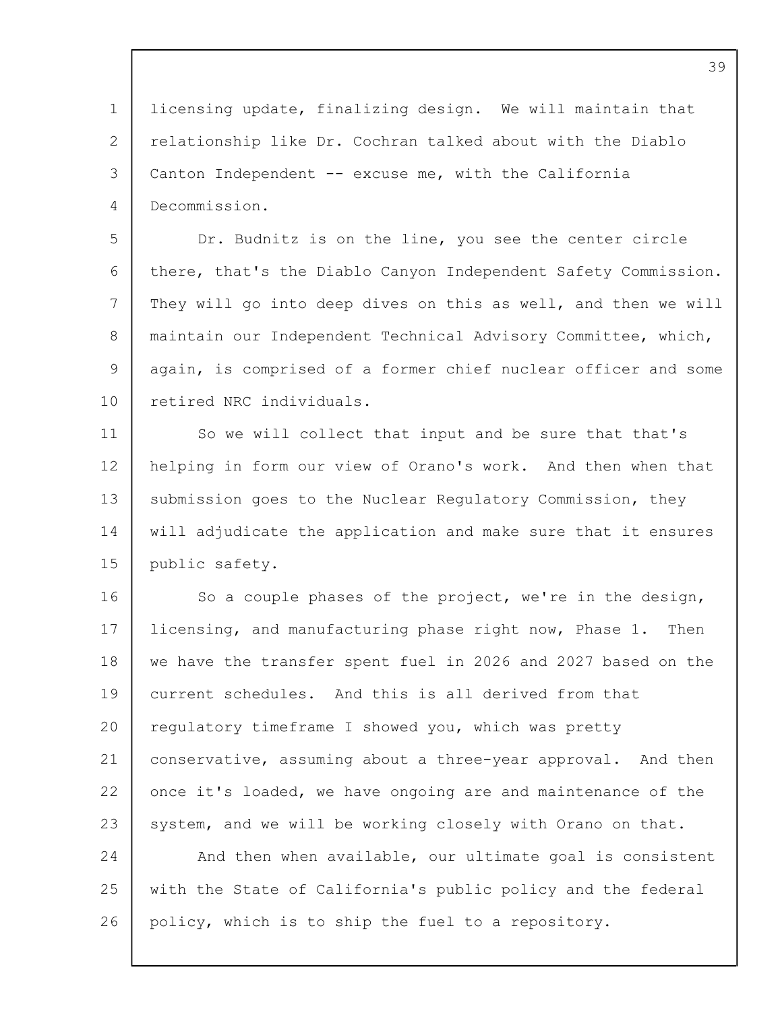1 2 3 4 licensing update, finalizing design. We will maintain that relationship like Dr. Cochran talked about with the Diablo Canton Independent -- excuse me, with the California Decommission.

5 6 7 8 9 10 Dr. Budnitz is on the line, you see the center circle there, that's the Diablo Canyon Independent Safety Commission. They will go into deep dives on this as well, and then we will maintain our Independent Technical Advisory Committee, which, again, is comprised of a former chief nuclear officer and some retired NRC individuals.

11 12 13 14 15 So we will collect that input and be sure that that's helping in form our view of Orano's work. And then when that submission goes to the Nuclear Regulatory Commission, they will adjudicate the application and make sure that it ensures public safety.

16 17 18 19 20 21 22 23 24 25 26 So a couple phases of the project, we're in the design, licensing, and manufacturing phase right now, Phase 1. Then we have the transfer spent fuel in 2026 and 2027 based on the current schedules. And this is all derived from that regulatory timeframe I showed you, which was pretty conservative, assuming about a three-year approval. And then once it's loaded, we have ongoing are and maintenance of the system, and we will be working closely with Orano on that. And then when available, our ultimate goal is consistent with the State of California's public policy and the federal policy, which is to ship the fuel to a repository.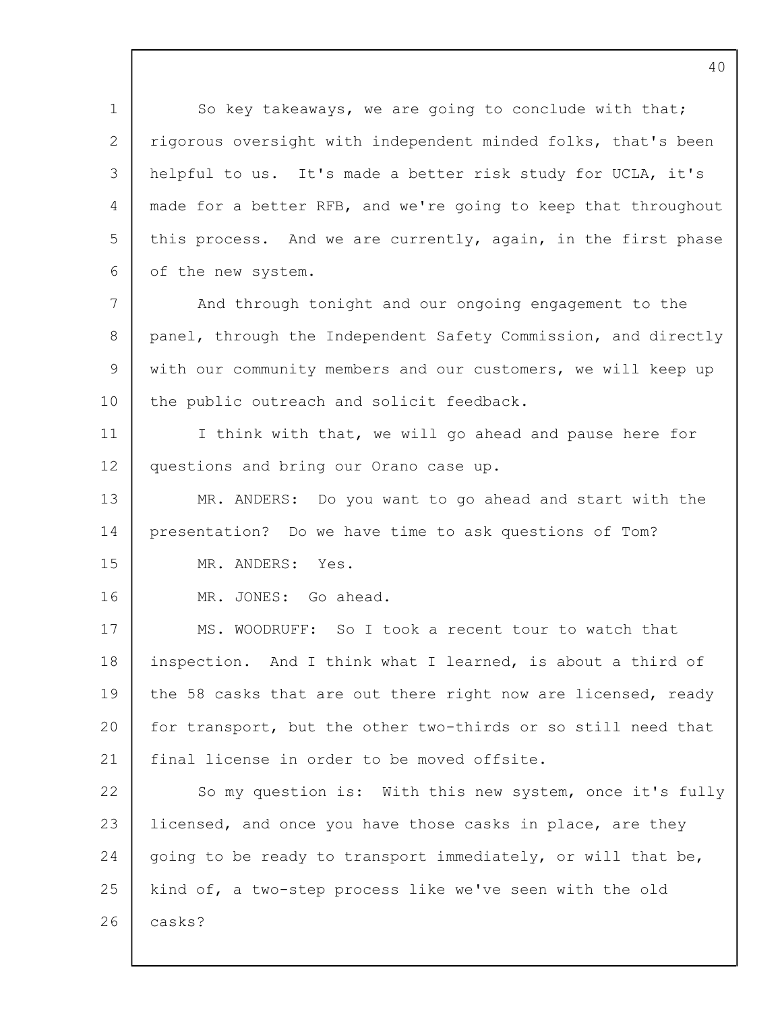1 2 3  $\Delta$ 5 6 7 8  $\mathsf{Q}$ 10 11 12 13 14 15 16 17 18 19  $20$ 21 22 23 24 25 26 So key takeaways, we are going to conclude with that; rigorous oversight with independent minded folks, that's been helpful to us. It's made a better risk study for UCLA, it's made for a better RFB, and we're going to keep that throughout this process. And we are currently, again, in the first phase of the new system. And through tonight and our ongoing engagement to the panel, through the Independent Safety Commission, and directly with our community members and our customers, we will keep up the public outreach and solicit feedback. I think with that, we will go ahead and pause here for questions and bring our Orano case up. MR. ANDERS: Do you want to go ahead and start with the presentation? Do we have time to ask questions of Tom? MR. ANDERS: Yes. MR. JONES: Go ahead. MS. WOODRUFF: So I took a recent tour to watch that inspection. And I think what I learned, is about a third of the 58 casks that are out there right now are licensed, ready for transport, but the other two-thirds or so still need that final license in order to be moved offsite. So my question is: With this new system, once it's fully licensed, and once you have those casks in place, are they going to be ready to transport immediately, or will that be, kind of, a two-step process like we've seen with the old casks?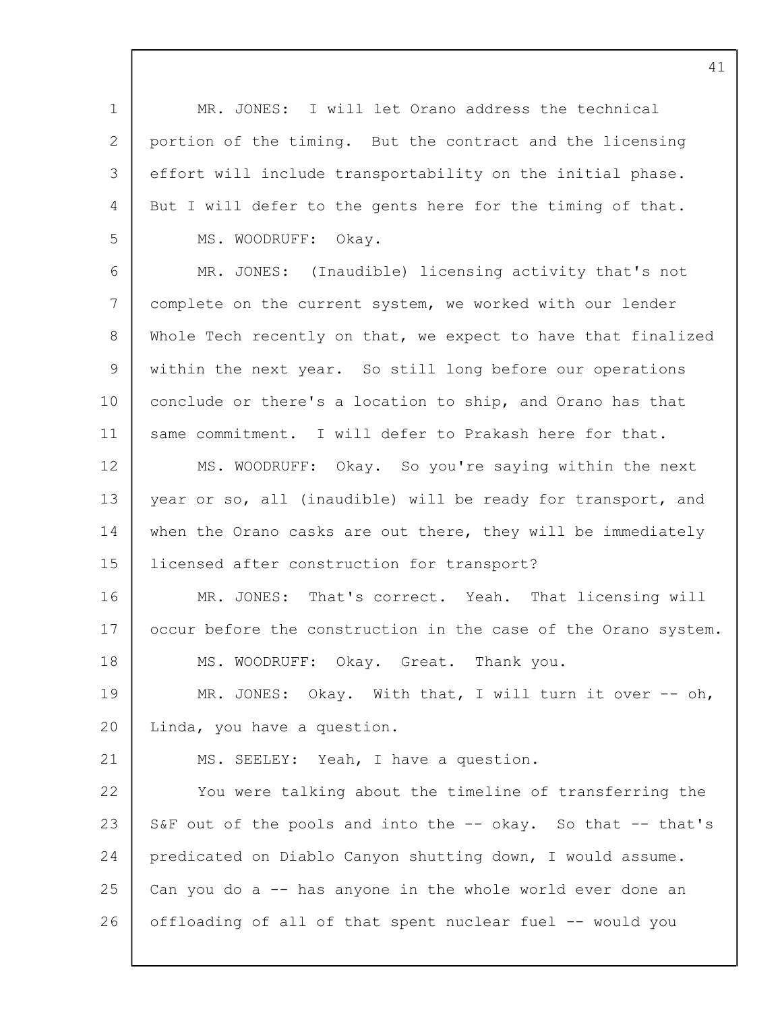1 2 3 4 5 6 7 8  $\mathsf{Q}$ 10 11 12 13 14 15 16 17 18 19  $20$ 21 22 23 24 25 26 MR. JONES: I will let Orano address the technical portion of the timing. But the contract and the licensing effort will include transportability on the initial phase. But I will defer to the gents here for the timing of that. MS. WOODRUFF: Okay. MR. JONES: (Inaudible) licensing activity that's not complete on the current system, we worked with our lender Whole Tech recently on that, we expect to have that finalized within the next year. So still long before our operations conclude or there's a location to ship, and Orano has that same commitment. I will defer to Prakash here for that. MS. WOODRUFF: Okay. So you're saying within the next year or so, all (inaudible) will be ready for transport, and when the Orano casks are out there, they will be immediately licensed after construction for transport? MR. JONES: That's correct. Yeah. That licensing will occur before the construction in the case of the Orano system. MS. WOODRUFF: Okay. Great. Thank you. MR. JONES: Okay. With that, I will turn it over -- oh, Linda, you have a question. MS. SEELEY: Yeah, I have a question. You were talking about the timeline of transferring the S&F out of the pools and into the -- okay. So that -- that's predicated on Diablo Canyon shutting down, I would assume. Can you do a -- has anyone in the whole world ever done an offloading of all of that spent nuclear fuel -- would you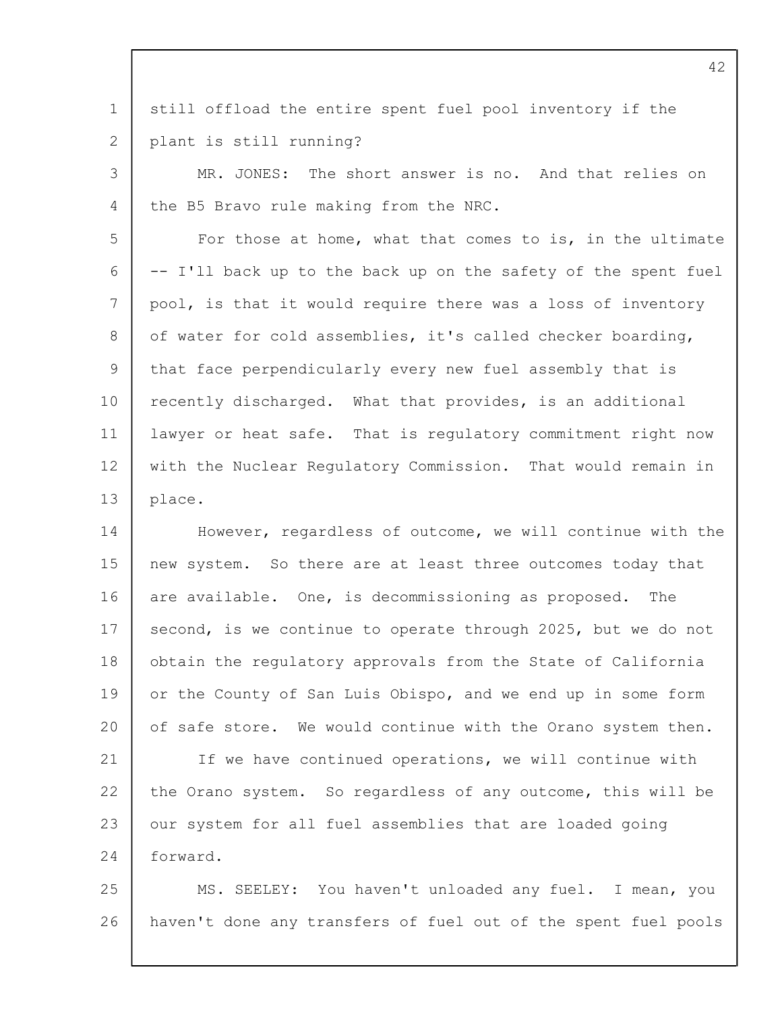1 2 still offload the entire spent fuel pool inventory if the plant is still running?

3 4 MR. JONES: The short answer is no. And that relies on the B5 Bravo rule making from the NRC.

5 6 7 8  $\mathsf{Q}$ 10 11 12 13 For those at home, what that comes to is, in the ultimate -- I'll back up to the back up on the safety of the spent fuel pool, is that it would require there was a loss of inventory of water for cold assemblies, it's called checker boarding, that face perpendicularly every new fuel assembly that is recently discharged. What that provides, is an additional lawyer or heat safe. That is regulatory commitment right now with the Nuclear Regulatory Commission. That would remain in place.

14 15 16 17 18 19  $20$ 21 22 23 24 However, regardless of outcome, we will continue with the new system. So there are at least three outcomes today that are available. One, is decommissioning as proposed. The second, is we continue to operate through 2025, but we do not obtain the regulatory approvals from the State of California or the County of San Luis Obispo, and we end up in some form of safe store. We would continue with the Orano system then. If we have continued operations, we will continue with the Orano system. So regardless of any outcome, this will be our system for all fuel assemblies that are loaded going forward.

25 26 MS. SEELEY: You haven't unloaded any fuel. I mean, you haven't done any transfers of fuel out of the spent fuel pools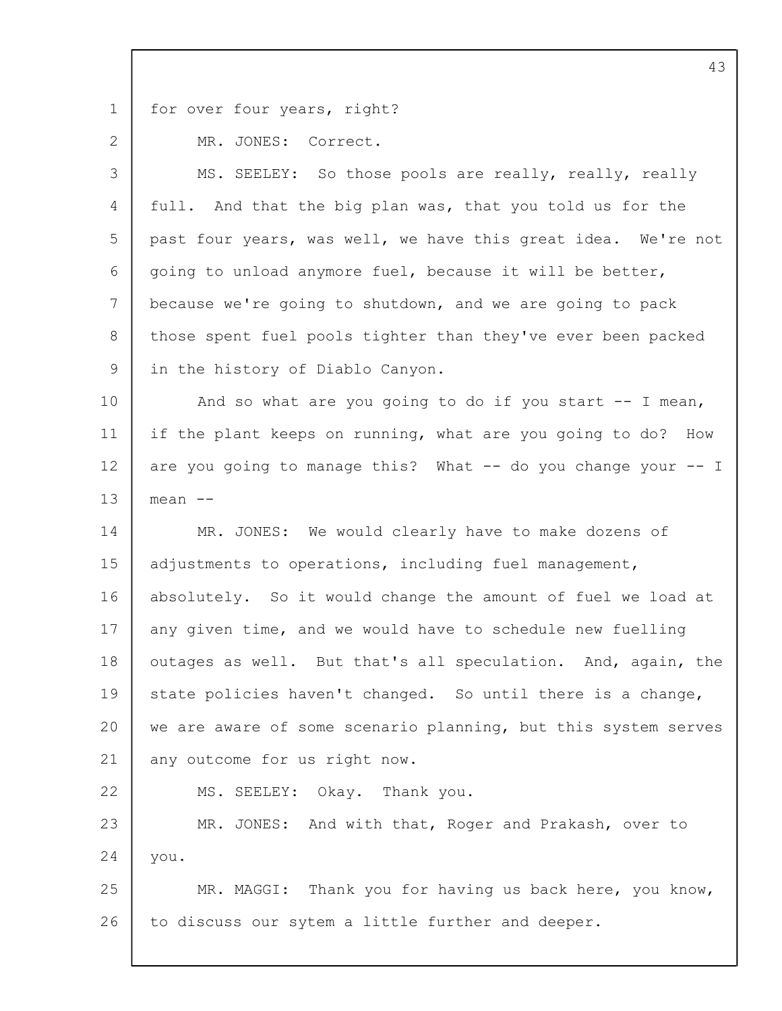1

2

22

for over four years, right?

MR. JONES: Correct.

3  $\Delta$ 5 6 7 8 9 MS. SEELEY: So those pools are really, really, really full. And that the big plan was, that you told us for the past four years, was well, we have this great idea. We're not going to unload anymore fuel, because it will be better, because we're going to shutdown, and we are going to pack those spent fuel pools tighter than they've ever been packed in the history of Diablo Canyon.

10 11 12 13 And so what are you going to do if you start  $-$  I mean, if the plant keeps on running, what are you going to do? How are you going to manage this? What -- do you change your -- I mean --

14 15 16 17 18 19  $20$ 21 MR. JONES: We would clearly have to make dozens of adjustments to operations, including fuel management, absolutely. So it would change the amount of fuel we load at any given time, and we would have to schedule new fuelling outages as well. But that's all speculation. And, again, the state policies haven't changed. So until there is a change, we are aware of some scenario planning, but this system serves any outcome for us right now.

MS. SEELEY: Okay. Thank you.

23 24 MR. JONES: And with that, Roger and Prakash, over to you.

25 26 MR. MAGGI: Thank you for having us back here, you know, to discuss our sytem a little further and deeper.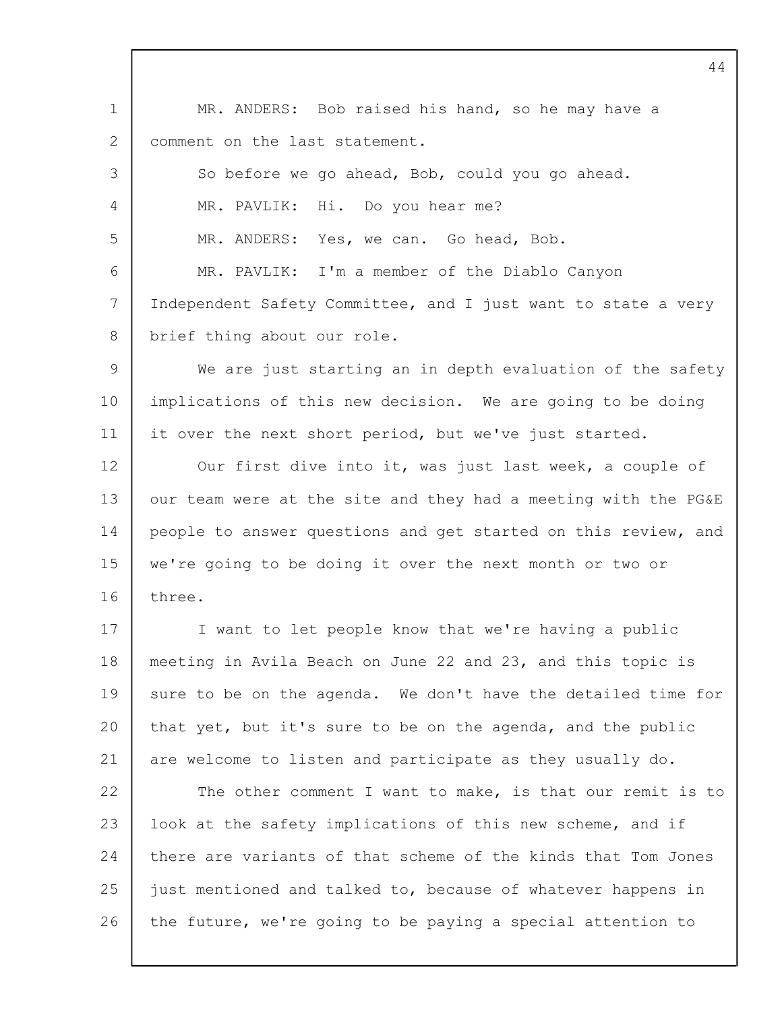1 2 3 4 5 6 7 8  $\mathsf{Q}$ 10 11 12 13 14 15 16 17 18 19  $20$ 21 22 23 24 25 26 MR. ANDERS: Bob raised his hand, so he may have a comment on the last statement. So before we go ahead, Bob, could you go ahead. MR. PAVLIK: Hi. Do you hear me? MR. ANDERS: Yes, we can. Go head, Bob. MR. PAVLIK: I'm a member of the Diablo Canyon Independent Safety Committee, and I just want to state a very brief thing about our role. We are just starting an in depth evaluation of the safety implications of this new decision. We are going to be doing it over the next short period, but we've just started. Our first dive into it, was just last week, a couple of our team were at the site and they had a meeting with the PG&E people to answer questions and get started on this review, and we're going to be doing it over the next month or two or three. I want to let people know that we're having a public meeting in Avila Beach on June 22 and 23, and this topic is sure to be on the agenda. We don't have the detailed time for that yet, but it's sure to be on the agenda, and the public are welcome to listen and participate as they usually do. The other comment I want to make, is that our remit is to look at the safety implications of this new scheme, and if there are variants of that scheme of the kinds that Tom Jones just mentioned and talked to, because of whatever happens in the future, we're going to be paying a special attention to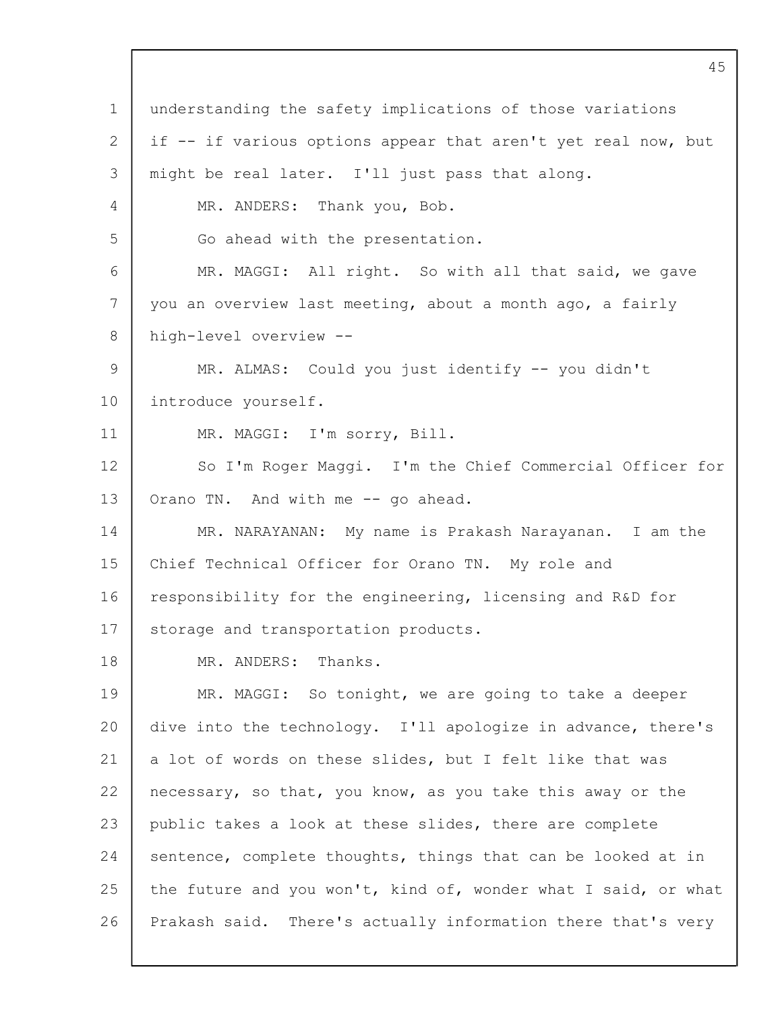1 2 3 4 5 6 7 8  $\mathsf{Q}$ 10 11 12 13 14 15 16 17 18 19 20 21 22 23 24 25 26 understanding the safety implications of those variations if -- if various options appear that aren't yet real now, but might be real later. I'll just pass that along. MR. ANDERS: Thank you, Bob. Go ahead with the presentation. MR. MAGGI: All right. So with all that said, we gave you an overview last meeting, about a month ago, a fairly high-level overview -- MR. ALMAS: Could you just identify -- you didn't introduce yourself. MR. MAGGI: I'm sorry, Bill. So I'm Roger Maggi. I'm the Chief Commercial Officer for Orano TN. And with me -- go ahead. MR. NARAYANAN: My name is Prakash Narayanan. I am the Chief Technical Officer for Orano TN. My role and responsibility for the engineering, licensing and R&D for storage and transportation products. MR. ANDERS: Thanks. MR. MAGGI: So tonight, we are going to take a deeper dive into the technology. I'll apologize in advance, there's a lot of words on these slides, but I felt like that was necessary, so that, you know, as you take this away or the public takes a look at these slides, there are complete sentence, complete thoughts, things that can be looked at in the future and you won't, kind of, wonder what I said, or what Prakash said. There's actually information there that's very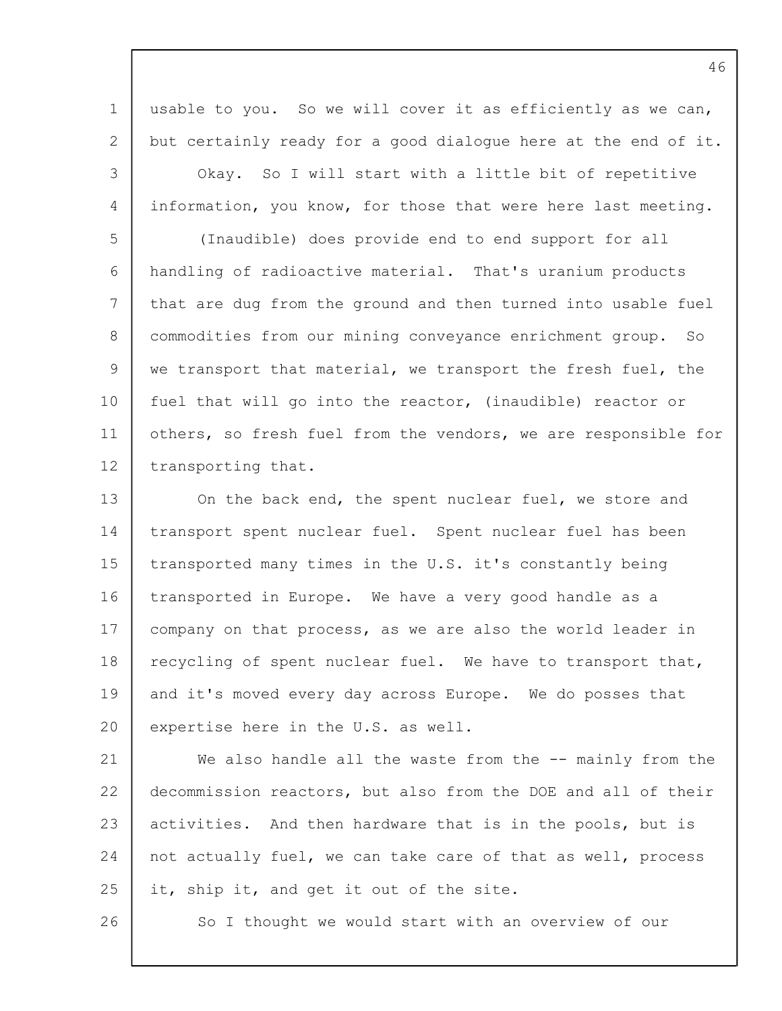1 2 3 4 usable to you. So we will cover it as efficiently as we can, but certainly ready for a good dialogue here at the end of it. Okay. So I will start with a little bit of repetitive information, you know, for those that were here last meeting.

5 6 7 8 9 10 11 12 (Inaudible) does provide end to end support for all handling of radioactive material. That's uranium products that are dug from the ground and then turned into usable fuel commodities from our mining conveyance enrichment group. So we transport that material, we transport the fresh fuel, the fuel that will go into the reactor, (inaudible) reactor or others, so fresh fuel from the vendors, we are responsible for transporting that.

13 14 15 16 17 18 19  $20$ On the back end, the spent nuclear fuel, we store and transport spent nuclear fuel. Spent nuclear fuel has been transported many times in the U.S. it's constantly being transported in Europe. We have a very good handle as a company on that process, as we are also the world leader in recycling of spent nuclear fuel. We have to transport that, and it's moved every day across Europe. We do posses that expertise here in the U.S. as well.

21 22 23 24 25 We also handle all the waste from the -- mainly from the decommission reactors, but also from the DOE and all of their activities. And then hardware that is in the pools, but is not actually fuel, we can take care of that as well, process it, ship it, and get it out of the site.

26

So I thought we would start with an overview of our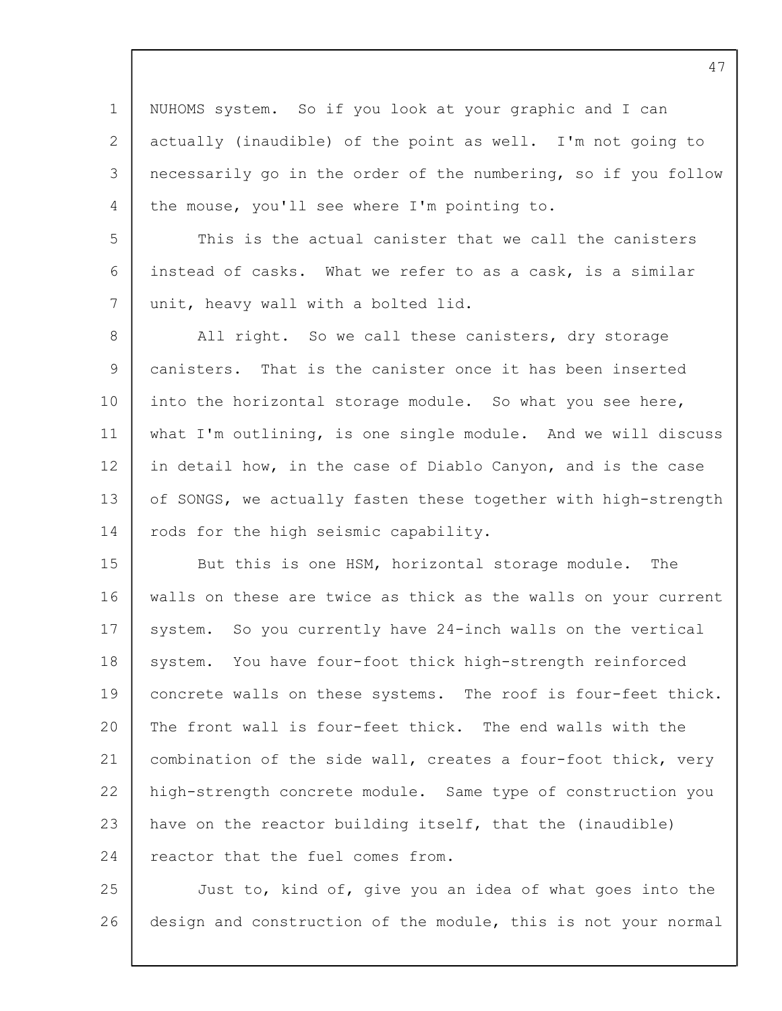1 2 3 4 NUHOMS system. So if you look at your graphic and I can actually (inaudible) of the point as well. I'm not going to necessarily go in the order of the numbering, so if you follow the mouse, you'll see where I'm pointing to.

5 6 7 This is the actual canister that we call the canisters instead of casks. What we refer to as a cask, is a similar unit, heavy wall with a bolted lid.

8 9 10 11 12 13 14 All right. So we call these canisters, dry storage canisters. That is the canister once it has been inserted into the horizontal storage module. So what you see here, what I'm outlining, is one single module. And we will discuss in detail how, in the case of Diablo Canyon, and is the case of SONGS, we actually fasten these together with high-strength rods for the high seismic capability.

15 16 17 18 19  $20$ 21 22 23 24 But this is one HSM, horizontal storage module. The walls on these are twice as thick as the walls on your current system. So you currently have 24-inch walls on the vertical system. You have four-foot thick high-strength reinforced concrete walls on these systems. The roof is four-feet thick. The front wall is four-feet thick. The end walls with the combination of the side wall, creates a four-foot thick, very high-strength concrete module. Same type of construction you have on the reactor building itself, that the (inaudible) reactor that the fuel comes from.

25 26 Just to, kind of, give you an idea of what goes into the design and construction of the module, this is not your normal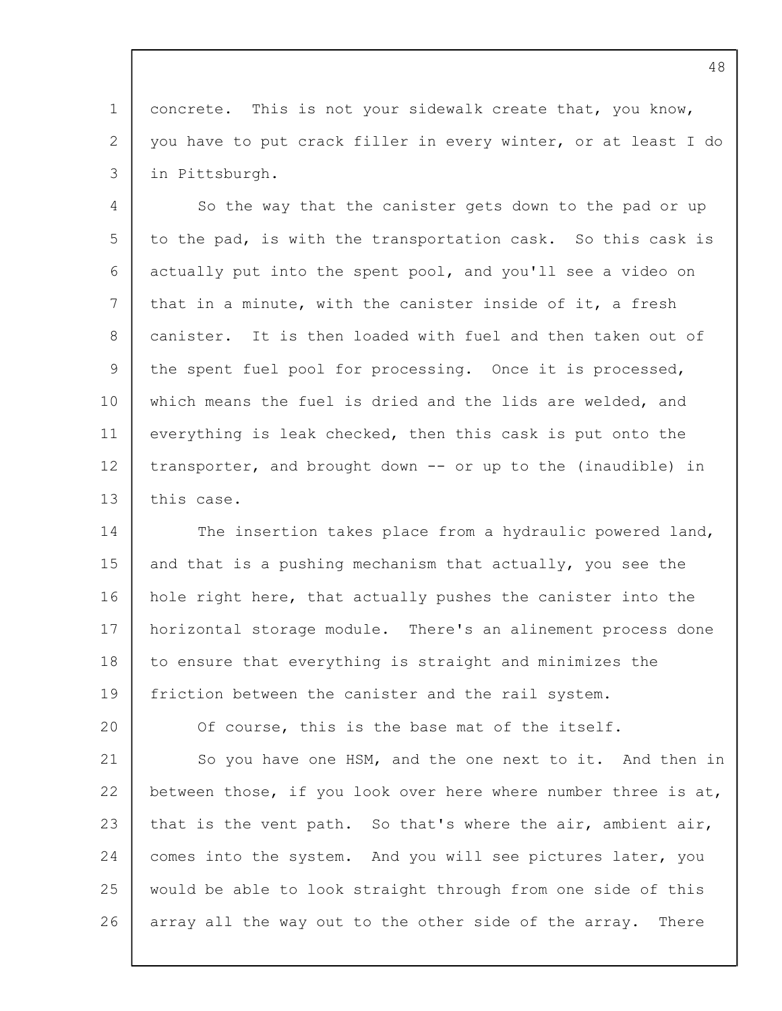1 2 3 concrete. This is not your sidewalk create that, you know, you have to put crack filler in every winter, or at least I do in Pittsburgh.

4 5 6 7 8 9 10 11 12 13 So the way that the canister gets down to the pad or up to the pad, is with the transportation cask. So this cask is actually put into the spent pool, and you'll see a video on that in a minute, with the canister inside of it, a fresh canister. It is then loaded with fuel and then taken out of the spent fuel pool for processing. Once it is processed, which means the fuel is dried and the lids are welded, and everything is leak checked, then this cask is put onto the transporter, and brought down -- or up to the (inaudible) in this case.

14 15 16 17 18 19 The insertion takes place from a hydraulic powered land, and that is a pushing mechanism that actually, you see the hole right here, that actually pushes the canister into the horizontal storage module. There's an alinement process done to ensure that everything is straight and minimizes the friction between the canister and the rail system.

Of course, this is the base mat of the itself.

20

21 22 23 24 25 26 So you have one HSM, and the one next to it. And then in between those, if you look over here where number three is at, that is the vent path. So that's where the air, ambient air, comes into the system. And you will see pictures later, you would be able to look straight through from one side of this array all the way out to the other side of the array. There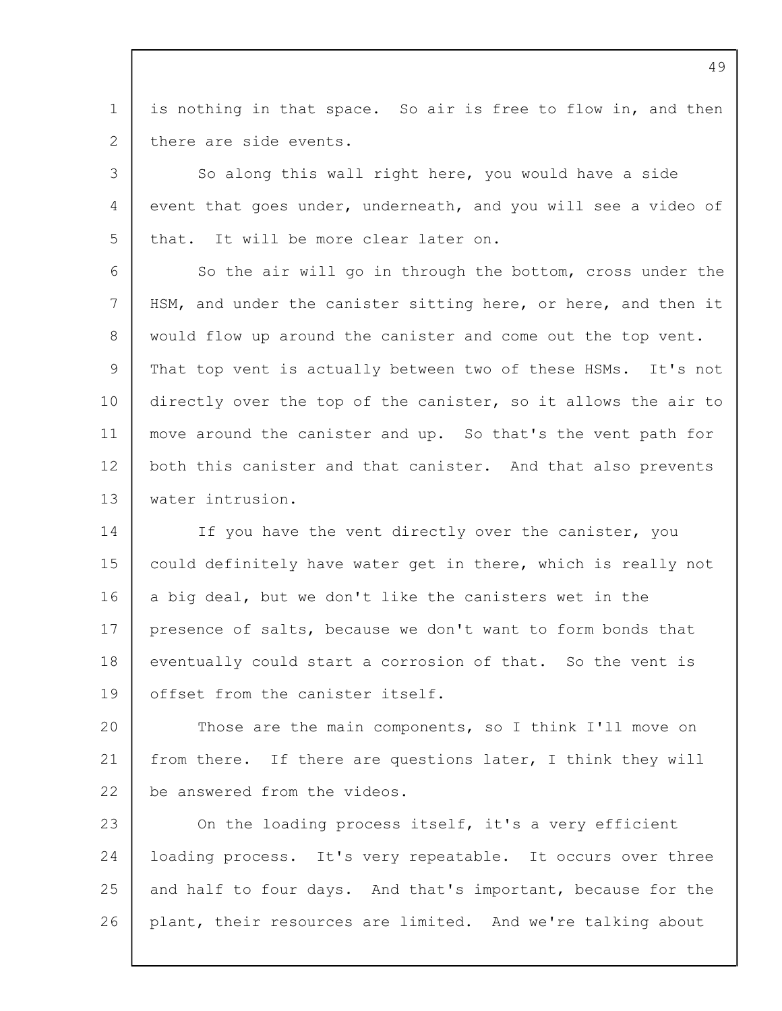1  $\mathcal{P}$ is nothing in that space. So air is free to flow in, and then there are side events.

3 4 5 So along this wall right here, you would have a side event that goes under, underneath, and you will see a video of that. It will be more clear later on.

6 7 8  $\mathsf{Q}$ 10 11 12 13 So the air will go in through the bottom, cross under the HSM, and under the canister sitting here, or here, and then it would flow up around the canister and come out the top vent. That top vent is actually between two of these HSMs. It's not directly over the top of the canister, so it allows the air to move around the canister and up. So that's the vent path for both this canister and that canister. And that also prevents water intrusion.

14 15 16 17 18 19 If you have the vent directly over the canister, you could definitely have water get in there, which is really not a big deal, but we don't like the canisters wet in the presence of salts, because we don't want to form bonds that eventually could start a corrosion of that. So the vent is offset from the canister itself.

 $20$ 21 22 Those are the main components, so I think I'll move on from there. If there are questions later, I think they will be answered from the videos.

23 24 25 26 On the loading process itself, it's a very efficient loading process. It's very repeatable. It occurs over three and half to four days. And that's important, because for the plant, their resources are limited. And we're talking about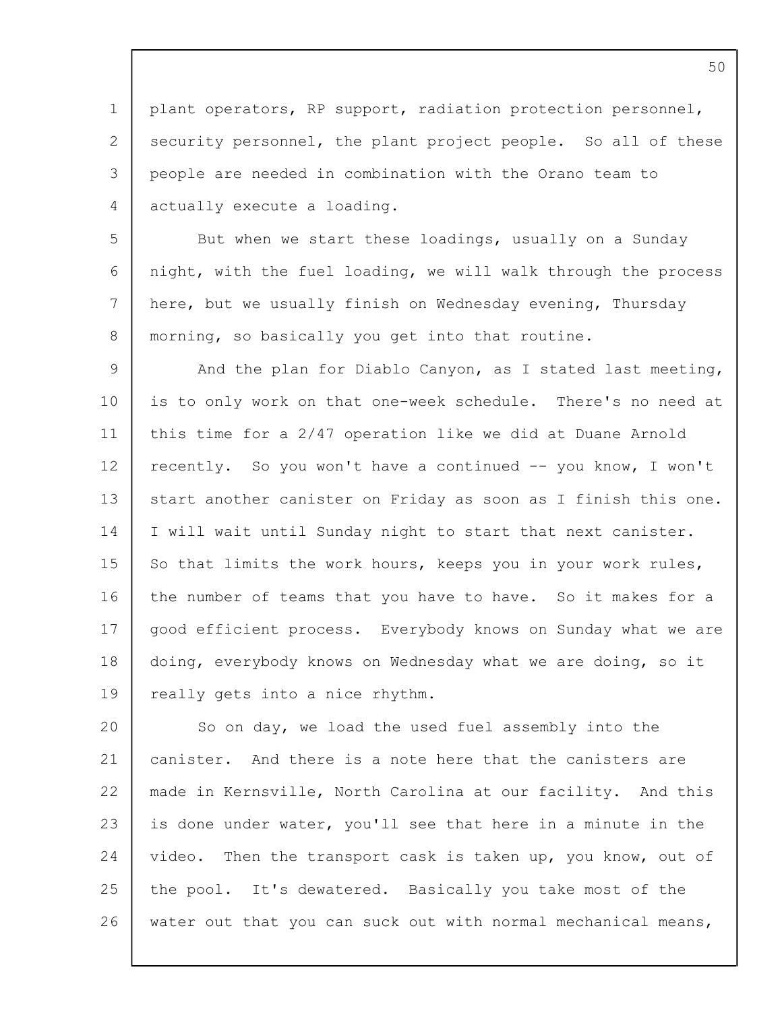1 2 3  $\Delta$ plant operators, RP support, radiation protection personnel, security personnel, the plant project people. So all of these people are needed in combination with the Orano team to actually execute a loading.

5 6 7 8 But when we start these loadings, usually on a Sunday night, with the fuel loading, we will walk through the process here, but we usually finish on Wednesday evening, Thursday morning, so basically you get into that routine.

 $\mathsf{Q}$ 10 11 12 13 14 15 16 17 18 19 And the plan for Diablo Canyon, as I stated last meeting, is to only work on that one-week schedule. There's no need at this time for a 2/47 operation like we did at Duane Arnold recently. So you won't have a continued -- you know, I won't start another canister on Friday as soon as I finish this one. I will wait until Sunday night to start that next canister. So that limits the work hours, keeps you in your work rules, the number of teams that you have to have. So it makes for a good efficient process. Everybody knows on Sunday what we are doing, everybody knows on Wednesday what we are doing, so it really gets into a nice rhythm.

20 21 22 23 24 25 26 So on day, we load the used fuel assembly into the canister. And there is a note here that the canisters are made in Kernsville, North Carolina at our facility. And this is done under water, you'll see that here in a minute in the video. Then the transport cask is taken up, you know, out of the pool. It's dewatered. Basically you take most of the water out that you can suck out with normal mechanical means,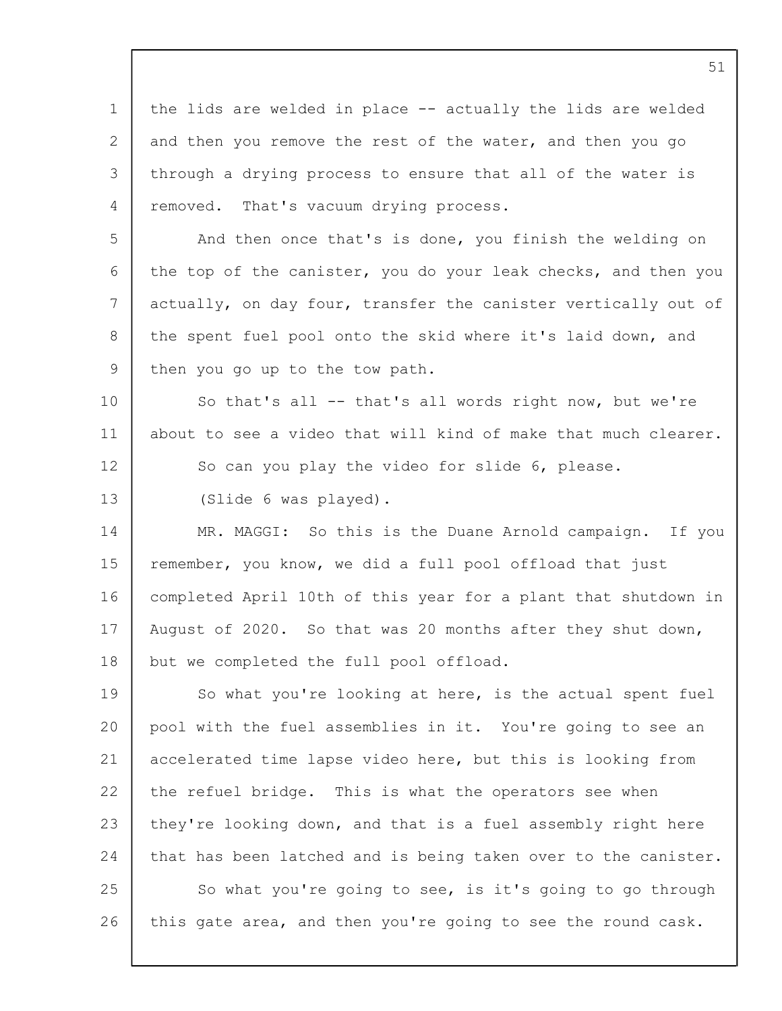1 2 3  $\Delta$ 5 6 7 8 9 10 11 12 13 14 15 16 17 18 19 20 21 22 23 24 25 26 the lids are welded in place -- actually the lids are welded and then you remove the rest of the water, and then you go through a drying process to ensure that all of the water is removed. That's vacuum drying process. And then once that's is done, you finish the welding on the top of the canister, you do your leak checks, and then you actually, on day four, transfer the canister vertically out of the spent fuel pool onto the skid where it's laid down, and then you go up to the tow path. So that's all -- that's all words right now, but we're about to see a video that will kind of make that much clearer. So can you play the video for slide 6, please. (Slide 6 was played). MR. MAGGI: So this is the Duane Arnold campaign. If you remember, you know, we did a full pool offload that just completed April 10th of this year for a plant that shutdown in August of 2020. So that was 20 months after they shut down, but we completed the full pool offload. So what you're looking at here, is the actual spent fuel pool with the fuel assemblies in it. You're going to see an accelerated time lapse video here, but this is looking from the refuel bridge. This is what the operators see when they're looking down, and that is a fuel assembly right here that has been latched and is being taken over to the canister. So what you're going to see, is it's going to go through this gate area, and then you're going to see the round cask.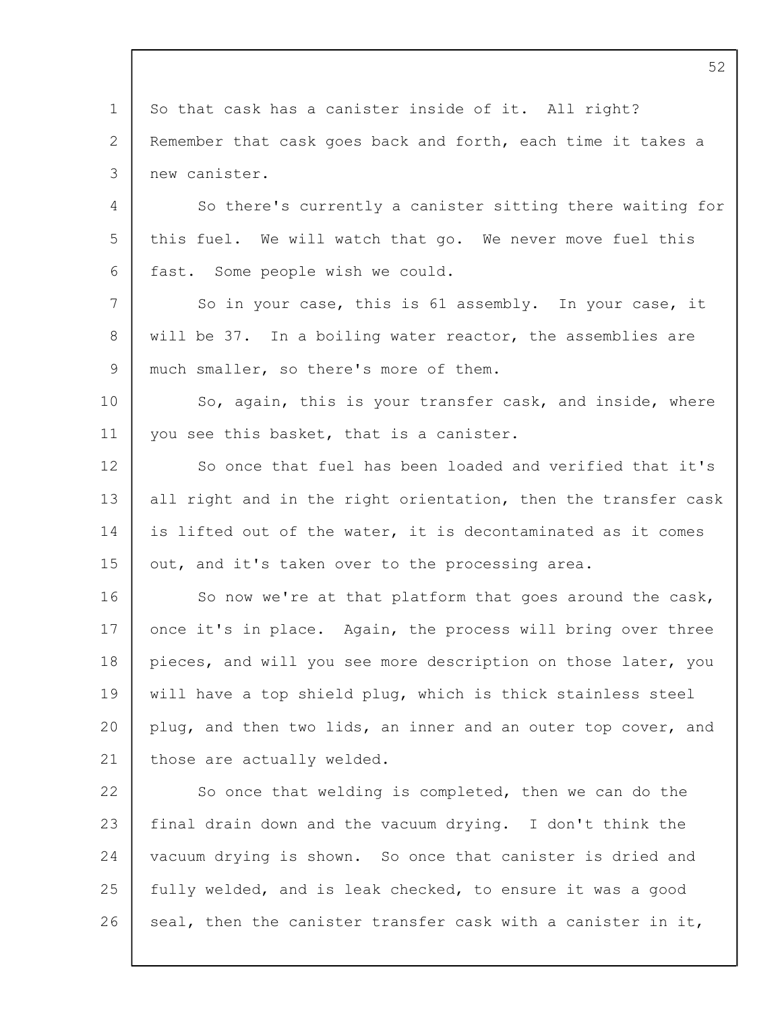1 2 3  $\Delta$ 5 6 7 8 9 10 11 12 13 14 15 16 17 18 19  $20$ 21 22 23 24 25 26 So that cask has a canister inside of it. All right? Remember that cask goes back and forth, each time it takes a new canister. So there's currently a canister sitting there waiting for this fuel. We will watch that go. We never move fuel this fast. Some people wish we could. So in your case, this is 61 assembly. In your case, it will be 37. In a boiling water reactor, the assemblies are much smaller, so there's more of them. So, again, this is your transfer cask, and inside, where you see this basket, that is a canister. So once that fuel has been loaded and verified that it's all right and in the right orientation, then the transfer cask is lifted out of the water, it is decontaminated as it comes out, and it's taken over to the processing area. So now we're at that platform that goes around the cask, once it's in place. Again, the process will bring over three pieces, and will you see more description on those later, you will have a top shield plug, which is thick stainless steel plug, and then two lids, an inner and an outer top cover, and those are actually welded. So once that welding is completed, then we can do the final drain down and the vacuum drying. I don't think the vacuum drying is shown. So once that canister is dried and fully welded, and is leak checked, to ensure it was a good

seal, then the canister transfer cask with a canister in it,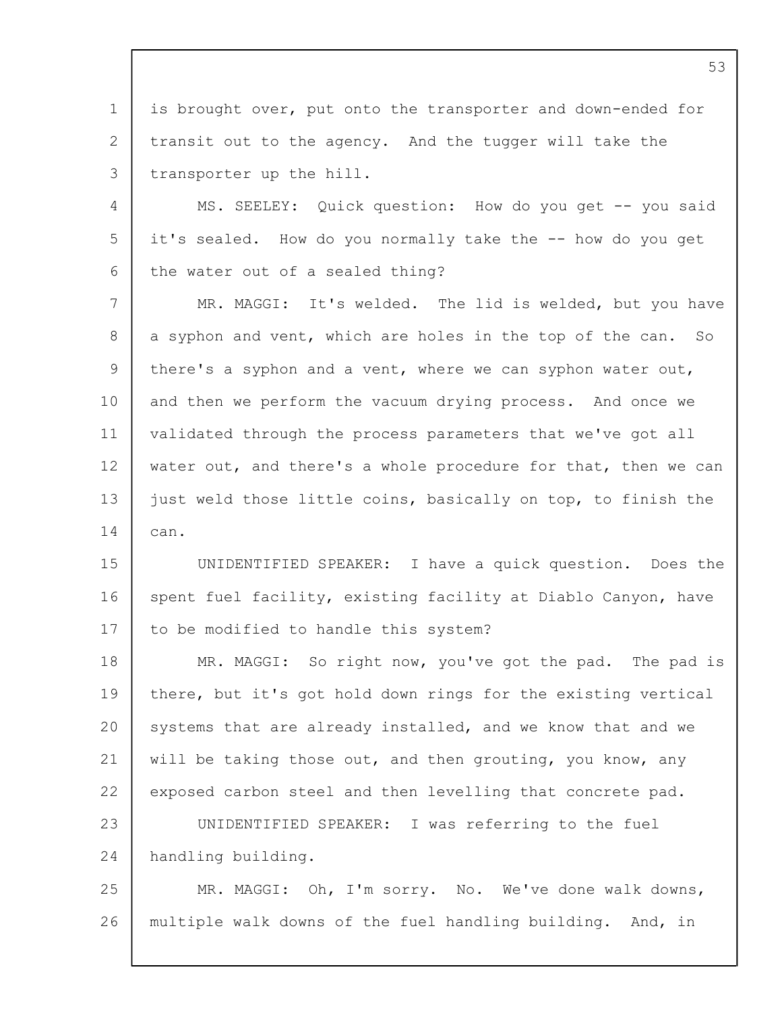1 2 3 is brought over, put onto the transporter and down-ended for transit out to the agency. And the tugger will take the transporter up the hill.

 $\Delta$ 5 6 MS. SEELEY: Quick question: How do you get -- you said it's sealed. How do you normally take the -- how do you get the water out of a sealed thing?

7 8 9 10 11 12 13 14 MR. MAGGI: It's welded. The lid is welded, but you have a syphon and vent, which are holes in the top of the can. So there's a syphon and a vent, where we can syphon water out, and then we perform the vacuum drying process. And once we validated through the process parameters that we've got all water out, and there's a whole procedure for that, then we can just weld those little coins, basically on top, to finish the can.

15 16 17 UNIDENTIFIED SPEAKER: I have a quick question. Does the spent fuel facility, existing facility at Diablo Canyon, have to be modified to handle this system?

18 19 20 21 22 23 24 MR. MAGGI: So right now, you've got the pad. The pad is there, but it's got hold down rings for the existing vertical systems that are already installed, and we know that and we will be taking those out, and then grouting, you know, any exposed carbon steel and then levelling that concrete pad. UNIDENTIFIED SPEAKER: I was referring to the fuel handling building.

25 26 MR. MAGGI: Oh, I'm sorry. No. We've done walk downs, multiple walk downs of the fuel handling building. And, in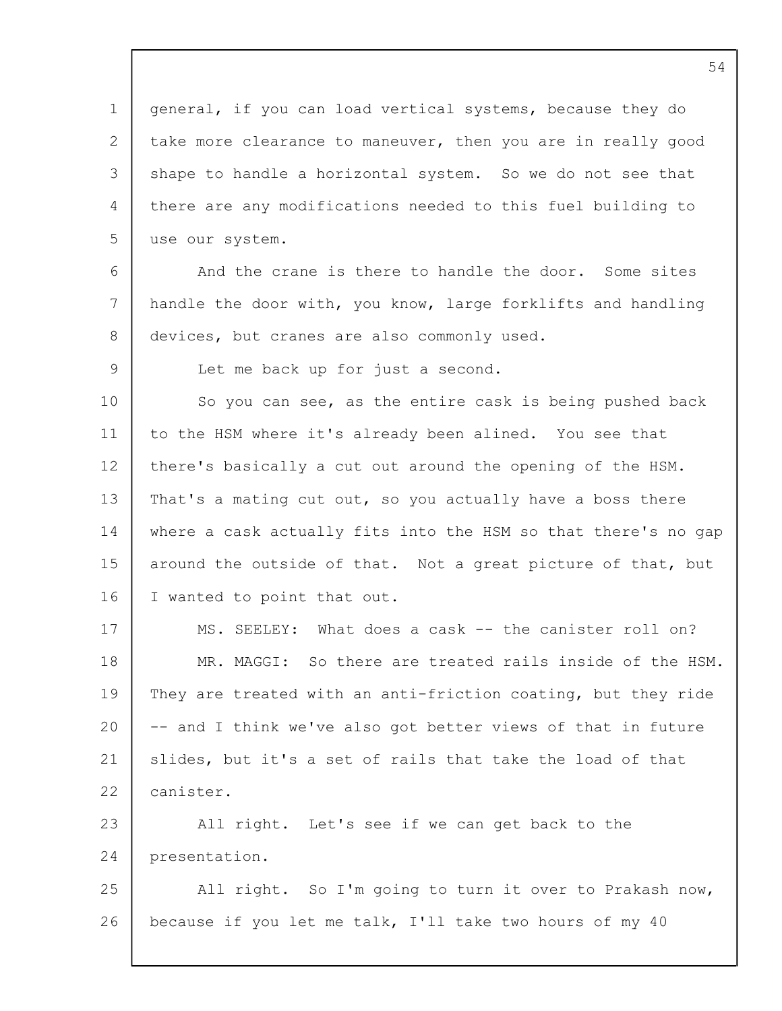1 2 3 4 5 6 7 8  $\mathsf{Q}$ 10 11 12 13 14 15 16 17 18 19 20 21 22 23 24 25 26 general, if you can load vertical systems, because they do take more clearance to maneuver, then you are in really good shape to handle a horizontal system. So we do not see that there are any modifications needed to this fuel building to use our system. And the crane is there to handle the door. Some sites handle the door with, you know, large forklifts and handling devices, but cranes are also commonly used. Let me back up for just a second. So you can see, as the entire cask is being pushed back to the HSM where it's already been alined. You see that there's basically a cut out around the opening of the HSM. That's a mating cut out, so you actually have a boss there where a cask actually fits into the HSM so that there's no gap around the outside of that. Not a great picture of that, but I wanted to point that out. MS. SEELEY: What does a cask -- the canister roll on? MR. MAGGI: So there are treated rails inside of the HSM. They are treated with an anti-friction coating, but they ride -- and I think we've also got better views of that in future slides, but it's a set of rails that take the load of that canister. All right. Let's see if we can get back to the presentation. All right. So I'm going to turn it over to Prakash now, because if you let me talk, I'll take two hours of my 40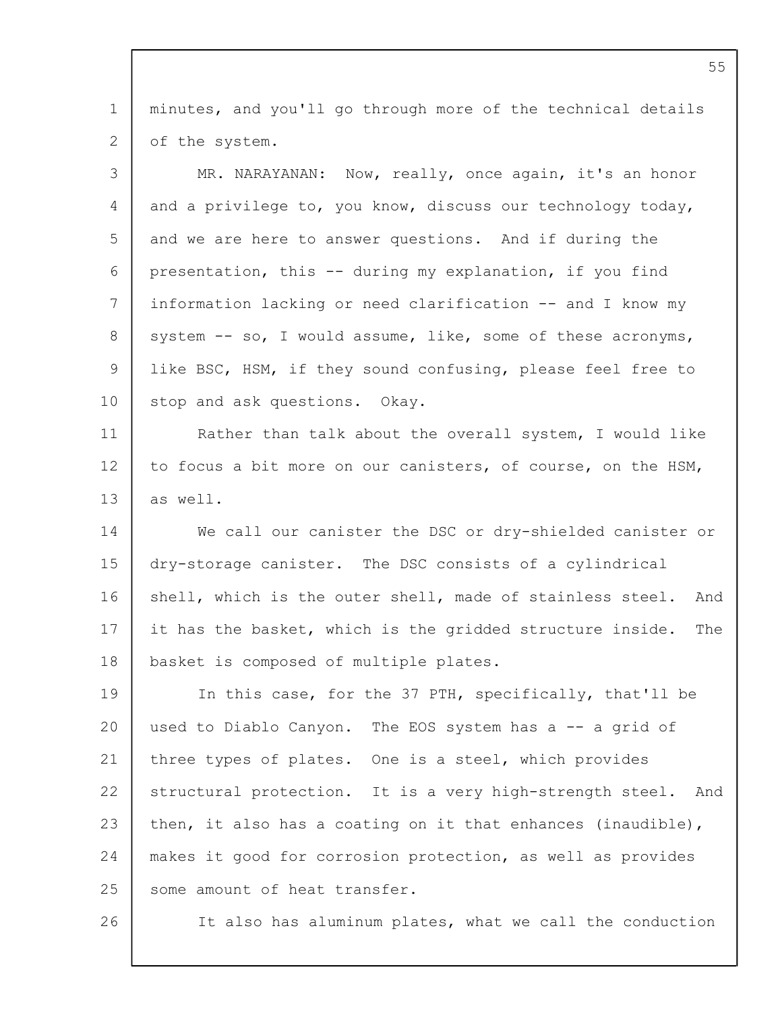1 2 minutes, and you'll go through more of the technical details of the system.

| 3              | MR. NARAYANAN: Now, really, once again, it's an honor            |
|----------------|------------------------------------------------------------------|
| 4              | and a privilege to, you know, discuss our technology today,      |
| 5              | and we are here to answer questions. And if during the           |
| 6              | presentation, this -- during my explanation, if you find         |
| $7\phantom{.}$ | information lacking or need clarification -- and I know my       |
| 8              | system -- so, I would assume, like, some of these acronyms,      |
| 9              | like BSC, HSM, if they sound confusing, please feel free to      |
| 10             | stop and ask questions. Okay.                                    |
| 11             | Rather than talk about the overall system, I would like          |
| 12             | to focus a bit more on our canisters, of course, on the HSM,     |
| 13             | as well.                                                         |
| 14             | We call our canister the DSC or dry-shielded canister or         |
| 15             | dry-storage canister. The DSC consists of a cylindrical          |
| 16             | shell, which is the outer shell, made of stainless steel.<br>And |
| 17             | it has the basket, which is the gridded structure inside.<br>The |
| 18             | basket is composed of multiple plates.                           |
| 19             | In this case, for the 37 PTH, specifically, that'll be           |
| 20             | used to Diablo Canyon. The EOS system has a -- a grid of         |
| 21             | three types of plates. One is a steel, which provides            |
| 22             | structural protection. It is a very high-strength steel.<br>And  |
| 23             | then, it also has a coating on it that enhances (inaudible),     |
| 24             | makes it good for corrosion protection, as well as provides      |
| 25             | some amount of heat transfer.                                    |
| 26             | It also has aluminum plates, what we call the conduction         |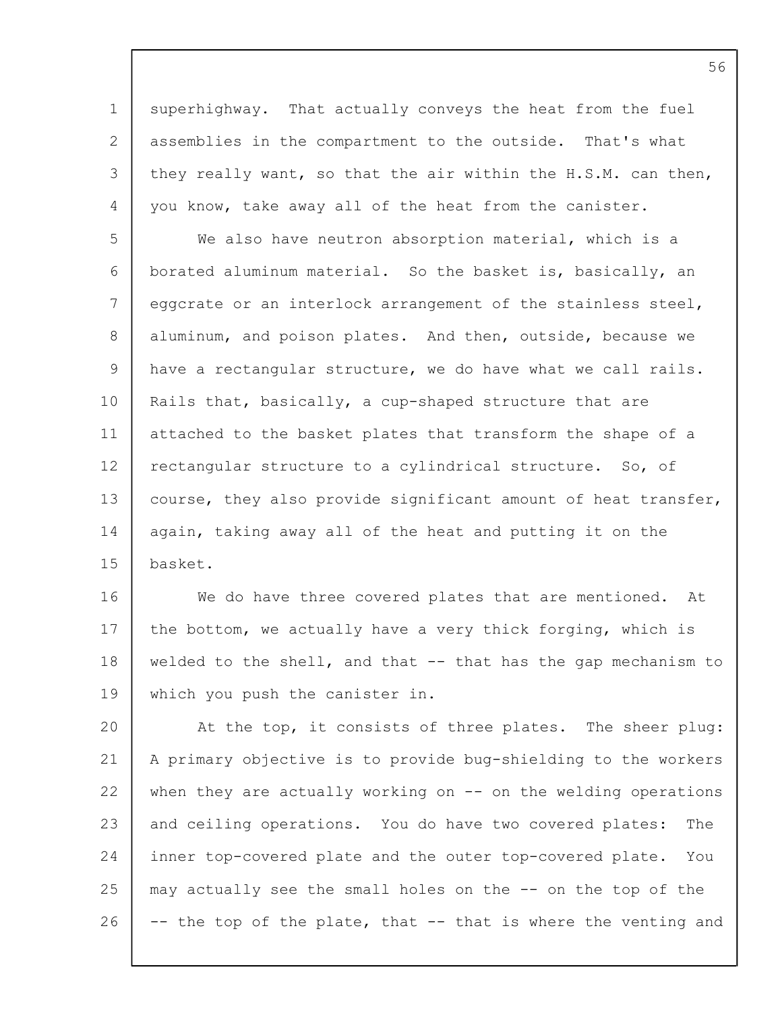1 2 3 4 superhighway. That actually conveys the heat from the fuel assemblies in the compartment to the outside. That's what they really want, so that the air within the H.S.M. can then, you know, take away all of the heat from the canister.

5 6 7 8 9 10 11 12 13 14 15 We also have neutron absorption material, which is a borated aluminum material. So the basket is, basically, an eggcrate or an interlock arrangement of the stainless steel, aluminum, and poison plates. And then, outside, because we have a rectangular structure, we do have what we call rails. Rails that, basically, a cup-shaped structure that are attached to the basket plates that transform the shape of a rectangular structure to a cylindrical structure. So, of course, they also provide significant amount of heat transfer, again, taking away all of the heat and putting it on the basket.

16 17 18 19 We do have three covered plates that are mentioned. At the bottom, we actually have a very thick forging, which is welded to the shell, and that -- that has the gap mechanism to which you push the canister in.

20 21 22 23 24 25 26 At the top, it consists of three plates. The sheer plug: A primary objective is to provide bug-shielding to the workers when they are actually working on -- on the welding operations and ceiling operations. You do have two covered plates: The inner top-covered plate and the outer top-covered plate. You may actually see the small holes on the -- on the top of the -- the top of the plate, that -- that is where the venting and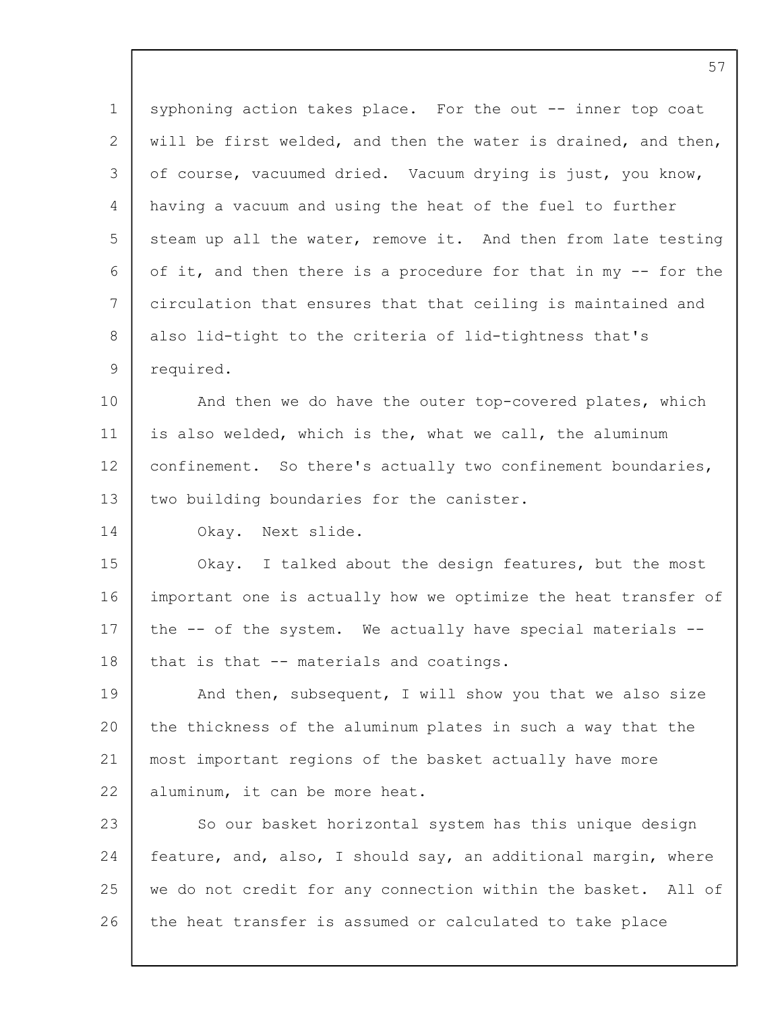1 2 3  $\Delta$ 5 6 7 8 9 10 syphoning action takes place. For the out -- inner top coat will be first welded, and then the water is drained, and then, of course, vacuumed dried. Vacuum drying is just, you know, having a vacuum and using the heat of the fuel to further steam up all the water, remove it. And then from late testing of it, and then there is a procedure for that in my -- for the circulation that ensures that that ceiling is maintained and also lid-tight to the criteria of lid-tightness that's required. And then we do have the outer top-covered plates, which

11 12 13 is also welded, which is the, what we call, the aluminum confinement. So there's actually two confinement boundaries, two building boundaries for the canister.

14 Okay. Next slide.

15 16 17 18 Okay. I talked about the design features, but the most important one is actually how we optimize the heat transfer of the -- of the system. We actually have special materials - that is that -- materials and coatings.

19 20 21 22 And then, subsequent, I will show you that we also size the thickness of the aluminum plates in such a way that the most important regions of the basket actually have more aluminum, it can be more heat.

23 24 25 26 So our basket horizontal system has this unique design feature, and, also, I should say, an additional margin, where we do not credit for any connection within the basket. All of the heat transfer is assumed or calculated to take place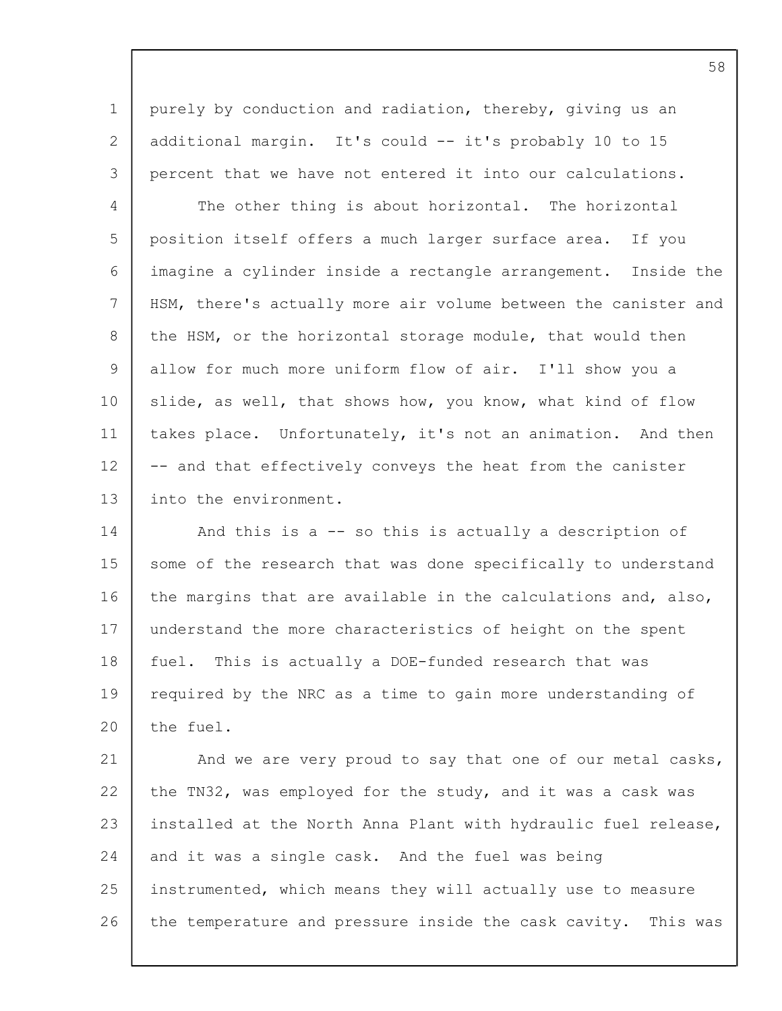1 2 3 purely by conduction and radiation, thereby, giving us an additional margin. It's could -- it's probably 10 to 15 percent that we have not entered it into our calculations.

 $\Delta$ 5 6 7 8  $\mathsf{Q}$ 10 11 12 13 The other thing is about horizontal. The horizontal position itself offers a much larger surface area. If you imagine a cylinder inside a rectangle arrangement. Inside the HSM, there's actually more air volume between the canister and the HSM, or the horizontal storage module, that would then allow for much more uniform flow of air. I'll show you a slide, as well, that shows how, you know, what kind of flow takes place. Unfortunately, it's not an animation. And then -- and that effectively conveys the heat from the canister into the environment.

14 15 16 17 18 19  $20$ And this is a -- so this is actually a description of some of the research that was done specifically to understand the margins that are available in the calculations and, also, understand the more characteristics of height on the spent fuel. This is actually a DOE-funded research that was required by the NRC as a time to gain more understanding of the fuel.

21 22 23 24 25 26 And we are very proud to say that one of our metal casks, the TN32, was employed for the study, and it was a cask was installed at the North Anna Plant with hydraulic fuel release, and it was a single cask. And the fuel was being instrumented, which means they will actually use to measure the temperature and pressure inside the cask cavity. This was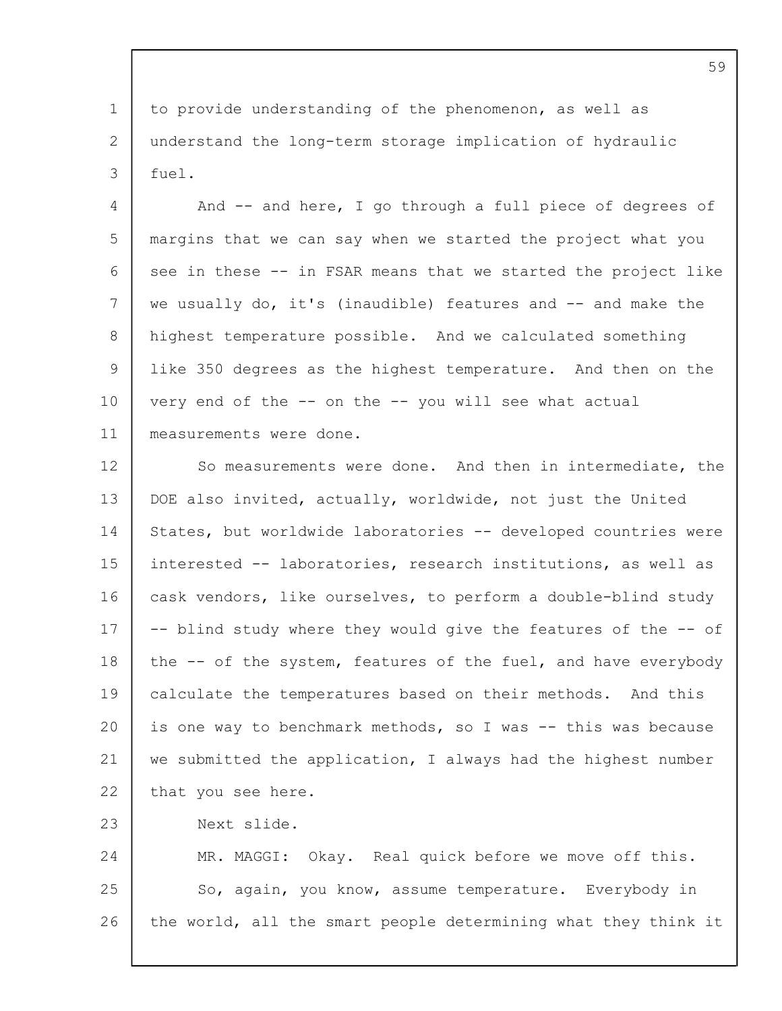1 2 3 to provide understanding of the phenomenon, as well as understand the long-term storage implication of hydraulic  $f$ uel.

4 5 6 7 8 9 10 11 And -- and here, I go through a full piece of degrees of margins that we can say when we started the project what you see in these -- in FSAR means that we started the project like we usually do, it's (inaudible) features and -- and make the highest temperature possible. And we calculated something like 350 degrees as the highest temperature. And then on the very end of the -- on the -- you will see what actual measurements were done.

12 13 14 15 16 17 18 19 20 21 22 So measurements were done. And then in intermediate, the DOE also invited, actually, worldwide, not just the United States, but worldwide laboratories -- developed countries were interested -- laboratories, research institutions, as well as cask vendors, like ourselves, to perform a double-blind study -- blind study where they would give the features of the -- of the -- of the system, features of the fuel, and have everybody calculate the temperatures based on their methods. And this is one way to benchmark methods, so I was -- this was because we submitted the application, I always had the highest number that you see here.

23 Next slide.

24 25 26 MR. MAGGI: Okay. Real quick before we move off this. So, again, you know, assume temperature. Everybody in the world, all the smart people determining what they think it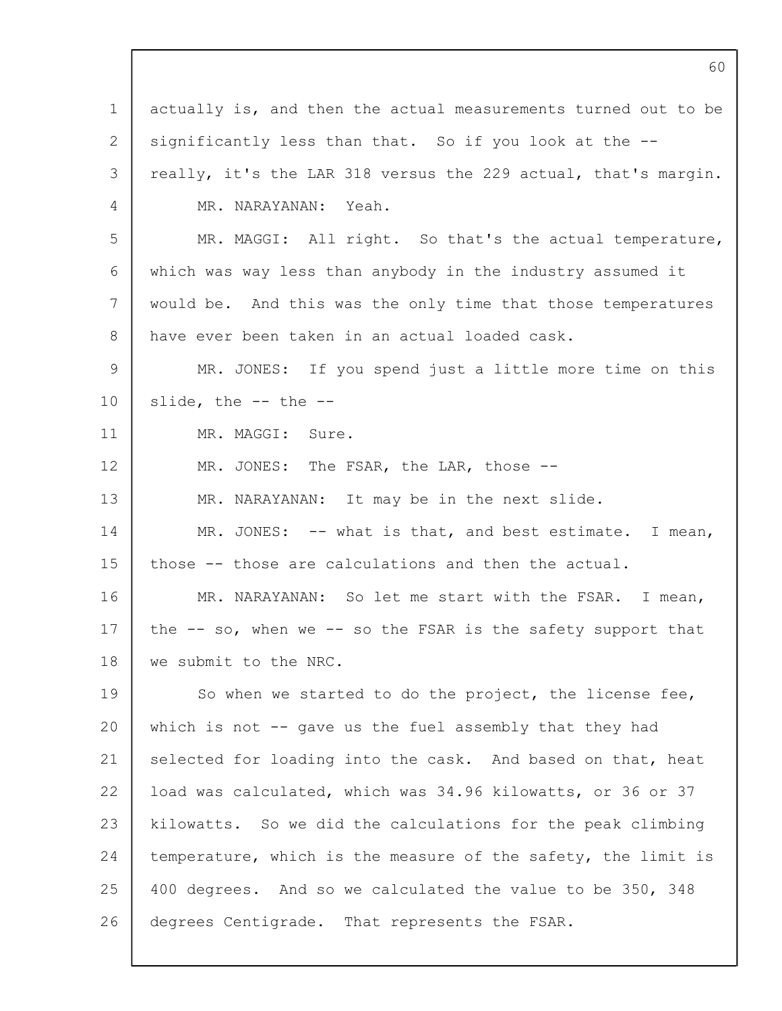| $\mathbf 1$ | actually is, and then the actual measurements turned out to be |
|-------------|----------------------------------------------------------------|
| 2           | significantly less than that. So if you look at the --         |
| 3           | really, it's the LAR 318 versus the 229 actual, that's margin. |
| 4           | MR. NARAYANAN: Yeah.                                           |
| 5           | MR. MAGGI: All right. So that's the actual temperature,        |
| 6           | which was way less than anybody in the industry assumed it     |
| 7           | would be. And this was the only time that those temperatures   |
| 8           | have ever been taken in an actual loaded cask.                 |
| 9           | MR. JONES: If you spend just a little more time on this        |
| 10          | slide, the $--$ the $--$                                       |
| 11          | MR. MAGGI: Sure.                                               |
| 12          | MR. JONES: The FSAR, the LAR, those --                         |
| 13          | MR. NARAYANAN: It may be in the next slide.                    |
| 14          | MR. JONES: $--$ what is that, and best estimate. I mean,       |
| 15          | those -- those are calculations and then the actual.           |
| 16          | MR. NARAYANAN: So let me start with the FSAR. I mean,          |
| 17          | the -- so, when we -- so the FSAR is the safety support that   |
| 18          | we submit to the NRC.                                          |
| 19          | So when we started to do the project, the license fee,         |
| 20          | which is not -- gave us the fuel assembly that they had        |
| 21          | selected for loading into the cask. And based on that, heat    |
| 22          | load was calculated, which was 34.96 kilowatts, or 36 or 37    |
| 23          | kilowatts. So we did the calculations for the peak climbing    |
| 24          | temperature, which is the measure of the safety, the limit is  |
| 25          | 400 degrees. And so we calculated the value to be 350, 348     |
| 26          | degrees Centigrade. That represents the FSAR.                  |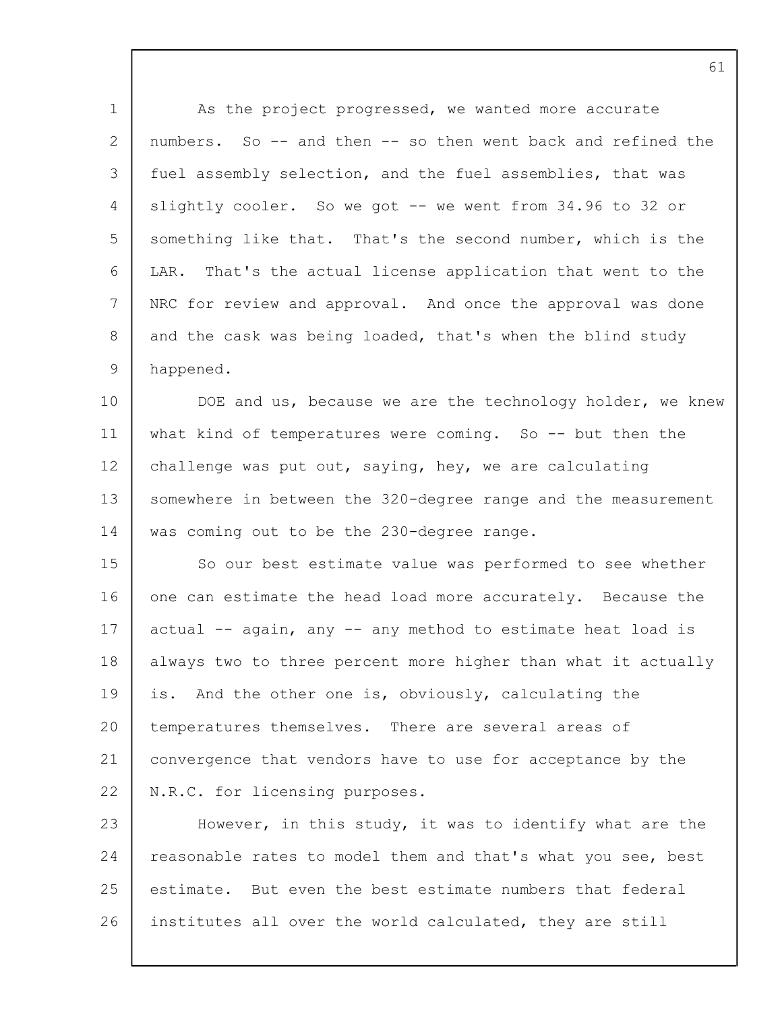1 2 3 4 5 6 7 8 9 10 11 12 13 14 15 16 17 18 19  $20$ 21 22 23 24 25 26 As the project progressed, we wanted more accurate numbers. So -- and then -- so then went back and refined the fuel assembly selection, and the fuel assemblies, that was slightly cooler. So we got -- we went from 34.96 to 32 or something like that. That's the second number, which is the LAR. That's the actual license application that went to the NRC for review and approval. And once the approval was done and the cask was being loaded, that's when the blind study happened. DOE and us, because we are the technology holder, we knew what kind of temperatures were coming. So -- but then the challenge was put out, saying, hey, we are calculating somewhere in between the 320-degree range and the measurement was coming out to be the 230-degree range. So our best estimate value was performed to see whether one can estimate the head load more accurately. Because the actual -- again, any -- any method to estimate heat load is always two to three percent more higher than what it actually is. And the other one is, obviously, calculating the temperatures themselves. There are several areas of convergence that vendors have to use for acceptance by the N.R.C. for licensing purposes. However, in this study, it was to identify what are the reasonable rates to model them and that's what you see, best estimate. But even the best estimate numbers that federal institutes all over the world calculated, they are still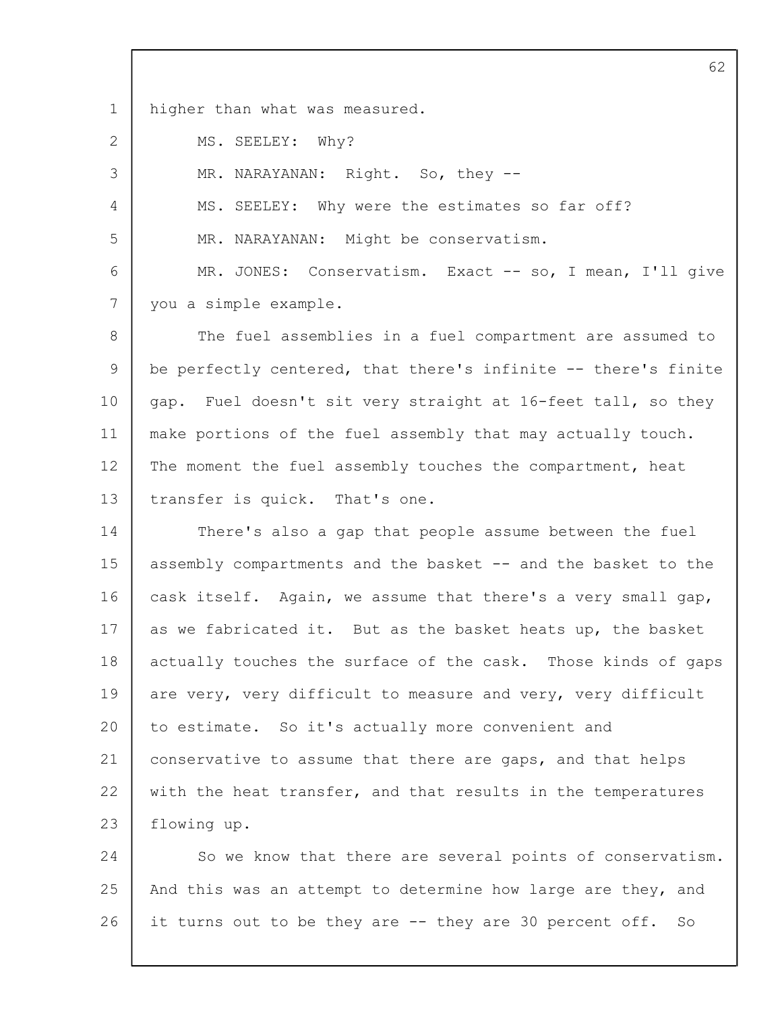1 higher than what was measured.

2 MS. SEELEY: Why?

3

4

5

MR. NARAYANAN: Right. So, they --

MS. SEELEY: Why were the estimates so far off?

MR. NARAYANAN: Might be conservatism.

6 7 MR. JONES: Conservatism. Exact -- so, I mean, I'll give you a simple example.

8  $\mathsf{Q}$ 10 11 12 13 The fuel assemblies in a fuel compartment are assumed to be perfectly centered, that there's infinite -- there's finite gap. Fuel doesn't sit very straight at 16-feet tall, so they make portions of the fuel assembly that may actually touch. The moment the fuel assembly touches the compartment, heat transfer is quick. That's one.

14 15 16 17 18 19  $20$ 21 22 23 There's also a gap that people assume between the fuel assembly compartments and the basket -- and the basket to the cask itself. Again, we assume that there's a very small gap, as we fabricated it. But as the basket heats up, the basket actually touches the surface of the cask. Those kinds of gaps are very, very difficult to measure and very, very difficult to estimate. So it's actually more convenient and conservative to assume that there are gaps, and that helps with the heat transfer, and that results in the temperatures flowing up.

24 25 26 So we know that there are several points of conservatism. And this was an attempt to determine how large are they, and it turns out to be they are -- they are 30 percent off. So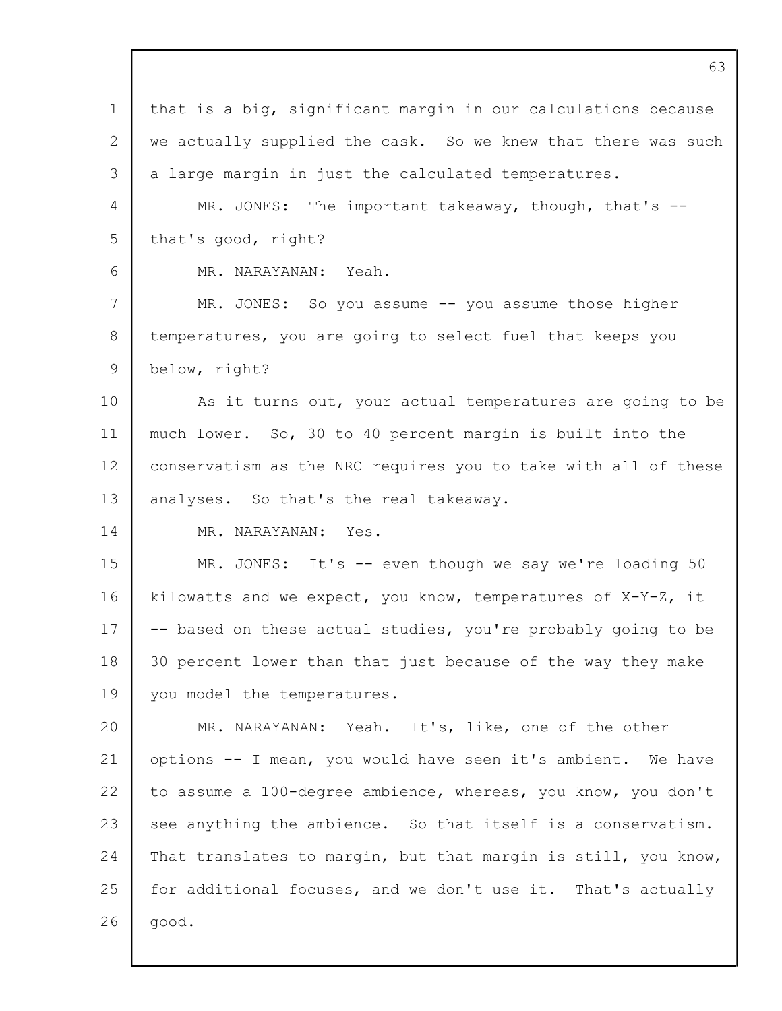| $\mathbf 1$  | that is a big, significant margin in our calculations because  |
|--------------|----------------------------------------------------------------|
| $\mathbf{2}$ | we actually supplied the cask. So we knew that there was such  |
| 3            | a large margin in just the calculated temperatures.            |
| 4            | MR. JONES: The important takeaway, though, that's --           |
| 5            | that's good, right?                                            |
| 6            | MR. NARAYANAN:<br>Yeah.                                        |
| 7            | MR. JONES: So you assume -- you assume those higher            |
| 8            | temperatures, you are going to select fuel that keeps you      |
| 9            | below, right?                                                  |
| 10           | As it turns out, your actual temperatures are going to be      |
| 11           | much lower. So, 30 to 40 percent margin is built into the      |
| 12           | conservatism as the NRC requires you to take with all of these |
| 13           | analyses. So that's the real takeaway.                         |
| 14           | MR. NARAYANAN: Yes.                                            |
| 15           | MR. JONES: It's -- even though we say we're loading 50         |
| 16           | kilowatts and we expect, you know, temperatures of X-Y-Z, it   |
| 17           | -- based on these actual studies, you're probably going to be  |
| 18           | 30 percent lower than that just because of the way they make   |
| 19           | you model the temperatures.                                    |
| 20           | MR. NARAYANAN: Yeah. It's, like, one of the other              |
| 21           | options -- I mean, you would have seen it's ambient. We have   |
| 22           | to assume a 100-degree ambience, whereas, you know, you don't  |
| 23           | see anything the ambience. So that itself is a conservatism.   |
| 24           | That translates to margin, but that margin is still, you know, |
| 25           | for additional focuses, and we don't use it. That's actually   |
| 26           | good.                                                          |
|              |                                                                |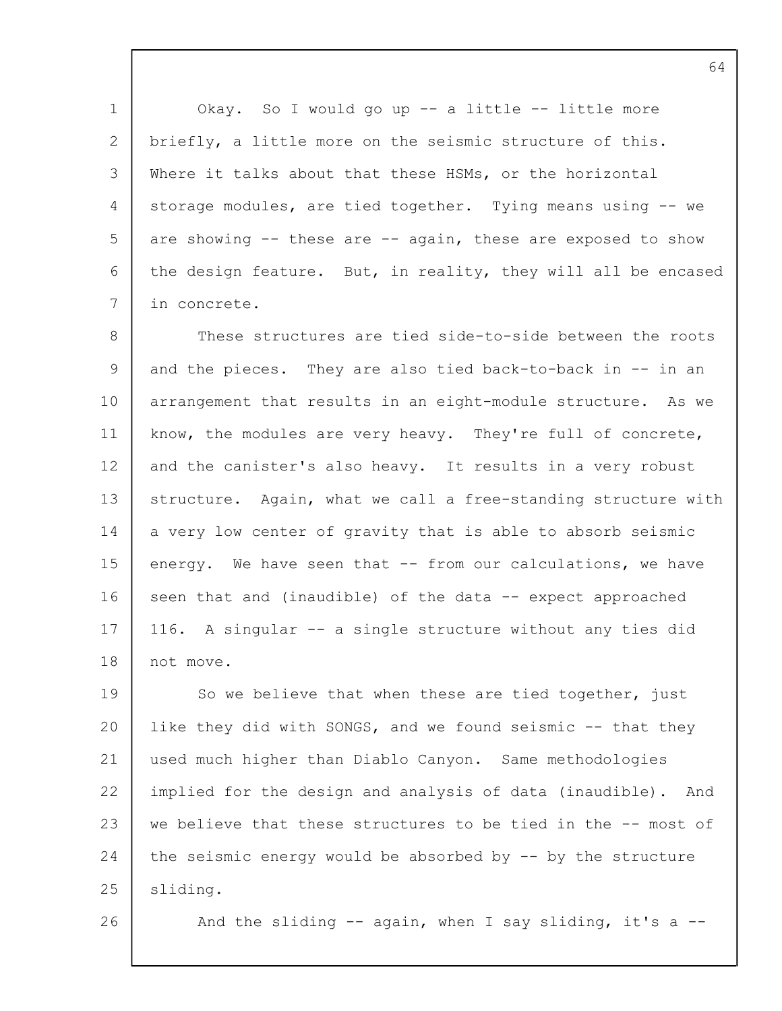1 2 3 4 5 6 7 Okay. So I would go up -- a little -- little more briefly, a little more on the seismic structure of this. Where it talks about that these HSMs, or the horizontal storage modules, are tied together. Tying means using -- we are showing -- these are -- again, these are exposed to show the design feature. But, in reality, they will all be encased in concrete.

8 9 10 11 12 13 14 15 16 17 18 These structures are tied side-to-side between the roots and the pieces. They are also tied back-to-back in -- in an arrangement that results in an eight-module structure. As we know, the modules are very heavy. They're full of concrete, and the canister's also heavy. It results in a very robust structure. Again, what we call a free-standing structure with a very low center of gravity that is able to absorb seismic energy. We have seen that -- from our calculations, we have seen that and (inaudible) of the data -- expect approached 116. A singular -- a single structure without any ties did not move.

19 20 21 22 23 24 25 So we believe that when these are tied together, just like they did with SONGS, and we found seismic -- that they used much higher than Diablo Canyon. Same methodologies implied for the design and analysis of data (inaudible). And we believe that these structures to be tied in the -- most of the seismic energy would be absorbed by -- by the structure sliding.

26

And the sliding  $-$  again, when I say sliding, it's a  $-$ -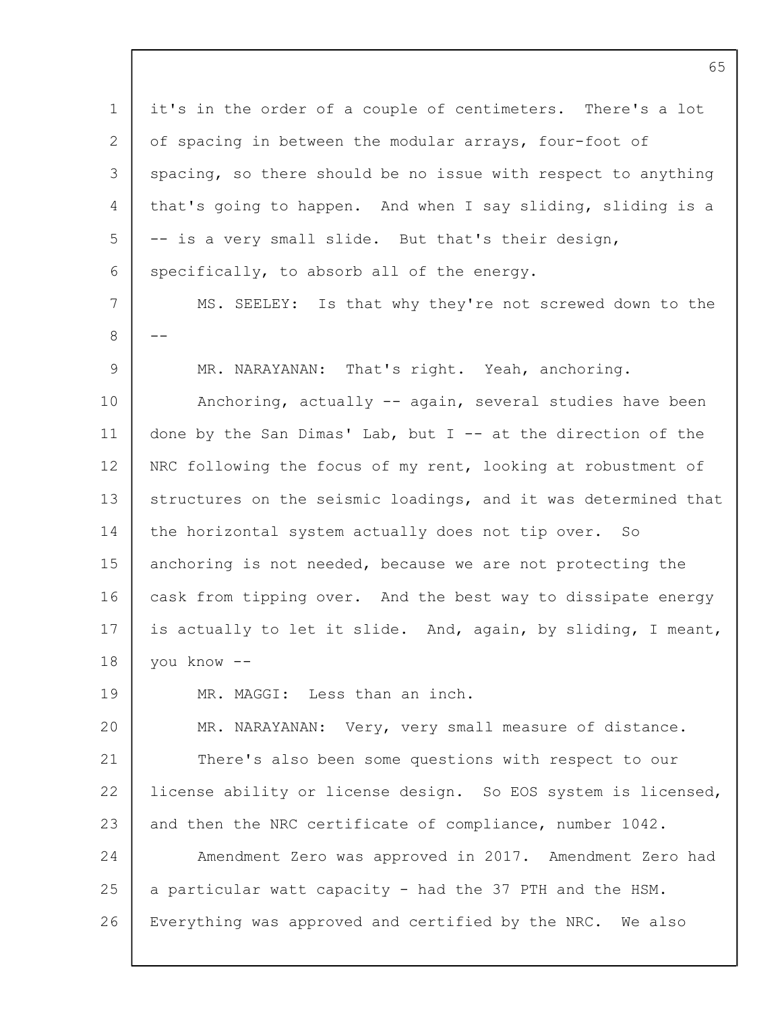1 2 3  $\Delta$ 5 6 7 8  $\mathsf{Q}$ 10 11 12 13 14 15 16 17 18 19 20 21 22 23 24 25 26 it's in the order of a couple of centimeters. There's a lot of spacing in between the modular arrays, four-foot of spacing, so there should be no issue with respect to anything that's going to happen. And when I say sliding, sliding is a -- is a very small slide. But that's their design, specifically, to absorb all of the energy. MS. SEELEY: Is that why they're not screwed down to the -- MR. NARAYANAN: That's right. Yeah, anchoring. Anchoring, actually -- again, several studies have been done by the San Dimas' Lab, but  $I$  -- at the direction of the NRC following the focus of my rent, looking at robustment of structures on the seismic loadings, and it was determined that the horizontal system actually does not tip over. So anchoring is not needed, because we are not protecting the cask from tipping over. And the best way to dissipate energy is actually to let it slide. And, again, by sliding, I meant, you know -- MR. MAGGI: Less than an inch. MR. NARAYANAN: Very, very small measure of distance. There's also been some questions with respect to our license ability or license design. So EOS system is licensed, and then the NRC certificate of compliance, number 1042. Amendment Zero was approved in 2017. Amendment Zero had a particular watt capacity - had the 37 PTH and the HSM. Everything was approved and certified by the NRC. We also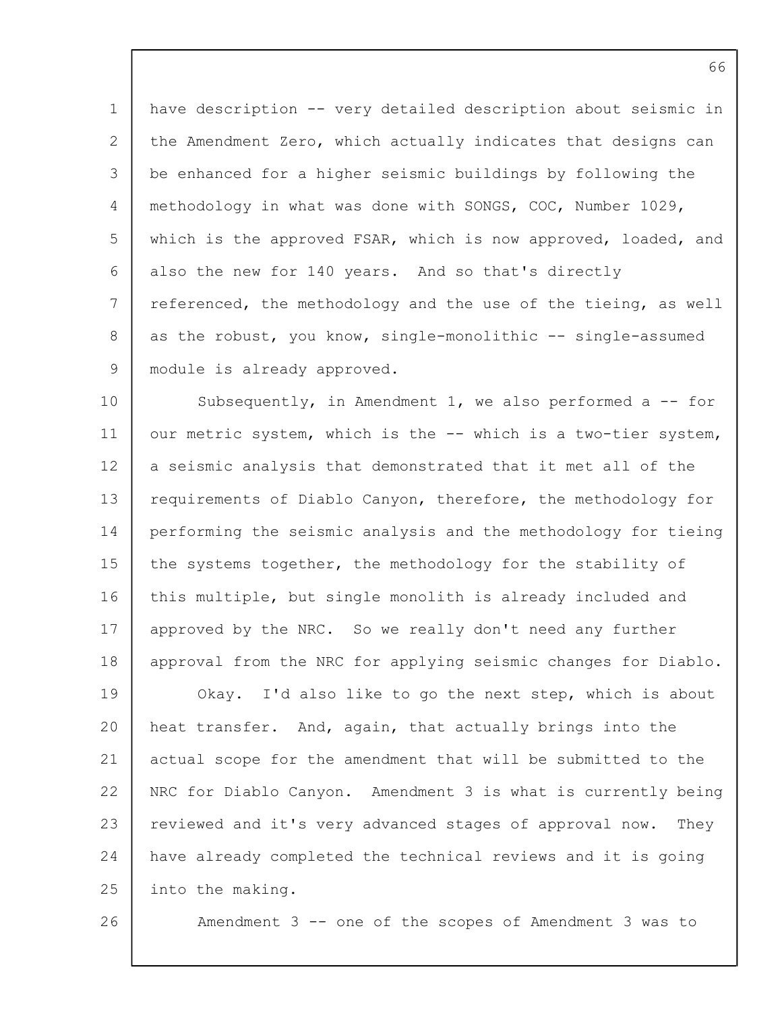1 2 3 4 5 6 7 8 9 have description -- very detailed description about seismic in the Amendment Zero, which actually indicates that designs can be enhanced for a higher seismic buildings by following the methodology in what was done with SONGS, COC, Number 1029, which is the approved FSAR, which is now approved, loaded, and also the new for 140 years. And so that's directly referenced, the methodology and the use of the tieing, as well as the robust, you know, single-monolithic -- single-assumed module is already approved.

10 11 12 13 14 15 16 17 18 19 20 21 22 23 24 25 Subsequently, in Amendment 1, we also performed a -- for our metric system, which is the -- which is a two-tier system, a seismic analysis that demonstrated that it met all of the requirements of Diablo Canyon, therefore, the methodology for performing the seismic analysis and the methodology for tieing the systems together, the methodology for the stability of this multiple, but single monolith is already included and approved by the NRC. So we really don't need any further approval from the NRC for applying seismic changes for Diablo. Okay. I'd also like to go the next step, which is about heat transfer. And, again, that actually brings into the actual scope for the amendment that will be submitted to the NRC for Diablo Canyon. Amendment 3 is what is currently being reviewed and it's very advanced stages of approval now. They have already completed the technical reviews and it is going into the making.

26

Amendment 3 -- one of the scopes of Amendment 3 was to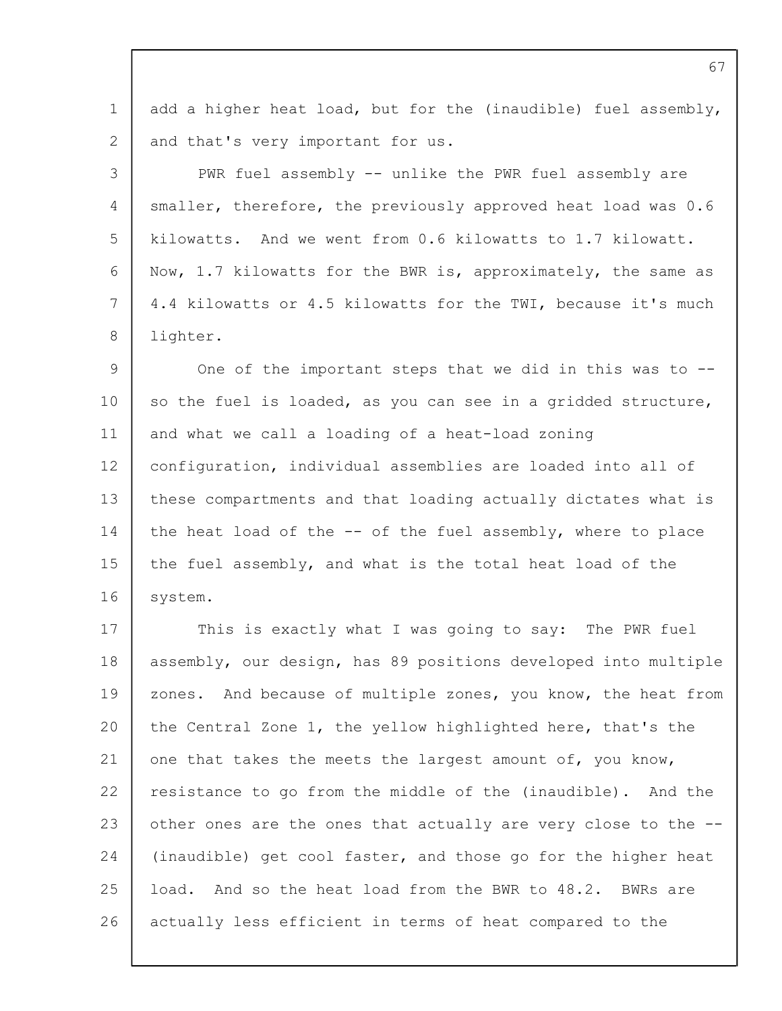1 2 3  $\Delta$ add a higher heat load, but for the (inaudible) fuel assembly, and that's very important for us. PWR fuel assembly -- unlike the PWR fuel assembly are smaller, therefore, the previously approved heat load was 0.6

5 6 7 8 kilowatts. And we went from 0.6 kilowatts to 1.7 kilowatt. Now, 1.7 kilowatts for the BWR is, approximately, the same as 4.4 kilowatts or 4.5 kilowatts for the TWI, because it's much lighter.

 $\mathsf{Q}$ 10 11 12 13 14 15 16 One of the important steps that we did in this was to - so the fuel is loaded, as you can see in a gridded structure, and what we call a loading of a heat-load zoning configuration, individual assemblies are loaded into all of these compartments and that loading actually dictates what is the heat load of the -- of the fuel assembly, where to place the fuel assembly, and what is the total heat load of the system.

17 18 19  $20$ 21 22 23 24 25 26 This is exactly what I was going to say: The PWR fuel assembly, our design, has 89 positions developed into multiple zones. And because of multiple zones, you know, the heat from the Central Zone 1, the yellow highlighted here, that's the one that takes the meets the largest amount of, you know, resistance to go from the middle of the (inaudible). And the other ones are the ones that actually are very close to the -- (inaudible) get cool faster, and those go for the higher heat load. And so the heat load from the BWR to 48.2. BWRs are actually less efficient in terms of heat compared to the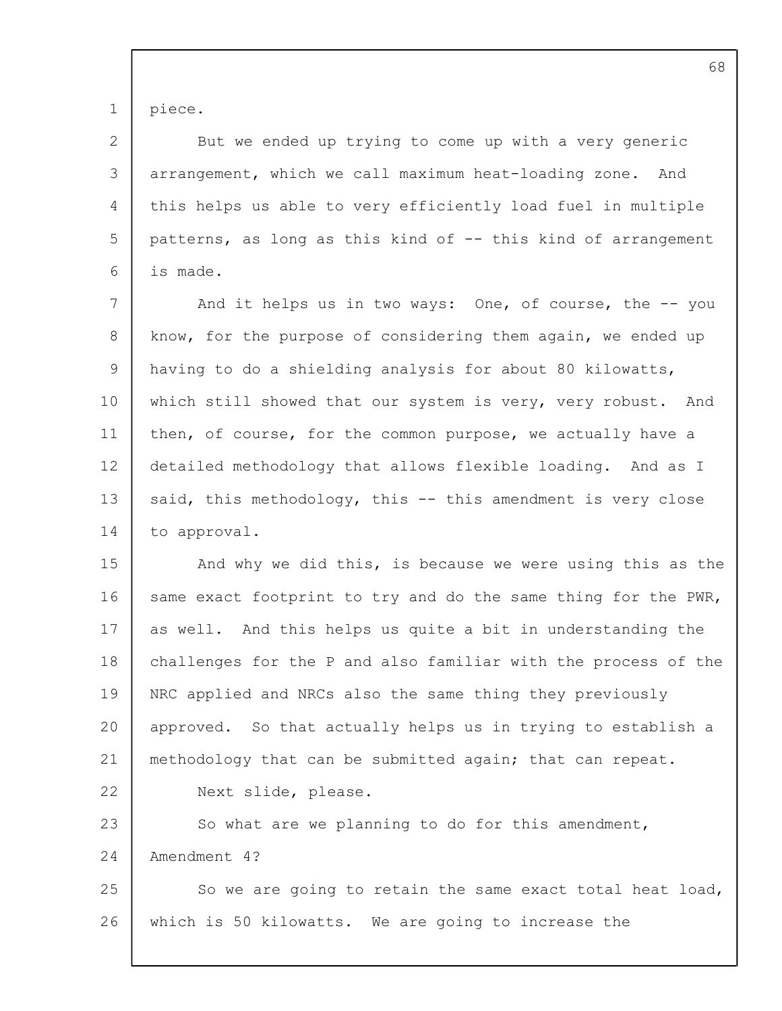1 piece.

2 3  $\Delta$ 5 6 But we ended up trying to come up with a very generic arrangement, which we call maximum heat-loading zone. And this helps us able to very efficiently load fuel in multiple patterns, as long as this kind of -- this kind of arrangement is made.

7 8 9 10 11 12 13 14 And it helps us in two ways: One, of course, the -- you know, for the purpose of considering them again, we ended up having to do a shielding analysis for about 80 kilowatts, which still showed that our system is very, very robust. And then, of course, for the common purpose, we actually have a detailed methodology that allows flexible loading. And as I said, this methodology, this -- this amendment is very close to approval.

15 16 17 18 19 20 21 22 23 And why we did this, is because we were using this as the same exact footprint to try and do the same thing for the PWR, as well. And this helps us quite a bit in understanding the challenges for the P and also familiar with the process of the NRC applied and NRCs also the same thing they previously approved. So that actually helps us in trying to establish a methodology that can be submitted again; that can repeat. Next slide, please. So what are we planning to do for this amendment,

24 Amendment 4?

25 26 So we are going to retain the same exact total heat load, which is 50 kilowatts. We are going to increase the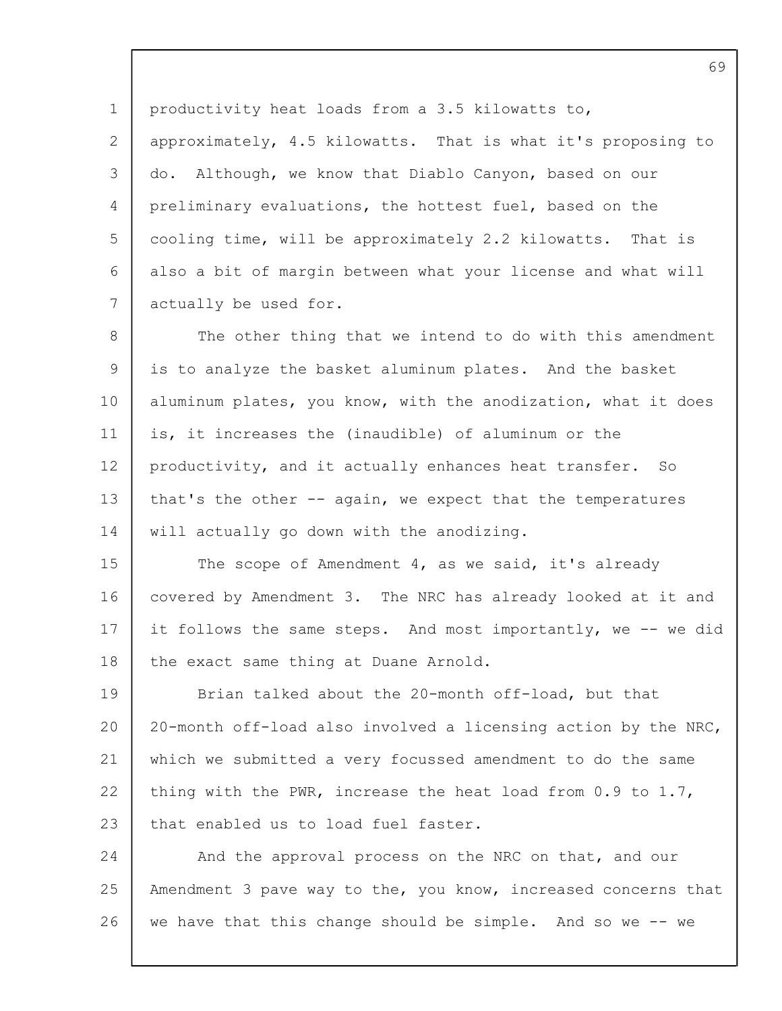1 2 3  $\Delta$ 5 6 7 productivity heat loads from a 3.5 kilowatts to, approximately, 4.5 kilowatts. That is what it's proposing to do. Although, we know that Diablo Canyon, based on our preliminary evaluations, the hottest fuel, based on the cooling time, will be approximately 2.2 kilowatts. That is also a bit of margin between what your license and what will actually be used for.

8 9 10 11 12 13 14 The other thing that we intend to do with this amendment is to analyze the basket aluminum plates. And the basket aluminum plates, you know, with the anodization, what it does is, it increases the (inaudible) of aluminum or the productivity, and it actually enhances heat transfer. So that's the other -- again, we expect that the temperatures will actually go down with the anodizing.

15 16 17 18 The scope of Amendment 4, as we said, it's already covered by Amendment 3. The NRC has already looked at it and it follows the same steps. And most importantly, we -- we did the exact same thing at Duane Arnold.

19 20 21 22 23 Brian talked about the 20-month off-load, but that 20-month off-load also involved a licensing action by the NRC, which we submitted a very focussed amendment to do the same thing with the PWR, increase the heat load from 0.9 to 1.7, that enabled us to load fuel faster.

24 25 26 And the approval process on the NRC on that, and our Amendment 3 pave way to the, you know, increased concerns that we have that this change should be simple. And so we -- we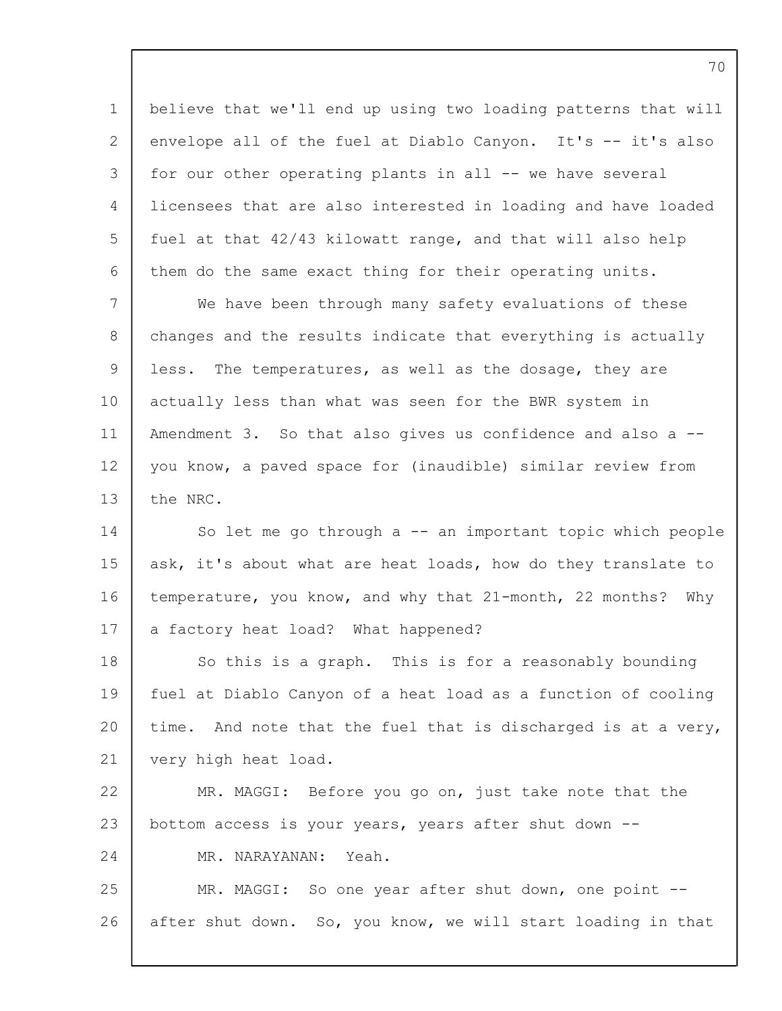1 2 3 4 5 6 7 believe that we'll end up using two loading patterns that will envelope all of the fuel at Diablo Canyon. It's -- it's also for our other operating plants in all -- we have several licensees that are also interested in loading and have loaded fuel at that 42/43 kilowatt range, and that will also help them do the same exact thing for their operating units. We have been through many safety evaluations of these

8 9 10 11 12 13 changes and the results indicate that everything is actually less. The temperatures, as well as the dosage, they are actually less than what was seen for the BWR system in Amendment 3. So that also gives us confidence and also a - you know, a paved space for (inaudible) similar review from the NRC.

14 15 16 17 So let me go through a -- an important topic which people ask, it's about what are heat loads, how do they translate to temperature, you know, and why that 21-month, 22 months? Why a factory heat load? What happened?

18 19  $20$ 21 So this is a graph. This is for a reasonably bounding fuel at Diablo Canyon of a heat load as a function of cooling time. And note that the fuel that is discharged is at a very, very high heat load.

22 23 24 MR. MAGGI: Before you go on, just take note that the bottom access is your years, years after shut down -- MR. NARAYANAN: Yeah.

25 26 MR. MAGGI: So one year after shut down, one point -after shut down. So, you know, we will start loading in that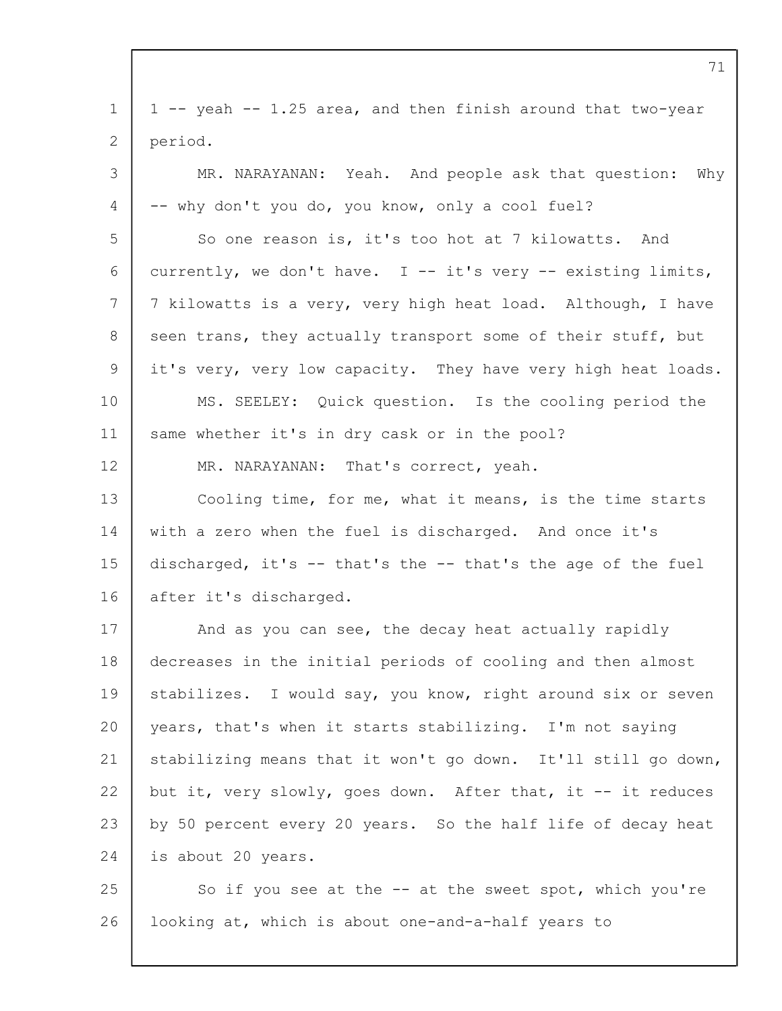|                 | 71                                                            |
|-----------------|---------------------------------------------------------------|
| 1               | 1 -- yeah -- 1.25 area, and then finish around that two-year  |
| 2               | period.                                                       |
| 3               | MR. NARAYANAN: Yeah. And people ask that question:<br>Why     |
| 4               | -- why don't you do, you know, only a cool fuel?              |
| 5               | So one reason is, it's too hot at 7 kilowatts. And            |
| 6               | currently, we don't have. I -- it's very -- existing limits,  |
| $7\phantom{.0}$ | 7 kilowatts is a very, very high heat load. Although, I have  |
| 8               | seen trans, they actually transport some of their stuff, but  |
| 9               | it's very, very low capacity. They have very high heat loads. |
| 10              | MS. SEELEY: Quick question. Is the cooling period the         |
| 11              | same whether it's in dry cask or in the pool?                 |
| 12 <sup>°</sup> | MR. NARAYANAN: That's correct, yeah.                          |
| 13              | Cooling time, for me, what it means, is the time starts       |
| 14              | with a zero when the fuel is discharged. And once it's        |
| 15              | discharged, it's -- that's the -- that's the age of the fuel  |
| 16              | after it's discharged.                                        |
| 17              | And as you can see, the decay heat actually rapidly           |
| 18              | decreases in the initial periods of cooling and then almost   |
| 19              | stabilizes. I would say, you know, right around six or seven  |
| 20              | years, that's when it starts stabilizing. I'm not saying      |
| 21              | stabilizing means that it won't go down. It'll still go down, |
| 22              | but it, very slowly, goes down. After that, it -- it reduces  |
| 23              | by 50 percent every 20 years. So the half life of decay heat  |
| 24              | is about 20 years.                                            |
| 25              | So if you see at the -- at the sweet spot, which you're       |
| 26              | looking at, which is about one-and-a-half years to            |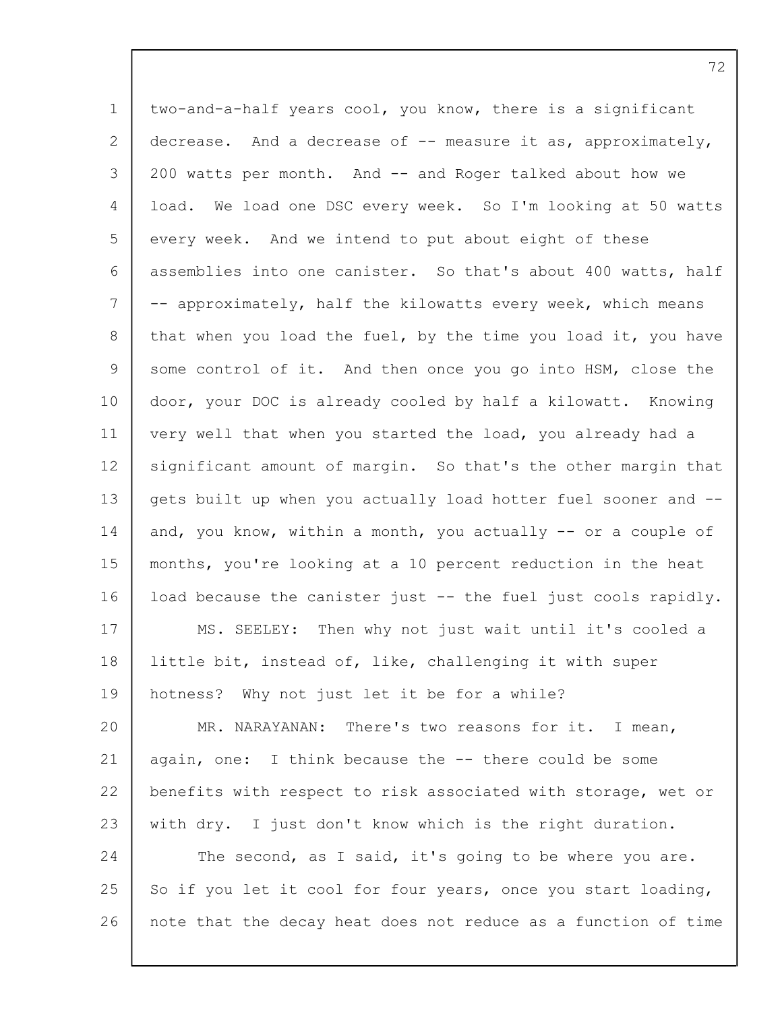1 2 3  $\Delta$ 5 6 7 8 9 10 11 12 13 14 15 16 17 18 19 20 21 22 23 24 25 26 two-and-a-half years cool, you know, there is a significant decrease. And a decrease of -- measure it as, approximately, 200 watts per month. And -- and Roger talked about how we load. We load one DSC every week. So I'm looking at 50 watts every week. And we intend to put about eight of these assemblies into one canister. So that's about 400 watts, half -- approximately, half the kilowatts every week, which means that when you load the fuel, by the time you load it, you have some control of it. And then once you go into HSM, close the door, your DOC is already cooled by half a kilowatt. Knowing very well that when you started the load, you already had a significant amount of margin. So that's the other margin that gets built up when you actually load hotter fuel sooner and - and, you know, within a month, you actually -- or a couple of months, you're looking at a 10 percent reduction in the heat load because the canister just -- the fuel just cools rapidly. MS. SEELEY: Then why not just wait until it's cooled a little bit, instead of, like, challenging it with super hotness? Why not just let it be for a while? MR. NARAYANAN: There's two reasons for it. I mean, again, one: I think because the -- there could be some benefits with respect to risk associated with storage, wet or with dry. I just don't know which is the right duration. The second, as I said, it's going to be where you are. So if you let it cool for four years, once you start loading, note that the decay heat does not reduce as a function of time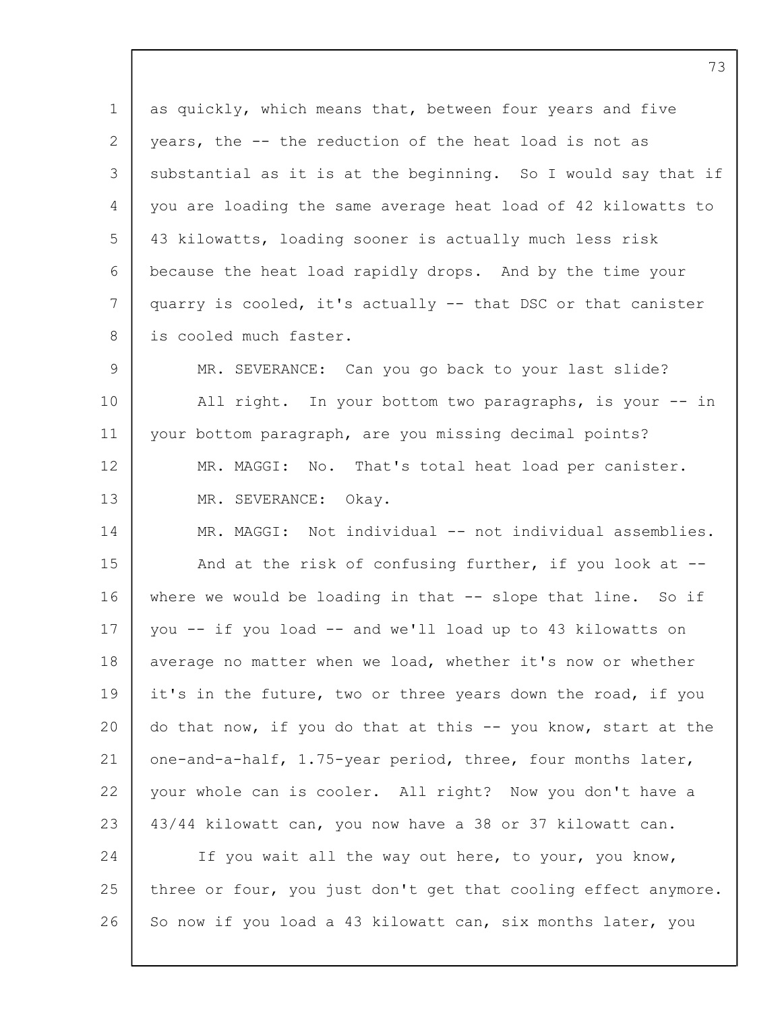1 2 3  $\Delta$ 5 6 7 8  $\mathsf{Q}$ 10 11 12 13 14 15 16 17 18 19 20 21 22 23 24 25 26 as quickly, which means that, between four years and five years, the -- the reduction of the heat load is not as substantial as it is at the beginning. So I would say that if you are loading the same average heat load of 42 kilowatts to 43 kilowatts, loading sooner is actually much less risk because the heat load rapidly drops. And by the time your quarry is cooled, it's actually -- that DSC or that canister is cooled much faster. MR. SEVERANCE: Can you go back to your last slide? All right. In your bottom two paragraphs, is your -- in your bottom paragraph, are you missing decimal points? MR. MAGGI: No. That's total heat load per canister. MR. SEVERANCE: Okay. MR. MAGGI: Not individual -- not individual assemblies. And at the risk of confusing further, if you look at - where we would be loading in that -- slope that line. So if you -- if you load -- and we'll load up to 43 kilowatts on average no matter when we load, whether it's now or whether it's in the future, two or three years down the road, if you do that now, if you do that at this -- you know, start at the one-and-a-half, 1.75-year period, three, four months later, your whole can is cooler. All right? Now you don't have a 43/44 kilowatt can, you now have a 38 or 37 kilowatt can. If you wait all the way out here, to your, you know, three or four, you just don't get that cooling effect anymore. So now if you load a 43 kilowatt can, six months later, you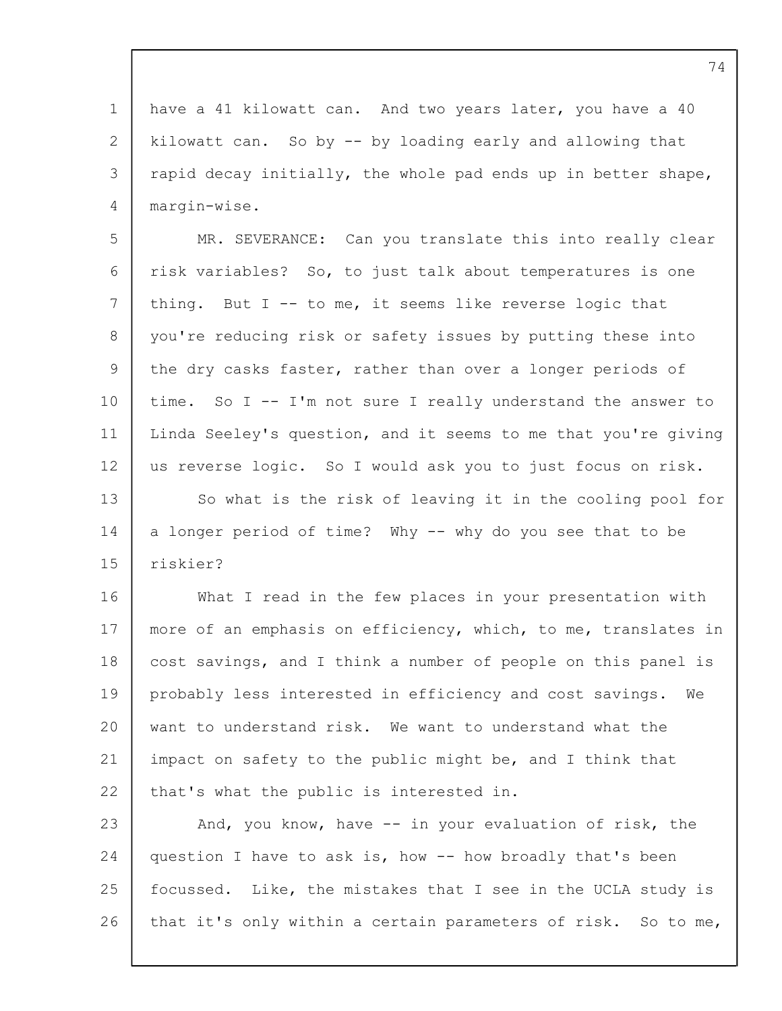1 2 3 4 have a 41 kilowatt can. And two years later, you have a 40 kilowatt can. So by -- by loading early and allowing that rapid decay initially, the whole pad ends up in better shape, margin-wise.

5 6 7 8 9 10 11 12 13 14 15 MR. SEVERANCE: Can you translate this into really clear risk variables? So, to just talk about temperatures is one thing. But  $I - -$  to me, it seems like reverse logic that you're reducing risk or safety issues by putting these into the dry casks faster, rather than over a longer periods of time. So I -- I'm not sure I really understand the answer to Linda Seeley's question, and it seems to me that you're giving us reverse logic. So I would ask you to just focus on risk. So what is the risk of leaving it in the cooling pool for a longer period of time? Why -- why do you see that to be riskier?

16 17 18 19 20 21 22 What I read in the few places in your presentation with more of an emphasis on efficiency, which, to me, translates in cost savings, and I think a number of people on this panel is probably less interested in efficiency and cost savings. We want to understand risk. We want to understand what the impact on safety to the public might be, and I think that that's what the public is interested in.

23 24 25 26 And, you know, have -- in your evaluation of risk, the question I have to ask is, how -- how broadly that's been focussed. Like, the mistakes that I see in the UCLA study is that it's only within a certain parameters of risk. So to me,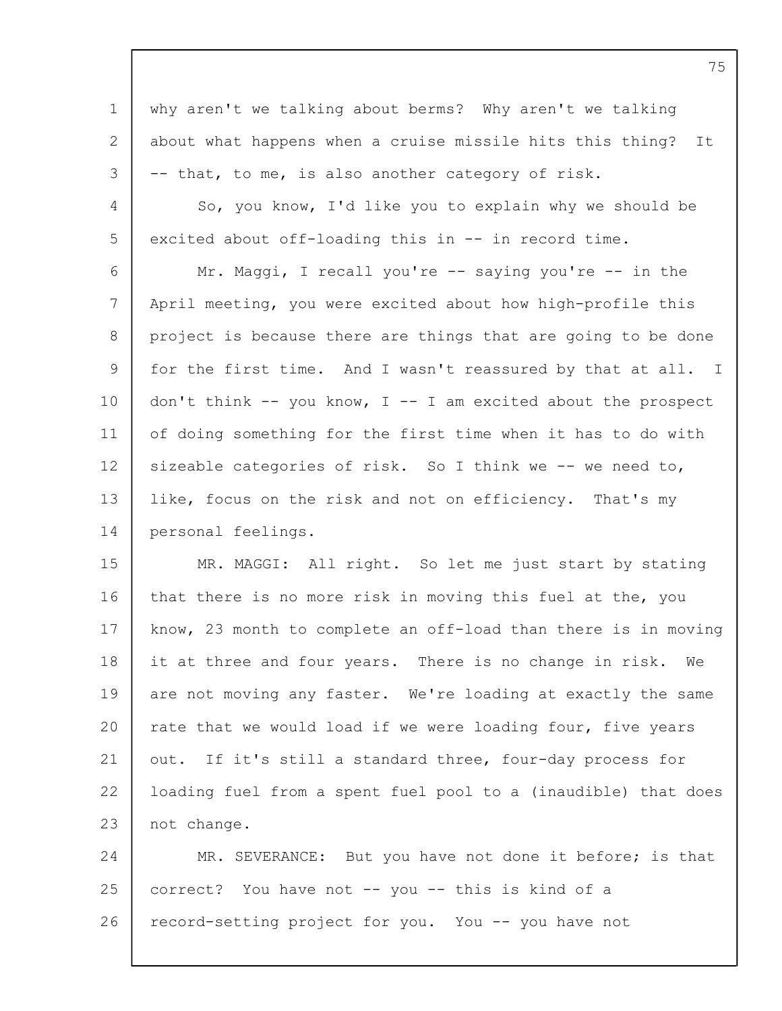1 2 3 4 5 6 7 8 9 10 11 12 13 14 15 why aren't we talking about berms? Why aren't we talking about what happens when a cruise missile hits this thing? It -- that, to me, is also another category of risk. So, you know, I'd like you to explain why we should be excited about off-loading this in -- in record time. Mr. Maggi, I recall you're -- saying you're -- in the April meeting, you were excited about how high-profile this project is because there are things that are going to be done for the first time. And I wasn't reassured by that at all. I don't think  $--$  you know, I  $--$  I am excited about the prospect of doing something for the first time when it has to do with sizeable categories of risk. So I think we -- we need to, like, focus on the risk and not on efficiency. That's my personal feelings. MR. MAGGI: All right. So let me just start by stating

16 17 18 19 20 21 22 23 that there is no more risk in moving this fuel at the, you know, 23 month to complete an off-load than there is in moving it at three and four years. There is no change in risk. We are not moving any faster. We're loading at exactly the same rate that we would load if we were loading four, five years out. If it's still a standard three, four-day process for loading fuel from a spent fuel pool to a (inaudible) that does not change.

24 25 26 MR. SEVERANCE: But you have not done it before; is that correct? You have not -- you -- this is kind of a record-setting project for you. You -- you have not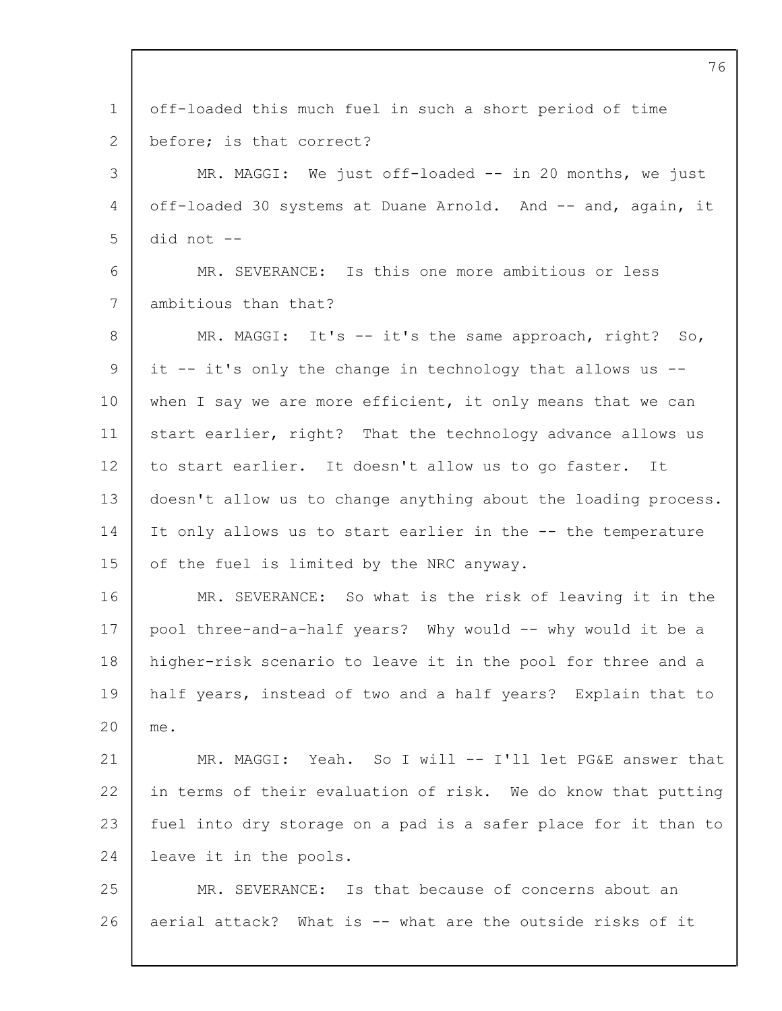1 2 3  $\Delta$ 5 6 7 8 9 10 11 12 13 14 15 16 17 18 19  $20$ 21 22 23 24 25 26 off-loaded this much fuel in such a short period of time before; is that correct? MR. MAGGI: We just off-loaded -- in 20 months, we just off-loaded 30 systems at Duane Arnold. And -- and, again, it did not -- MR. SEVERANCE: Is this one more ambitious or less ambitious than that? MR. MAGGI: It's -- it's the same approach, right? So, it -- it's only the change in technology that allows us - when I say we are more efficient, it only means that we can start earlier, right? That the technology advance allows us to start earlier. It doesn't allow us to go faster. It doesn't allow us to change anything about the loading process. It only allows us to start earlier in the -- the temperature of the fuel is limited by the NRC anyway. MR. SEVERANCE: So what is the risk of leaving it in the pool three-and-a-half years? Why would -- why would it be a higher-risk scenario to leave it in the pool for three and a half years, instead of two and a half years? Explain that to me. MR. MAGGI: Yeah. So I will -- I'll let PG&E answer that in terms of their evaluation of risk. We do know that putting fuel into dry storage on a pad is a safer place for it than to leave it in the pools. MR. SEVERANCE: Is that because of concerns about an aerial attack? What is -- what are the outside risks of it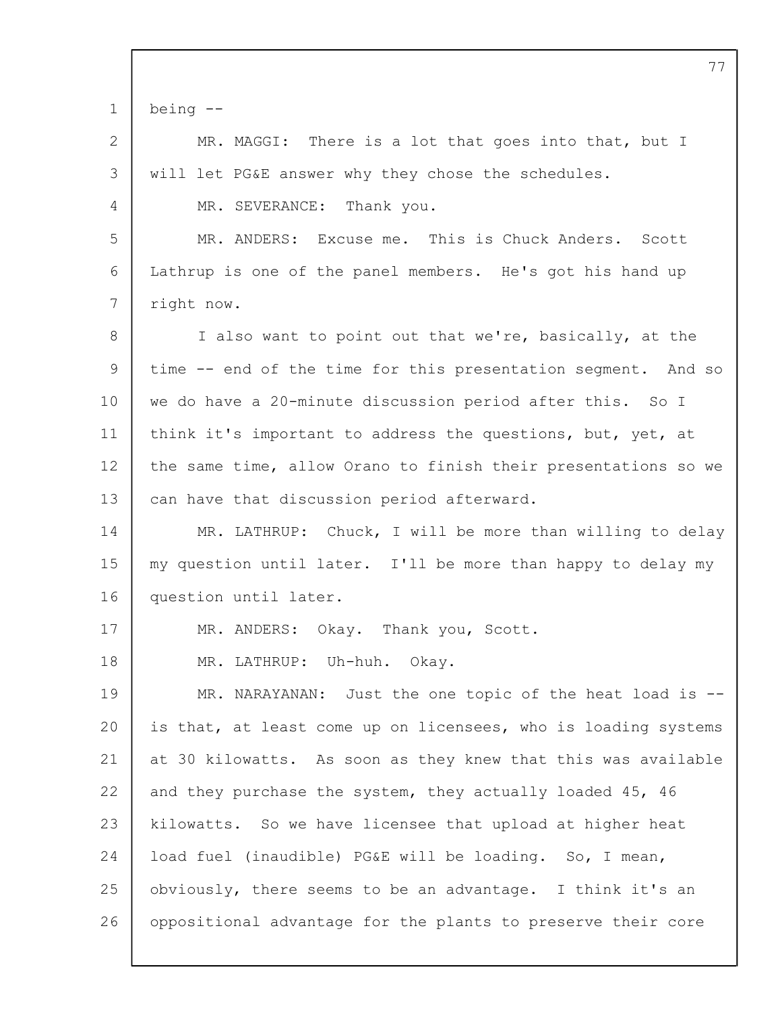|             | 77                                                             |
|-------------|----------------------------------------------------------------|
| $\mathbf 1$ | being $--$                                                     |
| 2           | MR. MAGGI: There is a lot that goes into that, but I           |
| 3           | will let PG&E answer why they chose the schedules.             |
| 4           | MR. SEVERANCE: Thank you.                                      |
| 5           | MR. ANDERS: Excuse me. This is Chuck Anders. Scott             |
| 6           | Lathrup is one of the panel members. He's got his hand up      |
| 7           | right now.                                                     |
| 8           | I also want to point out that we're, basically, at the         |
| 9           | time -- end of the time for this presentation segment. And so  |
| 10          | we do have a 20-minute discussion period after this. So I      |
| 11          | think it's important to address the questions, but, yet, at    |
| 12          | the same time, allow Orano to finish their presentations so we |
| 13          | can have that discussion period afterward.                     |
| 14          | MR. LATHRUP: Chuck, I will be more than willing to delay       |
| 15          | my question until later. I'll be more than happy to delay my   |
| 16          | question until later.                                          |
| 17          | MR. ANDERS: Okay. Thank you, Scott.                            |
| 18          | MR. LATHRUP: Uh-huh. Okay.                                     |
| 19          | MR. NARAYANAN: Just the one topic of the heat load is --       |
| 20          | is that, at least come up on licensees, who is loading systems |
| 21          | at 30 kilowatts. As soon as they knew that this was available  |
| 22          | and they purchase the system, they actually loaded 45, 46      |
| 23          | kilowatts. So we have licensee that upload at higher heat      |
| 24          | load fuel (inaudible) PG&E will be loading. So, I mean,        |
| 25          | obviously, there seems to be an advantage. I think it's an     |
| 26          | oppositional advantage for the plants to preserve their core   |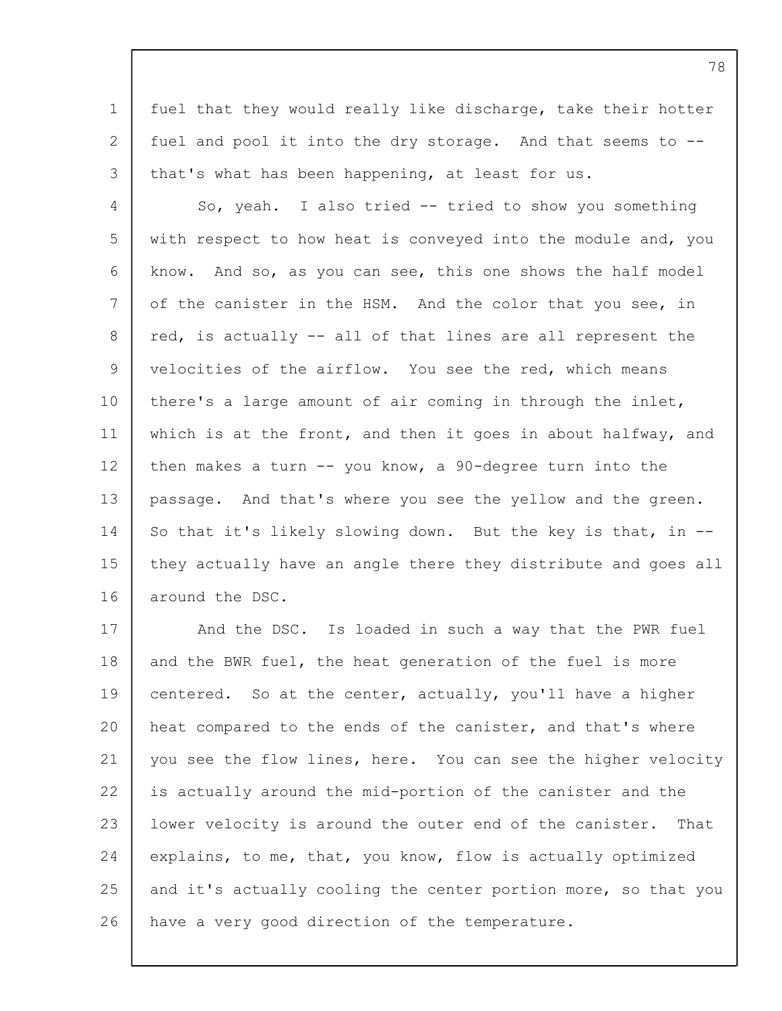1 2 3 fuel that they would really like discharge, take their hotter fuel and pool it into the dry storage. And that seems to - that's what has been happening, at least for us.

4 5 6 7 8 9 10 11 12 13 14 15 16 So, yeah. I also tried -- tried to show you something with respect to how heat is conveyed into the module and, you know. And so, as you can see, this one shows the half model of the canister in the HSM. And the color that you see, in red, is actually -- all of that lines are all represent the velocities of the airflow. You see the red, which means there's a large amount of air coming in through the inlet, which is at the front, and then it goes in about halfway, and then makes a turn  $--$  you know, a 90-degree turn into the passage. And that's where you see the yellow and the green. So that it's likely slowing down. But the key is that, in - they actually have an angle there they distribute and goes all around the DSC.

17 18 19 20 21 22 23 24 25 26 And the DSC. Is loaded in such a way that the PWR fuel and the BWR fuel, the heat generation of the fuel is more centered. So at the center, actually, you'll have a higher heat compared to the ends of the canister, and that's where you see the flow lines, here. You can see the higher velocity is actually around the mid-portion of the canister and the lower velocity is around the outer end of the canister. That explains, to me, that, you know, flow is actually optimized and it's actually cooling the center portion more, so that you have a very good direction of the temperature.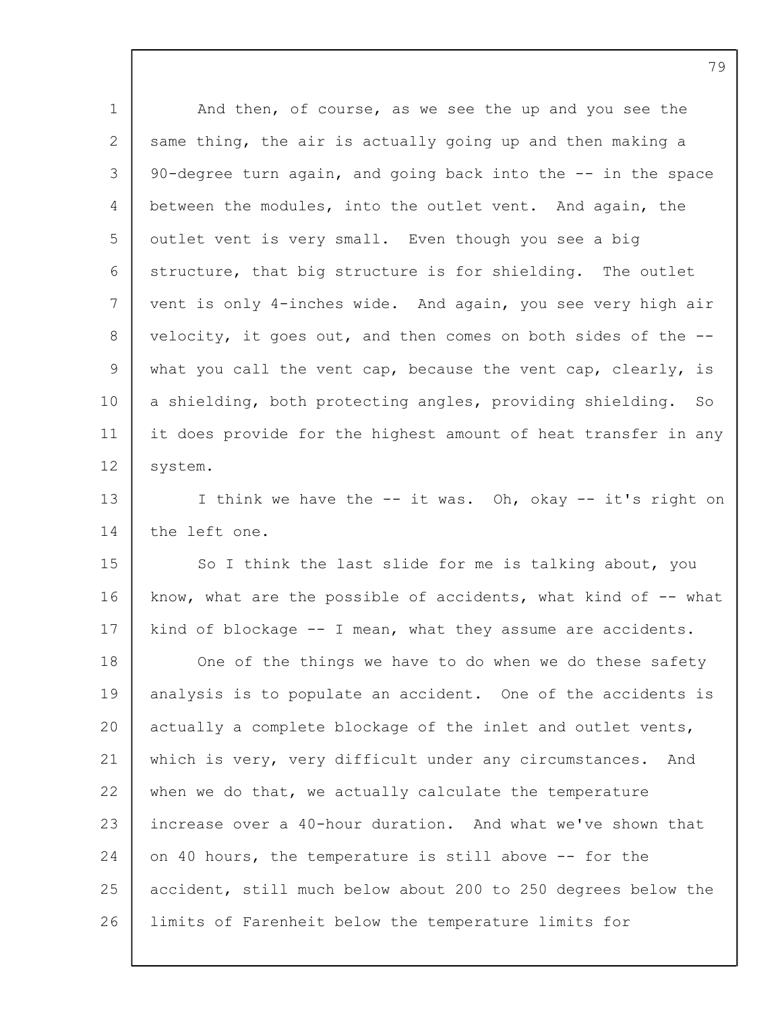| $\mathbf 1$ | And then, of course, as we see the up and you see the          |
|-------------|----------------------------------------------------------------|
| 2           | same thing, the air is actually going up and then making a     |
| 3           | 90-degree turn again, and going back into the -- in the space  |
| 4           | between the modules, into the outlet vent. And again, the      |
| 5           | outlet vent is very small. Even though you see a big           |
| 6           | structure, that big structure is for shielding. The outlet     |
| 7           | vent is only 4-inches wide. And again, you see very high air   |
| 8           | velocity, it goes out, and then comes on both sides of the --  |
| 9           | what you call the vent cap, because the vent cap, clearly, is  |
| 10          | a shielding, both protecting angles, providing shielding. So   |
| 11          | it does provide for the highest amount of heat transfer in any |
| 12          | system.                                                        |
| 13          | I think we have the -- it was. Oh, okay -- it's right on       |
| 14          | the left one.                                                  |
| 15          | So I think the last slide for me is talking about, you         |
| 16          | know, what are the possible of accidents, what kind of -- what |
| 17          | kind of blockage -- I mean, what they assume are accidents.    |
| 18          | One of the things we have to do when we do these safety        |
| 19          | analysis is to populate an accident. One of the accidents is   |
| 20          | actually a complete blockage of the inlet and outlet vents,    |
| 21          | which is very, very difficult under any circumstances. And     |
| 22          | when we do that, we actually calculate the temperature         |
| 23          | increase over a 40-hour duration. And what we've shown that    |
| 24          | on 40 hours, the temperature is still above -- for the         |
| 25          | accident, still much below about 200 to 250 degrees below the  |
| 26          | limits of Farenheit below the temperature limits for           |
|             |                                                                |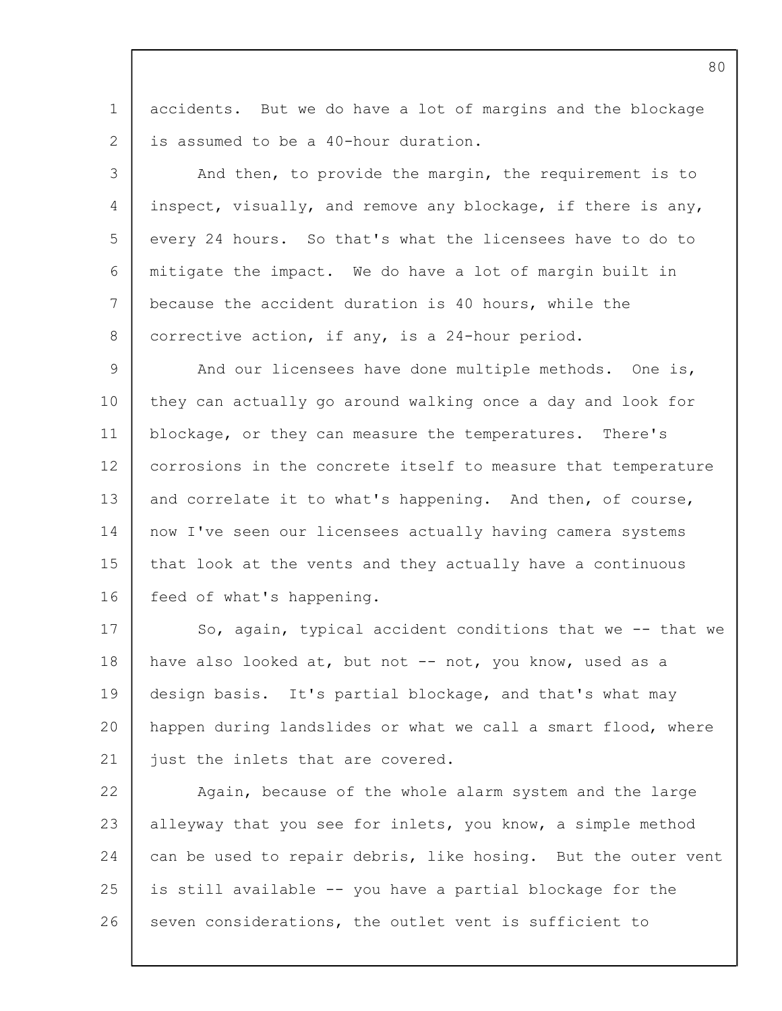1  $\mathcal{P}$ accidents. But we do have a lot of margins and the blockage is assumed to be a 40-hour duration.

3 4 5 6 7 8 And then, to provide the margin, the requirement is to inspect, visually, and remove any blockage, if there is any, every 24 hours. So that's what the licensees have to do to mitigate the impact. We do have a lot of margin built in because the accident duration is 40 hours, while the corrective action, if any, is a 24-hour period.

 $\mathsf{Q}$ 10 11 12 13 14 15 16 And our licensees have done multiple methods. One is, they can actually go around walking once a day and look for blockage, or they can measure the temperatures. There's corrosions in the concrete itself to measure that temperature and correlate it to what's happening. And then, of course, now I've seen our licensees actually having camera systems that look at the vents and they actually have a continuous feed of what's happening.

17 18 19 20 21 So, again, typical accident conditions that we -- that we have also looked at, but not -- not, you know, used as a design basis. It's partial blockage, and that's what may happen during landslides or what we call a smart flood, where just the inlets that are covered.

22 23 24 25 26 Again, because of the whole alarm system and the large alleyway that you see for inlets, you know, a simple method can be used to repair debris, like hosing. But the outer vent is still available -- you have a partial blockage for the seven considerations, the outlet vent is sufficient to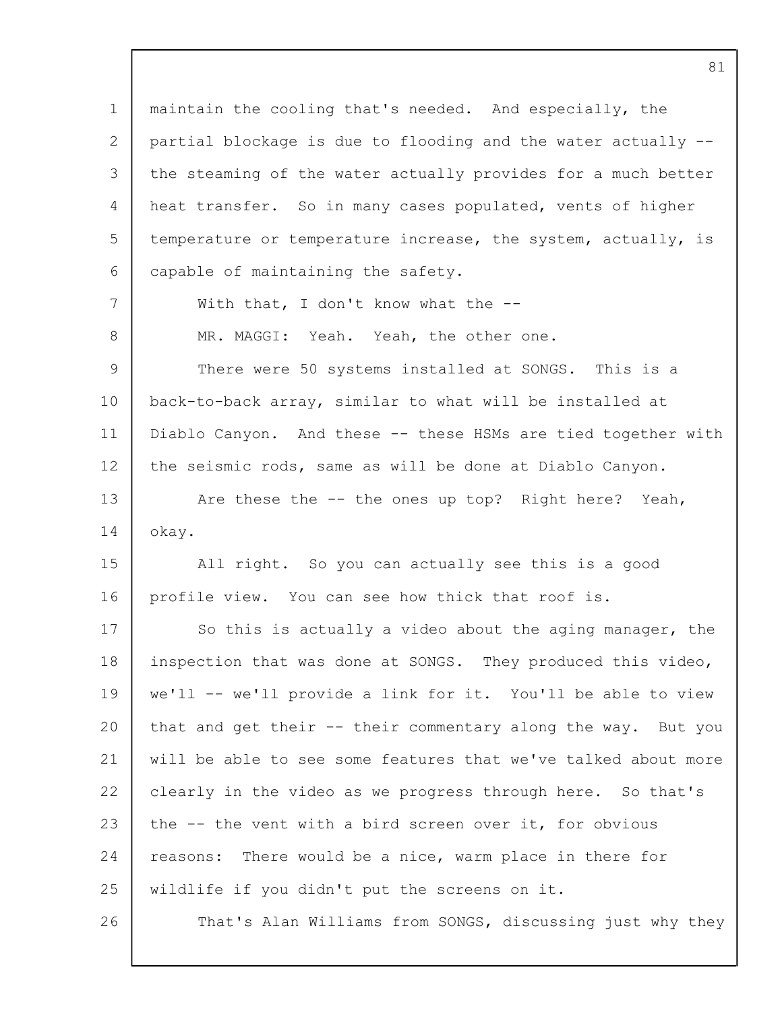1 2 3  $\Delta$ 5 6 7 8 9 10 11 12 13 14 15 16 17 18 19 20 21 22 23 24 25 26 maintain the cooling that's needed. And especially, the partial blockage is due to flooding and the water actually - the steaming of the water actually provides for a much better heat transfer. So in many cases populated, vents of higher temperature or temperature increase, the system, actually, is capable of maintaining the safety. With that, I don't know what the --MR. MAGGI: Yeah. Yeah, the other one. There were 50 systems installed at SONGS. This is a back-to-back array, similar to what will be installed at Diablo Canyon. And these -- these HSMs are tied together with the seismic rods, same as will be done at Diablo Canyon. Are these the -- the ones up top? Right here? Yeah, okay. All right. So you can actually see this is a good profile view. You can see how thick that roof is. So this is actually a video about the aging manager, the inspection that was done at SONGS. They produced this video, we'll -- we'll provide a link for it. You'll be able to view that and get their -- their commentary along the way. But you will be able to see some features that we've talked about more clearly in the video as we progress through here. So that's the -- the vent with a bird screen over it, for obvious reasons: There would be a nice, warm place in there for wildlife if you didn't put the screens on it. That's Alan Williams from SONGS, discussing just why they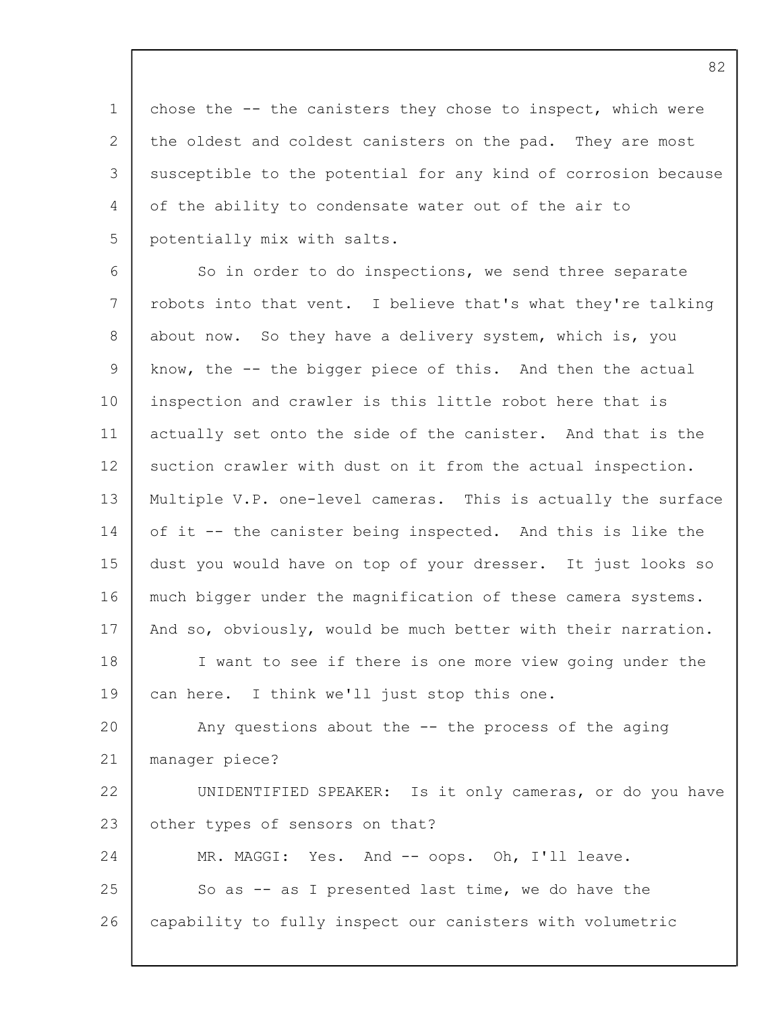1 2 3 4 5 chose the -- the canisters they chose to inspect, which were the oldest and coldest canisters on the pad. They are most susceptible to the potential for any kind of corrosion because of the ability to condensate water out of the air to potentially mix with salts.

6 7 8 9 10 11 12 13 14 15 16 17 18 19  $20$ 21 22 23 24 25 26 So in order to do inspections, we send three separate robots into that vent. I believe that's what they're talking about now. So they have a delivery system, which is, you know, the -- the bigger piece of this. And then the actual inspection and crawler is this little robot here that is actually set onto the side of the canister. And that is the suction crawler with dust on it from the actual inspection. Multiple V.P. one-level cameras. This is actually the surface of it -- the canister being inspected. And this is like the dust you would have on top of your dresser. It just looks so much bigger under the magnification of these camera systems. And so, obviously, would be much better with their narration. I want to see if there is one more view going under the can here. I think we'll just stop this one. Any questions about the  $--$  the process of the aging manager piece? UNIDENTIFIED SPEAKER: Is it only cameras, or do you have other types of sensors on that? MR. MAGGI: Yes. And -- oops. Oh, I'll leave. So as -- as I presented last time, we do have the capability to fully inspect our canisters with volumetric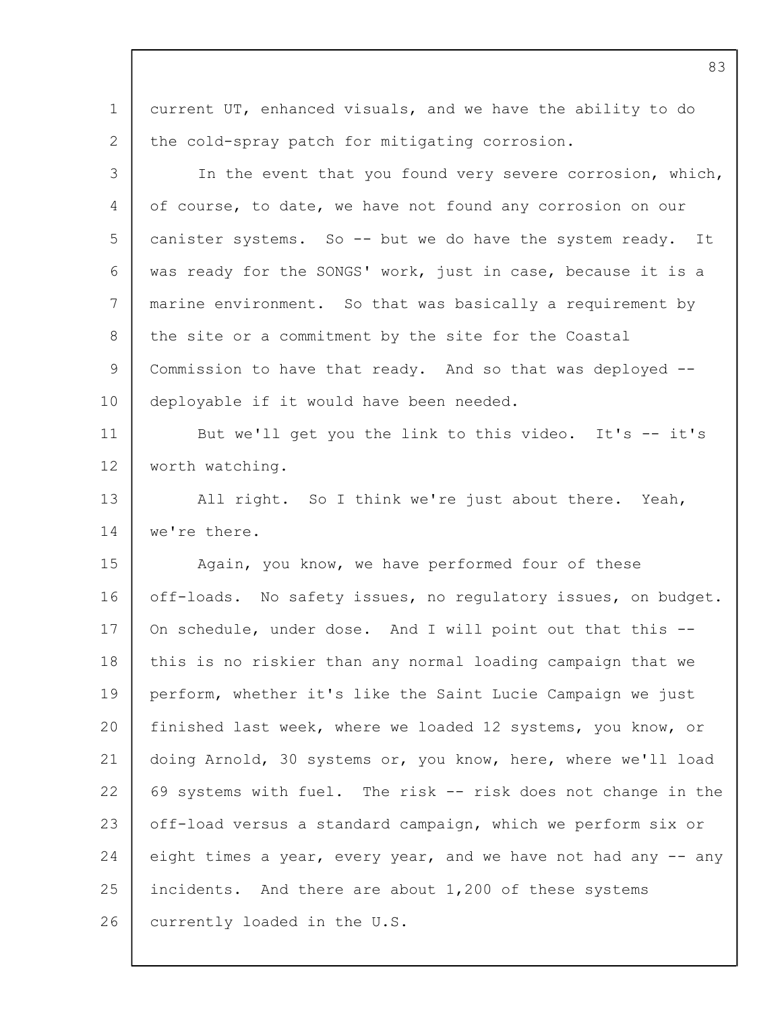1 2 current UT, enhanced visuals, and we have the ability to do the cold-spray patch for mitigating corrosion.

3  $\Delta$ 5 6 7 8 9 10 11 12 13 14 15 16 17 18 19 20 In the event that you found very severe corrosion, which, of course, to date, we have not found any corrosion on our canister systems. So -- but we do have the system ready. It was ready for the SONGS' work, just in case, because it is a marine environment. So that was basically a requirement by the site or a commitment by the site for the Coastal Commission to have that ready. And so that was deployed - deployable if it would have been needed. But we'll get you the link to this video. It's -- it's worth watching. All right. So I think we're just about there. Yeah, we're there. Again, you know, we have performed four of these off-loads. No safety issues, no regulatory issues, on budget. On schedule, under dose. And I will point out that this - this is no riskier than any normal loading campaign that we perform, whether it's like the Saint Lucie Campaign we just finished last week, where we loaded 12 systems, you know, or

21 22 23 24 25 26 doing Arnold, 30 systems or, you know, here, where we'll load 69 systems with fuel. The risk -- risk does not change in the off-load versus a standard campaign, which we perform six or eight times a year, every year, and we have not had any -- any incidents. And there are about 1,200 of these systems currently loaded in the U.S.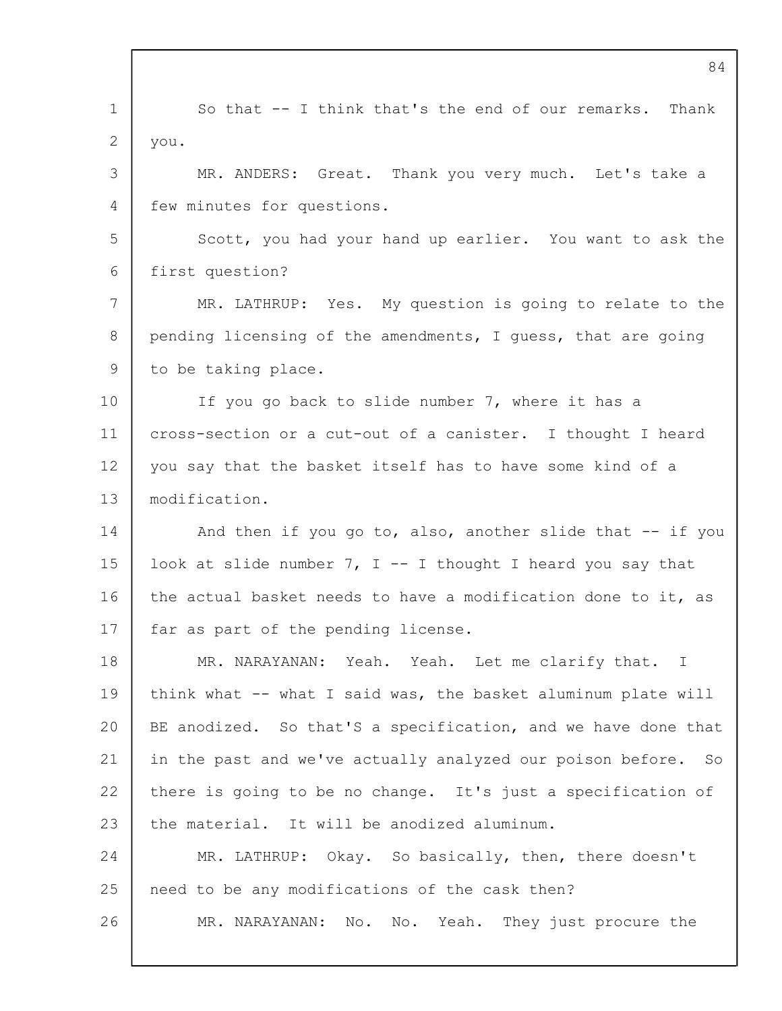|                 | 84                                                             |
|-----------------|----------------------------------------------------------------|
| $\mathbf 1$     | So that -- I think that's the end of our remarks. Thank        |
| 2               | you.                                                           |
| 3               | MR. ANDERS: Great. Thank you very much. Let's take a           |
| 4               | few minutes for questions.                                     |
| 5               | Scott, you had your hand up earlier. You want to ask the       |
| 6               | first question?                                                |
| 7               | MR. LATHRUP: Yes. My question is going to relate to the        |
| 8               | pending licensing of the amendments, I guess, that are going   |
| 9               | to be taking place.                                            |
| 10 <sub>o</sub> | If you go back to slide number 7, where it has a               |
| 11              | cross-section or a cut-out of a canister. I thought I heard    |
| 12              | you say that the basket itself has to have some kind of a      |
| 13              | modification.                                                  |
| 14              | And then if you go to, also, another slide that -- if you      |
| 15              | look at slide number $7$ , I -- I thought I heard you say that |
| 16              | the actual basket needs to have a modification done to it, as  |
| 17              | far as part of the pending license.                            |
| 18              | MR. NARAYANAN: Yeah. Yeah. Let me clarify that. I              |
| 19              | think what -- what I said was, the basket aluminum plate will  |
| 20              | BE anodized. So that'S a specification, and we have done that  |
| 21              | in the past and we've actually analyzed our poison before. So  |
| 22              | there is going to be no change. It's just a specification of   |
| 23              | the material. It will be anodized aluminum.                    |
| 24              | MR. LATHRUP: Okay. So basically, then, there doesn't           |
| 25              | need to be any modifications of the cask then?                 |
| 26              | No. No. Yeah. They just procure the<br>MR. NARAYANAN:          |
|                 |                                                                |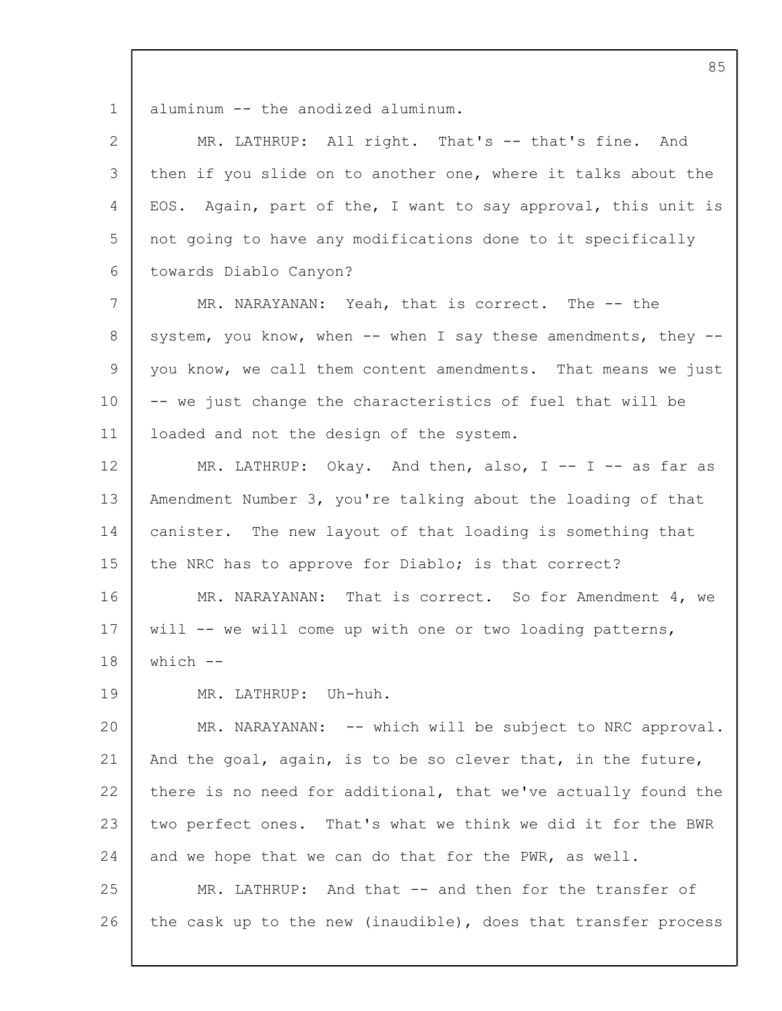1 aluminum -- the anodized aluminum.

| 2  | MR. LATHRUP: All right. That's -- that's fine. And             |
|----|----------------------------------------------------------------|
| 3  | then if you slide on to another one, where it talks about the  |
|    |                                                                |
| 4  | EOS. Again, part of the, I want to say approval, this unit is  |
| 5  | not going to have any modifications done to it specifically    |
| 6  | towards Diablo Canyon?                                         |
| 7  | MR. NARAYANAN: Yeah, that is correct. The -- the               |
| 8  | system, you know, when -- when I say these amendments, they -- |
| 9  | you know, we call them content amendments. That means we just  |
| 10 | -- we just change the characteristics of fuel that will be     |
| 11 | loaded and not the design of the system.                       |
| 12 | MR. LATHRUP: Okay. And then, also, $I - - I - -$ as far as     |
| 13 | Amendment Number 3, you're talking about the loading of that   |
| 14 | canister. The new layout of that loading is something that     |
| 15 | the NRC has to approve for Diablo; is that correct?            |
| 16 | MR. NARAYANAN: That is correct. So for Amendment 4, we         |
| 17 | will $-$ we will come up with one or two loading patterns,     |
| 18 | which $--$                                                     |
| 19 | MR. LATHRUP: Uh-huh.                                           |
| 20 | MR. NARAYANAN: -- which will be subject to NRC approval.       |
| 21 | And the goal, again, is to be so clever that, in the future,   |
| 22 | there is no need for additional, that we've actually found the |
| 23 | two perfect ones. That's what we think we did it for the BWR   |
| 24 | and we hope that we can do that for the PWR, as well.          |
| 25 | MR. LATHRUP: And that -- and then for the transfer of          |
| 26 | the cask up to the new (inaudible), does that transfer process |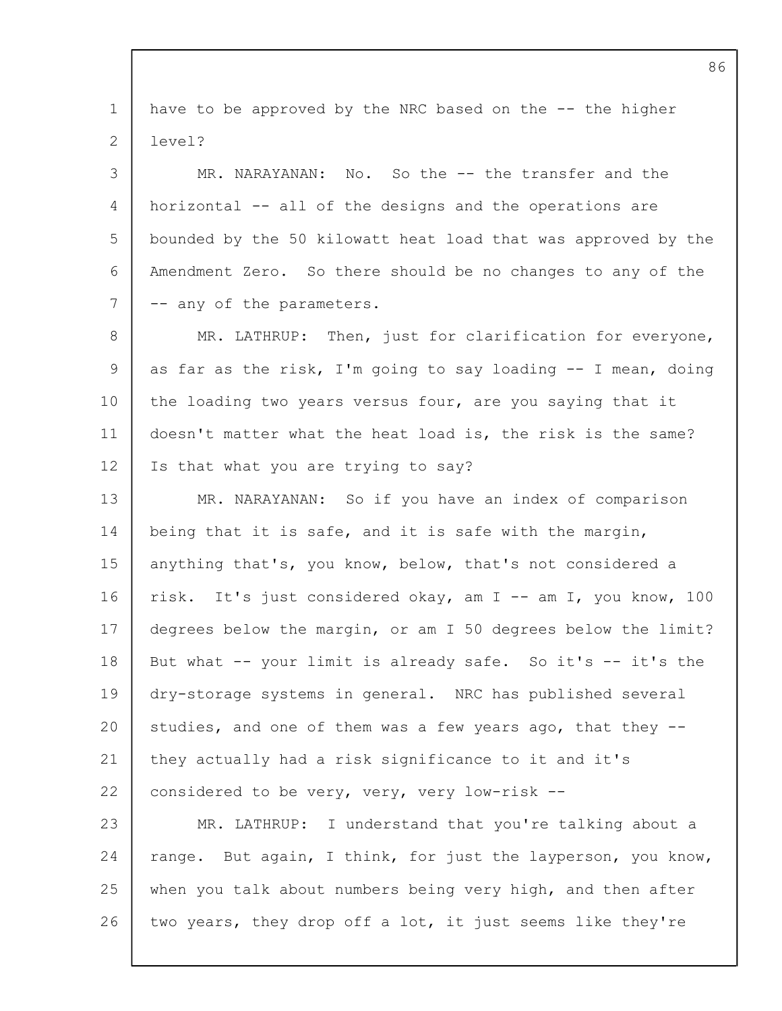1  $\mathfrak{D}$ 3  $\Delta$ 5 6 7 8 9 10 11 12 13 14 15 16 17 18 19 20 21 22 23 24 25 26 have to be approved by the NRC based on the -- the higher level? MR. NARAYANAN: No. So the -- the transfer and the horizontal -- all of the designs and the operations are bounded by the 50 kilowatt heat load that was approved by the Amendment Zero. So there should be no changes to any of the -- any of the parameters. MR. LATHRUP: Then, just for clarification for everyone, as far as the risk, I'm going to say loading -- I mean, doing the loading two years versus four, are you saying that it doesn't matter what the heat load is, the risk is the same? Is that what you are trying to say? MR. NARAYANAN: So if you have an index of comparison being that it is safe, and it is safe with the margin, anything that's, you know, below, that's not considered a risk. It's just considered okay, am I -- am I, you know, 100 degrees below the margin, or am I 50 degrees below the limit? But what -- your limit is already safe. So it's -- it's the dry-storage systems in general. NRC has published several studies, and one of them was a few years ago, that they - they actually had a risk significance to it and it's considered to be very, very, very low-risk -- MR. LATHRUP: I understand that you're talking about a range. But again, I think, for just the layperson, you know, when you talk about numbers being very high, and then after two years, they drop off a lot, it just seems like they're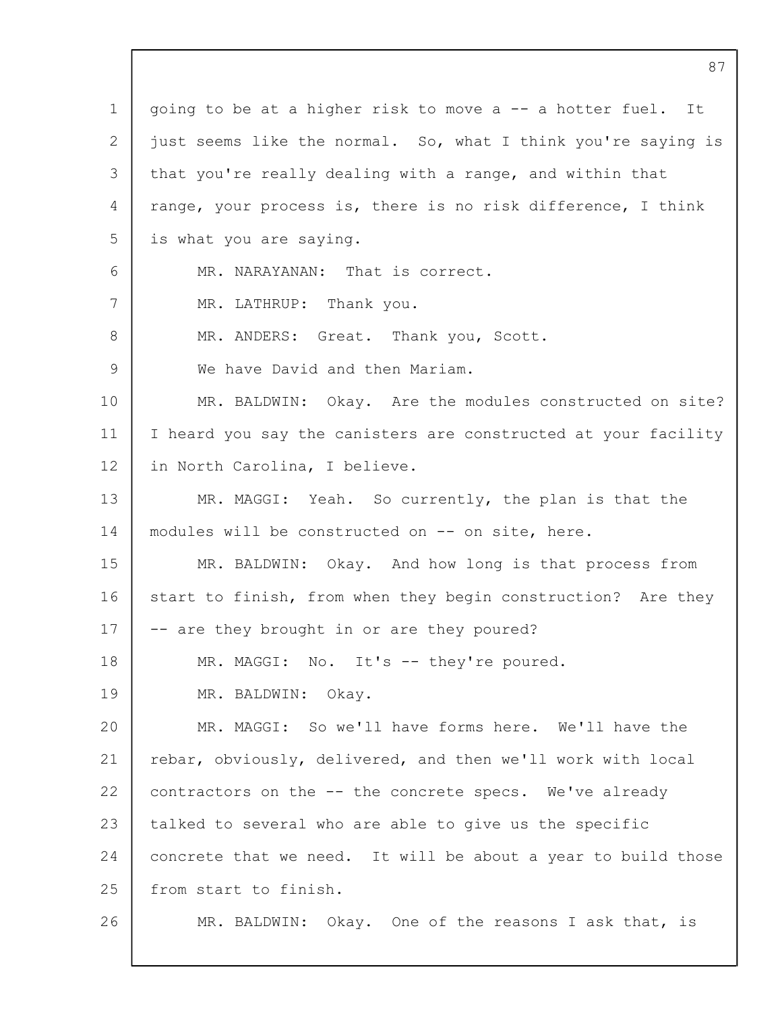| 1  | going to be at a higher risk to move a -- a hotter fuel. It    |
|----|----------------------------------------------------------------|
| 2  | just seems like the normal. So, what I think you're saying is  |
| 3  | that you're really dealing with a range, and within that       |
| 4  | range, your process is, there is no risk difference, I think   |
| 5  | is what you are saying.                                        |
| 6  | MR. NARAYANAN: That is correct.                                |
| 7  | MR. LATHRUP: Thank you.                                        |
| 8  | MR. ANDERS: Great. Thank you, Scott.                           |
| 9  | We have David and then Mariam.                                 |
| 10 | MR. BALDWIN: Okay. Are the modules constructed on site?        |
| 11 | I heard you say the canisters are constructed at your facility |
| 12 | in North Carolina, I believe.                                  |
| 13 | MR. MAGGI: Yeah. So currently, the plan is that the            |
| 14 | modules will be constructed on -- on site, here.               |
| 15 | MR. BALDWIN: Okay. And how long is that process from           |
| 16 | start to finish, from when they begin construction? Are they   |
| 17 | -- are they brought in or are they poured?                     |
| 18 | MR. MAGGI: No. It's -- they're poured.                         |
| 19 | MR. BALDWIN: Okay.                                             |
| 20 | MR. MAGGI: So we'll have forms here. We'll have the            |
| 21 | rebar, obviously, delivered, and then we'll work with local    |
| 22 | contractors on the -- the concrete specs. We've already        |
| 23 | talked to several who are able to give us the specific         |
| 24 | concrete that we need. It will be about a year to build those  |
| 25 | from start to finish.                                          |
| 26 | MR. BALDWIN: Okay. One of the reasons I ask that, is           |
|    |                                                                |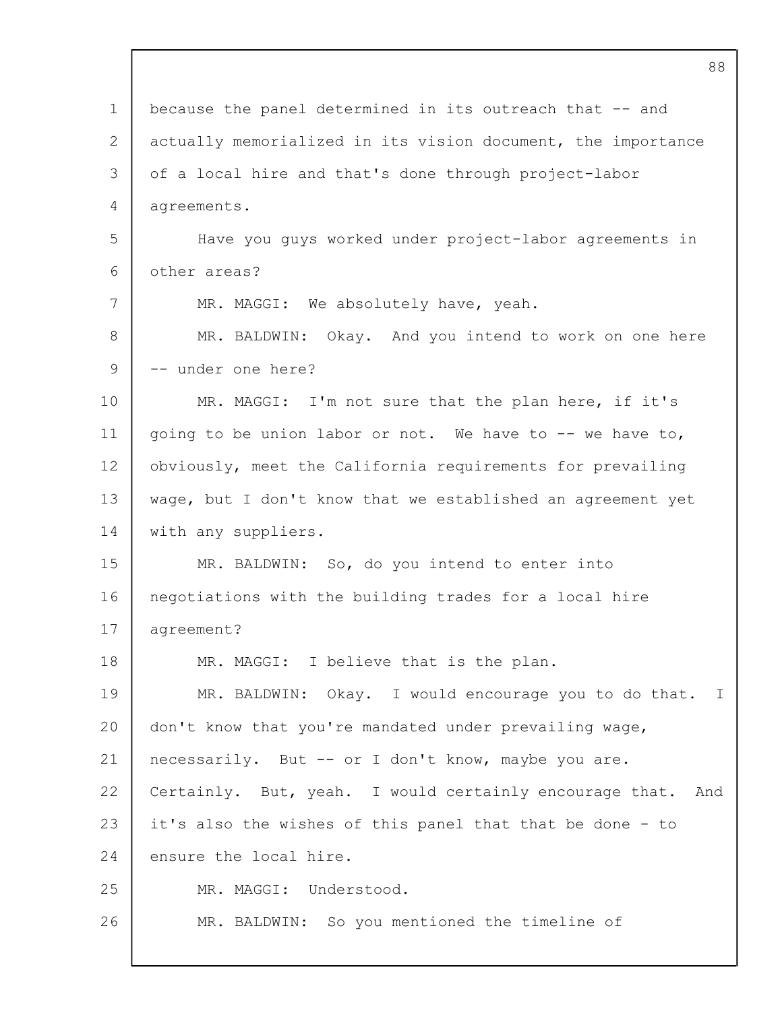| 88                                                           |
|--------------------------------------------------------------|
| because the panel determined in its outreach that -- and     |
| actually memorialized in its vision document, the importance |
| of a local hire and that's done through project-labor        |
| agreements.                                                  |
| Have you guys worked under project-labor agreements in       |
| other areas?                                                 |
| MR. MAGGI: We absolutely have, yeah.                         |
| Okay. And you intend to work on one here<br>MR. BALDWIN:     |
| -- under one here?                                           |
| MR. MAGGI: I'm not sure that the plan here, if it's          |
| going to be union labor or not. We have to -- we have to,    |
| obviously, meet the California requirements for prevailing   |
| wage, but I don't know that we established an agreement yet  |
| with any suppliers.                                          |
| MR. BALDWIN: So, do you intend to enter into                 |
| negotiations with the building trades for a local hire       |
| agreement?                                                   |
| MR. MAGGI: I believe that is the plan.                       |
| MR. BALDWIN: Okay. I would encourage you to do that. I       |
| don't know that you're mandated under prevailing wage,       |
| necessarily. But -- or I don't know, maybe you are.          |
| Certainly. But, yeah. I would certainly encourage that. And  |
| it's also the wishes of this panel that that be done - to    |
| ensure the local hire.                                       |
| MR. MAGGI: Understood.                                       |
| MR. BALDWIN: So you mentioned the timeline of                |
|                                                              |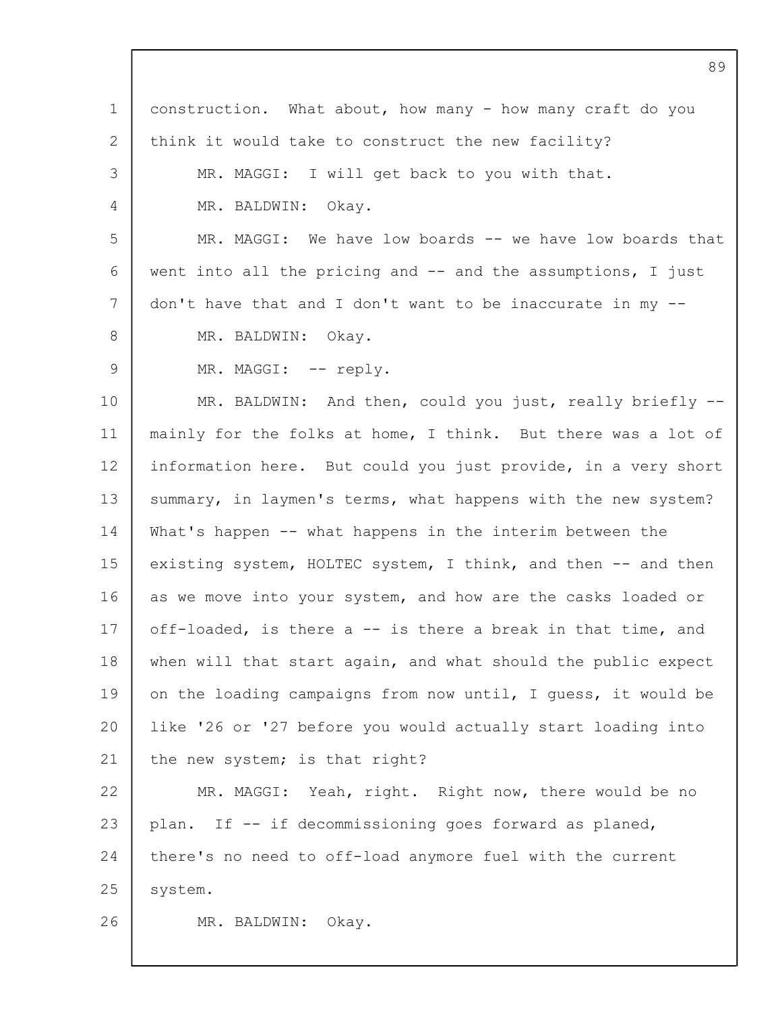| $\mathbf 1$ | construction. What about, how many - how many craft do you    |
|-------------|---------------------------------------------------------------|
| 2           | think it would take to construct the new facility?            |
| 3           | MR. MAGGI: I will get back to you with that.                  |
| 4           | MR. BALDWIN: Okay.                                            |
| 5           | MR. MAGGI: We have low boards -- we have low boards that      |
| 6           | went into all the pricing and $-$ and the assumptions, I just |
| 7           | don't have that and I don't want to be inaccurate in my --    |
| 8           | MR. BALDWIN: Okay.                                            |
| 9           | MR. MAGGI: -- reply.                                          |
| 10          | MR. BALDWIN: And then, could you just, really briefly --      |
| 11          | mainly for the folks at home, I think. But there was a lot of |
| 12          | information here. But could you just provide, in a very short |
| 13          | summary, in laymen's terms, what happens with the new system? |
| 14          | What's happen -- what happens in the interim between the      |
| 15          | existing system, HOLTEC system, I think, and then -- and then |
| 16          | as we move into your system, and how are the casks loaded or  |
| 17          | off-loaded, is there a -- is there a break in that time, and  |
| 18          | when will that start again, and what should the public expect |
| 19          | on the loading campaigns from now until, I guess, it would be |
| 20          | like '26 or '27 before you would actually start loading into  |
| 21          | the new system; is that right?                                |
| 22          | MR. MAGGI: Yeah, right. Right now, there would be no          |
| 23          | plan. If -- if decommissioning goes forward as planed,        |
| 24          | there's no need to off-load anymore fuel with the current     |
| 25          | system.                                                       |
| 26          | MR. BALDWIN:<br>Okay.                                         |
|             |                                                               |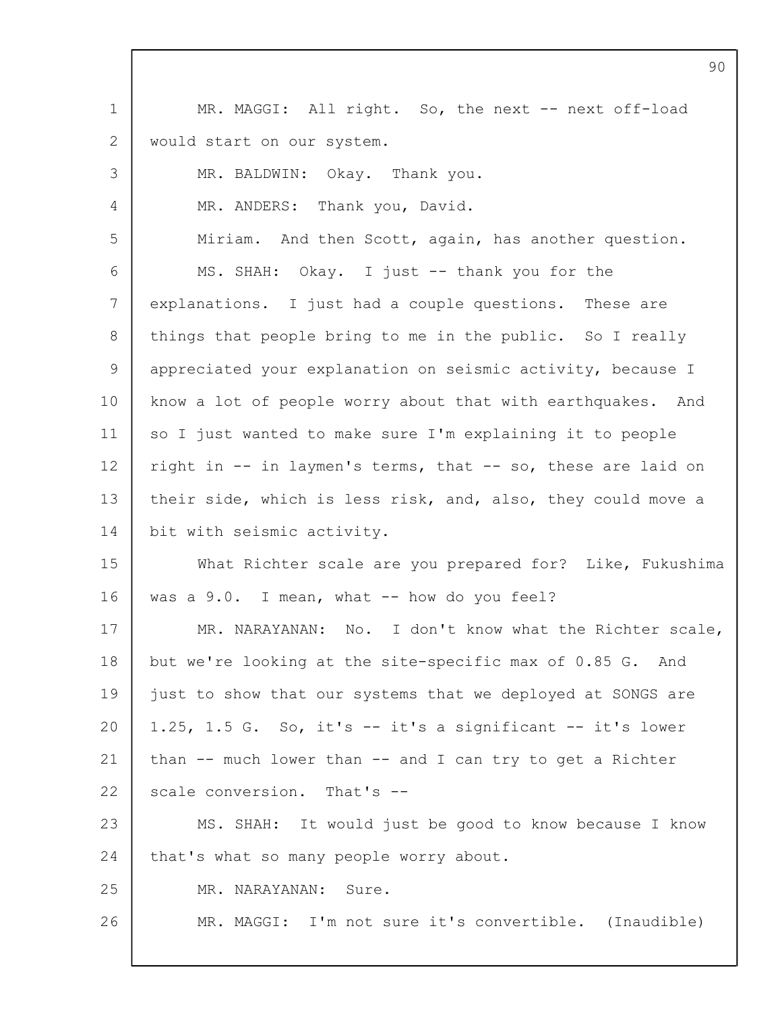|                 | 90                                                            |
|-----------------|---------------------------------------------------------------|
| $\mathbf 1$     | MR. MAGGI: All right. So, the next -- next off-load           |
| 2               | would start on our system.                                    |
| 3               | MR. BALDWIN: Okay. Thank you.                                 |
| 4               | MR. ANDERS: Thank you, David.                                 |
| 5               | Miriam. And then Scott, again, has another question.          |
| 6               | MS. SHAH: Okay. I just -- thank you for the                   |
| $7\phantom{.0}$ | explanations. I just had a couple questions. These are        |
| 8               | things that people bring to me in the public. So I really     |
| 9               | appreciated your explanation on seismic activity, because I   |
| 10              | know a lot of people worry about that with earthquakes. And   |
| 11              | so I just wanted to make sure I'm explaining it to people     |
| 12              | right in -- in laymen's terms, that -- so, these are laid on  |
| 13              | their side, which is less risk, and, also, they could move a  |
| 14              | bit with seismic activity.                                    |
| 15              | What Richter scale are you prepared for? Like, Fukushima      |
| 16              | was a 9.0. I mean, what -- how do you feel?                   |
| 17              | MR. NARAYANAN: No. I don't know what the Richter scale,       |
| 18              | but we're looking at the site-specific max of 0.85 G. And     |
| 19              | just to show that our systems that we deployed at SONGS are   |
| 20              | 1.25, 1.5 G. So, it's $--$ it's a significant $--$ it's lower |
| 21              | than -- much lower than -- and I can try to get a Richter     |
| 22              | scale conversion. That's --                                   |
| 23              | MS. SHAH: It would just be good to know because I know        |
| 24              | that's what so many people worry about.                       |
| 25              | MR. NARAYANAN:<br>Sure.                                       |
| 26              | MR. MAGGI: I'm not sure it's convertible. (Inaudible)         |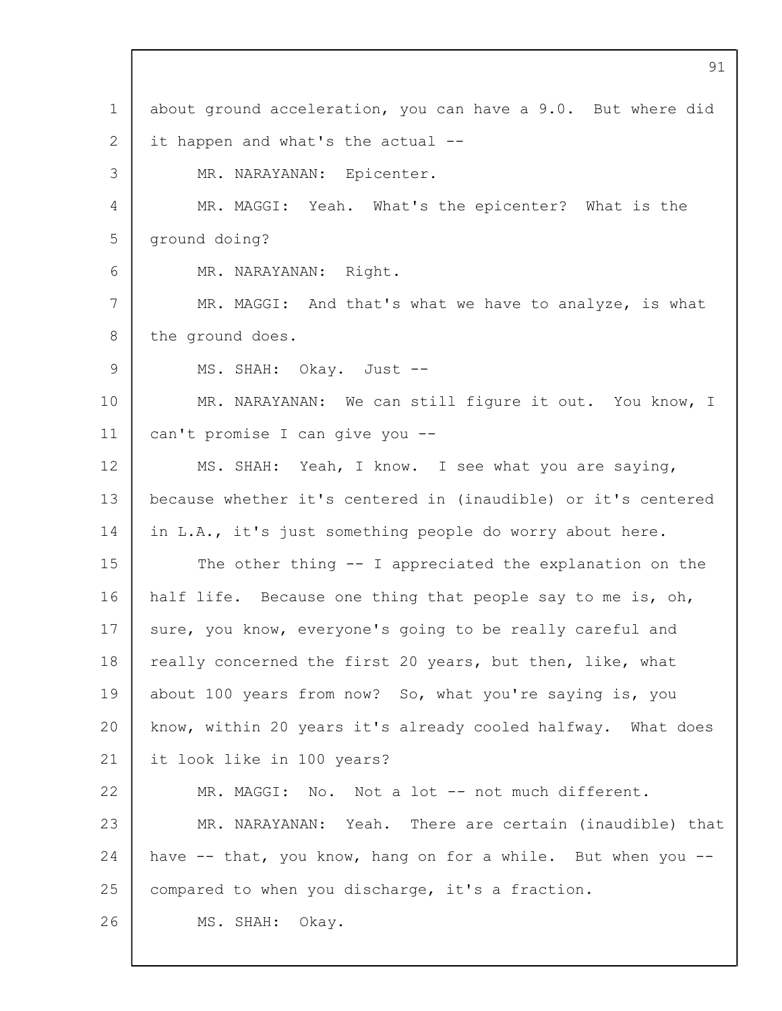1 2 3  $\Delta$ 5 6 7 8  $\mathsf{Q}$ 10 11 12 13 14 15 16 17 18 19  $20$ 21 22 23 24 25 26 about ground acceleration, you can have a 9.0. But where did it happen and what's the actual -- MR. NARAYANAN: Epicenter. MR. MAGGI: Yeah. What's the epicenter? What is the ground doing? MR. NARAYANAN: Right. MR. MAGGI: And that's what we have to analyze, is what the ground does. MS. SHAH: Okay. Just -- MR. NARAYANAN: We can still figure it out. You know, I can't promise I can give you -- MS. SHAH: Yeah, I know. I see what you are saying, because whether it's centered in (inaudible) or it's centered in L.A., it's just something people do worry about here. The other thing -- I appreciated the explanation on the half life. Because one thing that people say to me is, oh, sure, you know, everyone's going to be really careful and really concerned the first 20 years, but then, like, what about 100 years from now? So, what you're saying is, you know, within 20 years it's already cooled halfway. What does it look like in 100 years? MR. MAGGI: No. Not a lot -- not much different. MR. NARAYANAN: Yeah. There are certain (inaudible) that have -- that, you know, hang on for a while. But when you -compared to when you discharge, it's a fraction. MS. SHAH: Okay.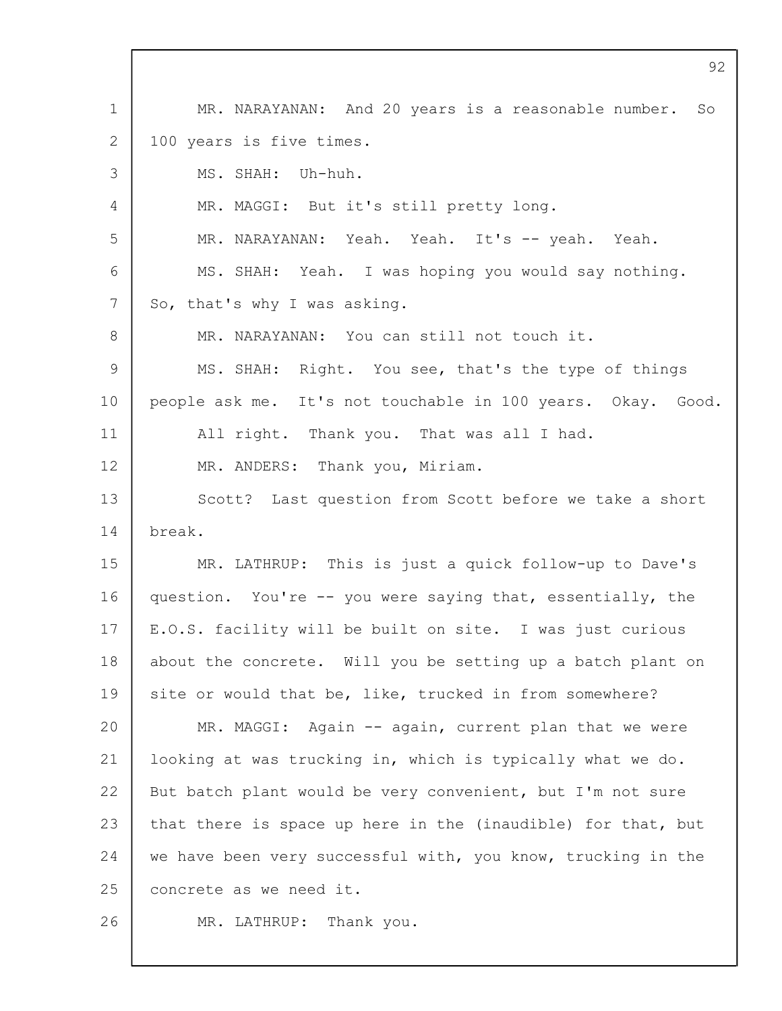1 2 3  $\Delta$ 5 6 7 8 9 10 11 12 13 14 15 16 17 18 19 20 21 22 23 24 25 26 MR. NARAYANAN: And 20 years is a reasonable number. So 100 years is five times. MS. SHAH: Uh-huh. MR. MAGGI: But it's still pretty long. MR. NARAYANAN: Yeah. Yeah. It's -- yeah. Yeah. MS. SHAH: Yeah. I was hoping you would say nothing. So, that's why I was asking. MR. NARAYANAN: You can still not touch it. MS. SHAH: Right. You see, that's the type of things people ask me. It's not touchable in 100 years. Okay. Good. All right. Thank you. That was all I had. MR. ANDERS: Thank you, Miriam. Scott? Last question from Scott before we take a short break. MR. LATHRUP: This is just a quick follow-up to Dave's question. You're -- you were saying that, essentially, the E.O.S. facility will be built on site. I was just curious about the concrete. Will you be setting up a batch plant on site or would that be, like, trucked in from somewhere? MR. MAGGI: Again -- again, current plan that we were looking at was trucking in, which is typically what we do. But batch plant would be very convenient, but I'm not sure that there is space up here in the (inaudible) for that, but we have been very successful with, you know, trucking in the concrete as we need it. MR. LATHRUP: Thank you.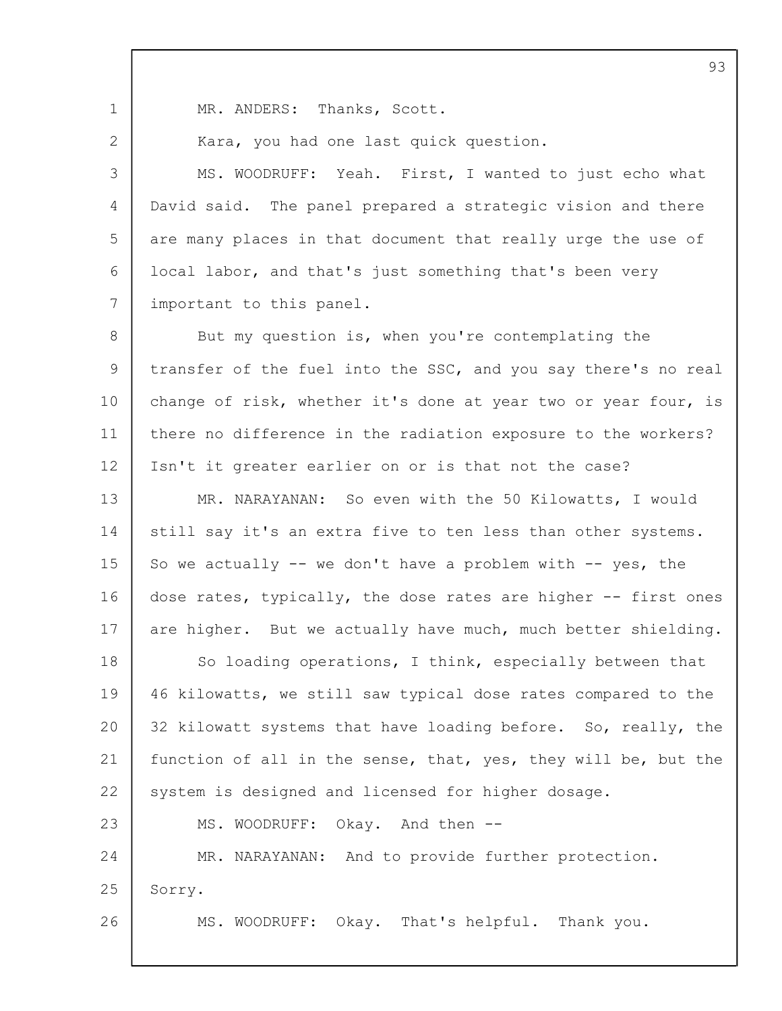1

2

MR. ANDERS: Thanks, Scott.

Kara, you had one last quick question.

3  $\Delta$ 5 6 7 MS. WOODRUFF: Yeah. First, I wanted to just echo what David said. The panel prepared a strategic vision and there are many places in that document that really urge the use of local labor, and that's just something that's been very important to this panel.

8 9 10 11 12 13 14 15 16 17 18 19 20 21 22 23 24 25 26 But my question is, when you're contemplating the transfer of the fuel into the SSC, and you say there's no real change of risk, whether it's done at year two or year four, is there no difference in the radiation exposure to the workers? Isn't it greater earlier on or is that not the case? MR. NARAYANAN: So even with the 50 Kilowatts, I would still say it's an extra five to ten less than other systems. So we actually  $--$  we don't have a problem with  $--$  yes, the dose rates, typically, the dose rates are higher -- first ones are higher. But we actually have much, much better shielding. So loading operations, I think, especially between that 46 kilowatts, we still saw typical dose rates compared to the 32 kilowatt systems that have loading before. So, really, the function of all in the sense, that, yes, they will be, but the system is designed and licensed for higher dosage. MS. WOODRUFF: Okay. And then -- MR. NARAYANAN: And to provide further protection. Sorry. MS. WOODRUFF: Okay. That's helpful. Thank you.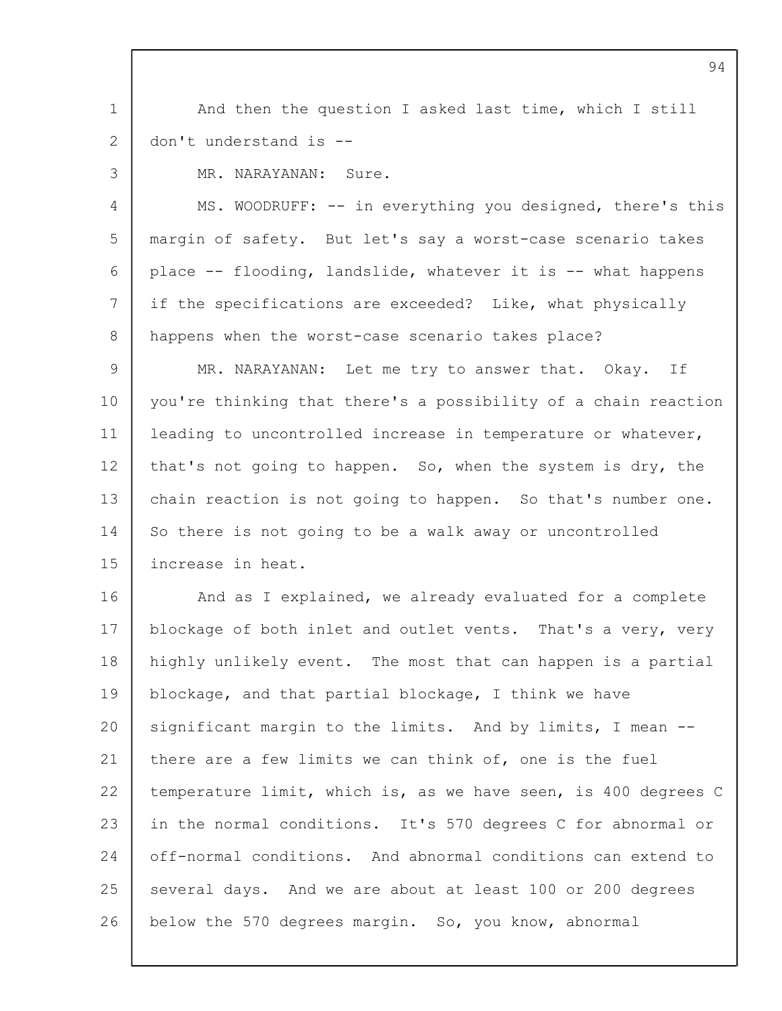1 2 And then the question I asked last time, which I still don't understand is --

3

MR. NARAYANAN: Sure.

 $\Delta$ 5 6 7 8 MS. WOODRUFF: -- in everything you designed, there's this margin of safety. But let's say a worst-case scenario takes place -- flooding, landslide, whatever it is -- what happens if the specifications are exceeded? Like, what physically happens when the worst-case scenario takes place?

 $\mathsf{Q}$ 10 11 12 13 14 15 MR. NARAYANAN: Let me try to answer that. Okay. If you're thinking that there's a possibility of a chain reaction leading to uncontrolled increase in temperature or whatever, that's not going to happen. So, when the system is dry, the chain reaction is not going to happen. So that's number one. So there is not going to be a walk away or uncontrolled increase in heat.

16 17 18 19 20 21 22 23 24 25 26 And as I explained, we already evaluated for a complete blockage of both inlet and outlet vents. That's a very, very highly unlikely event. The most that can happen is a partial blockage, and that partial blockage, I think we have significant margin to the limits. And by limits, I mean - there are a few limits we can think of, one is the fuel temperature limit, which is, as we have seen, is 400 degrees C in the normal conditions. It's 570 degrees C for abnormal or off-normal conditions. And abnormal conditions can extend to several days. And we are about at least 100 or 200 degrees below the 570 degrees margin. So, you know, abnormal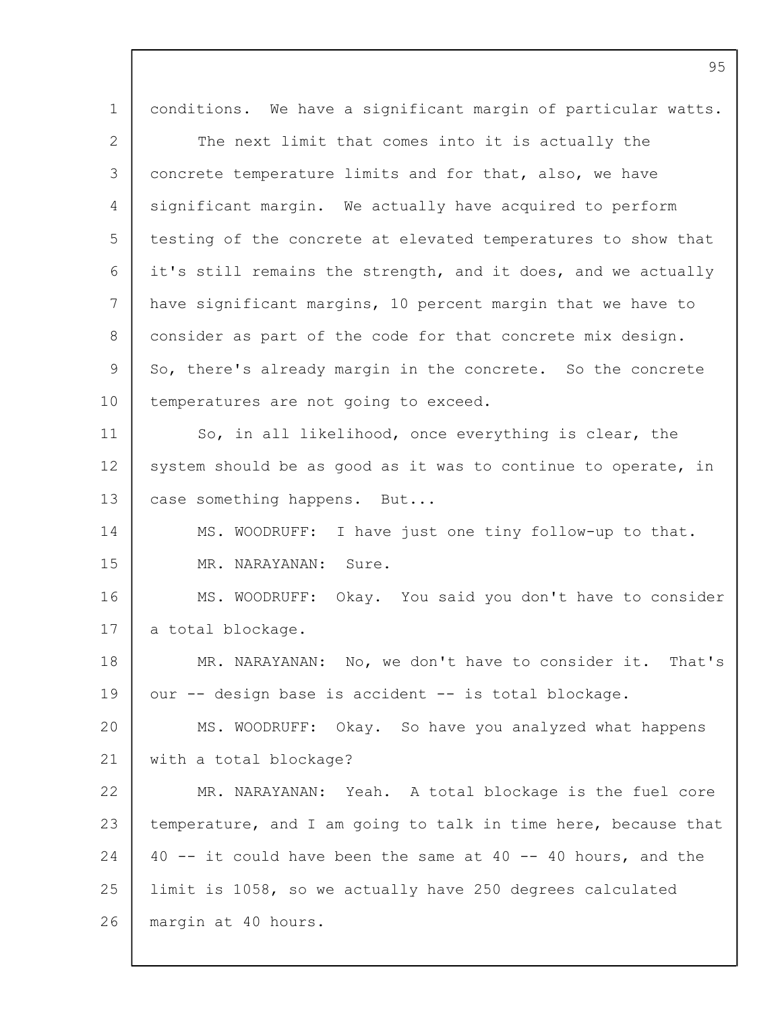|                 | 95                                                             |
|-----------------|----------------------------------------------------------------|
| $\mathbf 1$     | conditions. We have a significant margin of particular watts.  |
| 2               | The next limit that comes into it is actually the              |
| 3               | concrete temperature limits and for that, also, we have        |
| 4               | significant margin. We actually have acquired to perform       |
| 5               | testing of the concrete at elevated temperatures to show that  |
| 6               | it's still remains the strength, and it does, and we actually  |
| $7\overline{ }$ | have significant margins, 10 percent margin that we have to    |
| 8               | consider as part of the code for that concrete mix design.     |
| 9               | So, there's already margin in the concrete. So the concrete    |
| 10              | temperatures are not going to exceed.                          |
| 11              | So, in all likelihood, once everything is clear, the           |
| 12              | system should be as good as it was to continue to operate, in  |
| 13              | case something happens. But                                    |
| 14              | MS. WOODRUFF:<br>I have just one tiny follow-up to that.       |
| 15              | MR. NARAYANAN:<br>Sure.                                        |
| 16              | Okay. You said you don't have to consider<br>MS. WOODRUFF:     |
| 17              | a total blockage.                                              |
| 18              | MR. NARAYANAN: No, we don't have to consider it. That's        |
| 19              | our -- design base is accident -- is total blockage.           |
| 20              | MS. WOODRUFF: Okay. So have you analyzed what happens          |
| 21              | with a total blockage?                                         |
| 22              | MR. NARAYANAN: Yeah. A total blockage is the fuel core         |
| 23              | temperature, and I am going to talk in time here, because that |
| 24              | 40 -- it could have been the same at 40 -- 40 hours, and the   |
| 25              | limit is 1058, so we actually have 250 degrees calculated      |
| 26              | margin at 40 hours.                                            |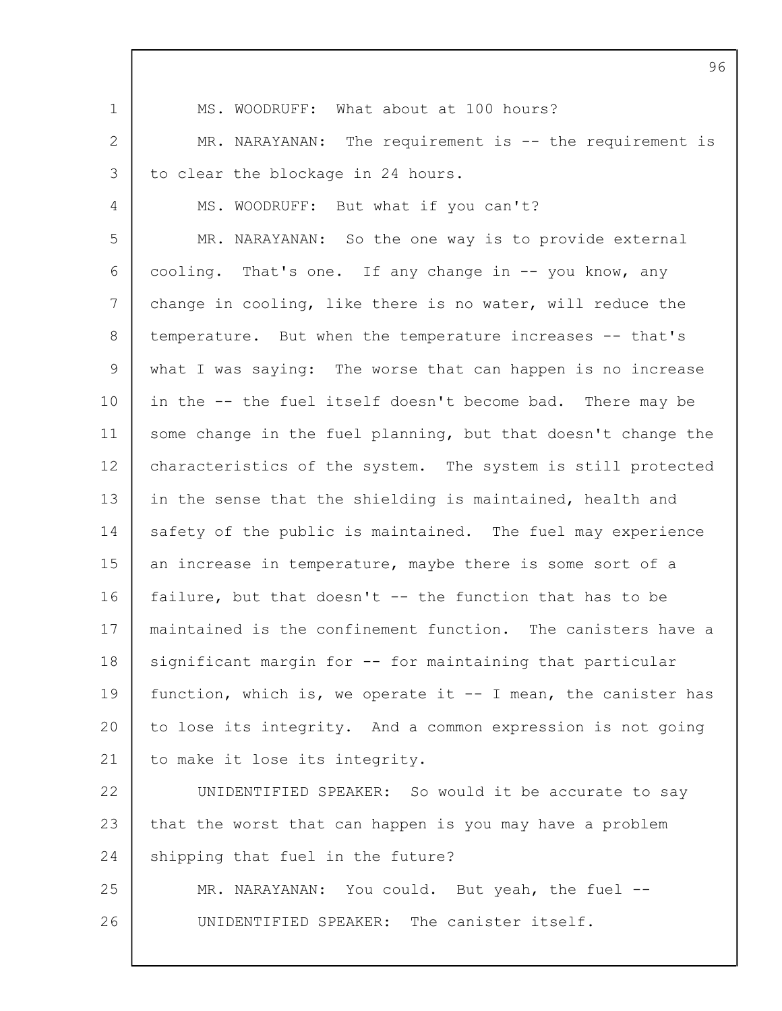| $\mathbf 1$     | MS. WOODRUFF: What about at 100 hours?                        |
|-----------------|---------------------------------------------------------------|
| 2               | MR. NARAYANAN: The requirement is -- the requirement is       |
| 3               | to clear the blockage in 24 hours.                            |
| 4               | MS. WOODRUFF: But what if you can't?                          |
| 5               | MR. NARAYANAN: So the one way is to provide external          |
| 6               | cooling. That's one. If any change in -- you know, any        |
| $7\phantom{.0}$ | change in cooling, like there is no water, will reduce the    |
| 8               | temperature. But when the temperature increases -- that's     |
| 9               | what I was saying: The worse that can happen is no increase   |
| 10              | in the -- the fuel itself doesn't become bad. There may be    |
| 11              | some change in the fuel planning, but that doesn't change the |
| 12              | characteristics of the system. The system is still protected  |
| 13              | in the sense that the shielding is maintained, health and     |
| 14              | safety of the public is maintained. The fuel may experience   |
| 15              | an increase in temperature, maybe there is some sort of a     |
| 16              | failure, but that doesn't -- the function that has to be      |
| 17              | maintained is the confinement function. The canisters have a  |
| 18              | significant margin for -- for maintaining that particular     |
| 19              | function, which is, we operate it -- I mean, the canister has |
| 20              | to lose its integrity. And a common expression is not going   |
| 21              | to make it lose its integrity.                                |
| 22              | UNIDENTIFIED SPEAKER: So would it be accurate to say          |
| 23              | that the worst that can happen is you may have a problem      |
| 24              | shipping that fuel in the future?                             |
| 25              | MR. NARAYANAN: You could. But yeah, the fuel --               |
| 26              | UNIDENTIFIED SPEAKER: The canister itself.                    |
|                 |                                                               |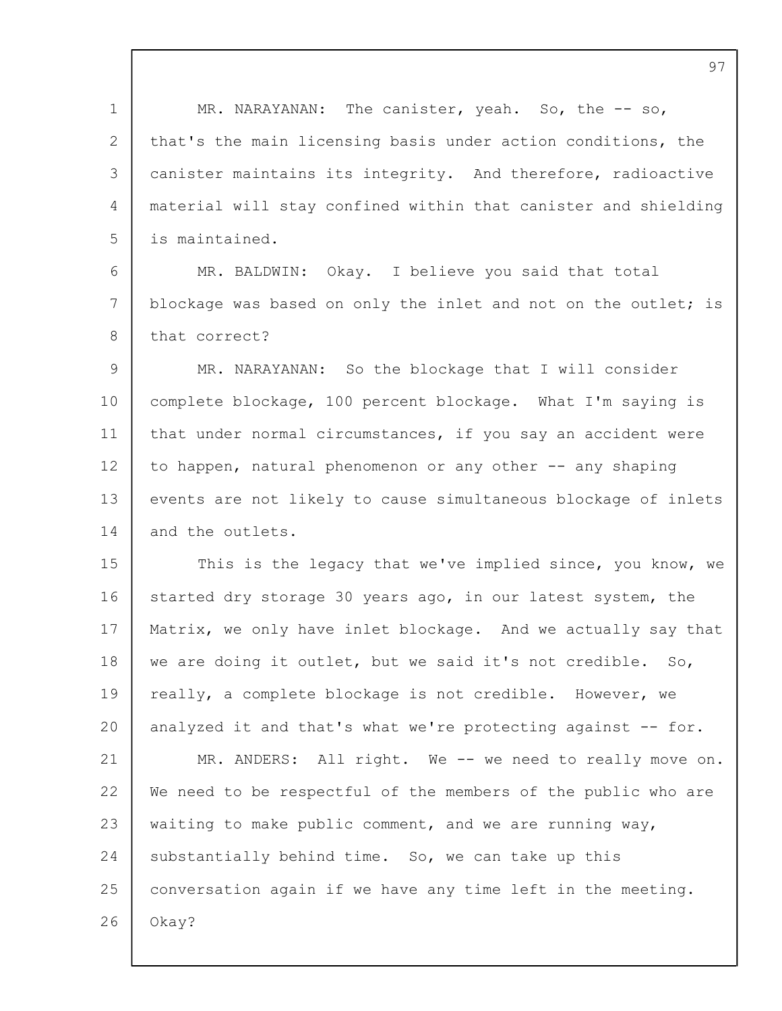1 2 3  $\Delta$ 5 6 7 8  $\mathsf{Q}$ 10 11 12 13 14 15 16 17 18 19  $20$ 21 22 23 24 25 26 MR. NARAYANAN: The canister, yeah. So, the -- so, that's the main licensing basis under action conditions, the canister maintains its integrity. And therefore, radioactive material will stay confined within that canister and shielding is maintained. MR. BALDWIN: Okay. I believe you said that total blockage was based on only the inlet and not on the outlet; is that correct? MR. NARAYANAN: So the blockage that I will consider complete blockage, 100 percent blockage. What I'm saying is that under normal circumstances, if you say an accident were to happen, natural phenomenon or any other -- any shaping events are not likely to cause simultaneous blockage of inlets and the outlets. This is the legacy that we've implied since, you know, we started dry storage 30 years ago, in our latest system, the Matrix, we only have inlet blockage. And we actually say that we are doing it outlet, but we said it's not credible. So, really, a complete blockage is not credible. However, we analyzed it and that's what we're protecting against -- for. MR. ANDERS: All right. We -- we need to really move on. We need to be respectful of the members of the public who are waiting to make public comment, and we are running way, substantially behind time. So, we can take up this conversation again if we have any time left in the meeting. Okay?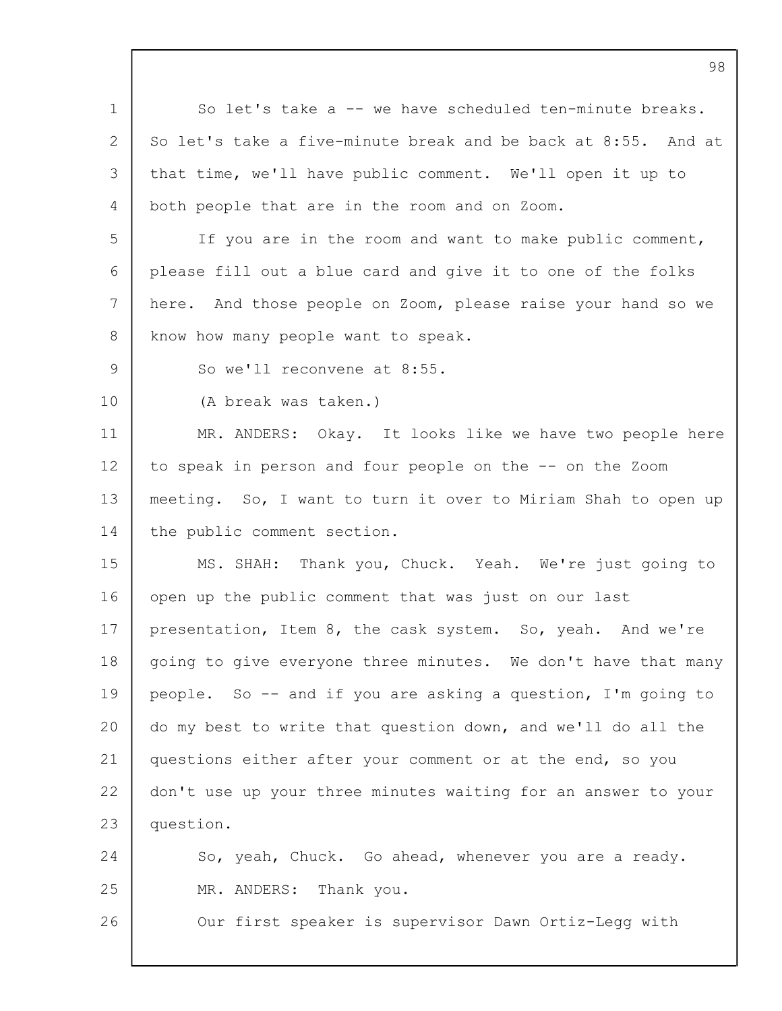|                 | 98                                                            |
|-----------------|---------------------------------------------------------------|
| $\mathbf 1$     | So let's take a -- we have scheduled ten-minute breaks.       |
| 2               | So let's take a five-minute break and be back at 8:55. And at |
| 3               | that time, we'll have public comment. We'll open it up to     |
| 4               | both people that are in the room and on Zoom.                 |
| 5               | If you are in the room and want to make public comment,       |
| 6               | please fill out a blue card and give it to one of the folks   |
| 7               | here. And those people on Zoom, please raise your hand so we  |
| 8               | know how many people want to speak.                           |
| 9               | So we'll reconvene at 8:55.                                   |
| 10 <sub>o</sub> | (A break was taken.)                                          |
| 11              | MR. ANDERS: Okay. It looks like we have two people here       |
| 12              | to speak in person and four people on the -- on the Zoom      |
| 13              | meeting. So, I want to turn it over to Miriam Shah to open up |
| 14              | the public comment section.                                   |
| 15              | MS. SHAH: Thank you, Chuck. Yeah. We're just going to         |
| 16              | open up the public comment that was just on our last          |
| 17 <sub>2</sub> | presentation, Item 8, the cask system. So, yeah. And we're    |
| 18              | going to give everyone three minutes. We don't have that many |
| 19              | people. So -- and if you are asking a question, I'm going to  |
| 20              | do my best to write that question down, and we'll do all the  |
| 21              | questions either after your comment or at the end, so you     |
| 22              | don't use up your three minutes waiting for an answer to your |
| 23              | question.                                                     |
| 24              | So, yeah, Chuck. Go ahead, whenever you are a ready.          |
| 25              | MR. ANDERS: Thank you.                                        |
| 26              | Our first speaker is supervisor Dawn Ortiz-Legg with          |
|                 |                                                               |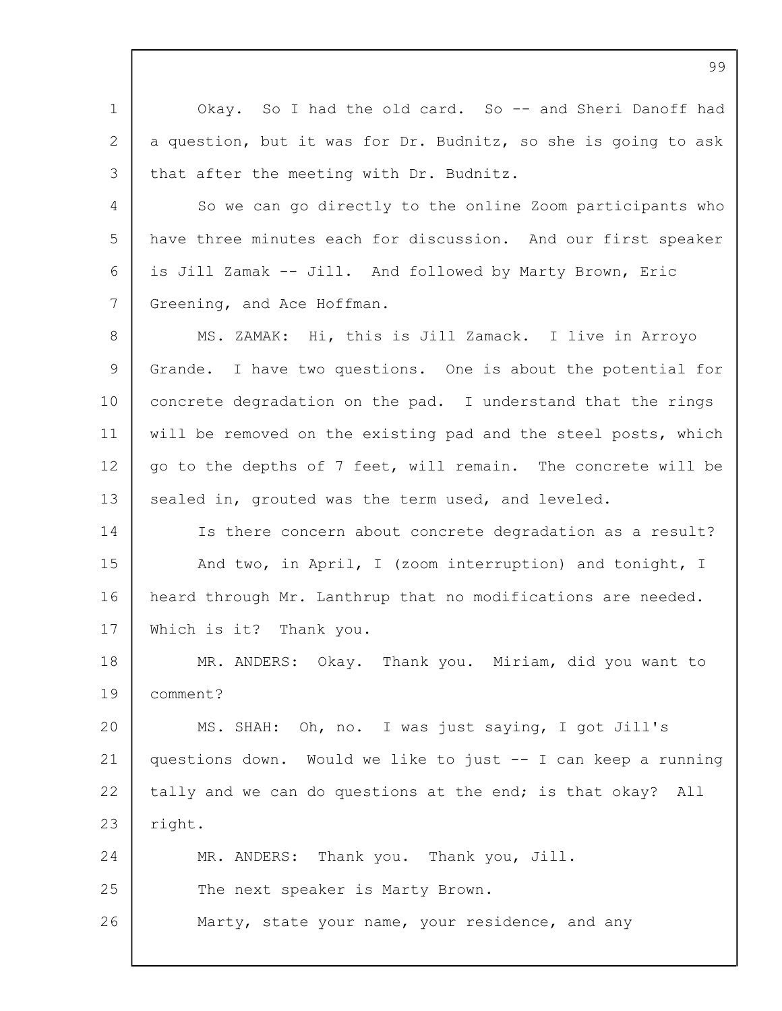1 2 3  $\Delta$ 5 6 7 8 9 10 11 12 13 14 15 16 17 18 19 20 21 22 23 24 25 26 Okay. So I had the old card. So -- and Sheri Danoff had a question, but it was for Dr. Budnitz, so she is going to ask that after the meeting with Dr. Budnitz. So we can go directly to the online Zoom participants who have three minutes each for discussion. And our first speaker is Jill Zamak -- Jill. And followed by Marty Brown, Eric Greening, and Ace Hoffman. MS. ZAMAK: Hi, this is Jill Zamack. I live in Arroyo Grande. I have two questions. One is about the potential for concrete degradation on the pad. I understand that the rings will be removed on the existing pad and the steel posts, which go to the depths of 7 feet, will remain. The concrete will be sealed in, grouted was the term used, and leveled. Is there concern about concrete degradation as a result? And two, in April, I (zoom interruption) and tonight, I heard through Mr. Lanthrup that no modifications are needed. Which is it? Thank you. MR. ANDERS: Okay. Thank you. Miriam, did you want to comment? MS. SHAH: Oh, no. I was just saying, I got Jill's questions down. Would we like to just -- I can keep a running tally and we can do questions at the end; is that okay? All right. MR. ANDERS: Thank you. Thank you, Jill. The next speaker is Marty Brown. Marty, state your name, your residence, and any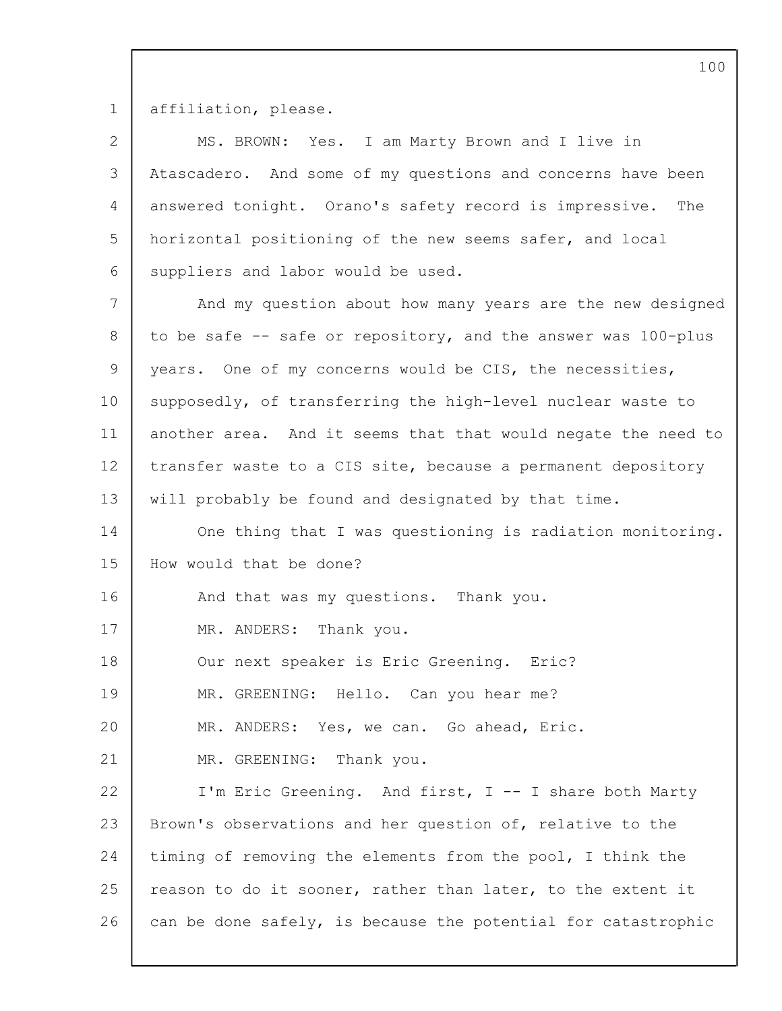1 affiliation, please.

| $\overline{2}$ | MS. BROWN: Yes. I am Marty Brown and I live in                |
|----------------|---------------------------------------------------------------|
| 3              | Atascadero. And some of my questions and concerns have been   |
| 4              | answered tonight. Orano's safety record is impressive. The    |
| 5              | horizontal positioning of the new seems safer, and local      |
| 6              | suppliers and labor would be used.                            |
| 7              | And my question about how many years are the new designed     |
| 8              | to be safe -- safe or repository, and the answer was 100-plus |
| 9              | years. One of my concerns would be CIS, the necessities,      |
| 10             | supposedly, of transferring the high-level nuclear waste to   |
| 11             | another area. And it seems that that would negate the need to |
| 12             | transfer waste to a CIS site, because a permanent depository  |
| 13             | will probably be found and designated by that time.           |
| 14             | One thing that I was questioning is radiation monitoring.     |
| 15             | How would that be done?                                       |
| 16             | And that was my questions. Thank you.                         |
| 17             | MR. ANDERS: Thank you.                                        |
| 18             | Our next speaker is Eric Greening. Eric?                      |
| 19             | MR. GREENING: Hello. Can you hear me?                         |
| 20             | MR. ANDERS: Yes, we can. Go ahead, Eric.                      |
| 21             | MR. GREENING: Thank you.                                      |
| 22             | I'm Eric Greening. And first, I -- I share both Marty         |
| 23             | Brown's observations and her question of, relative to the     |
| 24             | timing of removing the elements from the pool, I think the    |
| 25             | reason to do it sooner, rather than later, to the extent it   |
| 26             | can be done safely, is because the potential for catastrophic |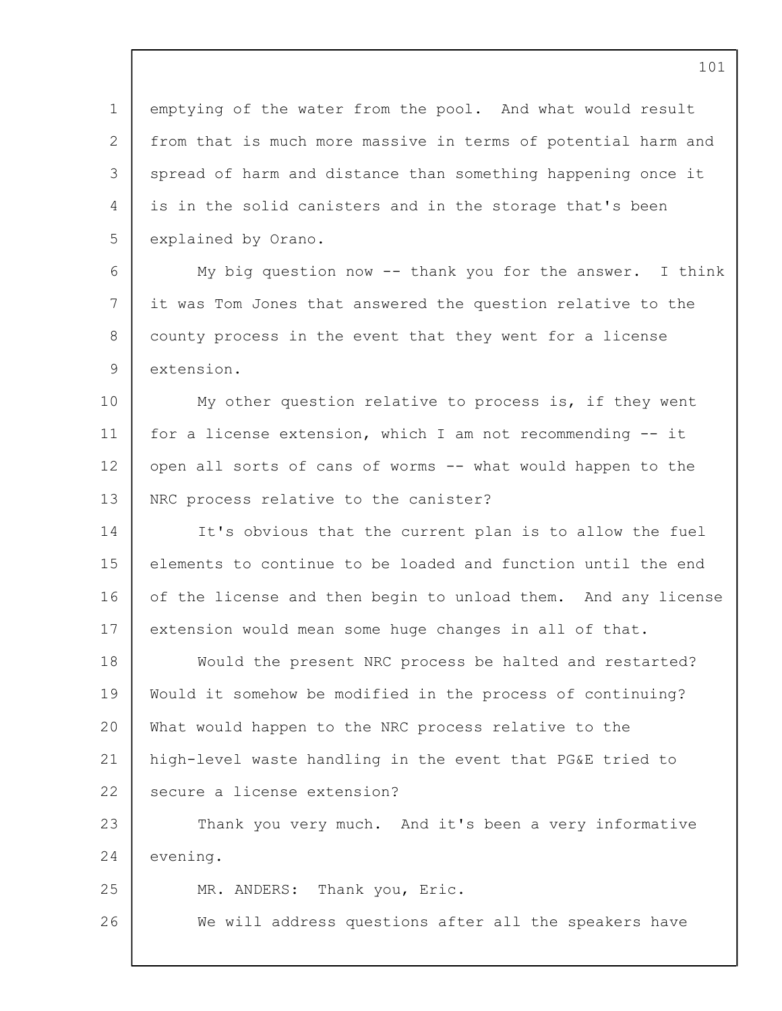1  $\mathfrak{D}$ 3 4 5 6 7 8  $\mathsf{Q}$ 10 11 12 13 14 15 16 17 18 19  $20$ 21 22 23 24 25 26 emptying of the water from the pool. And what would result from that is much more massive in terms of potential harm and spread of harm and distance than something happening once it is in the solid canisters and in the storage that's been explained by Orano. My big question now -- thank you for the answer. I think it was Tom Jones that answered the question relative to the county process in the event that they went for a license extension. My other question relative to process is, if they went for a license extension, which I am not recommending -- it open all sorts of cans of worms -- what would happen to the NRC process relative to the canister? It's obvious that the current plan is to allow the fuel elements to continue to be loaded and function until the end of the license and then begin to unload them. And any license extension would mean some huge changes in all of that. Would the present NRC process be halted and restarted? Would it somehow be modified in the process of continuing? What would happen to the NRC process relative to the high-level waste handling in the event that PG&E tried to secure a license extension? Thank you very much. And it's been a very informative evening. MR. ANDERS: Thank you, Eric. We will address questions after all the speakers have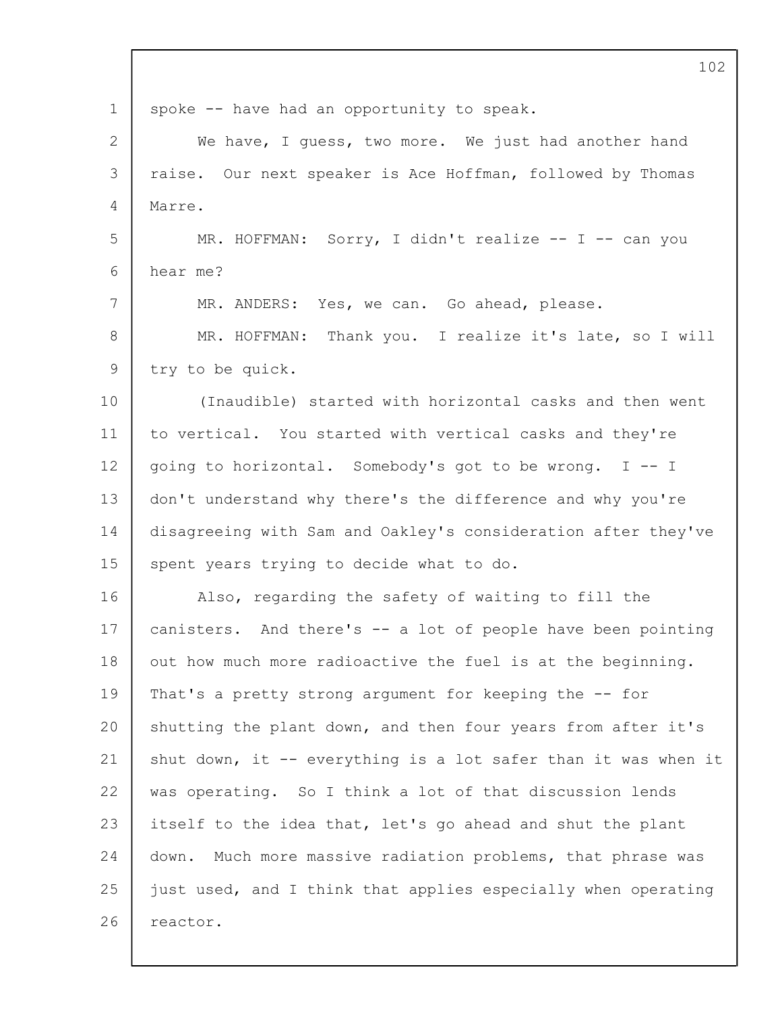|             | 102                                                            |
|-------------|----------------------------------------------------------------|
| $\mathbf 1$ | spoke -- have had an opportunity to speak.                     |
| 2           | We have, I guess, two more. We just had another hand           |
| 3           | raise. Our next speaker is Ace Hoffman, followed by Thomas     |
| 4           | Marre.                                                         |
| 5           | MR. HOFFMAN: Sorry, I didn't realize -- I -- can you           |
| 6           | hear me?                                                       |
| 7           | MR. ANDERS: Yes, we can. Go ahead, please.                     |
| 8           | MR. HOFFMAN: Thank you. I realize it's late, so I will         |
| 9           | try to be quick.                                               |
| 10          | (Inaudible) started with horizontal casks and then went        |
| 11          | to vertical. You started with vertical casks and they're       |
| 12          | going to horizontal. Somebody's got to be wrong. I -- I        |
| 13          | don't understand why there's the difference and why you're     |
| 14          | disagreeing with Sam and Oakley's consideration after they've  |
| 15          | spent years trying to decide what to do.                       |
| 16          | Also, regarding the safety of waiting to fill the              |
| 17          | canisters. And there's -- a lot of people have been pointing   |
| 18          | out how much more radioactive the fuel is at the beginning.    |
| 19          | That's a pretty strong argument for keeping the -- for         |
| 20          | shutting the plant down, and then four years from after it's   |
| 21          | shut down, it -- everything is a lot safer than it was when it |
| 22          | was operating. So I think a lot of that discussion lends       |
| 23          | itself to the idea that, let's go ahead and shut the plant     |
| 24          | Much more massive radiation problems, that phrase was<br>down. |
| 25          | just used, and I think that applies especially when operating  |
| 26          | reactor.                                                       |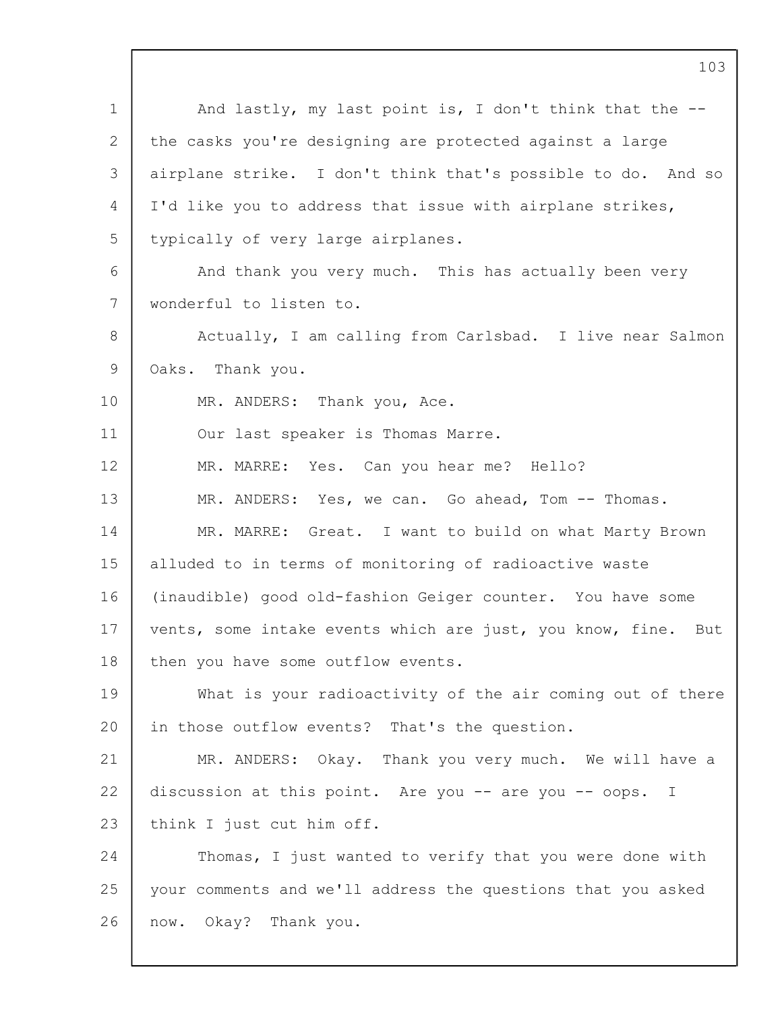1 2 3  $\Delta$ 5 6 7 8 9 10 11 12 13 14 15 16 17 18 19  $20$ 21 22 23 24 25 26 And lastly, my last point is, I don't think that the  $-$ the casks you're designing are protected against a large airplane strike. I don't think that's possible to do. And so I'd like you to address that issue with airplane strikes, typically of very large airplanes. And thank you very much. This has actually been very wonderful to listen to. Actually, I am calling from Carlsbad. I live near Salmon Oaks. Thank you. MR. ANDERS: Thank you, Ace. Our last speaker is Thomas Marre. MR. MARRE: Yes. Can you hear me? Hello? MR. ANDERS: Yes, we can. Go ahead, Tom -- Thomas. MR. MARRE: Great. I want to build on what Marty Brown alluded to in terms of monitoring of radioactive waste (inaudible) good old-fashion Geiger counter. You have some vents, some intake events which are just, you know, fine. But then you have some outflow events. What is your radioactivity of the air coming out of there in those outflow events? That's the question. MR. ANDERS: Okay. Thank you very much. We will have a discussion at this point. Are you -- are you -- oops. I think I just cut him off. Thomas, I just wanted to verify that you were done with your comments and we'll address the questions that you asked now. Okay? Thank you.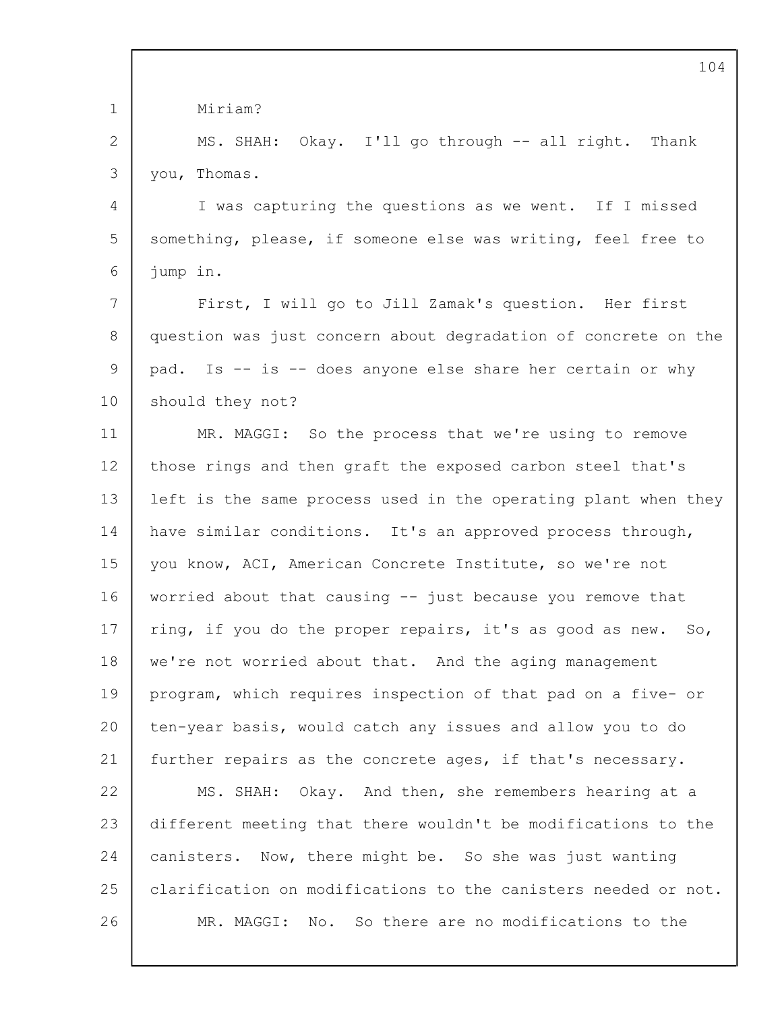|                 | 104                                                            |
|-----------------|----------------------------------------------------------------|
| $\mathbf 1$     | Miriam?                                                        |
| 2               | MS. SHAH: Okay. I'll go through -- all right. Thank            |
| 3               | you, Thomas.                                                   |
| 4               | I was capturing the questions as we went. If I missed          |
| 5               | something, please, if someone else was writing, feel free to   |
| 6               | jump in.                                                       |
| $7\overline{ }$ | First, I will go to Jill Zamak's question. Her first           |
| 8               | question was just concern about degradation of concrete on the |
| 9               | pad. Is -- is -- does anyone else share her certain or why     |
| 10              | should they not?                                               |
| 11              | MR. MAGGI: So the process that we're using to remove           |
| 12              | those rings and then graft the exposed carbon steel that's     |
| 13              | left is the same process used in the operating plant when they |
| 14              | have similar conditions. It's an approved process through,     |
| 15              | you know, ACI, American Concrete Institute, so we're not       |
| 16              | worried about that causing -- just because you remove that     |
| 17              | ring, if you do the proper repairs, it's as good as new. So,   |
| 18              | we're not worried about that. And the aging management         |
| 19              | program, which requires inspection of that pad on a five- or   |
| 20              | ten-year basis, would catch any issues and allow you to do     |
| 21              | further repairs as the concrete ages, if that's necessary.     |
| 22              | MS. SHAH: Okay. And then, she remembers hearing at a           |
| 23              | different meeting that there wouldn't be modifications to the  |
| 24              | canisters. Now, there might be. So she was just wanting        |
| 25              | clarification on modifications to the canisters needed or not. |
| 26              | MR. MAGGI: No. So there are no modifications to the            |
|                 |                                                                |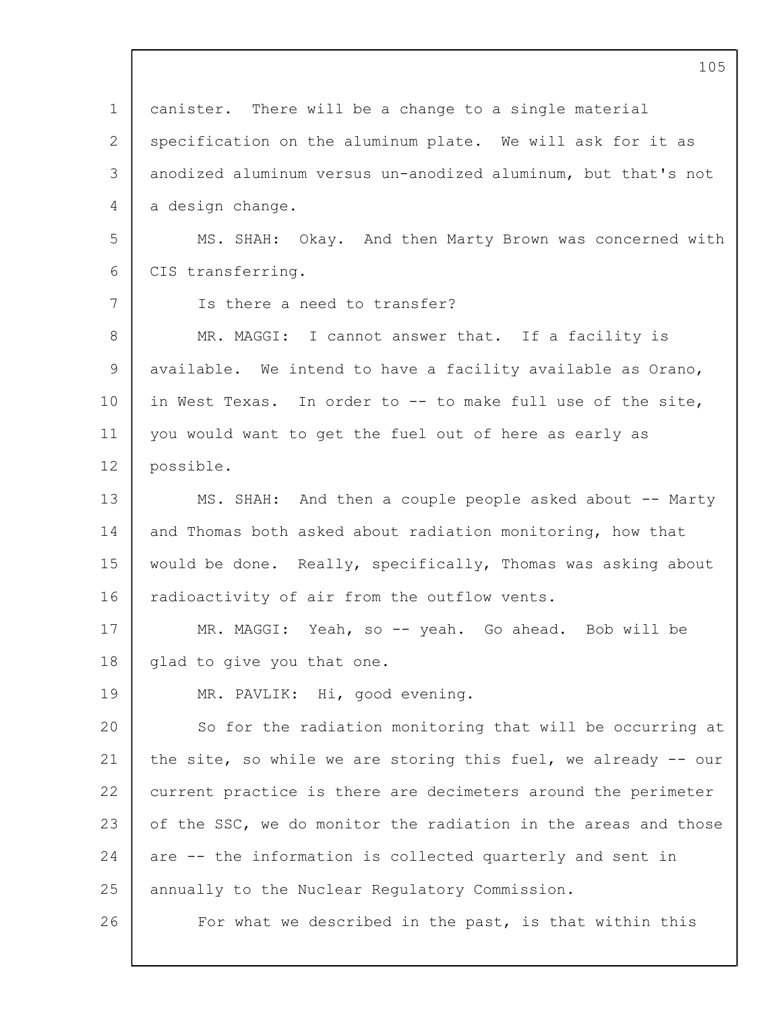|                 | 105                                                            |
|-----------------|----------------------------------------------------------------|
| $\mathbf 1$     | canister. There will be a change to a single material          |
| $\mathbf{2}$    | specification on the aluminum plate. We will ask for it as     |
| 3               | anodized aluminum versus un-anodized aluminum, but that's not  |
| 4               | a design change.                                               |
| 5               | MS. SHAH: Okay. And then Marty Brown was concerned with        |
| 6               | CIS transferring.                                              |
| $7\overline{ }$ | Is there a need to transfer?                                   |
| 8               | MR. MAGGI: I cannot answer that. If a facility is              |
| 9               | available. We intend to have a facility available as Orano,    |
| 10              | in West Texas. In order to -- to make full use of the site,    |
| 11              | you would want to get the fuel out of here as early as         |
| 12              | possible.                                                      |
| 13              | MS. SHAH: And then a couple people asked about -- Marty        |
| 14              | and Thomas both asked about radiation monitoring, how that     |
| 15              | would be done. Really, specifically, Thomas was asking about   |
| 16              | radioactivity of air from the outflow vents.                   |
| 17              | MR. MAGGI: Yeah, so -- yeah. Go ahead. Bob will be             |
| 18              | glad to give you that one.                                     |
| 19              | MR. PAVLIK: Hi, good evening.                                  |
| 20              | So for the radiation monitoring that will be occurring at      |
| 21              | the site, so while we are storing this fuel, we already -- our |
| 22              | current practice is there are decimeters around the perimeter  |
| 23              | of the SSC, we do monitor the radiation in the areas and those |
| 24              | are -- the information is collected quarterly and sent in      |
| 25              | annually to the Nuclear Regulatory Commission.                 |
| 26              | For what we described in the past, is that within this         |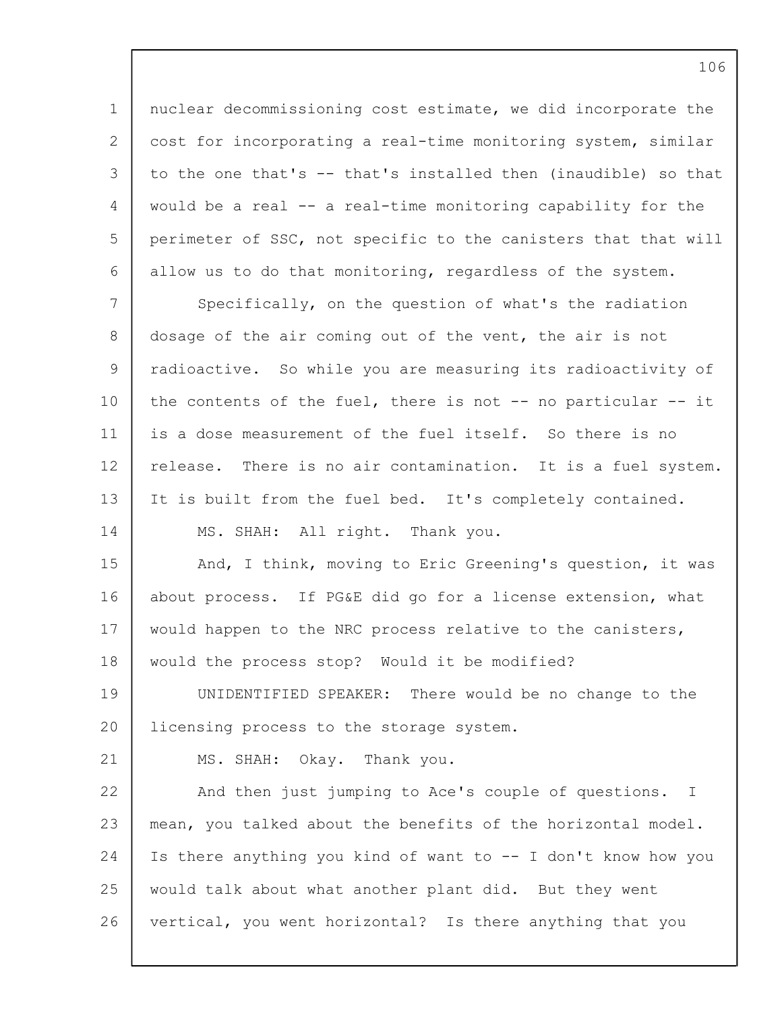1 2 3  $\Delta$ 5 6 7 8 9 10 11 12 13 14 15 16 17 18 19  $20$ 21 22 23 24 25 26 nuclear decommissioning cost estimate, we did incorporate the cost for incorporating a real-time monitoring system, similar to the one that's -- that's installed then (inaudible) so that would be a real -- a real-time monitoring capability for the perimeter of SSC, not specific to the canisters that that will allow us to do that monitoring, regardless of the system. Specifically, on the question of what's the radiation dosage of the air coming out of the vent, the air is not radioactive. So while you are measuring its radioactivity of the contents of the fuel, there is not -- no particular -- it is a dose measurement of the fuel itself. So there is no release. There is no air contamination. It is a fuel system. It is built from the fuel bed. It's completely contained. MS. SHAH: All right. Thank you. And, I think, moving to Eric Greening's question, it was about process. If PG&E did go for a license extension, what would happen to the NRC process relative to the canisters, would the process stop? Would it be modified? UNIDENTIFIED SPEAKER: There would be no change to the licensing process to the storage system. MS. SHAH: Okay. Thank you. And then just jumping to Ace's couple of questions. I mean, you talked about the benefits of the horizontal model. Is there anything you kind of want to -- I don't know how you would talk about what another plant did. But they went vertical, you went horizontal? Is there anything that you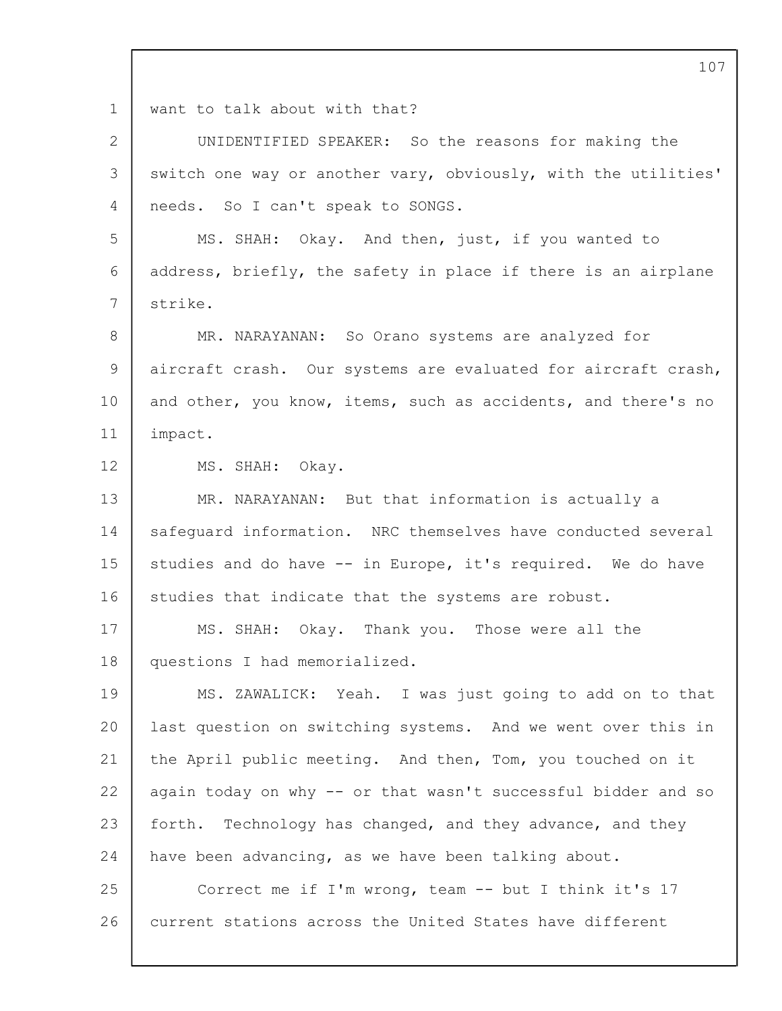1 want to talk about with that?

| $\mathbf{2}$ | UNIDENTIFIED SPEAKER: So the reasons for making the            |
|--------------|----------------------------------------------------------------|
| 3            | switch one way or another vary, obviously, with the utilities' |
| 4            | needs. So I can't speak to SONGS.                              |
| 5            | MS. SHAH: Okay. And then, just, if you wanted to               |
| 6            | address, briefly, the safety in place if there is an airplane  |
| 7            | strike.                                                        |
| 8            | MR. NARAYANAN: So Orano systems are analyzed for               |
| 9            | aircraft crash. Our systems are evaluated for aircraft crash,  |
| 10           | and other, you know, items, such as accidents, and there's no  |
| 11           | impact.                                                        |
| 12           | MS. SHAH: Okay.                                                |
| 13           | MR. NARAYANAN: But that information is actually a              |
| 14           | safequard information. NRC themselves have conducted several   |
| 15           | studies and do have -- in Europe, it's required. We do have    |
| 16           | studies that indicate that the systems are robust.             |
| 17           | MS. SHAH: Okay. Thank you. Those were all the                  |
| 18           | questions I had memorialized.                                  |
| 19           | MS. ZAWALICK: Yeah. I was just going to add on to that         |
| 20           | last question on switching systems. And we went over this in   |
| 21           | the April public meeting. And then, Tom, you touched on it     |
| 22           | again today on why -- or that wasn't successful bidder and so  |
| 23           | forth. Technology has changed, and they advance, and they      |
| 24           | have been advancing, as we have been talking about.            |
| 25           | Correct me if I'm wrong, team -- but I think it's 17           |
| 26           | current stations across the United States have different       |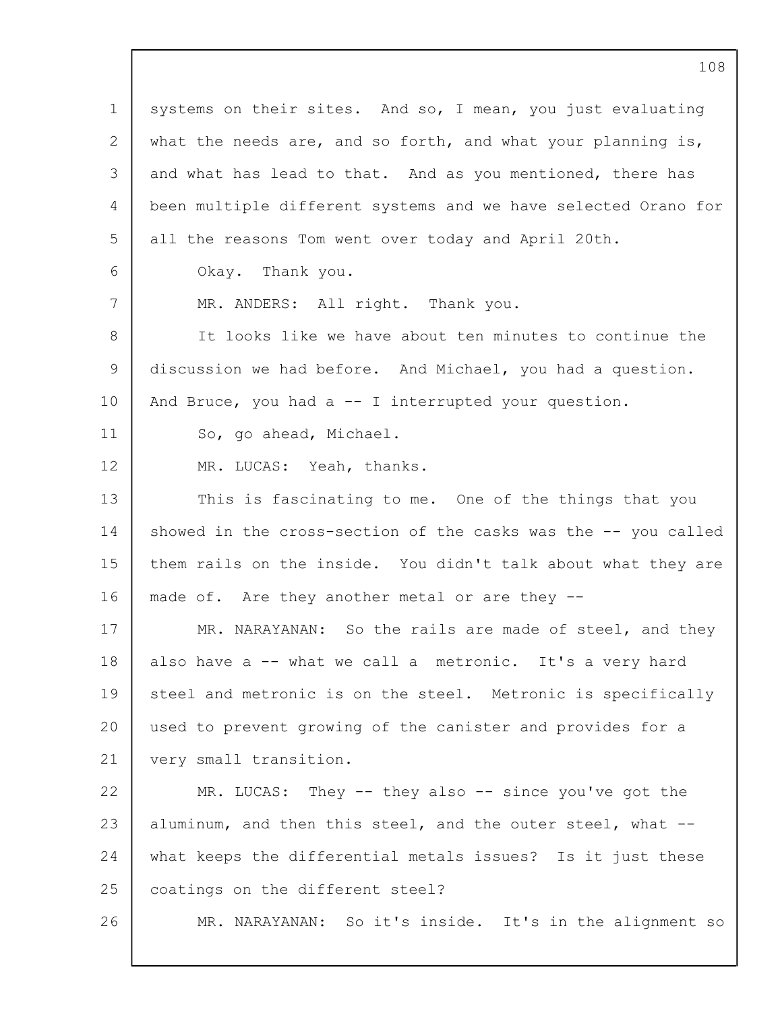1 2 3  $\Delta$ 5 6 7 8 9 10 11 12 13 14 15 16 17 18 19 20 21 22 23 24 25 26 systems on their sites. And so, I mean, you just evaluating what the needs are, and so forth, and what your planning is, and what has lead to that. And as you mentioned, there has been multiple different systems and we have selected Orano for all the reasons Tom went over today and April 20th. Okay. Thank you. MR. ANDERS: All right. Thank you. It looks like we have about ten minutes to continue the discussion we had before. And Michael, you had a question. And Bruce, you had  $a - I$  interrupted your question. So, go ahead, Michael. MR. LUCAS: Yeah, thanks. This is fascinating to me. One of the things that you showed in the cross-section of the casks was the -- you called them rails on the inside. You didn't talk about what they are made of. Are they another metal or are they -- MR. NARAYANAN: So the rails are made of steel, and they also have a -- what we call a metronic. It's a very hard steel and metronic is on the steel. Metronic is specifically used to prevent growing of the canister and provides for a very small transition. MR. LUCAS: They -- they also -- since you've got the aluminum, and then this steel, and the outer steel, what - what keeps the differential metals issues? Is it just these coatings on the different steel? MR. NARAYANAN: So it's inside. It's in the alignment so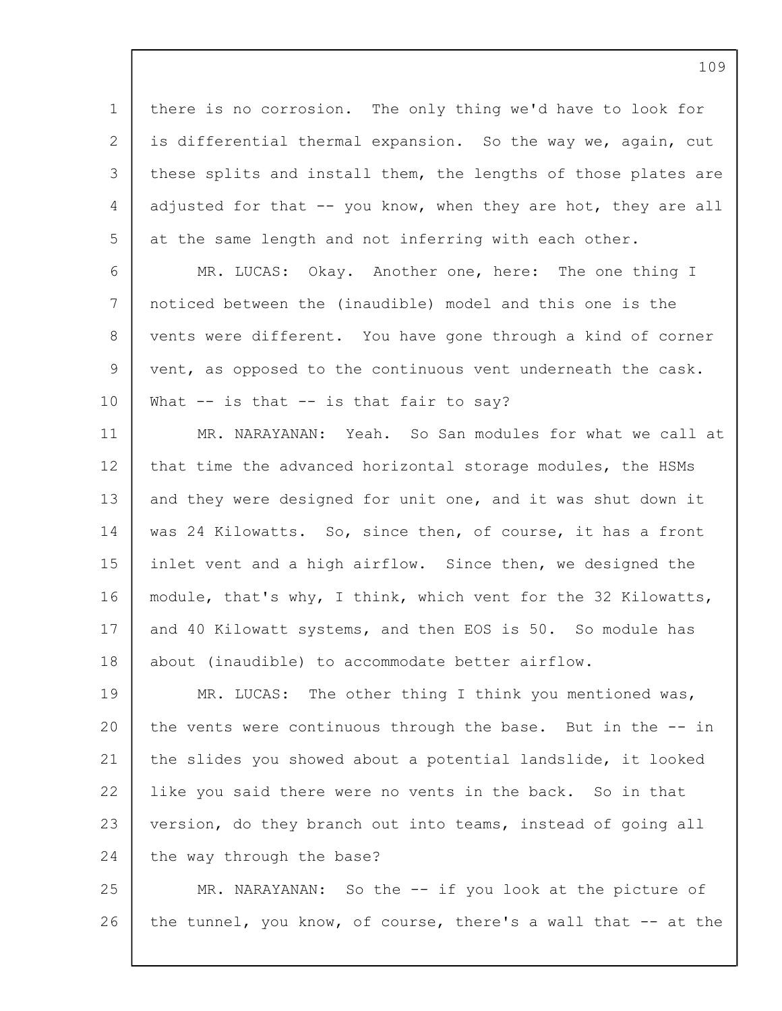1 2 3 4 5 6 7 8 9 10 11 12 13 14 15 16 17 18 19 20 21 22 23 24 25 26 there is no corrosion. The only thing we'd have to look for is differential thermal expansion. So the way we, again, cut these splits and install them, the lengths of those plates are adjusted for that -- you know, when they are hot, they are all at the same length and not inferring with each other. MR. LUCAS: Okay. Another one, here: The one thing I noticed between the (inaudible) model and this one is the vents were different. You have gone through a kind of corner vent, as opposed to the continuous vent underneath the cask. What  $-$  is that  $-$  is that fair to say? MR. NARAYANAN: Yeah. So San modules for what we call at that time the advanced horizontal storage modules, the HSMs and they were designed for unit one, and it was shut down it was 24 Kilowatts. So, since then, of course, it has a front inlet vent and a high airflow. Since then, we designed the module, that's why, I think, which vent for the 32 Kilowatts, and 40 Kilowatt systems, and then EOS is 50. So module has about (inaudible) to accommodate better airflow. MR. LUCAS: The other thing I think you mentioned was, the vents were continuous through the base. But in the -- in the slides you showed about a potential landslide, it looked like you said there were no vents in the back. So in that version, do they branch out into teams, instead of going all the way through the base? MR. NARAYANAN: So the -- if you look at the picture of the tunnel, you know, of course, there's a wall that -- at the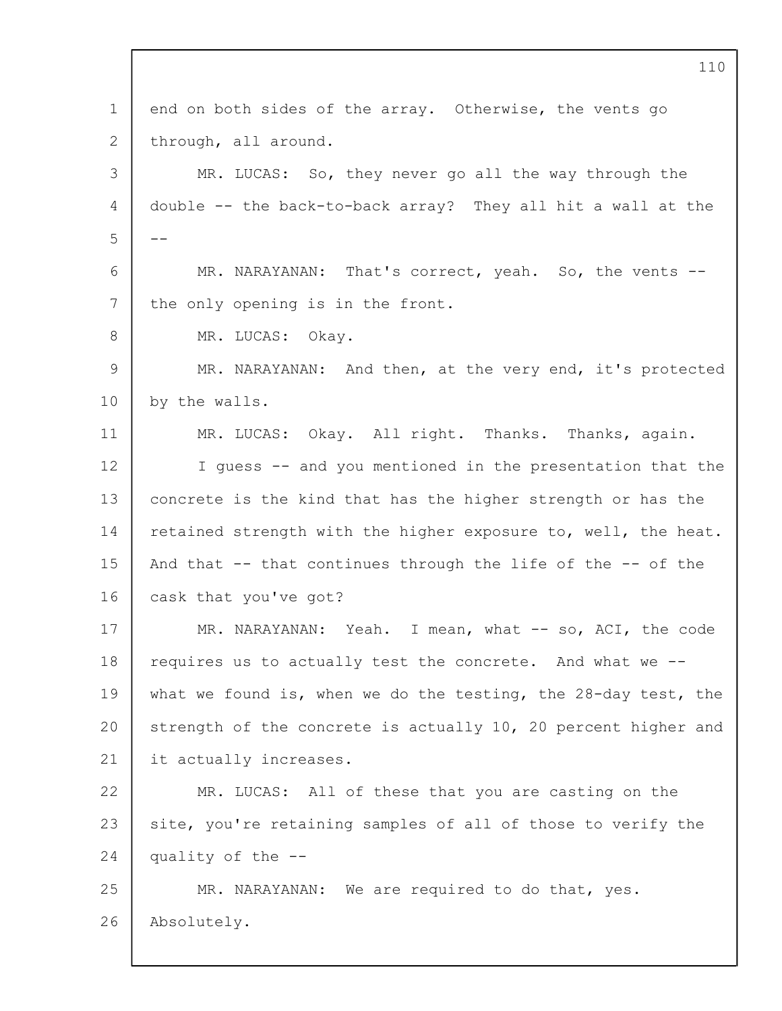1 2 3  $\Delta$ 5 6 7 8 9 10 11 12 13 14 15 16 17 18 19 20 21 22 23 24 25 26 110 end on both sides of the array. Otherwise, the vents go through, all around. MR. LUCAS: So, they never go all the way through the double -- the back-to-back array? They all hit a wall at the -- MR. NARAYANAN: That's correct, yeah. So, the vents - the only opening is in the front. MR. LUCAS: Okay. MR. NARAYANAN: And then, at the very end, it's protected by the walls. MR. LUCAS: Okay. All right. Thanks. Thanks, again. I guess -- and you mentioned in the presentation that the concrete is the kind that has the higher strength or has the retained strength with the higher exposure to, well, the heat. And that -- that continues through the life of the -- of the cask that you've got? MR. NARAYANAN: Yeah. I mean, what -- so, ACI, the code requires us to actually test the concrete. And what we - what we found is, when we do the testing, the 28-day test, the strength of the concrete is actually 10, 20 percent higher and it actually increases. MR. LUCAS: All of these that you are casting on the site, you're retaining samples of all of those to verify the quality of the -- MR. NARAYANAN: We are required to do that, yes. Absolutely.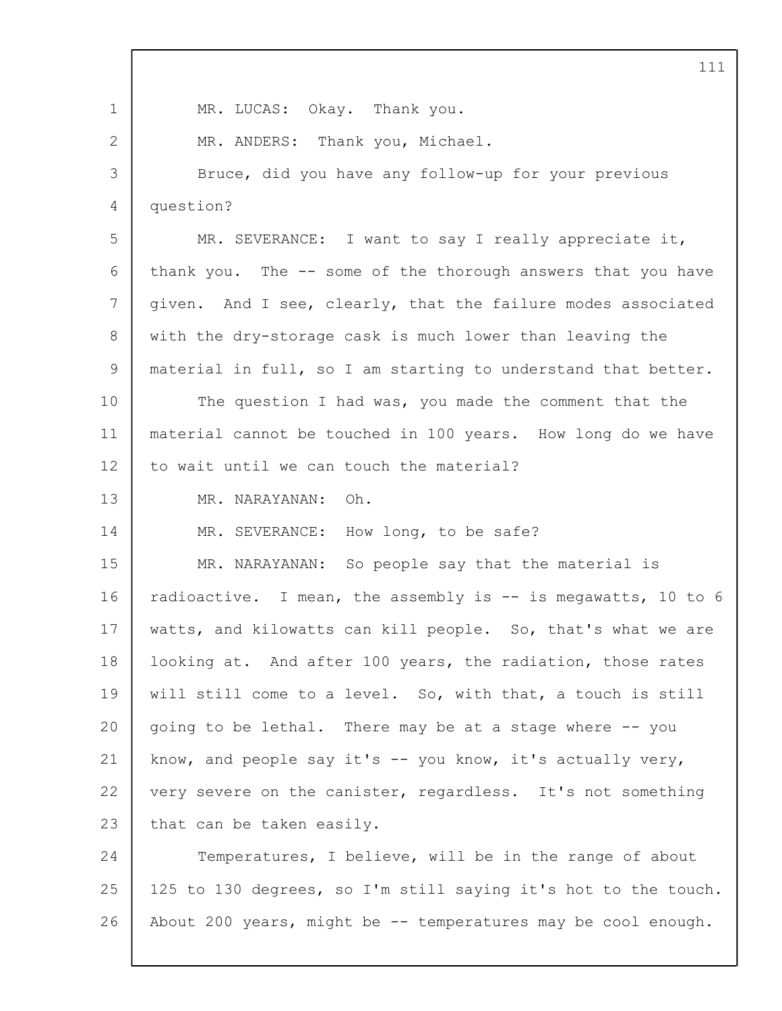|             | 111                                                            |
|-------------|----------------------------------------------------------------|
| $\mathbf 1$ | MR. LUCAS: Okay. Thank you.                                    |
| 2           | MR. ANDERS: Thank you, Michael.                                |
| 3           | Bruce, did you have any follow-up for your previous            |
| 4           | question?                                                      |
| 5           | MR. SEVERANCE: I want to say I really appreciate it,           |
| 6           | thank you. The -- some of the thorough answers that you have   |
| 7           | given. And I see, clearly, that the failure modes associated   |
| 8           | with the dry-storage cask is much lower than leaving the       |
| 9           | material in full, so I am starting to understand that better.  |
| 10          | The question I had was, you made the comment that the          |
| 11          | material cannot be touched in 100 years. How long do we have   |
| 12          | to wait until we can touch the material?                       |
| 13          | Oh.<br>MR. NARAYANAN:                                          |
| 14          | MR. SEVERANCE: How long, to be safe?                           |
| 15          | MR. NARAYANAN: So people say that the material is              |
| 16          | radioactive. I mean, the assembly is -- is megawatts, 10 to 6  |
| 17          | watts, and kilowatts can kill people. So, that's what we are   |
| 18          | looking at. And after 100 years, the radiation, those rates    |
| 19          | will still come to a level. So, with that, a touch is still    |
| 20          | going to be lethal. There may be at a stage where -- you       |
| 21          | know, and people say it's $-$ you know, it's actually very,    |
| 22          | very severe on the canister, regardless. It's not something    |
| 23          | that can be taken easily.                                      |
| 24          | Temperatures, I believe, will be in the range of about         |
| 25          | 125 to 130 degrees, so I'm still saying it's hot to the touch. |
| 26          | About 200 years, might be -- temperatures may be cool enough.  |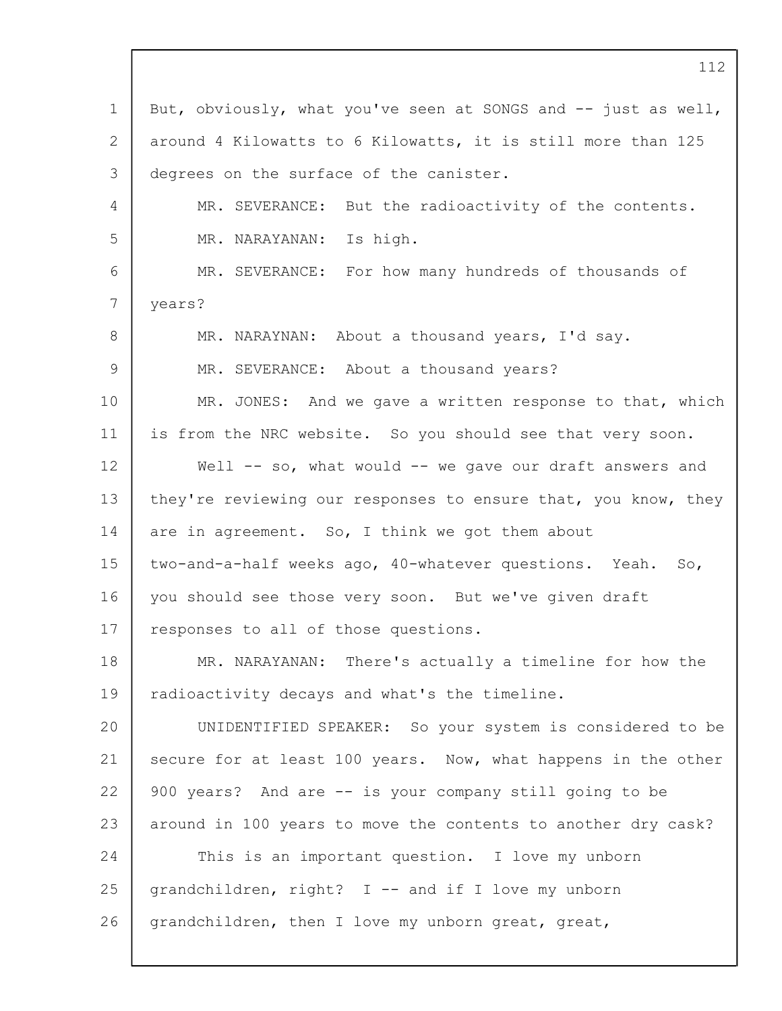1 2 3 4 5 6 7 8  $\mathsf{Q}$ 10 11 12 13 14 15 16 17 18 19  $20$ 21 22 23 24 25 26 But, obviously, what you've seen at SONGS and -- just as well, around 4 Kilowatts to 6 Kilowatts, it is still more than 125 degrees on the surface of the canister. MR. SEVERANCE: But the radioactivity of the contents. MR. NARAYANAN: Is high. MR. SEVERANCE: For how many hundreds of thousands of years? MR. NARAYNAN: About a thousand years, I'd say. MR. SEVERANCE: About a thousand years? MR. JONES: And we gave a written response to that, which is from the NRC website. So you should see that very soon. Well -- so, what would -- we gave our draft answers and they're reviewing our responses to ensure that, you know, they are in agreement. So, I think we got them about two-and-a-half weeks ago, 40-whatever questions. Yeah. So, you should see those very soon. But we've given draft responses to all of those questions. MR. NARAYANAN: There's actually a timeline for how the radioactivity decays and what's the timeline. UNIDENTIFIED SPEAKER: So your system is considered to be secure for at least 100 years. Now, what happens in the other 900 years? And are -- is your company still going to be around in 100 years to move the contents to another dry cask? This is an important question. I love my unborn grandchildren, right? I -- and if I love my unborn grandchildren, then I love my unborn great, great,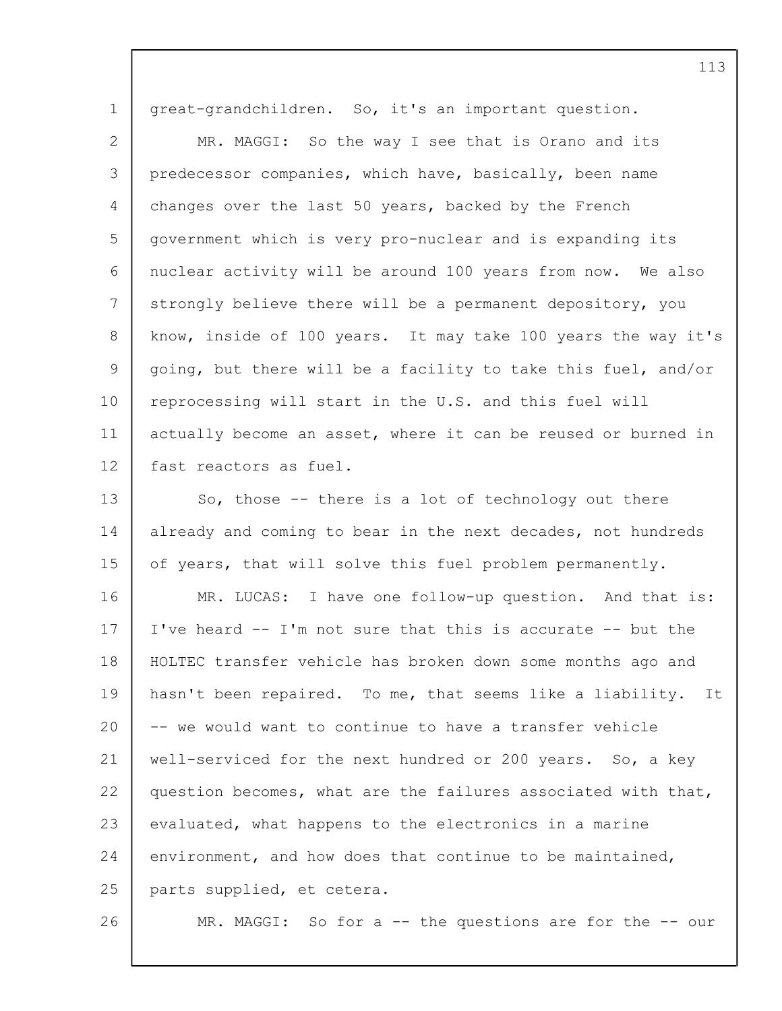1 2 3 4 5 6 7 8  $\mathsf{Q}$ 10 11 12 13 14 15 16 17 18 19 20 21 22 23 24 25 26 great-grandchildren. So, it's an important question. MR. MAGGI: So the way I see that is Orano and its predecessor companies, which have, basically, been name changes over the last 50 years, backed by the French government which is very pro-nuclear and is expanding its nuclear activity will be around 100 years from now. We also strongly believe there will be a permanent depository, you know, inside of 100 years. It may take 100 years the way it's going, but there will be a facility to take this fuel, and/or reprocessing will start in the U.S. and this fuel will actually become an asset, where it can be reused or burned in fast reactors as fuel. So, those -- there is a lot of technology out there already and coming to bear in the next decades, not hundreds of years, that will solve this fuel problem permanently. MR. LUCAS: I have one follow-up question. And that is: I've heard -- I'm not sure that this is accurate -- but the HOLTEC transfer vehicle has broken down some months ago and hasn't been repaired. To me, that seems like a liability. It -- we would want to continue to have a transfer vehicle well-serviced for the next hundred or 200 years. So, a key question becomes, what are the failures associated with that, evaluated, what happens to the electronics in a marine environment, and how does that continue to be maintained, parts supplied, et cetera. MR. MAGGI: So for a -- the questions are for the -- our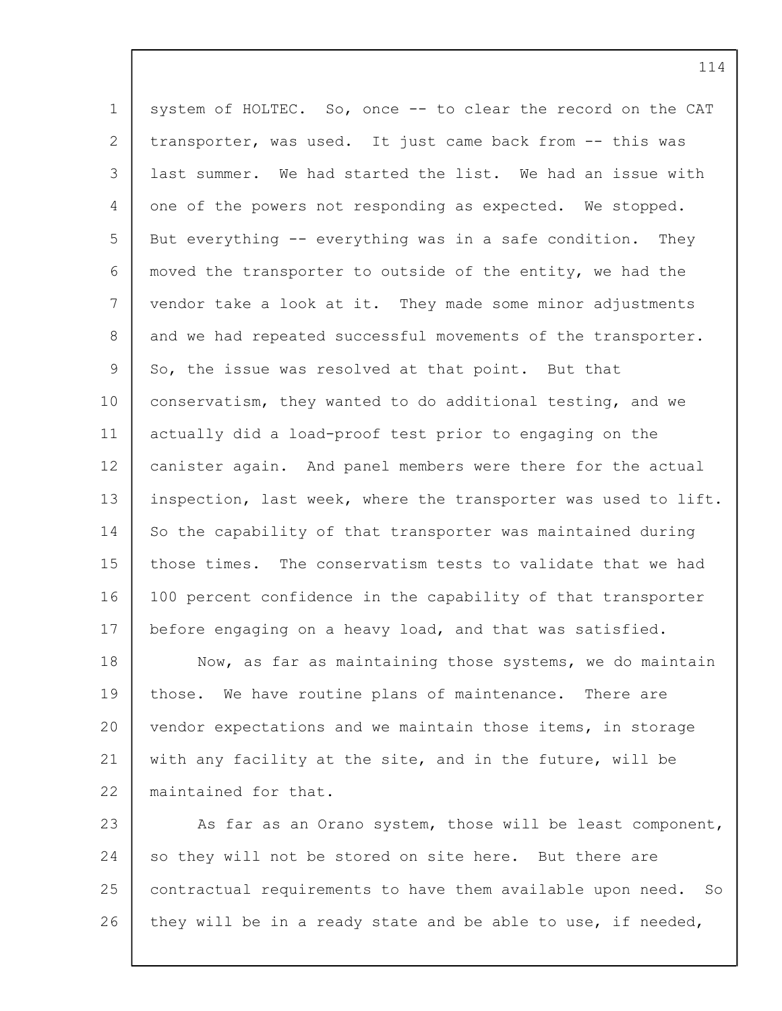1 2 3 4 5 6 7 8  $\mathsf{Q}$ 10 11 12 13 14 15 16 17 18 19 20 system of HOLTEC. So, once -- to clear the record on the CAT transporter, was used. It just came back from -- this was last summer. We had started the list. We had an issue with one of the powers not responding as expected. We stopped. But everything -- everything was in a safe condition. They moved the transporter to outside of the entity, we had the vendor take a look at it. They made some minor adjustments and we had repeated successful movements of the transporter. So, the issue was resolved at that point. But that conservatism, they wanted to do additional testing, and we actually did a load-proof test prior to engaging on the canister again. And panel members were there for the actual inspection, last week, where the transporter was used to lift. So the capability of that transporter was maintained during those times. The conservatism tests to validate that we had 100 percent confidence in the capability of that transporter before engaging on a heavy load, and that was satisfied. Now, as far as maintaining those systems, we do maintain those. We have routine plans of maintenance. There are vendor expectations and we maintain those items, in storage

21 22 with any facility at the site, and in the future, will be maintained for that.

23 24 25 26 As far as an Orano system, those will be least component, so they will not be stored on site here. But there are contractual requirements to have them available upon need. So they will be in a ready state and be able to use, if needed,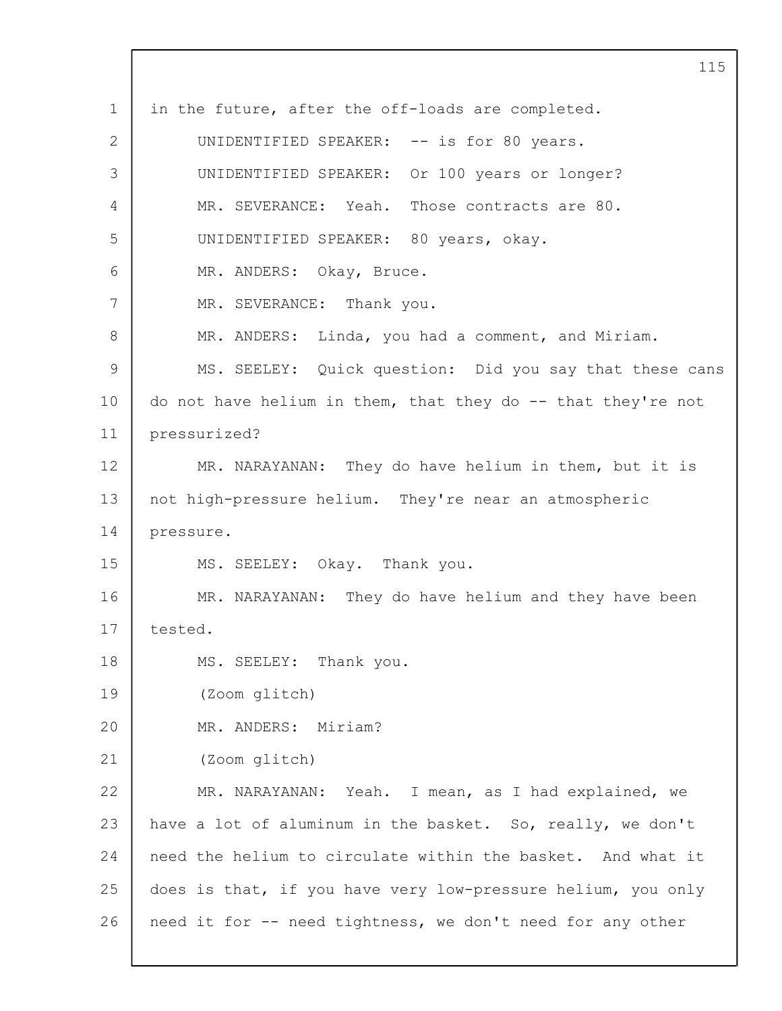1 2 3  $\Delta$ 5 6 7 8 9 10 11 12 13 14 15 16 17 18 19 20 21 22 23 24 25 26 115 in the future, after the off-loads are completed. UNIDENTIFIED SPEAKER: -- is for 80 years. UNIDENTIFIED SPEAKER: Or 100 years or longer? MR. SEVERANCE: Yeah. Those contracts are 80. UNIDENTIFIED SPEAKER: 80 years, okay. MR. ANDERS: Okay, Bruce. MR. SEVERANCE: Thank you. MR. ANDERS: Linda, you had a comment, and Miriam. MS. SEELEY: Quick question: Did you say that these cans do not have helium in them, that they do -- that they're not pressurized? MR. NARAYANAN: They do have helium in them, but it is not high-pressure helium. They're near an atmospheric pressure. MS. SEELEY: Okay. Thank you. MR. NARAYANAN: They do have helium and they have been tested. MS. SEELEY: Thank you. (Zoom glitch) MR. ANDERS: Miriam? (Zoom glitch) MR. NARAYANAN: Yeah. I mean, as I had explained, we have a lot of aluminum in the basket. So, really, we don't need the helium to circulate within the basket. And what it does is that, if you have very low-pressure helium, you only need it for -- need tightness, we don't need for any other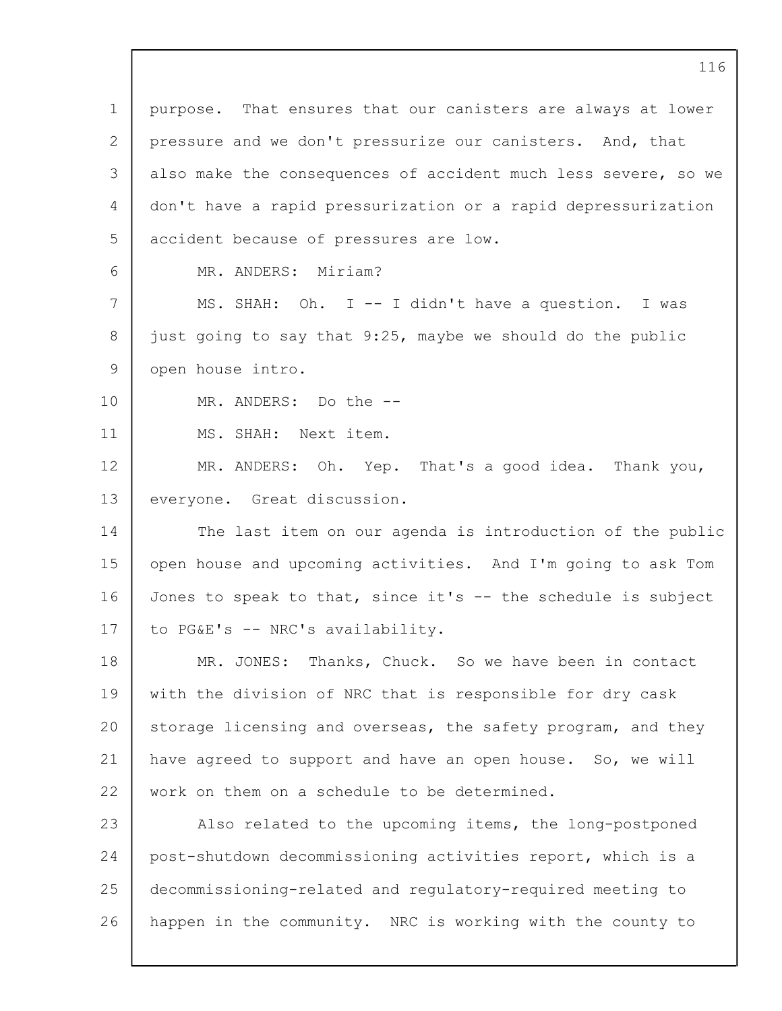1 2 3  $\Delta$ 5 6 7 8  $\mathsf{Q}$ 10 11 12 13 14 15 16 17 18 19 20 21 22 23 24 25 26 purpose. That ensures that our canisters are always at lower pressure and we don't pressurize our canisters. And, that also make the consequences of accident much less severe, so we don't have a rapid pressurization or a rapid depressurization accident because of pressures are low. MR. ANDERS: Miriam? MS. SHAH: Oh. I -- I didn't have a question. I was just going to say that 9:25, maybe we should do the public open house intro. MR. ANDERS: Do the -- MS. SHAH: Next item. MR. ANDERS: Oh. Yep. That's a good idea. Thank you, everyone. Great discussion. The last item on our agenda is introduction of the public open house and upcoming activities. And I'm going to ask Tom Jones to speak to that, since it's -- the schedule is subject to PG&E's -- NRC's availability. MR. JONES: Thanks, Chuck. So we have been in contact with the division of NRC that is responsible for dry cask storage licensing and overseas, the safety program, and they have agreed to support and have an open house. So, we will work on them on a schedule to be determined. Also related to the upcoming items, the long-postponed post-shutdown decommissioning activities report, which is a decommissioning-related and regulatory-required meeting to happen in the community. NRC is working with the county to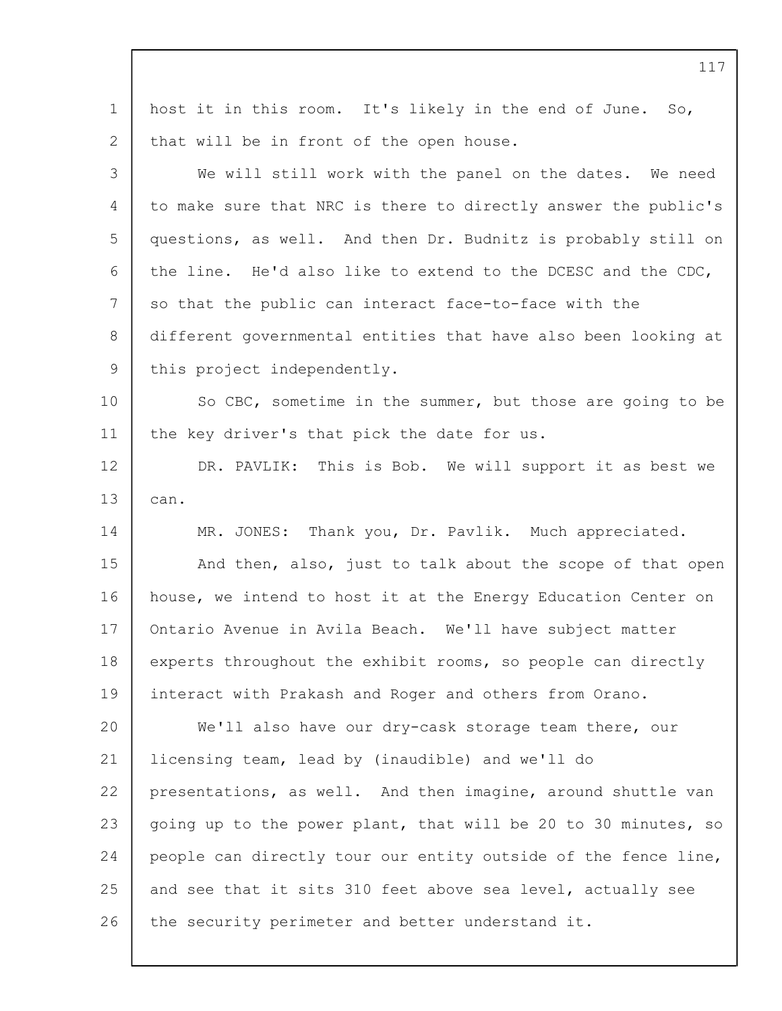| $\mathbf 1$    | host it in this room. It's likely in the end of June. So,      |
|----------------|----------------------------------------------------------------|
| 2              | that will be in front of the open house.                       |
| 3              | We will still work with the panel on the dates. We need        |
| 4              | to make sure that NRC is there to directly answer the public's |
| 5              | questions, as well. And then Dr. Budnitz is probably still on  |
| 6              | the line. He'd also like to extend to the DCESC and the CDC,   |
| 7              | so that the public can interact face-to-face with the          |
| 8              | different governmental entities that have also been looking at |
| $\overline{9}$ | this project independently.                                    |
| 10             | So CBC, sometime in the summer, but those are going to be      |
| 11             | the key driver's that pick the date for us.                    |
| 12             | DR. PAVLIK: This is Bob. We will support it as best we         |
| 13             | can.                                                           |
| 14             | MR. JONES: Thank you, Dr. Pavlik. Much appreciated.            |
| 15             | And then, also, just to talk about the scope of that open      |
| 16             | house, we intend to host it at the Energy Education Center on  |
| 17             | Ontario Avenue in Avila Beach. We'll have subject matter       |
| 18             | experts throughout the exhibit rooms, so people can directly   |
| 19             | interact with Prakash and Roger and others from Orano.         |
| 20             | We'll also have our dry-cask storage team there, our           |
| 21             | licensing team, lead by (inaudible) and we'll do               |
| 22             | presentations, as well. And then imagine, around shuttle van   |
| 23             | going up to the power plant, that will be 20 to 30 minutes, so |
| 24             | people can directly tour our entity outside of the fence line, |
| 25             | and see that it sits 310 feet above sea level, actually see    |
| 26             | the security perimeter and better understand it.               |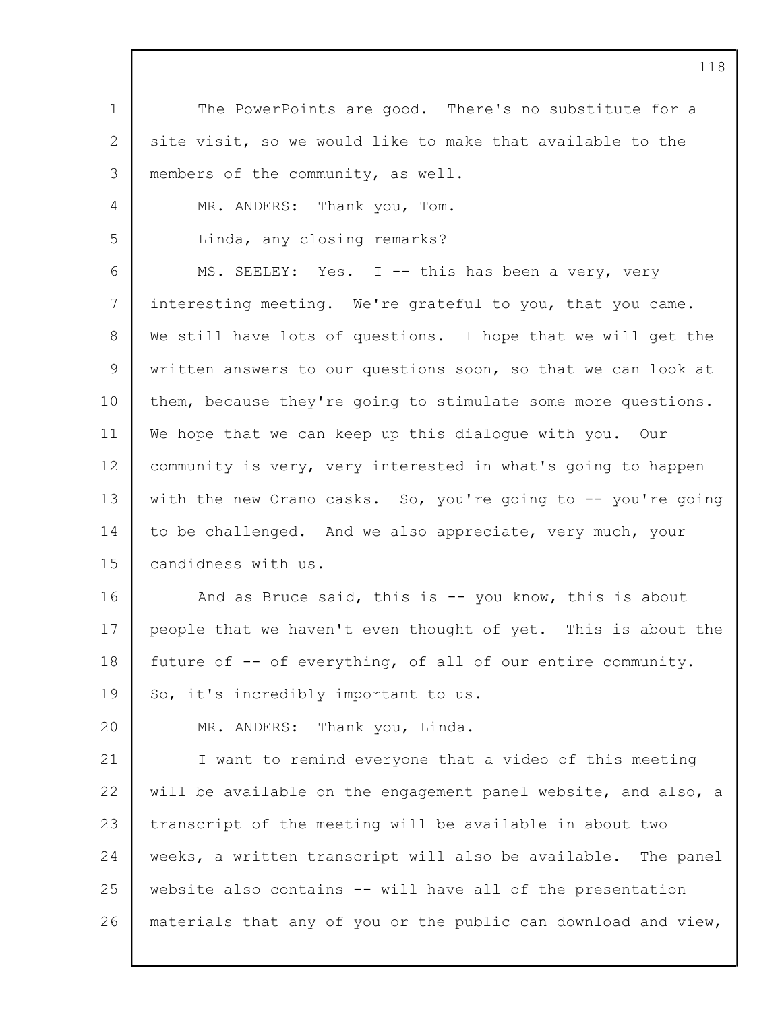1 2 3 4 5 6 7 8 9 10 11 12 13 14 15 16 17 18 19  $20$ 21 22 23 24 25 26 The PowerPoints are good. There's no substitute for a site visit, so we would like to make that available to the members of the community, as well. MR. ANDERS: Thank you, Tom. Linda, any closing remarks? MS. SEELEY: Yes. I -- this has been a very, very interesting meeting. We're grateful to you, that you came. We still have lots of questions. I hope that we will get the written answers to our questions soon, so that we can look at them, because they're going to stimulate some more questions. We hope that we can keep up this dialogue with you. Our community is very, very interested in what's going to happen with the new Orano casks. So, you're going to -- you're going to be challenged. And we also appreciate, very much, your candidness with us. And as Bruce said, this is -- you know, this is about people that we haven't even thought of yet. This is about the future of -- of everything, of all of our entire community. So, it's incredibly important to us. MR. ANDERS: Thank you, Linda. I want to remind everyone that a video of this meeting will be available on the engagement panel website, and also, a transcript of the meeting will be available in about two weeks, a written transcript will also be available. The panel website also contains -- will have all of the presentation materials that any of you or the public can download and view,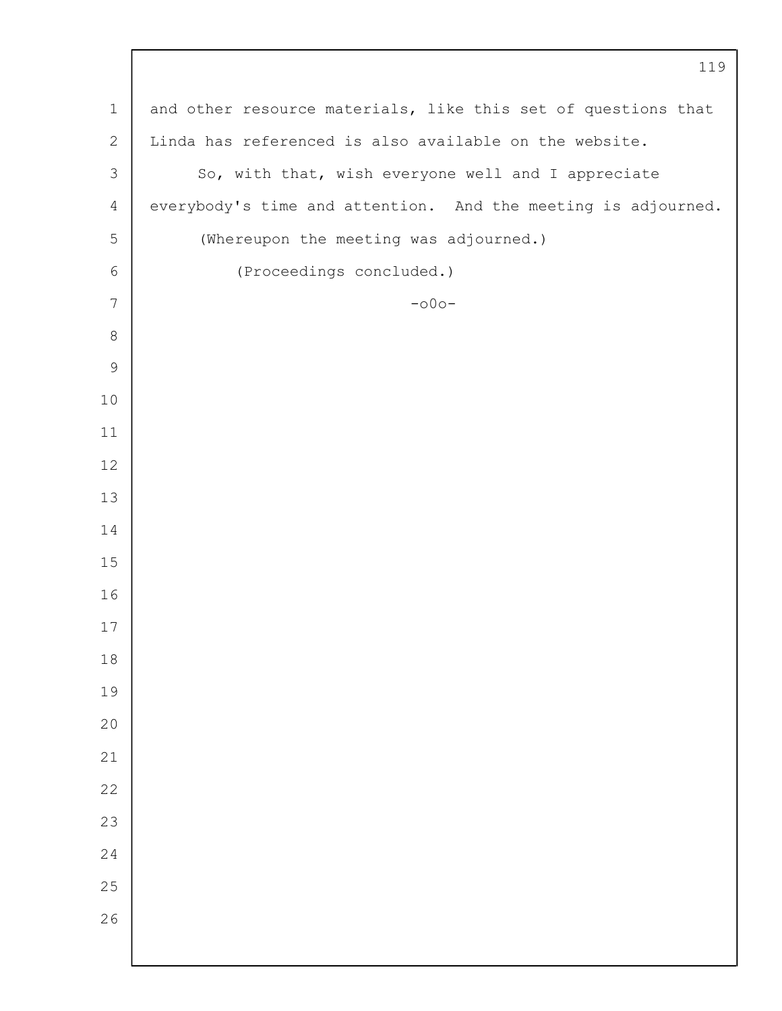|                | 119                                                           |
|----------------|---------------------------------------------------------------|
| $\mathbf 1$    | and other resource materials, like this set of questions that |
| $\mathbf{2}$   | Linda has referenced is also available on the website.        |
| 3              | So, with that, wish everyone well and I appreciate            |
| $\overline{4}$ | everybody's time and attention. And the meeting is adjourned. |
| 5              | (Whereupon the meeting was adjourned.)                        |
| $\epsilon$     | (Proceedings concluded.)                                      |
| $7\phantom{.}$ | $-000-$                                                       |
| 8              |                                                               |
| $\mathsf 9$    |                                                               |
| $10$           |                                                               |
| 11             |                                                               |
| 12             |                                                               |
| 13             |                                                               |
| 14             |                                                               |
| 15             |                                                               |
| 16             |                                                               |
| 17             |                                                               |
| $1\,8$         |                                                               |
| 19             |                                                               |
| 20             |                                                               |
| 21             |                                                               |
| 22             |                                                               |
| 23             |                                                               |
| 24             |                                                               |
| $2\,5$         |                                                               |
| 26             |                                                               |
|                |                                                               |